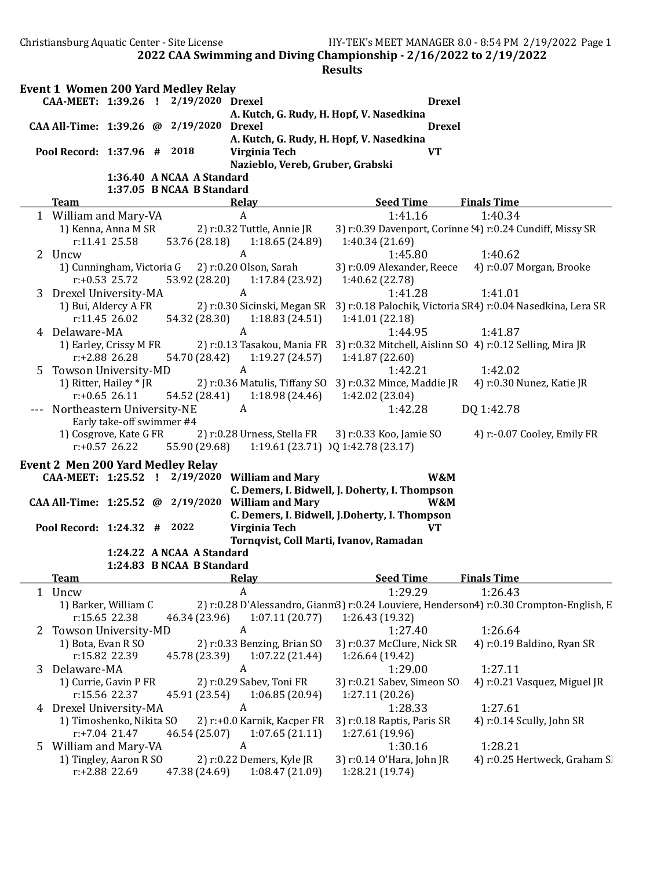Christiansburg Aquatic Center - Site License HY-TEK's MEET MANAGER 8.0 - 8:54 PM 2/19/2022 Page 1

2022 CAA Swimming and Diving Championship - 2/16/2022 to 2/19/2022

| <b>Drexel</b>                                                                                                               |
|-----------------------------------------------------------------------------------------------------------------------------|
| A. Kutch, G. Rudy, H. Hopf, V. Nasedkina                                                                                    |
| <b>Drexel</b>                                                                                                               |
| A. Kutch, G. Rudy, H. Hopf, V. Nasedkina                                                                                    |
| <b>VT</b>                                                                                                                   |
| Nazieblo, Vereb, Gruber, Grabski                                                                                            |
|                                                                                                                             |
| <b>Seed Time</b><br><b>Finals Time</b>                                                                                      |
| 1:41.16<br>1:40.34                                                                                                          |
| 3) r:0.39 Davenport, Corinne (4) r:0.24 Cundiff, Missy SR                                                                   |
| 1:40.34 (21.69)                                                                                                             |
| 1:45.80<br>1:40.62                                                                                                          |
| 3) r:0.09 Alexander, Reece<br>4) r:0.07 Morgan, Brooke                                                                      |
| 1:40.62 (22.78)                                                                                                             |
| 1:41.28<br>1:41.01                                                                                                          |
| 2) r:0.30 Sicinski, Megan SR 3) r:0.18 Palochik, Victoria SR4) r:0.04 Nasedkina, Lera SR                                    |
| 1:18.83(24.51)<br>1:41.01 (22.18)                                                                                           |
| 1:44.95<br>1:41.87                                                                                                          |
| 2) r:0.13 Tasakou, Mania FR 3) r:0.32 Mitchell, Aislinn SO 4) r:0.12 Selling, Mira JR                                       |
| 1:19.27(24.57)<br>1:41.87 (22.60)                                                                                           |
| 1:42.02<br>1:42.21                                                                                                          |
| 2) r:0.36 Matulis, Tiffany SO 3) r:0.32 Mince, Maddie JR<br>4) r:0.30 Nunez, Katie JR                                       |
| 1:18.98(24.46)<br>1:42.02 (23.04)                                                                                           |
| 1:42.28<br>DQ 1:42.78                                                                                                       |
|                                                                                                                             |
| 2) r:0.28 Urness, Stella FR<br>3) r:0.33 Koo, Jamie SO<br>4) r:-0.07 Cooley, Emily FR<br>1:19.61 (23.71) IQ 1:42.78 (23.17) |
|                                                                                                                             |
| W&M                                                                                                                         |
| C. Demers, I. Bidwell, J. Doherty, I. Thompson                                                                              |
| W&M                                                                                                                         |
| C. Demers, I. Bidwell, J.Doherty, I. Thompson                                                                               |
| <b>VT</b>                                                                                                                   |
| Tornqvist, Coll Marti, Ivanov, Ramadan                                                                                      |
|                                                                                                                             |
|                                                                                                                             |
| <b>Seed Time</b><br><b>Finals Time</b>                                                                                      |
| 1:29.29<br>1:26.43                                                                                                          |
| 2) r:0.28 D'Alessandro, Gianm3) r:0.24 Louviere, Henderson4) r:0.30 Crompton-English, E                                     |
| 1:26.43 (19.32)                                                                                                             |
| 1:27.40<br>1:26.64                                                                                                          |
| 3) r:0.37 McClure, Nick SR<br>4) r:0.19 Baldino, Ryan SR                                                                    |
| 1:26.64 (19.42)                                                                                                             |
| 1:29.00<br>1:27.11                                                                                                          |
| 3) r:0.21 Sabev, Simeon SO<br>4) r:0.21 Vasquez, Miguel JR                                                                  |
|                                                                                                                             |
| 1:27.11 (20.26)                                                                                                             |
| 1:28.33<br>1:27.61                                                                                                          |
| 2) r:+0.0 Karnik, Kacper FR<br>3) r:0.18 Raptis, Paris SR<br>4) r:0.14 Scully, John SR                                      |
| 1:27.61 (19.96)                                                                                                             |
| 1:28.21<br>1:30.16<br>3) r:0.14 O'Hara, John JR<br>4) r:0.25 Hertweck, Graham S                                             |
| 1:18.65(24.89)<br>1:17.84(23.92)                                                                                            |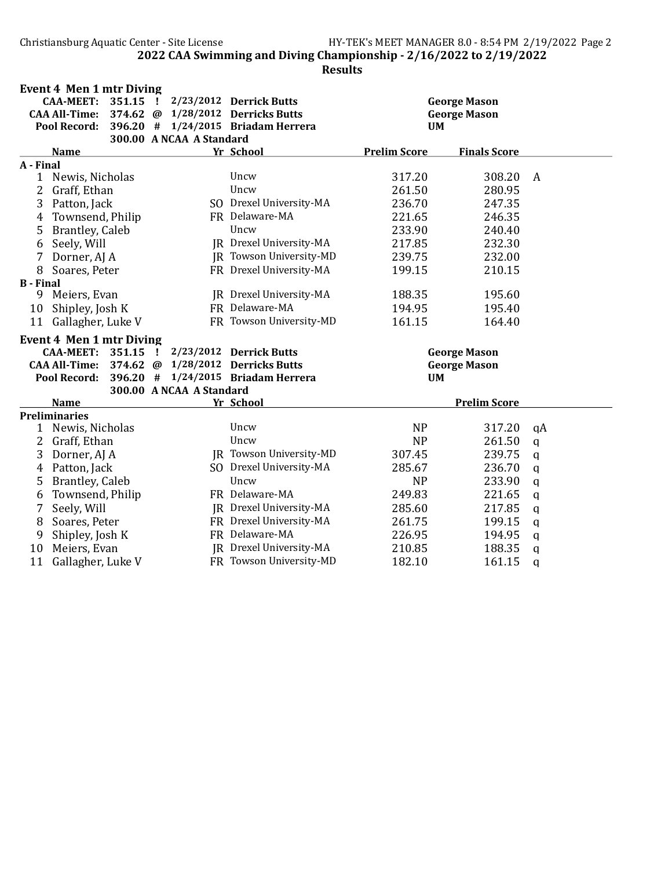|                  | <b>Event 4 Men 1 mtr Diving</b> |          |    |                          |                                    |                     |                     |               |
|------------------|---------------------------------|----------|----|--------------------------|------------------------------------|---------------------|---------------------|---------------|
|                  | <b>CAA-MEET:</b>                | 351.15 ! |    |                          | 2/23/2012 Derrick Butts            |                     | <b>George Mason</b> |               |
|                  | <b>CAA All-Time:</b>            |          |    |                          | 374.62 @ 1/28/2012 Derricks Butts  |                     | <b>George Mason</b> |               |
|                  | <b>Pool Record:</b>             | 396.20 # |    |                          | 1/24/2015 Briadam Herrera          | <b>UM</b>           |                     |               |
|                  |                                 |          |    | 300.00 A NCAA A Standard |                                    |                     |                     |               |
|                  | <b>Name</b>                     |          |    |                          | Yr School                          | <b>Prelim Score</b> | <b>Finals Score</b> |               |
| A - Final        |                                 |          |    |                          |                                    |                     |                     |               |
| 1                | Newis, Nicholas                 |          |    |                          | Uncw                               | 317.20              | 308.20              | A             |
| 2                | Graff, Ethan                    |          |    |                          | Uncw                               | 261.50              | 280.95              |               |
| 3                | Patton, Jack                    |          |    |                          | SO Drexel University-MA            | 236.70              | 247.35              |               |
| 4                | Townsend, Philip                |          |    |                          | FR Delaware-MA                     | 221.65              | 246.35              |               |
| 5                | Brantley, Caleb                 |          |    |                          | Uncw                               | 233.90              | 240.40              |               |
| 6                | Seely, Will                     |          |    |                          | JR Drexel University-MA            | 217.85              | 232.30              |               |
| 7                | Dorner, AJ A                    |          |    |                          | JR Towson University-MD            | 239.75              | 232.00              |               |
| 8                | Soares, Peter                   |          |    |                          | FR Drexel University-MA            | 199.15              | 210.15              |               |
| <b>B</b> - Final |                                 |          |    |                          |                                    |                     |                     |               |
| 9                | Meiers, Evan                    |          |    |                          | JR Drexel University-MA            | 188.35              | 195.60              |               |
| 10               | Shipley, Josh K                 |          |    |                          | FR Delaware-MA                     | 194.95              | 195.40              |               |
|                  | 11 Gallagher, Luke V            |          |    |                          | FR Towson University-MD            | 161.15              | 164.40              |               |
|                  | <b>Event 4 Men 1 mtr Diving</b> |          |    |                          |                                    |                     |                     |               |
|                  | <b>CAA-MEET:</b>                | 351.15   | Ι. |                          | 2/23/2012 Derrick Butts            |                     | <b>George Mason</b> |               |
|                  | <b>CAA All-Time:</b>            | 374.62   | @  |                          | 1/28/2012 Derricks Butts           |                     | <b>George Mason</b> |               |
|                  | Pool Record:                    |          |    |                          | 396.20 # 1/24/2015 Briadam Herrera | <b>UM</b>           |                     |               |
|                  |                                 |          |    | 300.00 A NCAA A Standard |                                    |                     |                     |               |
|                  | <b>Name</b>                     |          |    |                          | Yr School                          |                     | <b>Prelim Score</b> |               |
|                  | <b>Preliminaries</b>            |          |    |                          |                                    |                     |                     |               |
| 1                | Newis, Nicholas                 |          |    |                          | Uncw                               | <b>NP</b>           | 317.20              | qA            |
| 2                | Graff, Ethan                    |          |    |                          | Uncw                               | <b>NP</b>           | 261.50              | $\mathbf q$   |
| 3                | Dorner, AJ A                    |          |    |                          | JR Towson University-MD            | 307.45              | 239.75              | q             |
| 4                | Patton, Jack                    |          |    |                          | SO Drexel University-MA            | 285.67              | 236.70              | q             |
| 5                | Brantley, Caleb                 |          |    |                          | Uncw                               | <b>NP</b>           | 233.90              | q             |
| 6                | Townsend, Philip                |          |    |                          | FR Delaware-MA                     | 249.83              | 221.65              | q             |
| 7                | Seely, Will                     |          |    |                          | JR Drexel University-MA            | 285.60              | 217.85              | $\mathbf q$   |
| 8                | Soares, Peter                   |          |    |                          | FR Drexel University-MA            | 261.75              | 199.15              | $\mathbf q$   |
| 9                | Shipley, Josh K                 |          |    |                          | FR Delaware-MA                     | 226.95              | 194.95              | $\mathbf q$   |
| 10               | Meiers, Evan                    |          |    |                          | JR Drexel University-MA            | 210.85              | 188.35              | q             |
| 11               | Gallagher, Luke V               |          |    |                          | FR Towson University-MD            | 182.10              | 161.15              | $\mathfrak q$ |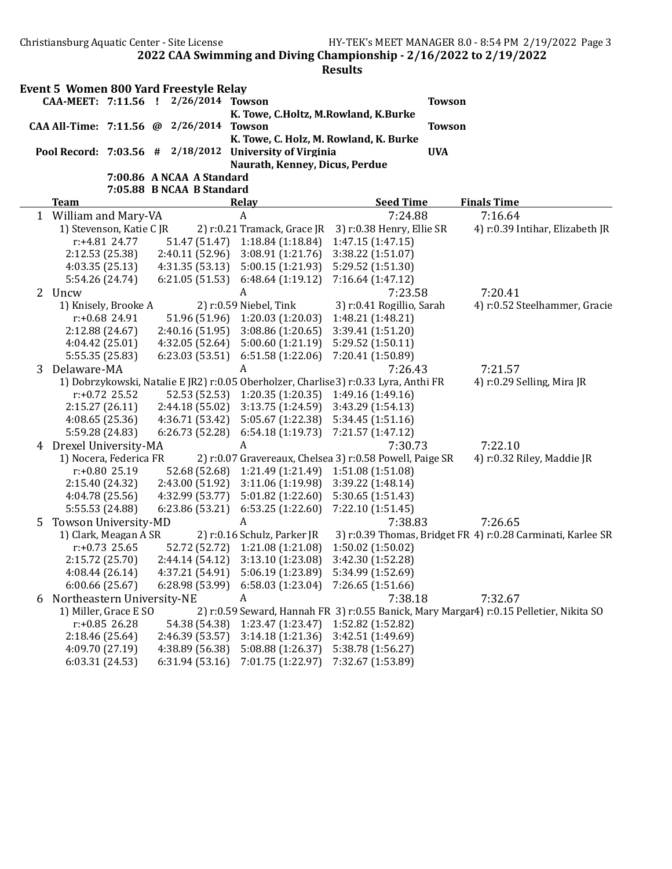|   |                            |                          | <b>Event 5 Women 800 Yard Freestyle Relay</b><br>CAA-MEET: 7:11.56 ! 2/26/2014 Towson |                                                                                     |                           | <b>Towson</b> |                                                                                         |
|---|----------------------------|--------------------------|---------------------------------------------------------------------------------------|-------------------------------------------------------------------------------------|---------------------------|---------------|-----------------------------------------------------------------------------------------|
|   |                            |                          |                                                                                       | K. Towe, C.Holtz, M.Rowland, K.Burke                                                |                           |               |                                                                                         |
|   |                            |                          | CAA All-Time: 7:11.56 @ 2/26/2014                                                     | <b>Towson</b>                                                                       |                           | <b>Towson</b> |                                                                                         |
|   |                            |                          |                                                                                       | K. Towe, C. Holz, M. Rowland, K. Burke                                              |                           |               |                                                                                         |
|   |                            |                          | Pool Record: 7:03.56 # 2/18/2012                                                      | <b>University of Virginia</b>                                                       |                           | <b>UVA</b>    |                                                                                         |
|   |                            |                          |                                                                                       | Naurath, Kenney, Dicus, Perdue                                                      |                           |               |                                                                                         |
|   |                            |                          | 7:00.86 A NCAA A Standard                                                             |                                                                                     |                           |               |                                                                                         |
|   |                            |                          | 7:05.88 B NCAA B Standard                                                             |                                                                                     |                           |               |                                                                                         |
|   | <b>Team</b>                |                          |                                                                                       | Relay                                                                               | <b>Seed Time</b>          |               | <b>Finals Time</b>                                                                      |
|   | 1 William and Mary-VA      |                          |                                                                                       | $\boldsymbol{A}$                                                                    | 7:24.88                   |               | 7:16.64                                                                                 |
|   |                            | 1) Stevenson, Katie C JR |                                                                                       | 2) r:0.21 Tramack, Grace JR                                                         | 3) r:0.38 Henry, Ellie SR |               | 4) r:0.39 Intihar, Elizabeth JR                                                         |
|   |                            | r:+4.81 24.77            | 51.47 (51.47)                                                                         | 1:18.84 (1:18.84)                                                                   | 1:47.15 (1:47.15)         |               |                                                                                         |
|   | 2:12.53 (25.38)            |                          | 2:40.11 (52.96)                                                                       | 3:08.91(1:21.76)                                                                    | 3:38.22 (1:51.07)         |               |                                                                                         |
|   | 4:03.35 (25.13)            |                          | 4:31.35(53.13)                                                                        | 5:00.15(1:21.93)                                                                    | 5:29.52 (1:51.30)         |               |                                                                                         |
|   | 5:54.26 (24.74)            |                          | 6:21.05(51.53)                                                                        | 6:48.64(1:19.12)                                                                    | 7:16.64 (1:47.12)         |               |                                                                                         |
|   | 2 Uncw                     |                          |                                                                                       | A                                                                                   | 7:23.58                   |               | 7:20.41                                                                                 |
|   |                            | 1) Knisely, Brooke A     |                                                                                       | 2) r:0.59 Niebel, Tink                                                              | 3) r:0.41 Rogillio, Sarah |               | 4) r:0.52 Steelhammer, Gracie                                                           |
|   |                            | $r: +0.68$ 24.91         | 51.96 (51.96)                                                                         | 1:20.03(1:20.03)                                                                    | 1:48.21 (1:48.21)         |               |                                                                                         |
|   | 2:12.88 (24.67)            |                          | 2:40.16(51.95)                                                                        | 3:08.86(1:20.65)                                                                    | 3:39.41 (1:51.20)         |               |                                                                                         |
|   | 4:04.42 (25.01)            |                          | 4:32.05 (52.64)                                                                       | 5:00.60 (1:21.19)                                                                   | 5:29.52 (1:50.11)         |               |                                                                                         |
|   | 5:55.35 (25.83)            |                          | 6:23.03(53.51)                                                                        | 6:51.58 (1:22.06)                                                                   | 7:20.41 (1:50.89)         |               |                                                                                         |
| 3 | Delaware-MA                |                          |                                                                                       | A                                                                                   | 7:26.43                   |               | 7:21.57                                                                                 |
|   |                            |                          |                                                                                       | 1) Dobrzykowski, Natalie E JR2) r:0.05 Oberholzer, Charlise3) r:0.33 Lyra, Anthi FR |                           |               | 4) r:0.29 Selling, Mira JR                                                              |
|   |                            | $r: +0.72$ 25.52         | 52.53 (52.53)                                                                         | 1:20.35(1:20.35)                                                                    | 1:49.16 (1:49.16)         |               |                                                                                         |
|   | 2:15.27(26.11)             |                          | 2:44.18(55.02)                                                                        | 3:13.75(1:24.59)                                                                    | 3:43.29 (1:54.13)         |               |                                                                                         |
|   | 4:08.65(25.36)             |                          | 4:36.71(53.42)                                                                        | 5:05.67(1:22.38)                                                                    | 5:34.45 (1:51.16)         |               |                                                                                         |
|   | 5:59.28 (24.83)            |                          | 6:26.73(52.28)                                                                        | 6:54.18(1:19.73)                                                                    | 7:21.57 (1:47.12)         |               |                                                                                         |
| 4 | Drexel University-MA       |                          |                                                                                       | A                                                                                   | 7:30.73                   |               | 7:22.10                                                                                 |
|   |                            | 1) Nocera, Federica FR   |                                                                                       | 2) r:0.07 Gravereaux, Chelsea 3) r:0.58 Powell, Paige SR                            |                           |               | 4) r:0.32 Riley, Maddie JR                                                              |
|   |                            | $r: +0.80$ 25.19         | 52.68 (52.68)                                                                         | 1:21.49(1:21.49)                                                                    | 1:51.08 (1:51.08)         |               |                                                                                         |
|   | 2:15.40 (24.32)            |                          | 2:43.00 (51.92)                                                                       | 3:11.06(1:19.98)                                                                    | 3:39.22 (1:48.14)         |               |                                                                                         |
|   | 4:04.78 (25.56)            |                          | 4:32.99 (53.77)                                                                       | 5:01.82(1:22.60)                                                                    | 5:30.65(1:51.43)          |               |                                                                                         |
|   | 5:55.53 (24.88)            |                          | 6:23.86 (53.21)                                                                       | 6:53.25(1:22.60)                                                                    | 7:22.10 (1:51.45)         |               |                                                                                         |
|   | Towson University-MD       |                          |                                                                                       | A                                                                                   | 7:38.83                   |               | 7:26.65                                                                                 |
| 5 |                            | 1) Clark, Meagan A SR    |                                                                                       | 2) r:0.16 Schulz, Parker JR                                                         |                           |               | 3) r:0.39 Thomas, Bridget FR 4) r:0.28 Carminati, Karlee SR                             |
|   |                            | $r: +0.73$ 25.65         | 52.72 (52.72)                                                                         | 1:21.08 (1:21.08)                                                                   | 1:50.02(1:50.02)          |               |                                                                                         |
|   |                            |                          | 2:44.14(54.12)                                                                        |                                                                                     | 3:42.30 (1:52.28)         |               |                                                                                         |
|   | 2:15.72 (25.70)            |                          |                                                                                       | 3:13.10 (1:23.08)<br>4:37.21 (54.91) 5:06.19 (1:23.89)                              | 5:34.99 (1:52.69)         |               |                                                                                         |
|   | 4:08.44 (26.14)            |                          |                                                                                       |                                                                                     |                           |               |                                                                                         |
|   | 6:00.66 (25.67)            |                          | 6:28.98 (53.99)                                                                       | 6:58.03(1:23.04)                                                                    | 7:26.65 (1:51.66)         |               |                                                                                         |
| 6 | Northeastern University-NE |                          |                                                                                       | A                                                                                   | 7:38.18                   |               | 7:32.67                                                                                 |
|   |                            | 1) Miller, Grace E SO    |                                                                                       |                                                                                     |                           |               | 2) r:0.59 Seward, Hannah FR 3) r:0.55 Banick, Mary Margar4) r:0.15 Pelletier, Nikita SO |
|   |                            | $r: +0.85$ 26.28         | 54.38 (54.38)                                                                         | 1:23.47 (1:23.47)                                                                   | 1:52.82 (1:52.82)         |               |                                                                                         |
|   | 2:18.46 (25.64)            |                          | 2:46.39 (53.57)                                                                       | 3:14.18(1:21.36)                                                                    | 3:42.51 (1:49.69)         |               |                                                                                         |
|   | 4:09.70 (27.19)            |                          | 4:38.89 (56.38)                                                                       | 5:08.88 (1:26.37)                                                                   | 5:38.78 (1:56.27)         |               |                                                                                         |
|   | 6:03.31(24.53)             |                          | 6:31.94 (53.16)                                                                       | 7:01.75 (1:22.97)                                                                   | 7:32.67 (1:53.89)         |               |                                                                                         |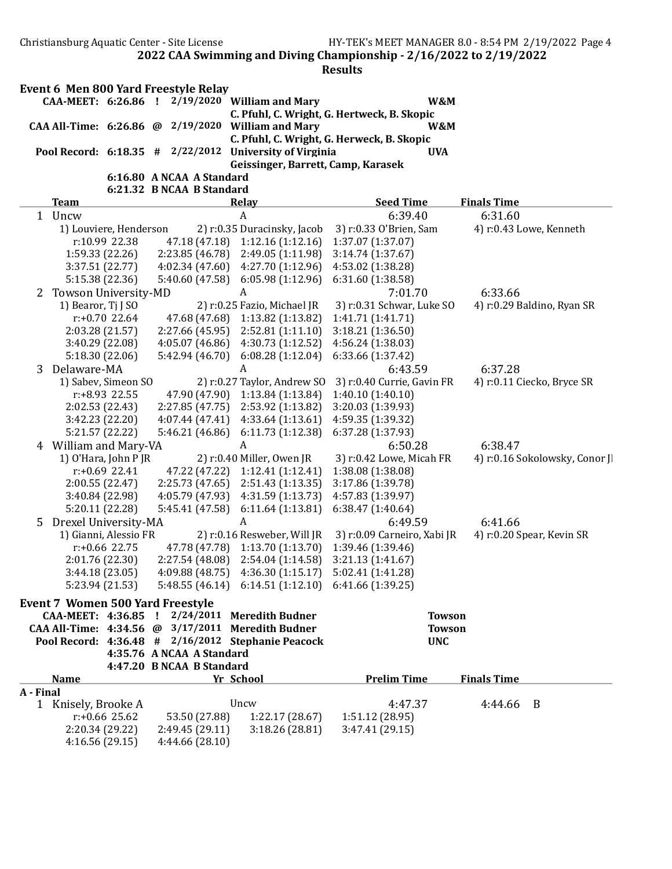| Event 6 Men 800 Yard Freestyle Relay |                        |                           |                                                          |                                                          |                    |
|--------------------------------------|------------------------|---------------------------|----------------------------------------------------------|----------------------------------------------------------|--------------------|
|                                      |                        |                           | CAA-MEET: 6:26.86 ! 2/19/2020 William and Mary           | W&M                                                      |                    |
|                                      |                        |                           |                                                          | C. Pfuhl, C. Wright, G. Hertweck, B. Skopic              |                    |
|                                      |                        |                           | CAA All-Time: $6:26.86$ @ 2/19/2020 William and Mary     | W&M                                                      |                    |
|                                      |                        |                           |                                                          | C. Pfuhl, C. Wright, G. Herweck, B. Skopic               |                    |
| Pool Record: $6:18.35$ # $2/22/2012$ |                        |                           | <b>University of Virginia</b>                            | <b>UVA</b>                                               |                    |
|                                      |                        |                           | Geissinger, Barrett, Camp, Karasek                       |                                                          |                    |
|                                      |                        | 6:16.80 A NCAA A Standard |                                                          |                                                          |                    |
|                                      |                        | 6:21.32 B NCAA B Standard |                                                          |                                                          |                    |
| <b>Team</b>                          |                        |                           | <b>Relay</b>                                             | <b>Seed Time</b>                                         | <b>Finals Time</b> |
| Uncw<br>$\mathbf{1}$                 |                        |                           | A                                                        | 6:39.40                                                  | 6:31.60            |
|                                      | 1) Louviere, Henderson |                           |                                                          | 2) $r: 0.35$ Duracinsky, Jacob 3) $r: 0.33$ O'Brien, Sam | 4) r:0.43 L        |
|                                      | r:10.99 22.38          |                           | 47.18 (47.18) 1:12.16 (1:12.16) 1:37.07 (1:37.07)        |                                                          |                    |
|                                      | 1:59.33 (22.26)        |                           | $2:23.85(46.78)$ $2:49.05(1:11.98)$                      | 3:14.74(1:37.67)                                         |                    |
|                                      | 3:37.51(22.77)         |                           | $4:02.34(47.60)$ $4:27.70(1:12.96)$                      | 4:53.02 (1:38.28)                                        |                    |
|                                      | 5:15.38 (22.36)        |                           | $5:40.60(47.58)$ 6:05.98 (1:12.96)                       | 6:31.60(1:38.58)                                         |                    |
| Towson University-MD<br>2            |                        |                           | A                                                        | 7:01.70                                                  | 6:33.66            |
| 1) Bearor, Ti J SO                   |                        |                           | 2) r:0.25 Fazio, Michael JR                              | 3) r:0.31 Schwar, Luke SO                                | 4) r:0.29 E        |
|                                      | r:+0.70 22.64          |                           | 47.68 (47.68) 1:13.82 (1:13.82)                          | 1:41.71(1:41.71)                                         |                    |
|                                      | 2:03.28(21.57)         |                           | $2:27.66(45.95)$ $2:52.81(1:11.10)$                      | 3:18.21(1:36.50)                                         |                    |
|                                      | 2.10, 20.02, 00        |                           | $1.05.07$ (10.00) $1.20.72$ (1.12.53) $1.50.1$ (1.20.03) |                                                          |                    |

| 1         | Uncw                                               |                                         | A                           | 6:39.40                     | 6:31.60                       |
|-----------|----------------------------------------------------|-----------------------------------------|-----------------------------|-----------------------------|-------------------------------|
|           | 1) Louviere, Henderson                             |                                         | 2) r:0.35 Duracinsky, Jacob | 3) r:0.33 O'Brien, Sam      | 4) r:0.43 Lowe, Kenneth       |
|           | r:10.99 22.38                                      | 47.18 (47.18)                           | 1:12.16(1:12.16)            | 1:37.07 (1:37.07)           |                               |
|           | 1:59.33(22.26)                                     | 2:23.85 (46.78)                         | 2:49.05 (1:11.98)           | 3:14.74(1:37.67)            |                               |
|           | 3:37.51 (22.77)                                    | 4:02.34(47.60)                          | 4:27.70 (1:12.96)           | 4:53.02 (1:38.28)           |                               |
|           | 5:15.38 (22.36)                                    | 5:40.60 (47.58)                         | 6:05.98(1:12.96)            | 6:31.60(1:38.58)            |                               |
| 2         | Towson University-MD                               |                                         | A                           | 7:01.70                     | 6:33.66                       |
|           | 1) Bearor, Tj J SO                                 |                                         | 2) r:0.25 Fazio, Michael JR | 3) r:0.31 Schwar, Luke SO   | 4) r:0.29 Baldino, Ryan SR    |
|           | $r: +0.70$ 22.64                                   | 47.68 (47.68)                           | 1:13.82 (1:13.82)           | 1:41.71 (1:41.71)           |                               |
|           | 2:03.28 (21.57)                                    | 2:27.66 (45.95)                         | 2:52.81 (1:11.10)           | 3:18.21(1:36.50)            |                               |
|           | 3:40.29 (22.08)                                    | 4:05.07 (46.86)                         | 4:30.73 (1:12.52)           | 4:56.24 (1:38.03)           |                               |
|           | 5:18.30 (22.06)                                    | 5:42.94 (46.70)                         | 6:08.28(1:12.04)            | 6:33.66 (1:37.42)           |                               |
| 3         | Delaware-MA                                        |                                         | A                           | 6:43.59                     | 6:37.28                       |
|           | 1) Sabev, Simeon SO                                |                                         | 2) r:0.27 Taylor, Andrew SO | 3) r:0.40 Currie, Gavin FR  | 4) r:0.11 Ciecko, Bryce SR    |
|           | r:+8.93 22.55                                      | 47.90 (47.90)                           | 1:13.84(1:13.84)            | 1:40.10 (1:40.10)           |                               |
|           | 2:02.53 (22.43)                                    | 2:27.85 (47.75)                         | 2:53.92 (1:13.82)           | 3:20.03 (1:39.93)           |                               |
|           | 3:42.23 (22.20)                                    | 4:07.44(47.41)                          | 4:33.64(1:13.61)            | 4:59.35 (1:39.32)           |                               |
|           | 5:21.57 (22.22)                                    | 5:46.21 (46.86)                         | 6:11.73 (1:12.38)           | 6:37.28 (1:37.93)           |                               |
|           | 4 William and Mary-VA                              |                                         | A                           | 6:50.28                     | 6:38.47                       |
|           | 1) O'Hara, John P JR                               |                                         | 2) r:0.40 Miller, Owen JR   | 3) r:0.42 Lowe, Micah FR    | 4) r:0.16 Sokolowsky, Conor J |
|           | $r: +0.69$ 22.41                                   | 47.22 (47.22)                           | 1:12.41(1:12.41)            | 1:38.08 (1:38.08)           |                               |
|           | 2:00.55 (22.47)                                    | 2:25.73(47.65)                          | 2:51.43(1:13.35)            | 3:17.86 (1:39.78)           |                               |
|           | 3:40.84 (22.98)                                    | 4:05.79 (47.93)                         | 4:31.59 (1:13.73)           | 4:57.83 (1:39.97)           |                               |
|           | 5:20.11 (22.28)                                    | 5:45.41 (47.58)                         | 6:11.64(1:13.81)            | 6:38.47(1:40.64)            |                               |
| 5         | Drexel University-MA                               |                                         | A                           | 6:49.59                     | 6:41.66                       |
|           | 1) Gianni, Alessio FR                              |                                         | 2) r:0.16 Resweber, Will JR | 3) r:0.09 Carneiro, Xabi JR | 4) r:0.20 Spear, Kevin SR     |
|           | r:+0.66 22.75                                      | 47.78 (47.78)                           | 1:13.70 (1:13.70)           | 1:39.46 (1:39.46)           |                               |
|           | 2:01.76 (22.30)                                    | 2:27.54(48.08)                          | 2:54.04 (1:14.58)           | 3:21.13(1:41.67)            |                               |
|           | 3:44.18 (23.05)                                    | 4:09.88 (48.75)                         | 4:36.30 (1:15.17)           | 5:02.41 (1:41.28)           |                               |
|           | 5:23.94 (21.53)                                    | 5:48.55(46.14)                          | 6:14.51(1:12.10)            | 6:41.66 (1:39.25)           |                               |
|           | <b>Event 7 Women 500 Yard Freestyle</b>            |                                         |                             |                             |                               |
|           | CAA-MEET: 4:36.85                                  | $\frac{1}{2}$ 2/24/2011 Meredith Budner |                             |                             | <b>Towson</b>                 |
|           | CAA All-Time: 4:34.56 @ 3/17/2011 Meredith Budner  |                                         |                             |                             | <b>Towson</b>                 |
|           | Pool Record: 4:36.48 # 2/16/2012 Stephanie Peacock |                                         |                             | <b>UNC</b>                  |                               |
|           |                                                    | 4:35.76 A NCAA A Standard               |                             |                             |                               |
|           |                                                    | 4:47.20 B NCAA B Standard               |                             |                             |                               |
|           | <b>Name</b>                                        |                                         | Yr School                   | <b>Prelim Time</b>          | <b>Finals Time</b>            |
| A - Final |                                                    |                                         |                             |                             |                               |
|           | 1 Knisely, Brooke A                                |                                         | Uncw                        | 4:47.37                     | 4:44.66<br>B                  |
|           | $r: +0.66$ 25.62                                   | 53.50 (27.88)                           | 1:22.17(28.67)              | 1:51.12 (28.95)             |                               |
|           | 2:20.34 (29.22)                                    | 2:49.45 (29.11)                         | 3:18.26(28.81)              | 3:47.41 (29.15)             |                               |
|           | 4:16.56(29.15)                                     | 4:44.66 (28.10)                         |                             |                             |                               |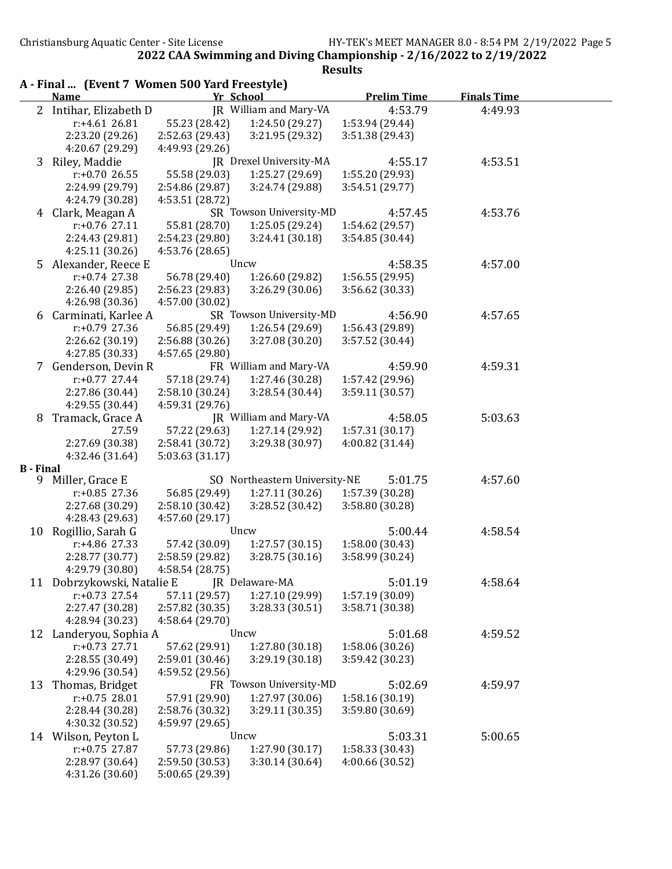**Results** 

A - Final ... (Event 7 Women 500 Yard Freestyle) Name **The Value Community Community** Value Prelim Time Finals Time 2 Intihar, Elizabeth D JR William and Mary-VA 4:53.79 4:49.93 r:+4.61 26.81 55.23 (28.42) 1:24.50 (29.27) 1:53.94 (29.44) 2:23.20 (29.26) 2:52.63 (29.43) 3:21.95 (29.32) 3:51.38 (29.43) 4:20.67 (29.29) 4:49.93 (29.26) 3 Riley, Maddie JR Drexel University-MA 4:55.17 4:53.51<br>
r:+0.70 26.55 55.58 (29.03) 1:25.27 (29.69) 1:55.20 (29.93) r:+0.70 26.55 55.58 (29.03) 1:25.27 (29.69) 1:55.20 (29.93) 2:24.99 (29.79) 2:54.86 (29.87) 3:24.74 (29.88) 3:54.51 (29.77) 4:24.79 (30.28) 4:53.51 (28.72) 4 Clark, Meagan A SR Towson University-MD 4:57.45 4:53.76 r:+0.76 27.11 55.81 (28.70) 1:25.05 (29.24) 1:54.62 (29.57) 2:24.43 (29.81) 2:54.23 (29.80) 3:24.41 (30.18) 3:54.85 (30.44) 4:25.11 (30.26) 4:53.76 (28.65) 5 Alexander, Reece E Uncw 4:58.35 4:57.00 r:+0.74 27.38 56.78 (29.40) 1:26.60 (29.82) 1:56.55 (29.95) 2:26.40 (29.85) 2:56.23 (29.83) 3:26.29 (30.06) 3:56.62 (30.33) 4:26.98 (30.36) 4:57.00 (30.02) 6 Carminati, Karlee A SR Towson University-MD 4:56.90 4:57.65<br>  $r: +0.79\,27.36$  56.85 (29.49) 1:26.54 (29.69) 1:56.43 (29.89) r:+0.79 27.36 56.85 (29.49) 1:26.54 (29.69) 1:56.43 (29.89) 2:26.62 (30.19) 2:56.88 (30.26) 3:27.08 (30.20) 3:57.52 (30.44) 4:27.85 (30.33) 4:57.65 (29.80) 7 Genderson, Devin R FR William and Mary-VA 4:59.90 4:59.31 r:+0.77 27.44 57.18 (29.74) 1:27.46 (30.28) 1:57.42 (29.96) 2:27.86 (30.44) 2:58.10 (30.24) 3:28.54 (30.44) 3:59.11 (30.57) 4:29.55 (30.44) 4:59.31 (29.76) 8 Tramack, Grace A JR William and Mary-VA 4:58.05 5:03.63 27.59 57.22 (29.63) 1:27.14 (29.92) 1:57.31 (30.17) 2:27.69 (30.38) 2:58.41 (30.72) 3:29.38 (30.97) 4:00.82 (31.44) 4:32.46 (31.64) 5:03.63 (31.17) B - Final 9 Miller, Grace E SO Northeastern University-NE 5:01.75 4:57.60 r:+0.85 27.36 56.85 (29.49) 1:27.11 (30.26) 1:57.39 (30.28) 2:27.68 (30.29) 2:58.10 (30.42) 3:28.52 (30.42) 3:58.80 (30.28) 4:28.43 (29.63) 4:57.60 (29.17) 10 Rogillio, Sarah G Uncw 5:00.44 4:58.54 r:+4.86 27.33 57.42 (30.09) 1:27.57 (30.15) 1:58.00 (30.43) 2:28.77 (30.77) 2:58.59 (29.82) 3:28.75 (30.16) 3:58.99 (30.24) 4:29.79 (30.80) 4:58.54 (28.75) 11 Dobrzykowski, Natalie E JR Delaware-MA 5:01.19 4:58.64 r:+0.73 27.54 57.11 (29.57) 1:27.10 (29.99) 1:57.19 (30.09) 2:27.47 (30.28) 2:57.82 (30.35) 3:28.33 (30.51) 3:58.71 (30.38) 4:28.94 (30.23) 4:58.64 (29.70) 12 Landeryou, Sophia A Uncw 5:01.68 4:59.52<br>
r:+0.73 27.71 57.62 (29.91) 1:27.80 (30.18) 1:58.06 (30.26) r:+0.73 27.71 57.62 (29.91) 1:27.80 (30.18) 2:28.55 (30.49) 2:59.01 (30.46) 3:29.19 (30.18) 3:59.42 (30.23) 4:29.96 (30.54) 4:59.52 (29.56) 13 Thomas, Bridget FR Towson University-MD 5:02.69 4:59.97 r:+0.75 28.01 57.91 (29.90) 1:27.97 (30.06) 1:58.16 (30.19) 2:28.44 (30.28) 2:58.76 (30.32) 3:29.11 (30.35) 3:59.80 (30.69) 4:30.32 (30.52) 4:59.97 (29.65) 14 Wilson, Peyton L Uncw 5:03.31 5:00.65 r:+0.75 27.87 57.73 (29.86) 1:27.90 (30.17) 1:58.33 (30.43) 2:28.97 (30.64) 2:59.50 (30.53) 3:30.14 (30.64) 4:00.66 (30.52) 4:31.26 (30.60) 5:00.65 (29.39)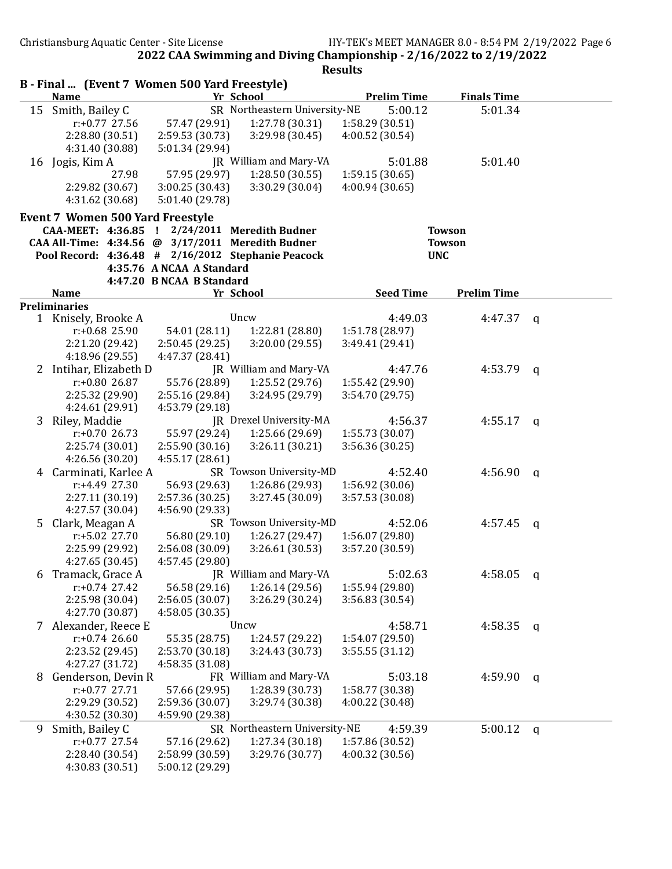|   | B - Final  (Event 7 Women 500 Yard Freestyle)<br><b>Name</b>                                       |                           | Yr School                     | <b>Prelim Time</b> | <b>Finals Time</b> |              |
|---|----------------------------------------------------------------------------------------------------|---------------------------|-------------------------------|--------------------|--------------------|--------------|
|   | 15 Smith, Bailey C                                                                                 |                           | SR Northeastern University-NE | 5:00.12            | 5:01.34            |              |
|   | $r: +0.77$ 27.56                                                                                   | 57.47 (29.91)             | 1:27.78 (30.31)               | 1:58.29 (30.51)    |                    |              |
|   | 2:28.80 (30.51)                                                                                    | 2:59.53 (30.73)           | 3:29.98 (30.45)               | 4:00.52 (30.54)    |                    |              |
|   | 4:31.40 (30.88)                                                                                    | 5:01.34 (29.94)           |                               |                    |                    |              |
|   | 16 Jogis, Kim A                                                                                    |                           | JR William and Mary-VA        | 5:01.88            | 5:01.40            |              |
|   | 27.98                                                                                              | 57.95 (29.97)             | 1:28.50(30.55)                | 1:59.15(30.65)     |                    |              |
|   | 2:29.82 (30.67)                                                                                    | 3:00.25(30.43)            | 3:30.29 (30.04)               | 4:00.94 (30.65)    |                    |              |
|   | 4:31.62 (30.68)                                                                                    | 5:01.40 (29.78)           |                               |                    |                    |              |
|   |                                                                                                    |                           |                               |                    |                    |              |
|   | <b>Event 7 Women 500 Yard Freestyle</b>                                                            |                           |                               |                    |                    |              |
|   | CAA-MEET: 4:36.85 ! 2/24/2011 Meredith Budner<br>CAA All-Time: 4:34.56 @ 3/17/2011 Meredith Budner |                           |                               |                    | <b>Towson</b>      |              |
|   |                                                                                                    |                           |                               |                    | <b>Towson</b>      |              |
|   | Pool Record: 4:36.48 # 2/16/2012 Stephanie Peacock                                                 | 4:35.76 A NCAA A Standard |                               | <b>UNC</b>         |                    |              |
|   |                                                                                                    | 4:47.20 B NCAA B Standard |                               |                    |                    |              |
|   | <b>Name</b>                                                                                        |                           | Yr School                     | <b>Seed Time</b>   | <b>Prelim Time</b> |              |
|   | <b>Preliminaries</b>                                                                               |                           |                               |                    |                    |              |
|   | 1 Knisely, Brooke A                                                                                |                           | Uncw                          | 4:49.03            | 4:47.37            | $\mathsf{q}$ |
|   | $r: +0.68$ 25.90                                                                                   | 54.01 (28.11)             | 1:22.81 (28.80)               | 1:51.78 (28.97)    |                    |              |
|   | 2:21.20 (29.42)                                                                                    | 2:50.45(29.25)            | 3:20.00 (29.55)               | 3:49.41 (29.41)    |                    |              |
|   | 4:18.96 (29.55)                                                                                    | 4:47.37 (28.41)           |                               |                    |                    |              |
|   | 2 Intihar, Elizabeth D                                                                             |                           | JR William and Mary-VA        | 4:47.76            | 4:53.79            | q            |
|   | $r: +0.80$ 26.87                                                                                   | 55.76 (28.89)             | 1:25.52 (29.76)               | 1:55.42 (29.90)    |                    |              |
|   | 2:25.32 (29.90)                                                                                    | 2:55.16 (29.84)           | 3:24.95 (29.79)               | 3:54.70 (29.75)    |                    |              |
|   | 4:24.61 (29.91)                                                                                    | 4:53.79 (29.18)           |                               |                    |                    |              |
|   | 3 Riley, Maddie                                                                                    |                           | JR Drexel University-MA       | 4:56.37            | 4:55.17            | <b>a</b>     |
|   | $r: +0.7026.73$                                                                                    | 55.97 (29.24)             | 1:25.66 (29.69)               | 1:55.73 (30.07)    |                    |              |
|   | 2:25.74 (30.01)                                                                                    | 2:55.90(30.16)            | 3:26.11(30.21)                | 3:56.36 (30.25)    |                    |              |
|   | 4:26.56 (30.20)                                                                                    | 4:55.17(28.61)            |                               |                    |                    |              |
| 4 | Carminati, Karlee A                                                                                |                           | SR Towson University-MD       | 4:52.40            | 4:56.90            | q            |
|   | r:+4.49 27.30                                                                                      | 56.93 (29.63)             | 1:26.86 (29.93)               | 1:56.92 (30.06)    |                    |              |
|   | 2:27.11 (30.19)                                                                                    | 2:57.36 (30.25)           | 3:27.45 (30.09)               | 3:57.53 (30.08)    |                    |              |
|   | 4:27.57 (30.04)                                                                                    | 4:56.90 (29.33)           |                               |                    |                    |              |
| 5 | Clark, Meagan A                                                                                    |                           | SR Towson University-MD       | 4:52.06            | 4:57.45            | q            |
|   | $r: +5.02$ 27.70                                                                                   | 56.80 (29.10)             | 1:26.27(29.47)                | 1:56.07 (29.80)    |                    |              |
|   | 2:25.99 (29.92)                                                                                    | 2:56.08 (30.09)           | 3:26.61(30.53)                | 3:57.20 (30.59)    |                    |              |
|   | 4:27.65 (30.45)                                                                                    | 4:57.45 (29.80)           |                               |                    |                    |              |
| b | Tramack, Grace A                                                                                   |                           | JR William and Mary-VA        | 5:02.63            | 4:58.05            | q            |
|   | $r: +0.74$ 27.42                                                                                   | 56.58 (29.16)             | 1:26.14(29.56)                | 1:55.94 (29.80)    |                    |              |
|   | 2:25.98 (30.04)                                                                                    | 2:56.05 (30.07)           | 3:26.29 (30.24)               | 3:56.83 (30.54)    |                    |              |
|   | 4:27.70 (30.87)                                                                                    | 4:58.05 (30.35)           |                               |                    |                    |              |
| 7 | Alexander, Reece E                                                                                 |                           | Uncw                          | 4:58.71            | 4:58.35            | q            |
|   | $r: +0.74$ 26.60                                                                                   | 55.35 (28.75)             | 1:24.57 (29.22)               | 1:54.07 (29.50)    |                    |              |
|   | 2:23.52 (29.45)                                                                                    | 2:53.70 (30.18)           | 3:24.43 (30.73)               | 3:55.55(31.12)     |                    |              |
|   | 4:27.27 (31.72)                                                                                    | 4:58.35 (31.08)           |                               |                    |                    |              |
| 8 | Genderson, Devin R                                                                                 |                           | FR William and Mary-VA        | 5:03.18            | 4:59.90            | q            |
|   | $r: +0.77$ 27.71                                                                                   | 57.66 (29.95)             | 1:28.39 (30.73)               | 1:58.77 (30.38)    |                    |              |
|   | 2:29.29 (30.52)                                                                                    | 2:59.36 (30.07)           | 3:29.74 (30.38)               | 4:00.22 (30.48)    |                    |              |
|   | 4:30.52 (30.30)                                                                                    | 4:59.90 (29.38)           |                               |                    |                    |              |
| 9 | Smith, Bailey C                                                                                    |                           | SR Northeastern University-NE | 4:59.39            | 5:00.12            | q            |
|   | $r: +0.77$ 27.54                                                                                   | 57.16 (29.62)             | 1:27.34 (30.18)               | 1:57.86 (30.52)    |                    |              |
|   | 2:28.40 (30.54)                                                                                    | 2:58.99 (30.59)           | 3:29.76 (30.77)               | 4:00.32 (30.56)    |                    |              |
|   | 4:30.83 (30.51)                                                                                    | 5:00.12 (29.29)           |                               |                    |                    |              |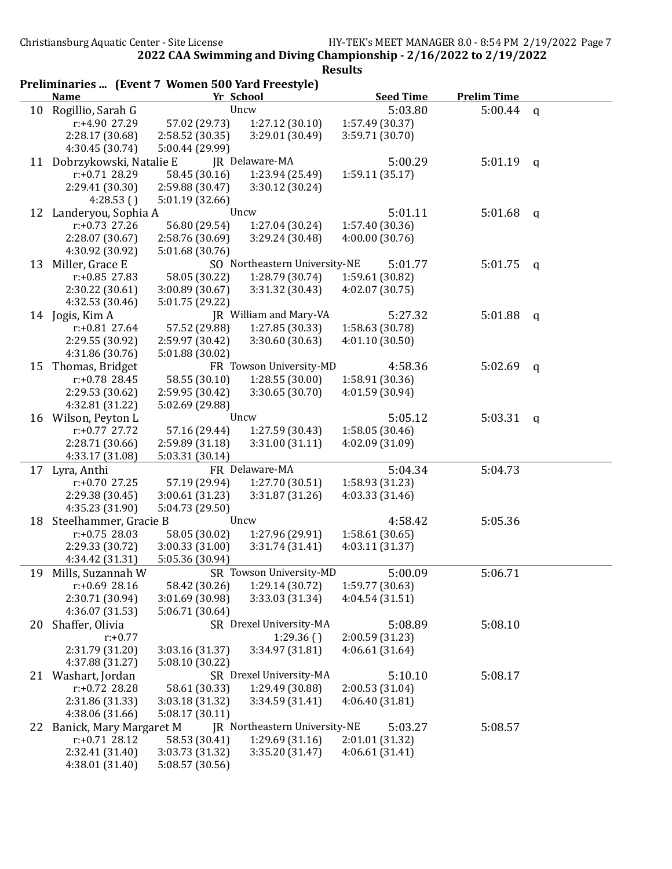|    | Preliminaries  (Event 7 Women 500 Yard Freestyle) |                 |                               |                  |                    |   |
|----|---------------------------------------------------|-----------------|-------------------------------|------------------|--------------------|---|
|    | <b>Name</b>                                       | Yr School       |                               | <b>Seed Time</b> | <b>Prelim Time</b> |   |
|    | 10 Rogillio, Sarah G                              |                 | Uncw                          | 5:03.80          | $5:00.44$ q        |   |
|    | r:+4.90 27.29                                     | 57.02 (29.73)   | 1:27.12(30.10)                | 1:57.49 (30.37)  |                    |   |
|    | 2:28.17 (30.68)                                   | 2:58.52 (30.35) | 3:29.01 (30.49)               | 3:59.71 (30.70)  |                    |   |
|    | 4:30.45 (30.74)                                   | 5:00.44 (29.99) |                               |                  |                    |   |
|    | 11 Dobrzykowski, Natalie E                        |                 | JR Delaware-MA                | 5:00.29          | 5:01.19            | q |
|    | $r: +0.71$ 28.29                                  | 58.45 (30.16)   | 1:23.94 (25.49)               | 1:59.11(35.17)   |                    |   |
|    | 2:29.41 (30.30)                                   | 2:59.88 (30.47) | 3:30.12 (30.24)               |                  |                    |   |
|    | 4:28.53()                                         | 5:01.19 (32.66) |                               |                  |                    |   |
|    | 12 Landeryou, Sophia A                            |                 | Uncw                          | 5:01.11          | 5:01.68            | q |
|    | $r: +0.73$ 27.26                                  | 56.80 (29.54)   | 1:27.04 (30.24)               | 1:57.40 (30.36)  |                    |   |
|    | 2:28.07 (30.67)                                   | 2:58.76 (30.69) | 3:29.24 (30.48)               | 4:00.00(30.76)   |                    |   |
|    | 4:30.92 (30.92)                                   | 5:01.68 (30.76) |                               |                  |                    |   |
| 13 | Miller, Grace E                                   |                 | SO Northeastern University-NE | 5:01.77          | 5:01.75            | q |
|    | $r: +0.85$ 27.83                                  | 58.05 (30.22)   | 1:28.79 (30.74)               | 1:59.61 (30.82)  |                    |   |
|    | 2:30.22 (30.61)                                   | 3:00.89(30.67)  | 3:31.32(30.43)                | 4:02.07 (30.75)  |                    |   |
|    | 4:32.53 (30.46)                                   | 5:01.75 (29.22) |                               |                  |                    |   |
|    | 14 Jogis, Kim A                                   |                 | JR William and Mary-VA        | 5:27.32          | 5:01.88            | q |
|    | $r: +0.81$ 27.64                                  | 57.52 (29.88)   | 1:27.85 (30.33)               | 1:58.63 (30.78)  |                    |   |
|    | 2:29.55 (30.92)                                   | 2:59.97 (30.42) | 3:30.60 (30.63)               | 4:01.10(30.50)   |                    |   |
|    | 4:31.86 (30.76)                                   | 5:01.88 (30.02) |                               |                  |                    |   |
| 15 | Thomas, Bridget                                   |                 | FR Towson University-MD       | 4:58.36          | 5:02.69            | q |
|    | $r: +0.78$ 28.45                                  | 58.55 (30.10)   | 1:28.55(30.00)                | 1:58.91 (30.36)  |                    |   |
|    | 2:29.53 (30.62)                                   | 2:59.95 (30.42) | 3:30.65(30.70)                | 4:01.59 (30.94)  |                    |   |
|    | 4:32.81 (31.22)<br>16 Wilson, Peyton L            | 5:02.69 (29.88) | Uncw                          | 5:05.12          | 5:03.31            |   |
|    | $r: +0.77$ 27.72                                  | 57.16 (29.44)   | 1:27.59 (30.43)               | 1:58.05 (30.46)  |                    | q |
|    | 2:28.71 (30.66)                                   | 2:59.89(31.18)  | 3:31.00 (31.11)               | 4:02.09 (31.09)  |                    |   |
|    | 4:33.17 (31.08)                                   | 5:03.31 (30.14) |                               |                  |                    |   |
| 17 | Lyra, Anthi                                       |                 | FR Delaware-MA                | 5:04.34          | 5:04.73            |   |
|    | $r: +0.70$ 27.25                                  | 57.19 (29.94)   | 1:27.70 (30.51)               | 1:58.93 (31.23)  |                    |   |
|    | 2:29.38 (30.45)                                   | 3:00.61(31.23)  | 3:31.87 (31.26)               | 4:03.33 (31.46)  |                    |   |
|    | 4:35.23 (31.90)                                   | 5:04.73 (29.50) |                               |                  |                    |   |
|    | 18 Steelhammer, Gracie B                          |                 | Uncw                          | 4:58.42          | 5:05.36            |   |
|    | $r: +0.75$ 28.03                                  | 58.05 (30.02)   | 1:27.96 (29.91)               | 1:58.61(30.65)   |                    |   |
|    | 2:29.33 (30.72)                                   | 3:00.33 (31.00) | 3:31.74 (31.41)               | 4:03.11 (31.37)  |                    |   |
|    | 4:34.42 (31.31)                                   | 5:05.36 (30.94) |                               |                  |                    |   |
|    | 19 Mills, Suzannah W SR Towson University-MD      |                 |                               | 5:00.09          | 5:06.71            |   |
|    | $r: +0.69$ 28.16                                  | 58.42 (30.26)   | 1:29.14 (30.72)               | 1:59.77 (30.63)  |                    |   |
|    | 2:30.71 (30.94)                                   | 3:01.69 (30.98) | 3:33.03 (31.34)               | 4:04.54 (31.51)  |                    |   |
|    | 4:36.07 (31.53)                                   | 5:06.71 (30.64) |                               |                  |                    |   |
| 20 | Shaffer, Olivia                                   |                 | SR Drexel University-MA       | 5:08.89          | 5:08.10            |   |
|    | $r: +0.77$                                        |                 | 1:29.36()                     | 2:00.59 (31.23)  |                    |   |
|    | 2:31.79 (31.20)                                   | 3:03.16 (31.37) | 3:34.97 (31.81)               | 4:06.61 (31.64)  |                    |   |
|    | 4:37.88 (31.27)                                   | 5:08.10 (30.22) |                               |                  |                    |   |
| 21 | Washart, Jordan                                   |                 | SR Drexel University-MA       | 5:10.10          | 5:08.17            |   |
|    | $r: +0.72$ 28.28                                  | 58.61 (30.33)   | 1:29.49 (30.88)               | 2:00.53 (31.04)  |                    |   |
|    | 2:31.86 (31.33)                                   | 3:03.18 (31.32) | 3:34.59 (31.41)               | 4:06.40 (31.81)  |                    |   |
|    | 4:38.06 (31.66)                                   | 5:08.17(30.11)  |                               |                  |                    |   |
| 22 | Banick, Mary Margaret M                           |                 | JR Northeastern University-NE | 5:03.27          | 5:08.57            |   |
|    | $r: +0.71$ 28.12                                  | 58.53 (30.41)   | 1:29.69(31.16)                | 2:01.01 (31.32)  |                    |   |
|    | 2:32.41 (31.40)                                   | 3:03.73 (31.32) | 3:35.20 (31.47)               | 4:06.61(31.41)   |                    |   |
|    | 4:38.01 (31.40)                                   | 5:08.57 (30.56) |                               |                  |                    |   |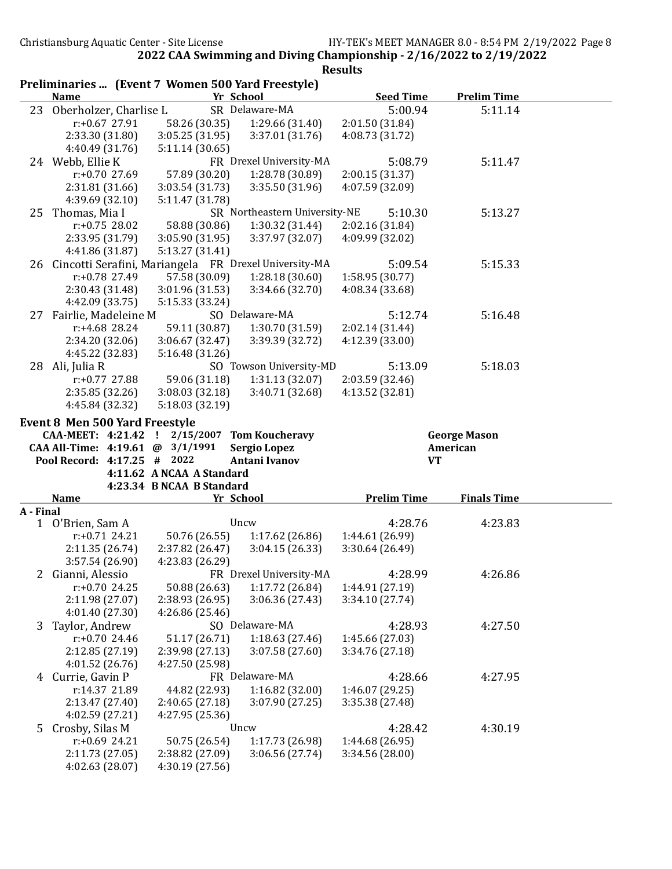|           | Preliminaries  (Event 7 Women 500 Yard Freestyle)        |                                    |                                  |                                    |                     |  |
|-----------|----------------------------------------------------------|------------------------------------|----------------------------------|------------------------------------|---------------------|--|
|           | <b>Name</b>                                              |                                    | Yr School                        | <b>Seed Time</b>                   | <b>Prelim Time</b>  |  |
|           | 23 Oberholzer, Charlise L                                |                                    | SR Delaware-MA                   | 5:00.94                            | 5:11.14             |  |
|           | $r: +0.67$ 27.91                                         | 58.26 (30.35)                      | 1:29.66 (31.40)                  | 2:01.50 (31.84)                    |                     |  |
|           | 2:33.30 (31.80)                                          | 3:05.25(31.95)                     | 3:37.01 (31.76)                  | 4:08.73 (31.72)                    |                     |  |
|           | 4:40.49 (31.76)                                          | 5:11.14(30.65)                     |                                  |                                    |                     |  |
|           | 24 Webb, Ellie K                                         |                                    | FR Drexel University-MA          | 5:08.79                            | 5:11.47             |  |
|           | $r: +0.70$ 27.69                                         | 57.89 (30.20)                      | 1:28.78 (30.89)                  | 2:00.15 (31.37)                    |                     |  |
|           | 2:31.81 (31.66)                                          | 3:03.54(31.73)                     | 3:35.50 (31.96)                  | 4:07.59 (32.09)                    |                     |  |
|           | 4:39.69 (32.10)                                          | 5:11.47 (31.78)                    |                                  |                                    |                     |  |
| 25        | Thomas, Mia I                                            |                                    | SR Northeastern University-NE    | 5:10.30                            | 5:13.27             |  |
|           | $r: +0.75$ 28.02                                         | 58.88 (30.86)                      | 1:30.32 (31.44)                  | 2:02.16 (31.84)                    |                     |  |
|           | 2:33.95 (31.79)                                          | 3:05.90 (31.95)                    | 3:37.97 (32.07)                  | 4:09.99 (32.02)                    |                     |  |
|           | 4:41.86 (31.87)                                          | 5:13.27 (31.41)                    |                                  |                                    |                     |  |
|           | 26 Cincotti Serafini, Mariangela FR Drexel University-MA |                                    |                                  | 5:09.54                            | 5:15.33             |  |
|           | r:+0.78 27.49                                            | 57.58 (30.09)                      | 1:28.18(30.60)                   | 1:58.95 (30.77)                    |                     |  |
|           | 2:30.43 (31.48)                                          | 3:01.96 (31.53)                    | 3:34.66 (32.70)                  | 4:08.34 (33.68)                    |                     |  |
|           | 4:42.09 (33.75)                                          | 5:15.33 (33.24)                    |                                  |                                    |                     |  |
| 27        | Fairlie, Madeleine M                                     |                                    | SO Delaware-MA                   | 5:12.74                            | 5:16.48             |  |
|           | $r: +4.68$ 28.24                                         | 59.11 (30.87)                      | 1:30.70 (31.59)                  | 2:02.14 (31.44)                    |                     |  |
|           | 2:34.20 (32.06)                                          | 3:06.67 (32.47)                    | 3:39.39 (32.72)                  | 4:12.39 (33.00)                    |                     |  |
|           | 4:45.22 (32.83)                                          | 5:16.48 (31.26)                    |                                  |                                    |                     |  |
|           | 28 Ali, Julia R                                          |                                    | SO Towson University-MD          | 5:13.09                            | 5:18.03             |  |
|           | $r: +0.77$ 27.88                                         | 59.06 (31.18)                      | 1:31.13(32.07)                   | 2:03.59 (32.46)                    |                     |  |
|           | 2:35.85 (32.26)                                          | 3:08.03(32.18)                     | 3:40.71 (32.68)                  | 4:13.52 (32.81)                    |                     |  |
|           | 4:45.84 (32.32)                                          | 5:18.03 (32.19)                    |                                  |                                    |                     |  |
|           | <b>Event 8 Men 500 Yard Freestyle</b>                    |                                    |                                  |                                    |                     |  |
|           | CAA-MEET: 4:21.42                                        | 2/15/2007<br>$\mathbf{I}$          | <b>Tom Koucheravy</b>            |                                    | <b>George Mason</b> |  |
|           | CAA All-Time: 4:19.61 @ 3/1/1991                         |                                    | <b>Sergio Lopez</b>              |                                    | American            |  |
|           | Pool Record: 4:17.25 # 2022                              |                                    | <b>Antani Ivanov</b>             | <b>VT</b>                          |                     |  |
|           |                                                          | 4:11.62 A NCAA A Standard          |                                  |                                    |                     |  |
|           |                                                          | 4:23.34 B NCAA B Standard          |                                  |                                    |                     |  |
|           | <b>Name</b>                                              |                                    | Yr School                        | <b>Prelim Time</b>                 | <b>Finals Time</b>  |  |
| A - Final |                                                          |                                    | Uncw                             | 4:28.76                            | 4:23.83             |  |
| 1         | O'Brien, Sam A                                           |                                    |                                  |                                    |                     |  |
|           | $r: +0.71$ 24.21                                         | 50.76 (26.55)                      | 1:17.62(26.86)<br>3:04.15(26.33) | 1:44.61 (26.99)<br>3:30.64 (26.49) |                     |  |
|           | 2:11.35 (26.74)                                          | 2:37.82 (26.47)<br>4:23.83 (26.29) |                                  |                                    |                     |  |
|           | 3:57.54 (26.90)                                          |                                    | FR Drexel University-MA          | 4:28.99                            |                     |  |
|           | Gianni, Alessio<br>$r: +0.70$ 24.25                      |                                    | 1:17.72 (26.84)                  |                                    | 4:26.86             |  |
|           |                                                          | 50.88 (26.63)                      |                                  | 1:44.91 (27.19)                    |                     |  |
|           | 2:11.98 (27.07)                                          | 2:38.93 (26.95)                    | 3:06.36 (27.43)                  | 3:34.10 (27.74)                    |                     |  |
|           | 4:01.40 (27.30)                                          | 4:26.86 (25.46)                    | SO Delaware-MA                   |                                    |                     |  |
| 3         | Taylor, Andrew                                           |                                    |                                  | 4:28.93                            | 4:27.50             |  |
|           | $r: +0.70$ 24.46                                         | 51.17 (26.71)                      | 1:18.63(27.46)                   | 1:45.66 (27.03)                    |                     |  |
|           | 2:12.85 (27.19)                                          | 2:39.98 (27.13)                    | 3:07.58 (27.60)                  | 3:34.76 (27.18)                    |                     |  |
|           | 4:01.52 (26.76)                                          | 4:27.50 (25.98)                    |                                  |                                    |                     |  |
|           | 4 Currie, Gavin P                                        |                                    | FR Delaware-MA                   | 4:28.66                            | 4:27.95             |  |
|           | r:14.37 21.89                                            | 44.82 (22.93)                      | 1:16.82(32.00)                   | 1:46.07 (29.25)                    |                     |  |
|           | 2:13.47 (27.40)<br>4:02.59 (27.21)                       | 2:40.65 (27.18)                    | 3:07.90(27.25)                   | 3:35.38 (27.48)                    |                     |  |
|           |                                                          |                                    |                                  |                                    |                     |  |
|           |                                                          | 4:27.95 (25.36)                    |                                  |                                    |                     |  |
| 5         | Crosby, Silas M                                          |                                    | Uncw                             | 4:28.42                            | 4:30.19             |  |
|           | $r: +0.69$ 24.21                                         | 50.75 (26.54)                      | 1:17.73 (26.98)                  | 1:44.68 (26.95)                    |                     |  |
|           | 2:11.73 (27.05)<br>4:02.63 (28.07)                       | 2:38.82 (27.09)<br>4:30.19 (27.56) | 3:06.56 (27.74)                  | 3:34.56 (28.00)                    |                     |  |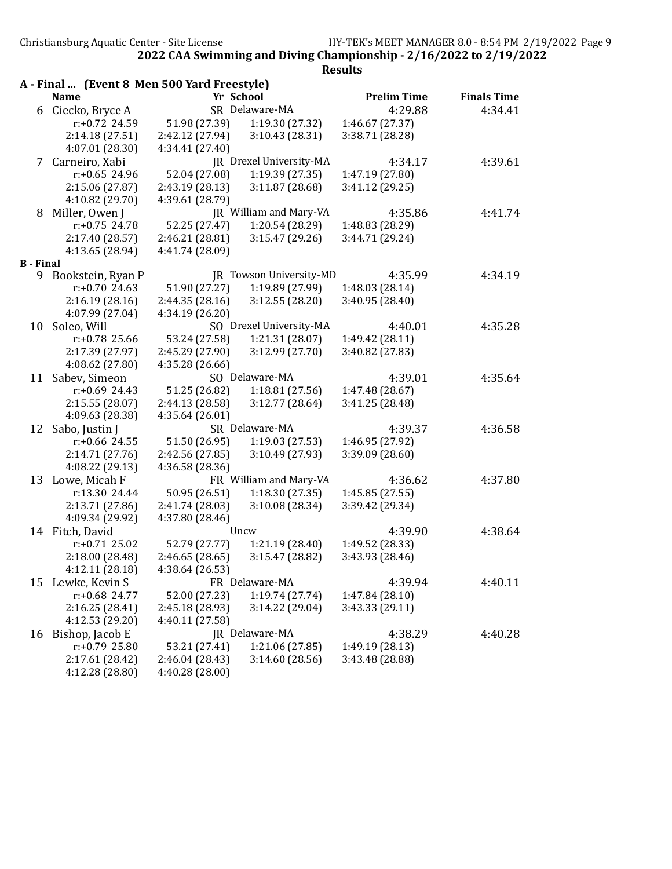|                  | A - Final  (Event 8 Men 500 Yard Freestyle) |                 |                         |                    |                    |  |  |
|------------------|---------------------------------------------|-----------------|-------------------------|--------------------|--------------------|--|--|
|                  | <b>Name</b>                                 | Yr School       |                         | <b>Prelim Time</b> | <b>Finals Time</b> |  |  |
|                  | 6 Ciecko, Bryce A                           |                 | SR Delaware-MA          | 4:29.88            | 4:34.41            |  |  |
|                  | $r: +0.72$ 24.59                            | 51.98 (27.39)   | 1:19.30 (27.32)         | 1:46.67 (27.37)    |                    |  |  |
|                  | 2:14.18 (27.51)                             | 2:42.12 (27.94) | 3:10.43 (28.31)         | 3:38.71 (28.28)    |                    |  |  |
|                  | 4:07.01 (28.30)                             | 4:34.41 (27.40) |                         |                    |                    |  |  |
|                  | 7 Carneiro, Xabi                            |                 | JR Drexel University-MA | 4:34.17            | 4:39.61            |  |  |
|                  | $r: +0.65$ 24.96                            | 52.04 (27.08)   | 1:19.39(27.35)          | 1:47.19 (27.80)    |                    |  |  |
|                  | 2:15.06 (27.87)                             | 2:43.19 (28.13) | 3:11.87 (28.68)         | 3:41.12 (29.25)    |                    |  |  |
|                  | 4:10.82 (29.70)                             | 4:39.61 (28.79) |                         |                    |                    |  |  |
| 8                | Miller, Owen J                              |                 | JR William and Mary-VA  | 4:35.86            | 4:41.74            |  |  |
|                  | r:+0.75 24.78                               | 52.25 (27.47)   | 1:20.54 (28.29)         | 1:48.83 (28.29)    |                    |  |  |
|                  | 2:17.40 (28.57)                             | 2:46.21 (28.81) | 3:15.47(29.26)          | 3:44.71 (29.24)    |                    |  |  |
|                  | 4:13.65 (28.94)                             | 4:41.74 (28.09) |                         |                    |                    |  |  |
| <b>B</b> - Final |                                             |                 |                         |                    |                    |  |  |
| 9                | Bookstein, Ryan P                           |                 | JR Towson University-MD | 4:35.99            | 4:34.19            |  |  |
|                  | $r: +0.70$ 24.63                            | 51.90 (27.27)   | 1:19.89 (27.99)         | 1:48.03 (28.14)    |                    |  |  |
|                  | 2:16.19(28.16)                              | 2:44.35(28.16)  | 3:12.55(28.20)          | 3:40.95 (28.40)    |                    |  |  |
|                  | 4:07.99 (27.04)                             | 4:34.19 (26.20) |                         |                    |                    |  |  |
|                  | 10 Soleo, Will                              |                 | SO Drexel University-MA | 4:40.01            | 4:35.28            |  |  |
|                  | $r: +0.78$ 25.66                            | 53.24 (27.58)   | 1:21.31(28.07)          | 1:49.42 (28.11)    |                    |  |  |
|                  | 2:17.39 (27.97)                             | 2:45.29 (27.90) | 3:12.99(27.70)          | 3:40.82 (27.83)    |                    |  |  |
|                  | 4:08.62 (27.80)                             | 4:35.28 (26.66) |                         |                    |                    |  |  |
|                  | 11 Sabev, Simeon                            |                 | SO Delaware-MA          | 4:39.01            | 4:35.64            |  |  |
|                  | $r: +0.69$ 24.43                            | 51.25 (26.82)   | 1:18.81(27.56)          | 1:47.48 (28.67)    |                    |  |  |
|                  | 2:15.55 (28.07)                             | 2:44.13 (28.58) | 3:12.77(28.64)          | 3:41.25 (28.48)    |                    |  |  |
|                  | 4:09.63 (28.38)                             | 4:35.64(26.01)  |                         |                    |                    |  |  |
|                  | 12 Sabo, Justin J                           |                 | SR Delaware-MA          | 4:39.37            | 4:36.58            |  |  |
|                  | $r: +0.66$ 24.55                            | 51.50 (26.95)   | 1:19.03(27.53)          | 1:46.95 (27.92)    |                    |  |  |
|                  | 2:14.71 (27.76)                             | 2:42.56 (27.85) | 3:10.49(27.93)          | 3:39.09 (28.60)    |                    |  |  |
|                  | 4:08.22 (29.13)                             | 4:36.58 (28.36) |                         |                    |                    |  |  |
|                  | 13 Lowe, Micah F                            |                 | FR William and Mary-VA  | 4:36.62            | 4:37.80            |  |  |
|                  | r:13.30 24.44                               | 50.95 (26.51)   | 1:18.30(27.35)          | 1:45.85 (27.55)    |                    |  |  |
|                  | 2:13.71 (27.86)                             | 2:41.74 (28.03) | 3:10.08(28.34)          | 3:39.42 (29.34)    |                    |  |  |
|                  | 4:09.34 (29.92)                             | 4:37.80 (28.46) |                         |                    |                    |  |  |
|                  | 14 Fitch, David                             |                 | Uncw                    | 4:39.90            | 4:38.64            |  |  |
|                  | $r: +0.71$ 25.02                            | 52.79 (27.77)   | 1:21.19 (28.40)         | 1:49.52 (28.33)    |                    |  |  |
|                  | 2:18.00 (28.48)                             | 2:46.65 (28.65) | 3:15.47 (28.82)         | 3:43.93 (28.46)    |                    |  |  |
|                  | 4:12.11 (28.18)                             | 4:38.64 (26.53) |                         |                    |                    |  |  |
|                  | 15 Lewke, Kevin S                           |                 | FR Delaware-MA          | 4:39.94            | 4:40.11            |  |  |
|                  | $r: +0.68$ 24.77                            | 52.00 (27.23)   | 1:19.74(27.74)          | 1:47.84 (28.10)    |                    |  |  |
|                  | 2:16.25(28.41)                              | 2:45.18 (28.93) | 3:14.22 (29.04)         | 3:43.33 (29.11)    |                    |  |  |
|                  | 4:12.53 (29.20)                             | 4:40.11 (27.58) |                         |                    |                    |  |  |
| 16               | Bishop, Jacob E                             |                 | JR Delaware-MA          | 4:38.29            | 4:40.28            |  |  |
|                  | r:+0.79 25.80                               | 53.21 (27.41)   | 1:21.06 (27.85)         | 1:49.19 (28.13)    |                    |  |  |
|                  | 2:17.61 (28.42)                             | 2:46.04 (28.43) | 3:14.60 (28.56)         | 3:43.48 (28.88)    |                    |  |  |
|                  | 4:12.28 (28.80)                             | 4:40.28 (28.00) |                         |                    |                    |  |  |
|                  |                                             |                 |                         |                    |                    |  |  |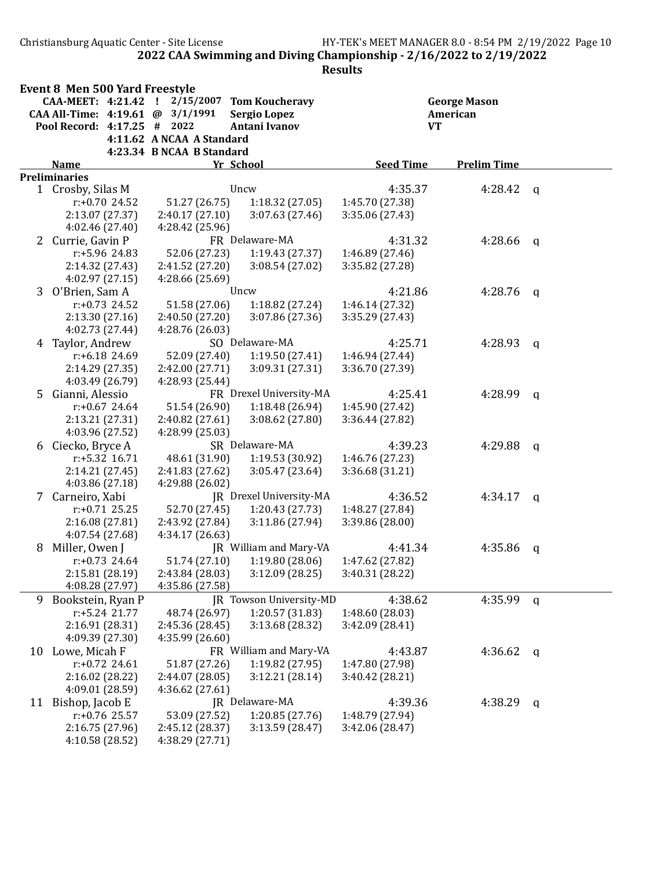Christiansburg Aquatic Center - Site License HY-TEK's MEET MANAGER 8.0 - 8:54 PM 2/19/2022 Page 10 2022 CAA Swimming and Diving Championship - 2/16/2022 to 2/19/2022

|   | <b>Event 8 Men 500 Yard Freestyle</b> |                                    |                                   |                                    |                     |   |  |
|---|---------------------------------------|------------------------------------|-----------------------------------|------------------------------------|---------------------|---|--|
|   | CAA-MEET: 4:21.42 !                   | 2/15/2007                          | <b>Tom Koucheravy</b>             |                                    | <b>George Mason</b> |   |  |
|   | CAA All-Time: 4:19.61 @ 3/1/1991      |                                    | <b>Sergio Lopez</b>               |                                    | American            |   |  |
|   | Pool Record: 4:17.25 # 2022           |                                    | Antani Ivanov                     | <b>VT</b>                          |                     |   |  |
|   |                                       | 4:11.62 A NCAA A Standard          |                                   |                                    |                     |   |  |
|   |                                       | 4:23.34 B NCAA B Standard          |                                   | <b>Seed Time</b>                   | <b>Prelim Time</b>  |   |  |
|   | <b>Name</b><br><b>Preliminaries</b>   |                                    | Yr School                         |                                    |                     |   |  |
|   | 1 Crosby, Silas M                     |                                    | Uncw                              | 4:35.37                            | 4:28.42             | q |  |
|   | $r: +0.70$ 24.52                      | 51.27 (26.75)                      | 1:18.32 (27.05)                   | 1:45.70 (27.38)                    |                     |   |  |
|   | 2:13.07 (27.37)                       | 2:40.17(27.10)                     | 3:07.63(27.46)                    | 3:35.06 (27.43)                    |                     |   |  |
|   | 4:02.46 (27.40)                       | 4:28.42 (25.96)                    |                                   |                                    |                     |   |  |
|   | 2 Currie, Gavin P                     |                                    | FR Delaware-MA                    | 4:31.32                            | 4:28.66             | a |  |
|   | r:+5.96 24.83                         | 52.06 (27.23)                      | 1:19.43(27.37)                    | 1:46.89 (27.46)                    |                     |   |  |
|   | 2:14.32 (27.43)                       | 2:41.52 (27.20)                    | 3:08.54 (27.02)                   | 3:35.82 (27.28)                    |                     |   |  |
|   | 4:02.97 (27.15)                       | 4:28.66 (25.69)                    |                                   |                                    |                     |   |  |
|   | 3 O'Brien, Sam A                      |                                    | Uncw                              | 4:21.86                            | 4:28.76             | a |  |
|   | $r: +0.73$ 24.52                      | 51.58 (27.06)                      | 1:18.82 (27.24)                   | 1:46.14 (27.32)                    |                     |   |  |
|   | 2:13.30(27.16)                        | 2:40.50 (27.20)                    | 3:07.86 (27.36)                   | 3:35.29 (27.43)                    |                     |   |  |
|   | 4:02.73 (27.44)                       | 4:28.76 (26.03)                    |                                   |                                    |                     |   |  |
|   | 4 Taylor, Andrew                      |                                    | SO Delaware-MA                    | 4:25.71                            | 4:28.93             | a |  |
|   | $r: +6.18$ 24.69                      | 52.09 (27.40)                      | 1:19.50(27.41)                    | 1:46.94 (27.44)                    |                     |   |  |
|   | 2:14.29 (27.35)                       | 2:42.00 (27.71)                    | 3:09.31 (27.31)                   | 3:36.70 (27.39)                    |                     |   |  |
|   | 4:03.49 (26.79)                       | 4:28.93 (25.44)                    |                                   |                                    |                     |   |  |
|   | 5 Gianni, Alessio                     |                                    | FR Drexel University-MA           | 4:25.41                            | 4:28.99             | q |  |
|   | $r: +0.67$ 24.64                      | 51.54 (26.90)                      | 1:18.48(26.94)                    | 1:45.90 (27.42)                    |                     |   |  |
|   | 2:13.21 (27.31)                       | 2:40.82 (27.61)                    | 3:08.62(27.80)                    | 3:36.44 (27.82)                    |                     |   |  |
|   | 4:03.96 (27.52)                       | 4:28.99 (25.03)                    |                                   |                                    |                     |   |  |
|   | 6 Ciecko, Bryce A                     |                                    | SR Delaware-MA                    | 4:39.23                            | 4:29.88             | a |  |
|   | r:+5.32 16.71                         | 48.61 (31.90)                      | 1:19.53 (30.92)                   | 1:46.76 (27.23)                    |                     |   |  |
|   | 2:14.21 (27.45)                       | 2:41.83 (27.62)                    | 3:05.47(23.64)                    | 3:36.68 (31.21)                    |                     |   |  |
|   | 4:03.86 (27.18)                       | 4:29.88 (26.02)                    |                                   |                                    |                     |   |  |
|   | 7 Carneiro, Xabi                      |                                    | JR Drexel University-MA           | 4:36.52                            | 4:34.17             | q |  |
|   | $r: +0.71$ 25.25                      | 52.70 (27.45)                      | 1:20.43(27.73)                    | 1:48.27 (27.84)                    |                     |   |  |
|   | 2:16.08 (27.81)                       | 2:43.92 (27.84)                    | 3:11.86(27.94)                    | 3:39.86 (28.00)                    |                     |   |  |
|   | 4:07.54 (27.68)                       | 4:34.17 (26.63)                    |                                   |                                    |                     |   |  |
| 8 | Miller, Owen J                        |                                    | JR William and Mary-VA            | 4:41.34                            | 4:35.86             | q |  |
|   | $r: +0.73$ 24.64                      | 51.74 (27.10)                      | 1:19.80 (28.06)                   | 1:47.62 (27.82)                    |                     |   |  |
|   | 2:15.81 (28.19)                       | 2:43.84 (28.03)                    | 3:12.09 (28.25)                   | 3:40.31 (28.22)                    |                     |   |  |
|   | 4:08.28 (27.97)                       | 4:35.86 (27.58)                    |                                   |                                    |                     |   |  |
| 9 | Bookstein, Ryan P                     |                                    | JR Towson University-MD           | 4:38.62                            | 4:35.99             | q |  |
|   | r:+5.24 21.77                         | 48.74 (26.97)                      | 1:20.57 (31.83)                   | 1:48.60 (28.03)                    |                     |   |  |
|   | 2:16.91 (28.31)                       | 2:45.36 (28.45)<br>4:35.99 (26.60) | 3:13.68 (28.32)                   | 3:42.09 (28.41)                    |                     |   |  |
|   | 4:09.39 (27.30)                       |                                    |                                   |                                    |                     |   |  |
|   | 10 Lowe, Micah F                      |                                    | FR William and Mary-VA            | 4:43.87                            | 4:36.62             | q |  |
|   | $r: +0.72$ 24.61<br>2:16.02 (28.22)   | 51.87 (27.26)<br>2:44.07 (28.05)   | 1:19.82 (27.95)<br>3:12.21(28.14) | 1:47.80 (27.98)<br>3:40.42 (28.21) |                     |   |  |
|   | 4:09.01 (28.59)                       | 4:36.62 (27.61)                    |                                   |                                    |                     |   |  |
|   | 11 Bishop, Jacob E                    |                                    | JR Delaware-MA                    | 4:39.36                            | 4:38.29             |   |  |
|   | $r: +0.76$ 25.57                      | 53.09 (27.52)                      | 1:20.85 (27.76)                   | 1:48.79 (27.94)                    |                     | q |  |
|   | 2:16.75 (27.96)                       | 2:45.12 (28.37)                    | 3:13.59(28.47)                    | 3:42.06 (28.47)                    |                     |   |  |
|   | 4:10.58 (28.52)                       | 4:38.29 (27.71)                    |                                   |                                    |                     |   |  |
|   |                                       |                                    |                                   |                                    |                     |   |  |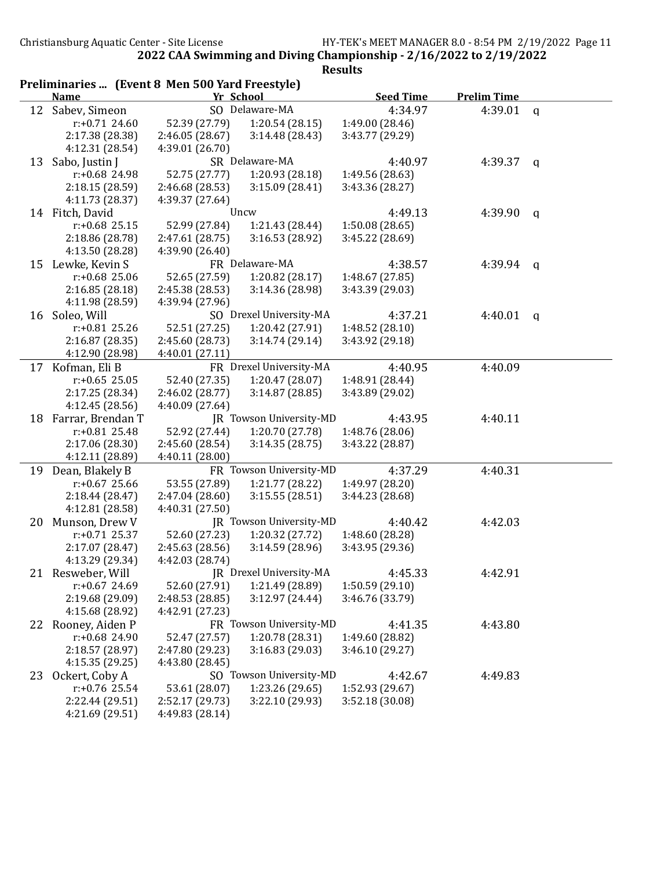|    | Preliminaries  (Event 8 Men 500 Yard Freestyle) |                 |                         |                            |                    |              |
|----|-------------------------------------------------|-----------------|-------------------------|----------------------------|--------------------|--------------|
|    | <b>Name</b>                                     |                 | Yr School               | <b>Seed Time</b>           | <b>Prelim Time</b> |              |
|    | 12 Sabev, Simeon                                |                 | SO Delaware-MA          | 4:34.97                    | 4:39.01            | q            |
|    | $r: +0.71$ 24.60                                | 52.39 (27.79)   | 1:20.54(28.15)          | 1:49.00 (28.46)            |                    |              |
|    | 2:17.38 (28.38)                                 | 2:46.05 (28.67) | 3:14.48(28.43)          | 3:43.77 (29.29)            |                    |              |
|    | 4:12.31 (28.54)                                 | 4:39.01 (26.70) |                         |                            |                    |              |
| 13 | Sabo, Justin J                                  |                 | SR Delaware-MA          | 4:40.97                    | 4:39.37            | q            |
|    | $r: +0.68$ 24.98                                | 52.75 (27.77)   | 1:20.93 (28.18)         | 1:49.56 (28.63)            |                    |              |
|    | 2:18.15 (28.59)                                 | 2:46.68 (28.53) | 3:15.09(28.41)          | 3:43.36 (28.27)            |                    |              |
|    | 4:11.73 (28.37)                                 | 4:39.37 (27.64) |                         |                            |                    |              |
|    | 14 Fitch, David                                 |                 | Uncw                    | 4:49.13                    | 4:39.90            | $\mathbf q$  |
|    | $r: +0.68$ 25.15                                | 52.99 (27.84)   | 1:21.43 (28.44)         | 1:50.08(28.65)             |                    |              |
|    | 2:18.86 (28.78)                                 | 2:47.61 (28.75) | 3:16.53 (28.92)         | 3:45.22 (28.69)            |                    |              |
|    | 4:13.50 (28.28)                                 | 4:39.90 (26.40) |                         |                            |                    |              |
| 15 | Lewke, Kevin S                                  |                 | FR Delaware-MA          | 4:38.57                    | 4:39.94            | q            |
|    | $r: +0.68$ 25.06                                | 52.65 (27.59)   | 1:20.82 (28.17)         | 1:48.67 (27.85)            |                    |              |
|    | 2:16.85(28.18)                                  | 2:45.38 (28.53) | 3:14.36 (28.98)         | 3:43.39 (29.03)            |                    |              |
|    | 4:11.98 (28.59)                                 | 4:39.94 (27.96) |                         |                            |                    |              |
| 16 | Soleo, Will                                     |                 | SO Drexel University-MA | 4:37.21                    | 4:40.01            | $\mathbf{q}$ |
|    | $r: +0.81$ 25.26                                | 52.51 (27.25)   | 1:20.42 (27.91)         | 1:48.52 (28.10)            |                    |              |
|    | 2:16.87 (28.35)                                 | 2:45.60 (28.73) | 3:14.74(29.14)          | 3:43.92 (29.18)            |                    |              |
|    | 4:12.90 (28.98)                                 | 4:40.01 (27.11) |                         |                            |                    |              |
|    | 17 Kofman, Eli B                                |                 | FR Drexel University-MA | 4:40.95                    | 4:40.09            |              |
|    | $r: +0.65$ 25.05                                | 52.40 (27.35)   | 1:20.47 (28.07)         | 1:48.91 (28.44)            |                    |              |
|    | 2:17.25 (28.34)                                 | 2:46.02 (28.77) | 3:14.87(28.85)          | 3:43.89 (29.02)            |                    |              |
|    | 4:12.45 (28.56)                                 | 4:40.09 (27.64) |                         |                            |                    |              |
| 18 | Farrar, Brendan T                               |                 | JR Towson University-MD | 4:43.95                    | 4:40.11            |              |
|    | $r: +0.81$ 25.48                                | 52.92 (27.44)   | 1:20.70 (27.78)         | 1:48.76 (28.06)            |                    |              |
|    | 2:17.06 (28.30)                                 | 2:45.60 (28.54) | 3:14.35(28.75)          | 3:43.22 (28.87)            |                    |              |
|    | 4:12.11 (28.89)                                 | 4:40.11 (28.00) |                         |                            |                    |              |
| 19 | Dean, Blakely B                                 |                 | FR Towson University-MD | 4:37.29                    | 4:40.31            |              |
|    | $r: +0.67$ 25.66                                | 53.55 (27.89)   | 1:21.77 (28.22)         | 1:49.97 (28.20)            |                    |              |
|    | 2:18.44(28.47)                                  | 2:47.04 (28.60) | 3:15.55(28.51)          | 3:44.23 (28.68)            |                    |              |
|    | 4:12.81 (28.58)                                 | 4:40.31 (27.50) |                         |                            |                    |              |
| 20 | Munson, Drew V                                  |                 | JR Towson University-MD | 4:40.42                    | 4:42.03            |              |
|    | $r: +0.71$ 25.37                                | 52.60 (27.23)   | 1:20.32 (27.72)         | 1:48.60 (28.28)            |                    |              |
|    | 2:17.07 (28.47)                                 | 2:45.63 (28.56) | 3:14.59(28.96)          | 3:43.95 (29.36)            |                    |              |
|    | 4:13.29 (29.34)                                 | 4:42.03 (28.74) |                         |                            |                    |              |
|    | 21 Resweber, Will                               |                 | JR Drexel University-MA | 4:45.33                    | 4:42.91            |              |
|    | $r: +0.67$ 24.69                                | 52.60 (27.91)   | 1:21.49 (28.89)         | 1:50.59(29.10)             |                    |              |
|    | 2:19.68 (29.09)                                 | 2:48.53 (28.85) | 3:12.97 (24.44)         | 3:46.76 (33.79)            |                    |              |
|    | 4:15.68 (28.92)                                 | 4:42.91 (27.23) |                         |                            |                    |              |
|    |                                                 |                 | FR Towson University-MD |                            |                    |              |
|    | 22 Rooney, Aiden P<br>r:+0.68 24.90             | 52.47 (27.57)   | 1:20.78 (28.31)         | 4:41.35<br>1:49.60 (28.82) | 4:43.80            |              |
|    |                                                 |                 |                         |                            |                    |              |
|    | 2:18.57 (28.97)                                 | 2:47.80 (29.23) | 3:16.83 (29.03)         | 3:46.10 (29.27)            |                    |              |
|    | 4:15.35 (29.25)                                 | 4:43.80 (28.45) |                         |                            |                    |              |
| 23 | Ockert, Coby A                                  |                 | SO Towson University-MD | 4:42.67                    | 4:49.83            |              |
|    | $r: +0.76$ 25.54                                | 53.61 (28.07)   | 1:23.26 (29.65)         | 1:52.93 (29.67)            |                    |              |
|    | 2:22.44 (29.51)                                 | 2:52.17 (29.73) | 3:22.10 (29.93)         | 3:52.18 (30.08)            |                    |              |
|    | 4:21.69 (29.51)                                 | 4:49.83 (28.14) |                         |                            |                    |              |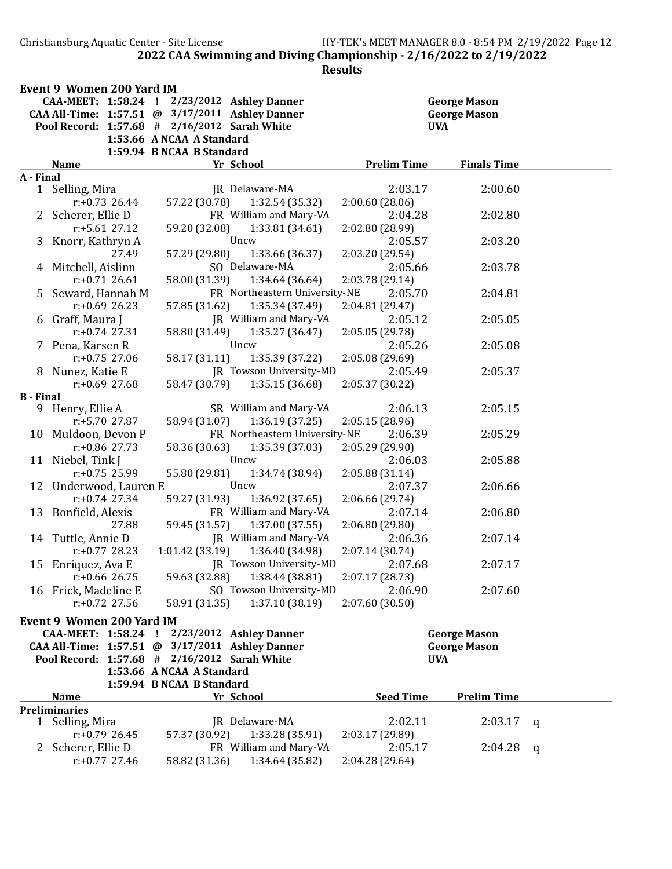Christiansburg Aquatic Center - Site License HY-TEK's MEET MANAGER 8.0 - 8:54 PM 2/19/2022 Page 12 2022 CAA Swimming and Diving Championship - 2/16/2022 to 2/19/2022

|                  | Event 9 Women 200 Yard IM        |                                                                                                 |                                   |                     |   |
|------------------|----------------------------------|-------------------------------------------------------------------------------------------------|-----------------------------------|---------------------|---|
|                  |                                  | CAA-MEET: 1:58.24 ! 2/23/2012 Ashley Danner                                                     |                                   | <b>George Mason</b> |   |
|                  |                                  | CAA All-Time: 1:57.51 @ 3/17/2011 Ashley Danner<br>Pool Record: 1:57.68 # 2/16/2012 Sarah White | <b>George Mason</b><br><b>UVA</b> |                     |   |
|                  |                                  | 1:53.66 A NCAA A Standard                                                                       |                                   |                     |   |
|                  |                                  | 1:59.94 B NCAA B Standard                                                                       |                                   |                     |   |
|                  | <b>Name</b>                      | Yr School                                                                                       | <b>Prelim Time</b>                | <b>Finals Time</b>  |   |
| A - Final        |                                  |                                                                                                 |                                   |                     |   |
| 1                | Selling, Mira                    | JR Delaware-MA                                                                                  | 2:03.17                           | 2:00.60             |   |
|                  | $r: +0.73$ 26.44                 | 57.22 (30.78)<br>1:32.54 (35.32)                                                                | 2:00.60(28.06)                    |                     |   |
|                  | 2 Scherer, Ellie D               | FR William and Mary-VA                                                                          | 2:04.28                           | 2:02.80             |   |
|                  | $r: +5.61$ 27.12                 | 1:33.81 (34.61)<br>59.20 (32.08)                                                                | 2:02.80 (28.99)                   |                     |   |
|                  | 3 Knorr, Kathryn A               | Uncw                                                                                            | 2:05.57                           | 2:03.20             |   |
|                  | 27.49                            | 1:33.66 (36.37)<br>57.29 (29.80)                                                                | 2:03.20 (29.54)                   |                     |   |
|                  | 4 Mitchell, Aislinn              | SO Delaware-MA                                                                                  | 2:05.66                           | 2:03.78             |   |
|                  | $r: +0.71$ 26.61                 | 58.00 (31.39)<br>1:34.64 (36.64)                                                                | 2:03.78 (29.14)                   |                     |   |
|                  | Seward, Hannah M                 | FR Northeastern University-NE                                                                   | 2:05.70                           | 2:04.81             |   |
|                  | $r: +0.69$ 26.23                 | 1:35.34 (37.49)<br>57.85 (31.62)                                                                | 2:04.81 (29.47)                   |                     |   |
|                  | 6 Graff, Maura J                 | JR William and Mary-VA                                                                          | 2:05.12                           | 2:05.05             |   |
|                  | $r: +0.74$ 27.31                 | 1:35.27 (36.47)<br>58.80 (31.49)                                                                | 2:05.05 (29.78)                   |                     |   |
|                  | 7 Pena, Karsen R                 | Uncw                                                                                            | 2:05.26                           | 2:05.08             |   |
|                  | $r: +0.75$ 27.06                 | 1:35.39 (37.22)<br>58.17 (31.11)                                                                | 2:05.08 (29.69)                   |                     |   |
| 8.               | Nunez, Katie E                   | <b>JR</b> Towson University-MD                                                                  | 2:05.49                           | 2:05.37             |   |
| <b>B</b> - Final | $r: +0.69$ 27.68                 | 58.47 (30.79)<br>1:35.15(36.68)                                                                 | 2:05.37 (30.22)                   |                     |   |
|                  | 9 Henry, Ellie A                 | SR William and Mary-VA                                                                          | 2:06.13                           | 2:05.15             |   |
|                  | $r: +5.70$ 27.87                 | 58.94 (31.07)<br>1:36.19(37.25)                                                                 | 2:05.15 (28.96)                   |                     |   |
| 10               | Muldoon, Devon P                 | FR Northeastern University-NE                                                                   | 2:06.39                           | 2:05.29             |   |
|                  | $r: +0.86$ 27.73                 | 1:35.39 (37.03)<br>58.36 (30.63)                                                                | 2:05.29 (29.90)                   |                     |   |
|                  | 11 Niebel, Tink J                | Uncw                                                                                            | 2:06.03                           | 2:05.88             |   |
|                  | $r: +0.75$ 25.99                 | 55.80 (29.81)<br>1:34.74 (38.94)                                                                | 2:05.88 (31.14)                   |                     |   |
|                  | 12 Underwood, Lauren E           | Uncw                                                                                            | 2:07.37                           | 2:06.66             |   |
|                  | $r: +0.74$ 27.34                 | 59.27 (31.93)<br>1:36.92 (37.65)                                                                | 2:06.66 (29.74)                   |                     |   |
|                  | 13 Bonfield, Alexis              | FR William and Mary-VA                                                                          | 2:07.14                           | 2:06.80             |   |
|                  | 27.88                            | 1:37.00(37.55)<br>59.45 (31.57)                                                                 | 2:06.80 (29.80)                   |                     |   |
|                  | 14 Tuttle, Annie D               | JR William and Mary-VA                                                                          | 2:06.36                           | 2:07.14             |   |
|                  | $r: +0.77$ 28.23                 | 1:01.42(33.19)<br>1:36.40 (34.98)                                                               | 2:07.14 (30.74)                   |                     |   |
|                  | 15 Enriquez, Ava E               | JR Towson University-MD                                                                         | 2:07.68                           | 2:07.17             |   |
|                  | r:+0.66 26.75                    | 59.63 (32.88) 1:38.44 (38.81)                                                                   | 2:07.17 (28.73)                   |                     |   |
|                  | 16 Frick, Madeline E             | SO Towson University-MD                                                                         | 2:06.90                           | 2:07.60             |   |
|                  | $r: +0.72$ 27.56                 | 1:37.10 (38.19)<br>58.91 (31.35)                                                                | 2:07.60 (30.50)                   |                     |   |
|                  | <b>Event 9 Women 200 Yard IM</b> |                                                                                                 |                                   |                     |   |
|                  | CAA-MEET: 1:58.24 !              | 2/23/2012 Ashley Danner                                                                         |                                   | <b>George Mason</b> |   |
|                  | CAA All-Time: 1:57.51 @          | 3/17/2011 Ashley Danner                                                                         |                                   | <b>George Mason</b> |   |
|                  | Pool Record: 1:57.68 #           | $2/16/2012$ Sarah White                                                                         | <b>UVA</b>                        |                     |   |
|                  |                                  | 1:53.66 A NCAA A Standard                                                                       |                                   |                     |   |
|                  |                                  | 1:59.94 B NCAA B Standard                                                                       |                                   |                     |   |
|                  | <b>Name</b>                      | Yr School                                                                                       | <b>Seed Time</b>                  | <b>Prelim Time</b>  |   |
|                  | <b>Preliminaries</b>             |                                                                                                 |                                   |                     |   |
| $\mathbf{1}$     | Selling, Mira                    | JR Delaware-MA                                                                                  | 2:02.11                           | 2:03.17             | q |
|                  | $r: +0.79$ 26.45                 | 1:33.28 (35.91)<br>57.37 (30.92)                                                                | 2:03.17 (29.89)                   |                     |   |
|                  | 2 Scherer, Ellie D               | FR William and Mary-VA                                                                          | 2:05.17                           | 2:04.28             | q |
|                  | $r: +0.77$ 27.46                 | 1:34.64 (35.82)<br>58.82 (31.36)                                                                | 2:04.28 (29.64)                   |                     |   |
|                  |                                  |                                                                                                 |                                   |                     |   |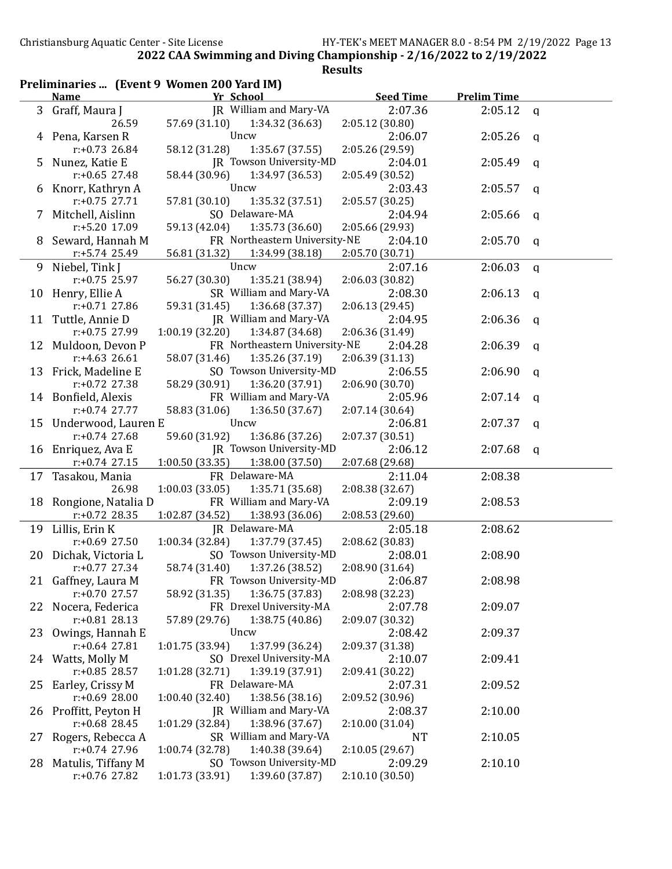|    |                                    | Preliminaries  (Event 9 Women 200 Yard IM) |                  |                    |              |
|----|------------------------------------|--------------------------------------------|------------------|--------------------|--------------|
|    | <b>Name</b>                        | Yr School                                  | <b>Seed Time</b> | <b>Prelim Time</b> |              |
|    | 3 Graff, Maura J                   | JR William and Mary-VA                     | 2:07.36          | 2:05.12            | $\mathbf{q}$ |
|    | 26.59                              | 57.69 (31.10)<br>1:34.32(36.63)            | 2:05.12 (30.80)  |                    |              |
|    | 4 Pena, Karsen R                   | Uncw                                       | 2:06.07          | 2:05.26            | q            |
|    | r:+0.73 26.84                      | 58.12 (31.28)<br>1:35.67(37.55)            | 2:05.26 (29.59)  |                    |              |
| 5. | Nunez, Katie E                     | JR Towson University-MD                    | 2:04.01          | 2:05.49            | q            |
|    | r:+0.65 27.48                      | 58.44 (30.96)<br>1:34.97 (36.53)           | 2:05.49 (30.52)  |                    |              |
|    | 6 Knorr, Kathryn A                 | Uncw                                       | 2:03.43          | 2:05.57            | q            |
|    | $r: +0.75$ 27.71                   | 57.81 (30.10)<br>1:35.32(37.51)            | 2:05.57 (30.25)  |                    |              |
|    | 7 Mitchell, Aislinn                | SO Delaware-MA                             | 2:04.94          | 2:05.66            | q            |
|    | r:+5.20 17.09                      | 59.13 (42.04)<br>1:35.73(36.60)            | 2:05.66 (29.93)  |                    |              |
|    | 8 Seward, Hannah M                 | FR Northeastern University-NE              | 2:04.10          | 2:05.70            | q            |
|    | r:+5.74 25.49                      | 56.81 (31.32)<br>1:34.99 (38.18)           | 2:05.70 (30.71)  |                    |              |
|    | 9 Niebel, Tink J                   | Uncw                                       | 2:07.16          | 2:06.03            |              |
|    | $r: +0.75$ 25.97                   | 56.27 (30.30)                              | 2:06.03 (30.82)  |                    | q            |
|    |                                    | 1:35.21 (38.94)<br>SR William and Mary-VA  |                  |                    |              |
|    | 10 Henry, Ellie A                  |                                            | 2:08.30          | 2:06.13            | $\mathsf{q}$ |
|    | $r: +0.71$ 27.86                   | 1:36.68(37.37)<br>59.31 (31.45)            | 2:06.13 (29.45)  |                    |              |
|    | 11 Tuttle, Annie D                 | JR William and Mary-VA                     | 2:04.95          | 2:06.36            | q            |
|    | r:+0.75 27.99                      | 1:00.19(32.20)<br>1:34.87 (34.68)          | 2:06.36 (31.49)  |                    |              |
|    | 12 Muldoon, Devon P                | FR Northeastern University-NE              | 2:04.28          | 2:06.39            | q            |
|    | $r: +4.63$ 26.61                   | 58.07 (31.46)<br>1:35.26 (37.19)           | 2:06.39 (31.13)  |                    |              |
|    | 13 Frick, Madeline E               | SO Towson University-MD                    | 2:06.55          | 2:06.90            | q            |
|    | $r: +0.72$ 27.38                   | 58.29 (30.91)<br>1:36.20 (37.91)           | 2:06.90 (30.70)  |                    |              |
|    | 14 Bonfield, Alexis                | FR William and Mary-VA                     | 2:05.96          | 2:07.14            | a            |
|    | $r: +0.74$ 27.77                   | 58.83 (31.06)<br>1:36.50(37.67)            | 2:07.14 (30.64)  |                    |              |
|    | 15 Underwood, Lauren E             | Uncw                                       | 2:06.81          | 2:07.37            | $\mathsf{q}$ |
|    | $r: +0.74$ 27.68                   | 1:36.86 (37.26)<br>59.60 (31.92)           | 2:07.37 (30.51)  |                    |              |
|    | 16 Enriquez, Ava E                 | JR Towson University-MD                    | 2:06.12          | 2:07.68            | q            |
|    | $r: +0.74$ 27.15                   | 1:00.50 (33.35)<br>1:38.00 (37.50)         | 2:07.68 (29.68)  |                    |              |
|    | 17 Tasakou, Mania                  | FR Delaware-MA                             | 2:11.04          | 2:08.38            |              |
|    | 26.98                              | 1:00.03(33.05)<br>1:35.71 (35.68)          | 2:08.38 (32.67)  |                    |              |
|    | 18 Rongione, Natalia D             | FR William and Mary-VA                     | 2:09.19          | 2:08.53            |              |
|    | $r: +0.72$ 28.35                   | 1:02.87 (34.52)<br>1:38.93 (36.06)         | 2:08.53 (29.60)  |                    |              |
|    | 19 Lillis, Erin K                  | JR Delaware-MA                             | 2:05.18          | 2:08.62            |              |
|    | $r: +0.69$ 27.50                   | 1:37.79 (37.45)<br>1:00.34(32.84)          | 2:08.62 (30.83)  |                    |              |
|    | 20 Dichak, Victoria L              | SO Towson University-MD                    | 2:08.01          | 2:08.90            |              |
|    | $r: +0.77$ 27.34                   | 58.74 (31.40)<br>1:37.26 (38.52)           | 2:08.90 (31.64)  |                    |              |
| 21 | Gaffney, Laura M                   | FR Towson University-MD                    | 2:06.87          | 2:08.98            |              |
|    | r:+0.70 27.57                      | 1:36.75 (37.83)<br>58.92 (31.35)           | 2:08.98 (32.23)  |                    |              |
| 22 | Nocera, Federica                   | FR Drexel University-MA                    | 2:07.78          | 2:09.07            |              |
|    | $r: +0.81$ 28.13                   | 1:38.75 (40.86)<br>57.89 (29.76)           | 2:09.07 (30.32)  |                    |              |
| 23 | Owings, Hannah E                   | Uncw                                       | 2:08.42          | 2:09.37            |              |
|    | $r: +0.64$ 27.81                   | 1:01.75 (33.94)                            |                  |                    |              |
|    |                                    | 1:37.99 (36.24)                            | 2:09.37 (31.38)  |                    |              |
|    | 24 Watts, Molly M<br>r:+0.85 28.57 | SO Drexel University-MA                    | 2:10.07          | 2:09.41            |              |
|    |                                    | 1:39.19 (37.91)<br>1:01.28(32.71)          | 2:09.41 (30.22)  |                    |              |
| 25 | Earley, Crissy M                   | FR Delaware-MA                             | 2:07.31          | 2:09.52            |              |
|    | $r: +0.69$ 28.00                   | 1:38.56 (38.16)<br>1:00.40(32.40)          | 2:09.52 (30.96)  |                    |              |
| 26 | Proffitt, Peyton H                 | JR William and Mary-VA                     | 2:08.37          | 2:10.00            |              |
|    | $r: +0.68$ 28.45                   | 1:38.96 (37.67)<br>1:01.29 (32.84)         | 2:10.00 (31.04)  |                    |              |
| 27 | Rogers, Rebecca A                  | SR William and Mary-VA                     | <b>NT</b>        | 2:10.05            |              |
|    | $r: +0.74$ 27.96                   | 1:40.38 (39.64)<br>1:00.74 (32.78)         | 2:10.05 (29.67)  |                    |              |
| 28 | Matulis, Tiffany M                 | SO Towson University-MD                    | 2:09.29          | 2:10.10            |              |
|    | r:+0.76 27.82                      | 1:39.60 (37.87)<br>1:01.73 (33.91)         | 2:10.10 (30.50)  |                    |              |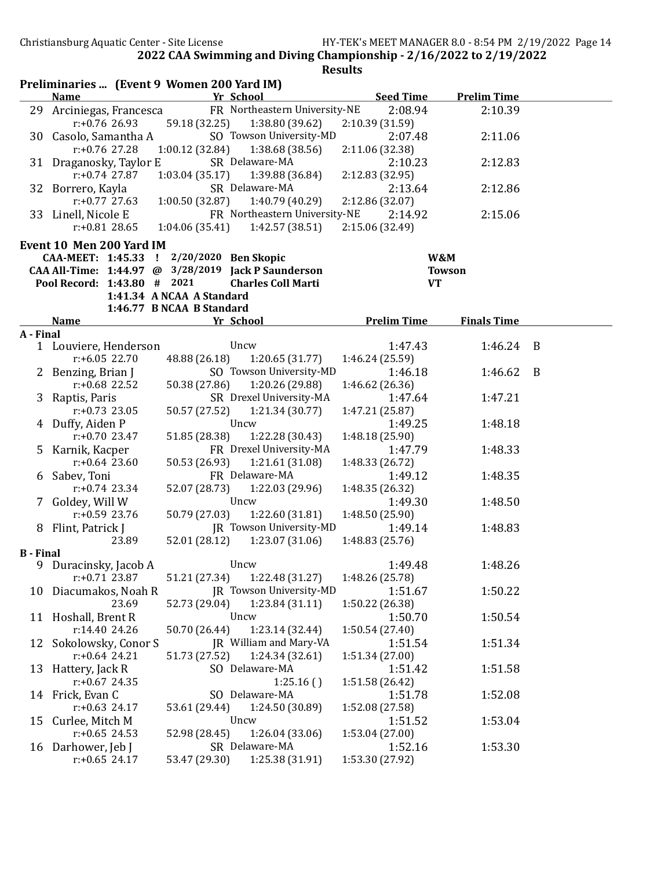**Results** 

Preliminaries ... (Event 9 Women 200 Yard IM) Name **The Value of School Seed Time** Prelim Time 29 Arciniegas, Francesca FR Northeastern University-NE 2:08.94 2:10.39 r:+0.76 26.93 59.18 (32.25) 1:38.80 (39.62) 2:10.39 (31.59) 30 Casolo, Samantha A SO Towson University-MD 2:07.48 2:11.06 r:+0.76 27.28 1:00.12 (32.84) 1:38.68 (38.56) 2:11.06 (32.38) 31 Draganosky, Taylor E SR Delaware-MA 2:10.23 2:12.83<br>  $r: +0.74$  27.87 1:03.04 (35.17) 1:39.88 (36.84) 2:12.83 (32.95) r:+0.74 27.87 1:03.04 (35.17) 1:39.88 (36.84) 2:12.83 (32.95) 32 Borrero, Kayla SR Delaware-MA 2:13.64 2:12.86 r:+0.77 27.63 1:00.50 (32.87) 1:40.79 (40.29) 2:12.86 (32.07) 33 Linell, Nicole E FR Northeastern University-NE 2:14.92 2:15.06 r:+0.81 28.65 1:04.06 (35.41) 1:42.57 (38.51) 2:15.06 (32.49) Event 10 Men 200 Yard IM CAA-MEET: 1:45.33 ! 2/20/2020 Ben Skopic W&M CAA All-Time: 1:44.97 @ 3/28/2019 Jack P Saunderson Towson Pool Record: 1:43.80 # 2021 Charles Coll Marti VT 1:41.34 A NCAA A Standard 1:46.77 B NCAA B Standard Name **Prelim Time** Prelim Time **Finals Time** A - Final 1 Louviere, Henderson Uncw 1:47.43 1:46.24 B r:+6.05 22.70 48.88 (26.18) 1:20.65 (31.77) 1:46.24 (25.59) 2 Benzing, Brian J SO Towson University-MD 1:46.18 1:46.62 B r:+0.68 22.52 50.38 (27.86) 1:20.26 (29.88) 1:46.62 (26.36) 3 Raptis, Paris SR Drexel University-MA 1:47.64 1:47.21 r:+0.73 23.05 50.57 (27.52) 1:21.34 (30.77) 1:47.21 (25.87) 4 Duffy, Aiden P Uncw 1:49.25 1:48.18 r:+0.70 23.47 51.85 (28.38) 1:22.28 (30.43) 1:48.18 (25.90) 5 Karnik, Kacper FR Drexel University-MA 1:47.79 1:48.33 r:+0.64 23.60 50.53 (26.93) 1:21.61 (31.08) 1:48.33 (26.72) 6 Sabev, Toni FR Delaware-MA 1:49.12 1:48.35 r:+0.74 23.34 52.07 (28.73) 1:22.03 (29.96) 1:48.35 (26.32) 7 Goldey, Will W Uncw 1:49.30 1:48.50 r:+0.59 23.76 50.79 (27.03) 1:22.60 (31.81) 1:48.50 (25.90) 8 Flint, Patrick J JR Towson University-MD 1:49.14 1:48.83 23.89 52.01 (28.12) 1:23.07 (31.06) 1:48.83 (25.76) B - Final 9 Duracinsky, Jacob A Uncw 1:49.48 1:48.26 r:+0.71 23.87 51.21 (27.34) 1:22.48 (31.27) 1:48.26 (25.78) 10 Diacumakos, Noah R JR Towson University-MD 1:51.67 1:50.22 23.69 52.73 (29.04) 1:23.84 (31.11) 1:50.22 (26.38) 11 Hoshall, Brent R Uncw 1:50.70 1:50.54 r:14.40 24.26 50.70 (26.44) 1:23.14 (32.44) 1:50.54 (27.40) 12 Sokolowsky, Conor S JR William and Mary-VA 1:51.54 1:51.34 r:+0.64 24.21 51.73 (27.52) 1:24.34 (32.61) 1:51.34 (27.00) 13 Hattery, Jack R SO Delaware-MA 1:51.42 1:51.58 r:+0.67 24.35 1:25.16 ( ) 1:51.58 (26.42) 14 Frick, Evan C SO Delaware-MA 1:51.78 1:52.08<br>
1:52.08 1:52.08 1:52.08 1:52.08 1:52.08 1:52.08 1:52.08 1:52.08 1:52.08 1:52.08 1:52.08 1:52.08 1:52.08 1:52 r:+0.63 24.17 53.61 (29.44) 1:24.50 (30.89) 1:52.08 (27.58) 15 Curlee, Mitch M Uncw 1:51.52 1:53.04 r:+0.65 24.53 52.98 (28.45) 1:26.04 (33.06) 1:53.04 (27.00) 16 Darhower, Jeb J SR Delaware-MA 1:52.16 1:53.30 r:+0.65 24.17 53.47 (29.30) 1:25.38 (31.91) 1:53.30 (27.92)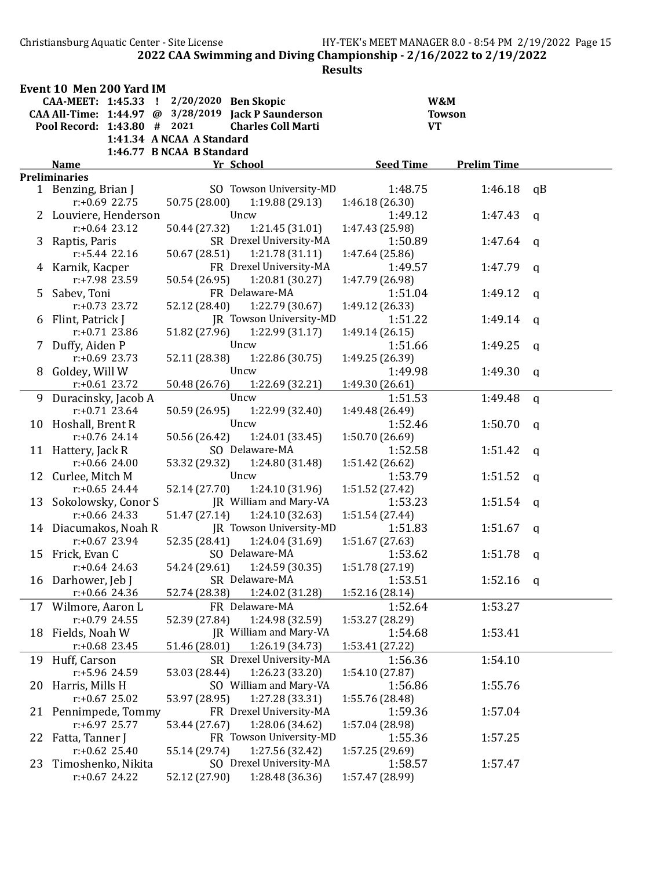Christiansburg Aquatic Center - Site License HY-TEK's MEET MANAGER 8.0 - 8:54 PM 2/19/2022 Page 15 2022 CAA Swimming and Diving Championship - 2/16/2022 to 2/19/2022

|    | Event 10 Men 200 Yard IM    |                                                     |                  |                    |              |
|----|-----------------------------|-----------------------------------------------------|------------------|--------------------|--------------|
|    | CAA-MEET: 1:45.33 !         | 2/20/2020 Ben Skopic                                | W&M              |                    |              |
|    |                             | CAA All-Time: 1:44.97 @ 3/28/2019 Jack P Saunderson | <b>Towson</b>    |                    |              |
|    | Pool Record: 1:43.80 # 2021 | <b>Charles Coll Marti</b>                           | <b>VT</b>        |                    |              |
|    |                             | 1:41.34 A NCAA A Standard                           |                  |                    |              |
|    |                             | 1:46.77 B NCAA B Standard                           |                  |                    |              |
|    | <b>Name</b>                 | Yr School                                           | <b>Seed Time</b> | <b>Prelim Time</b> |              |
|    | <b>Preliminaries</b>        |                                                     |                  |                    |              |
|    | 1 Benzing, Brian J          | SO Towson University-MD                             | 1:48.75          | 1:46.18            | qB           |
|    | $r: +0.69$ 22.75            | 50.75 (28.00)<br>1:19.88(29.13)                     | 1:46.18 (26.30)  |                    |              |
|    | 2 Louviere, Henderson       | Uncw                                                | 1:49.12          | 1:47.43            | a            |
|    | $r: +0.64$ 23.12            | 50.44 (27.32)<br>1:21.45(31.01)                     | 1:47.43 (25.98)  |                    |              |
| 3  | Raptis, Paris               | SR Drexel University-MA                             | 1:50.89          | 1:47.64            | q            |
|    | $r: +5.44$ 22.16            | 50.67 (28.51)<br>1:21.78(31.11)                     | 1:47.64 (25.86)  |                    |              |
|    | 4 Karnik, Kacper            | FR Drexel University-MA                             | 1:49.57          | 1:47.79            | a            |
|    | r:+7.98 23.59               | 50.54 (26.95)<br>1:20.81(30.27)                     | 1:47.79 (26.98)  |                    |              |
| 5  | Sabev, Toni                 | FR Delaware-MA                                      | 1:51.04          | 1:49.12            | a            |
|    | $r: +0.73$ 23.72            | 52.12 (28.40)<br>1:22.79 (30.67)                    | 1:49.12 (26.33)  |                    |              |
|    | 6 Flint, Patrick J          | JR Towson University-MD                             | 1:51.22          | 1:49.14            | $\mathbf{q}$ |
|    | $r: +0.71$ 23.86            | 1:22.99(31.17)<br>51.82 (27.96)                     | 1:49.14(26.15)   |                    |              |
|    | 7 Duffy, Aiden P            | Uncw                                                | 1:51.66          | 1:49.25            | $\mathbf q$  |
|    | $r: +0.69$ 23.73            | 52.11 (28.38)<br>1:22.86 (30.75)                    | 1:49.25 (26.39)  |                    |              |
|    | 8 Goldey, Will W            | Uncw                                                | 1:49.98          | 1:49.30            | $\mathbf q$  |
|    | $r: +0.61$ 23.72            | 50.48 (26.76)<br>1:22.69 (32.21)                    | 1:49.30 (26.61)  |                    |              |
|    | 9 Duracinsky, Jacob A       | Uncw                                                | 1:51.53          | 1:49.48            | $\mathbf{q}$ |
|    | $r: +0.71$ 23.64            | 50.59 (26.95)<br>1:22.99 (32.40)                    | 1:49.48 (26.49)  |                    |              |
|    | 10 Hoshall, Brent R         | Uncw                                                | 1:52.46          | 1:50.70            | $\mathbf q$  |
|    | $r: +0.76$ 24.14            | 1:24.01 (33.45)<br>50.56 (26.42)                    | 1:50.70 (26.69)  |                    |              |
|    | 11 Hattery, Jack R          | SO Delaware-MA                                      | 1:52.58          | 1:51.42            | $\mathbf{q}$ |
|    | $r: +0.66$ 24.00            | 53.32 (29.32)<br>1:24.80 (31.48)                    | 1:51.42 (26.62)  |                    |              |
|    | 12 Curlee, Mitch M          | Uncw                                                | 1:53.79          | 1:51.52            | q            |
|    | $r: +0.65$ 24.44            | 52.14 (27.70)<br>1:24.10 (31.96)                    | 1:51.52 (27.42)  |                    |              |
|    | 13 Sokolowsky, Conor S      | JR William and Mary-VA                              | 1:53.23          | 1:51.54            | q            |
|    | $r: +0.66$ 24.33            | 1:24.10 (32.63)<br>51.47 (27.14)                    | 1:51.54 (27.44)  |                    |              |
|    | 14 Diacumakos, Noah R       | JR Towson University-MD                             | 1:51.83          | 1:51.67            | a            |
|    | $r: +0.67$ 23.94            | 52.35 (28.41)<br>1:24.04 (31.69)                    | 1:51.67 (27.63)  |                    |              |
| 15 | Frick, Evan C               | SO Delaware-MA                                      | 1:53.62          | 1:51.78            | q            |
|    | $r: +0.64$ 24.63            | 54.24 (29.61)<br>1:24.59 (30.35)                    | 1:51.78 (27.19)  |                    |              |
|    | 16 Darhower, Jeb J          | SR Delaware-MA                                      | 1:53.51          | 1:52.16            | $\mathbf{q}$ |
|    | $r$ :+0.66 24.36            | 1:24.02 (31.28)<br>52.74 (28.38)                    | 1:52.16 (28.14)  |                    |              |
|    | 17 Wilmore, Aaron L         | FR Delaware-MA                                      | 1:52.64          | 1:53.27            |              |
|    | $r: +0.79$ 24.55            | 52.39 (27.84)<br>1:24.98 (32.59)                    | 1:53.27 (28.29)  |                    |              |
|    | 18 Fields, Noah W           | JR William and Mary-VA                              | 1:54.68          | 1:53.41            |              |
|    | $r: +0.68$ 23.45            | 51.46 (28.01)<br>1:26.19 (34.73)                    | 1:53.41 (27.22)  |                    |              |
|    | 19 Huff, Carson             | SR Drexel University-MA                             | 1:56.36          | 1:54.10            |              |
|    | r:+5.96 24.59               | 1:26.23 (33.20)<br>53.03 (28.44)                    | 1:54.10 (27.87)  |                    |              |
|    | 20 Harris, Mills H          | SO William and Mary-VA                              | 1:56.86          | 1:55.76            |              |
|    | $r: +0.67$ 25.02            | 53.97 (28.95)<br>1:27.28 (33.31)                    | 1:55.76 (28.48)  |                    |              |
|    | 21 Pennimpede, Tommy        | FR Drexel University-MA                             | 1:59.36          | 1:57.04            |              |
|    | $r: +6.97$ 25.77            | 53.44 (27.67)<br>1:28.06 (34.62)                    | 1:57.04 (28.98)  |                    |              |
|    | 22 Fatta, Tanner J          | FR Towson University-MD                             | 1:55.36          | 1:57.25            |              |
|    | $r: +0.62$ 25.40            | 55.14 (29.74)<br>1:27.56 (32.42)                    | 1:57.25 (29.69)  |                    |              |
| 23 | Timoshenko, Nikita          | SO Drexel University-MA                             | 1:58.57          | 1:57.47            |              |
|    | $r: +0.67$ 24.22            | 52.12 (27.90)<br>1:28.48 (36.36)                    | 1:57.47 (28.99)  |                    |              |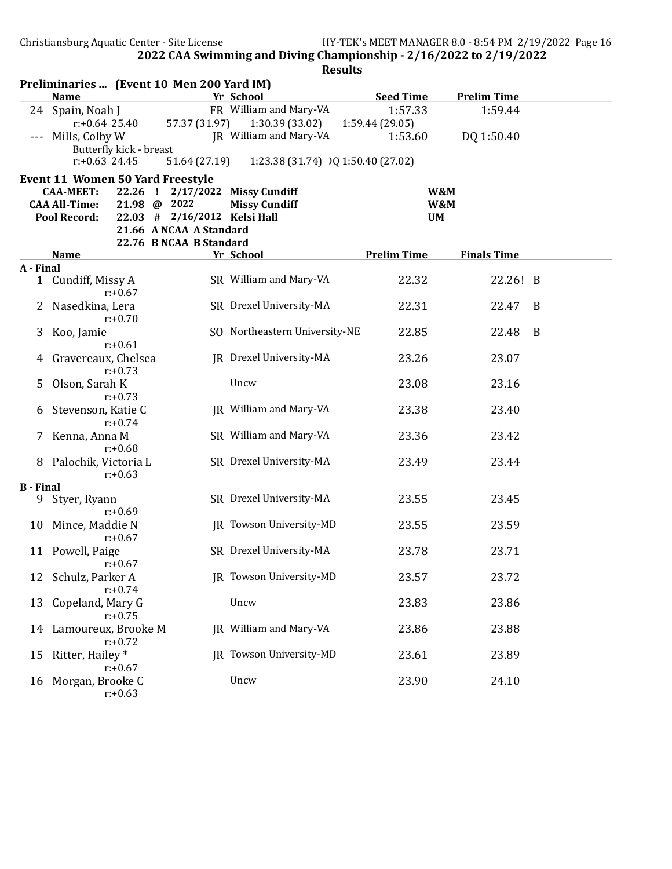|                  |                                                                              |            | Preliminaries  (Event 10 Men 200 Yard IM) |                                              |                            |                    |   |
|------------------|------------------------------------------------------------------------------|------------|-------------------------------------------|----------------------------------------------|----------------------------|--------------------|---|
|                  | <b>Name</b>                                                                  |            |                                           | Yr School                                    | <b>Seed Time</b>           | <b>Prelim Time</b> |   |
|                  | 24 Spain, Noah J<br>$r: +0.64$ 25.40                                         |            | 57.37 (31.97)                             | FR William and Mary-VA<br>1:30.39 (33.02)    | 1:57.33<br>1:59.44 (29.05) | 1:59.44            |   |
|                  | Mills, Colby W<br>Butterfly kick - breast<br>$r: +0.63$ 24.45                |            | 51.64 (27.19)                             | JR William and Mary-VA                       | 1:53.60                    | DQ 1:50.40         |   |
|                  |                                                                              |            |                                           | 1:23.38 (31.74) )Q 1:50.40 (27.02)           |                            |                    |   |
|                  | Event 11 Women 50 Yard Freestyle<br><b>CAA-MEET:</b><br><b>CAA All-Time:</b> | 22.26 !    | 2/17/2022<br>21.98 @ 2022                 | <b>Missy Cundiff</b><br><b>Missy Cundiff</b> | W&M<br>W&M                 |                    |   |
|                  | Pool Record:                                                                 |            | 22.03 # 2/16/2012 Kelsi Hall              |                                              | <b>UM</b>                  |                    |   |
|                  |                                                                              |            | 21.66 A NCAA A Standard                   |                                              |                            |                    |   |
|                  |                                                                              |            | 22.76 B NCAA B Standard                   |                                              |                            |                    |   |
|                  | <b>Name</b>                                                                  |            |                                           | Yr School                                    | <b>Prelim Time</b>         | <b>Finals Time</b> |   |
| A - Final        | 1 Cundiff, Missy A                                                           | $r: +0.67$ |                                           | SR William and Mary-VA                       | 22.32                      | 22.26! B           |   |
| $\mathbf{Z}$     | Nasedkina, Lera                                                              | $r: +0.70$ |                                           | SR Drexel University-MA                      | 22.31                      | 22.47              | B |
| 3                | Koo, Jamie                                                                   | $r: +0.61$ |                                           | SO Northeastern University-NE                | 22.85                      | 22.48              | B |
| 4                | Gravereaux, Chelsea                                                          | $r: +0.73$ |                                           | JR Drexel University-MA                      | 23.26                      | 23.07              |   |
| 5                | Olson, Sarah K                                                               | $r: +0.73$ |                                           | Uncw                                         | 23.08                      | 23.16              |   |
| b                | Stevenson, Katie C                                                           | $r: +0.74$ |                                           | JR William and Mary-VA                       | 23.38                      | 23.40              |   |
|                  | Kenna, Anna M                                                                | $r: +0.68$ |                                           | SR William and Mary-VA                       | 23.36                      | 23.42              |   |
| 8                | Palochik, Victoria L                                                         | $r: +0.63$ |                                           | SR Drexel University-MA                      | 23.49                      | 23.44              |   |
| <b>B</b> - Final |                                                                              |            |                                           |                                              |                            |                    |   |
| 9                | Styer, Ryann                                                                 | $r: +0.69$ |                                           | SR Drexel University-MA                      | 23.55                      | 23.45              |   |
| 10               | Mince, Maddie N                                                              | $r: +0.67$ |                                           | JR Towson University-MD                      | 23.55                      | 23.59              |   |
|                  | 11 Powell, Paige                                                             | r:+0.67    |                                           | SR Drexel University-MA                      | 23.78                      | 23.71              |   |
| 12               | Schulz, Parker A                                                             | $r: +0.74$ |                                           | JR Towson University-MD                      | 23.57                      | 23.72              |   |
| 13               | Copeland, Mary G                                                             | $r: +0.75$ |                                           | Uncw                                         | 23.83                      | 23.86              |   |
| 14               | Lamoureux, Brooke M                                                          | $r: +0.72$ |                                           | JR William and Mary-VA                       | 23.86                      | 23.88              |   |
| 15               | Ritter, Hailey*                                                              | $r: +0.67$ |                                           | IR Towson University-MD                      | 23.61                      | 23.89              |   |
| 16               | Morgan, Brooke C                                                             | $r: +0.63$ |                                           | Uncw                                         | 23.90                      | 24.10              |   |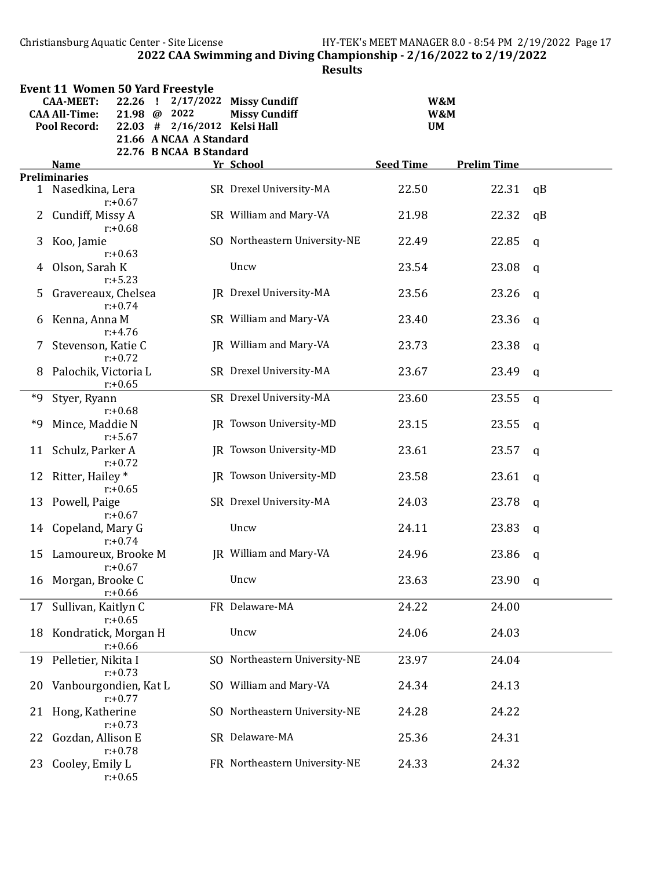Christiansburg Aquatic Center - Site License HY-TEK's MEET MANAGER 8.0 - 8:54 PM 2/19/2022 Page 17 2022 CAA Swimming and Diving Championship - 2/16/2022 to 2/19/2022

|             | <b>Event 11 Women 50 Yard Freestyle</b><br><b>CAA-MEET:</b> | 22.26              | 2/17/2022<br>- !                                        | <b>Missy Cundiff</b>          |                  | W&M                |              |
|-------------|-------------------------------------------------------------|--------------------|---------------------------------------------------------|-------------------------------|------------------|--------------------|--------------|
|             | <b>CAA All-Time:</b>                                        | $21.98 \text{ } @$ | 2022                                                    | <b>Missy Cundiff</b>          |                  | W&M                |              |
|             | <b>Pool Record:</b>                                         |                    | 22.03 # 2/16/2012 Kelsi Hall<br>21.66 A NCAA A Standard |                               |                  | <b>UM</b>          |              |
|             |                                                             |                    | 22.76 B NCAA B Standard                                 |                               |                  |                    |              |
|             | <b>Name</b>                                                 |                    |                                                         | Yr School                     | <b>Seed Time</b> | <b>Prelim Time</b> |              |
|             | <b>Preliminaries</b>                                        |                    |                                                         |                               |                  |                    |              |
|             | 1 Nasedkina, Lera                                           | $r: +0.67$         |                                                         | SR Drexel University-MA       | 22.50            | 22.31              | qB           |
| $2^{\circ}$ | Cundiff, Missy A                                            | $r: +0.68$         |                                                         | SR William and Mary-VA        | 21.98            | 22.32              | qB           |
| 3           | Koo, Jamie                                                  | $r: +0.63$         |                                                         | SO Northeastern University-NE | 22.49            | 22.85              | $\mathsf{q}$ |
| 4           | Olson, Sarah K                                              | $r: +5.23$         |                                                         | Uncw                          | 23.54            | 23.08              | $\mathbf q$  |
| 5           | Gravereaux, Chelsea                                         | $r: +0.74$         |                                                         | JR Drexel University-MA       | 23.56            | 23.26              | $\mathbf q$  |
| 6           | Kenna, Anna M                                               |                    |                                                         | SR William and Mary-VA        | 23.40            | 23.36              | $\mathbf q$  |
| 7           | Stevenson, Katie C                                          | $r: +4.76$         |                                                         | JR William and Mary-VA        | 23.73            | 23.38              | $\mathsf{q}$ |
| 8           | Palochik, Victoria L                                        | $r: +0.72$         |                                                         | SR Drexel University-MA       | 23.67            | 23.49              | $\mathbf q$  |
| *9          | Styer, Ryann                                                | $r: +0.65$         |                                                         | SR Drexel University-MA       | 23.60            | 23.55              | $\mathbf q$  |
| *9          | Mince, Maddie N                                             | $r: +0.68$         |                                                         | JR Towson University-MD       | 23.15            | 23.55              | $\mathbf q$  |
|             | 11 Schulz, Parker A                                         | $r: +5.67$         |                                                         | JR Towson University-MD       | 23.61            | 23.57              | $\mathbf q$  |
| 12          | Ritter, Hailey *                                            | $r: +0.72$         |                                                         | JR Towson University-MD       | 23.58            | 23.61              | $\mathsf{q}$ |
| 13          | Powell, Paige                                               | $r: +0.65$         |                                                         | SR Drexel University-MA       | 24.03            | 23.78              | q            |
|             | 14 Copeland, Mary G                                         | $r: +0.67$         |                                                         | Uncw                          | 24.11            | 23.83              | $\mathbf q$  |
| 15          | Lamoureux, Brooke M                                         | $r: +0.74$         |                                                         | JR William and Mary-VA        | 24.96            | 23.86              | q            |
|             | 16 Morgan, Brooke C                                         | $r: +0.67$         |                                                         | Uncw                          | 23.63            | 23.90              | q            |
| 17          | Sullivan, Kaitlyn C                                         | $r: +0.66$         |                                                         | FR Delaware-MA                | 24.22            | 24.00              |              |
| 18          | Kondratick, Morgan H                                        | $r: +0.65$         |                                                         | Uncw                          | 24.06            | 24.03              |              |
|             |                                                             | $r: +0.66$         |                                                         |                               |                  |                    |              |
| 19          | Pelletier, Nikita I                                         | $r: +0.73$         |                                                         | SO Northeastern University-NE | 23.97            | 24.04              |              |
| 20          | Vanbourgondien, Kat L                                       | $r: +0.77$         |                                                         | SO William and Mary-VA        | 24.34            | 24.13              |              |
| 21          | Hong, Katherine                                             | $r: +0.73$         |                                                         | SO Northeastern University-NE | 24.28            | 24.22              |              |
| 22          | Gozdan, Allison E                                           | $r: +0.78$         |                                                         | SR Delaware-MA                | 25.36            | 24.31              |              |
| 23          | Cooley, Emily L                                             | $r: +0.65$         |                                                         | FR Northeastern University-NE | 24.33            | 24.32              |              |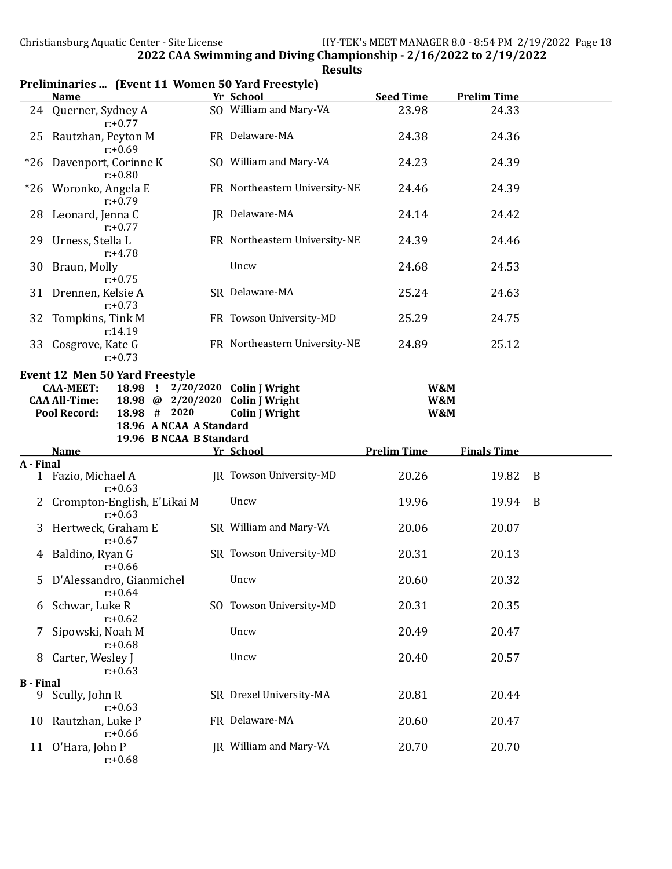|                  | <b>Name</b>                                              | Yr School                      | <b>Seed Time</b>   | <b>Prelim Time</b> |   |
|------------------|----------------------------------------------------------|--------------------------------|--------------------|--------------------|---|
|                  | 24 Querner, Sydney A<br>$r: +0.77$                       | SO William and Mary-VA         | 23.98              | 24.33              |   |
| 25               | Rautzhan, Peyton M<br>$r: +0.69$                         | FR Delaware-MA                 | 24.38              | 24.36              |   |
|                  | *26 Davenport, Corinne K<br>$r: +0.80$                   | SO William and Mary-VA         | 24.23              | 24.39              |   |
| $*26$            | Woronko, Angela E<br>$r: +0.79$                          | FR Northeastern University-NE  | 24.46              | 24.39              |   |
| 28               | Leonard, Jenna C<br>$r: +0.77$                           | JR Delaware-MA                 | 24.14              | 24.42              |   |
| 29               | Urness, Stella L<br>$r: +4.78$                           | FR Northeastern University-NE  | 24.39              | 24.46              |   |
| 30               | Braun, Molly<br>$r: +0.75$                               | Uncw                           | 24.68              | 24.53              |   |
|                  | 31 Drennen, Kelsie A<br>$r: +0.73$                       | SR Delaware-MA                 | 25.24              | 24.63              |   |
| 32               | Tompkins, Tink M<br>r:14.19                              | FR Towson University-MD        | 25.29              | 24.75              |   |
|                  | 33 Cosgrove, Kate G<br>$r: +0.73$                        | FR Northeastern University-NE  | 24.89              | 25.12              |   |
|                  | <b>Event 12 Men 50 Yard Freestyle</b>                    |                                |                    |                    |   |
|                  | 18.98 ! 2/20/2020 Colin J Wright<br><b>CAA-MEET:</b>     |                                | W&M                |                    |   |
|                  | 18.98 @ 2/20/2020 Colin J Wright<br><b>CAA All-Time:</b> |                                | W&M                |                    |   |
|                  | Pool Record:<br>18.98 # 2020                             | <b>Colin J Wright</b>          | W&M                |                    |   |
|                  |                                                          |                                |                    |                    |   |
|                  | 18.96 A NCAA A Standard                                  |                                |                    |                    |   |
|                  | 19.96 B NCAA B Standard                                  |                                |                    |                    |   |
|                  | <b>Name</b>                                              | Yr School                      | <b>Prelim Time</b> | <b>Finals Time</b> |   |
| A - Final        |                                                          |                                |                    |                    |   |
|                  | 1 Fazio, Michael A<br>$r: +0.63$                         | <b>JR</b> Towson University-MD | 20.26              | 19.82              | B |
| 2                | Crompton-English, E'Likai M<br>$r: +0.63$                | Uncw                           | 19.96              | 19.94              | B |
| 3                | Hertweck, Graham E<br>$r: +0.67$                         | SR William and Mary-VA         | 20.06              | 20.07              |   |
|                  | 4 Baldino, Ryan G<br>$r: +0.66$                          | SR Towson University-MD        | 20.31              | 20.13              |   |
|                  | 5 D'Alessandro, Gianmichel<br>$r: +0.64$                 | Uncw                           | 20.60              | 20.32              |   |
| 6                | Schwar, Luke R<br>$r: +0.62$                             | SO Towson University-MD        | 20.31              | 20.35              |   |
| 7                | Sipowski, Noah M                                         | Uncw                           | 20.49              | 20.47              |   |
| 8                | $r: +0.68$<br>Carter, Wesley J<br>$r: +0.63$             | Uncw                           | 20.40              | 20.57              |   |
| <b>B</b> - Final |                                                          |                                |                    |                    |   |
|                  | 9 Scully, John R<br>$r: +0.63$                           | SR Drexel University-MA        | 20.81              | 20.44              |   |
| 10               | Rautzhan, Luke P<br>$r: +0.66$                           | FR Delaware-MA                 | 20.60              | 20.47              |   |

#### Preliminaries ... (Event 11 Women 50 Yard Freestyle)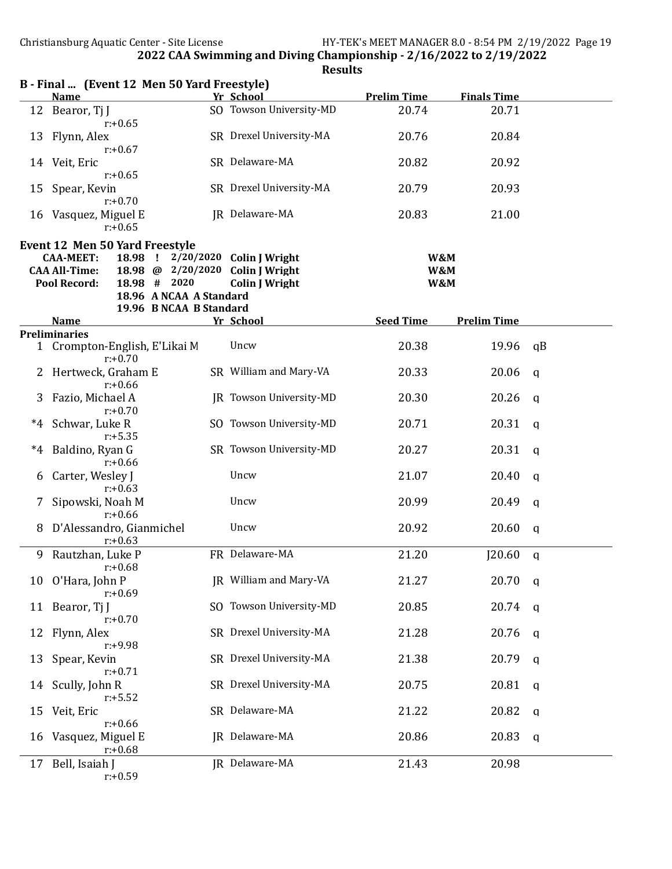| 12 Bearor, Tj J                |                                                                                                                                                                                                                                                                                                                                       |                                                                                                                                                                                      | 20.74                                                                                                                                                                                                                                                                                                                                                                                                                                                                                                                                                                                                                    | 20.71                                                    |                                                                                 |
|--------------------------------|---------------------------------------------------------------------------------------------------------------------------------------------------------------------------------------------------------------------------------------------------------------------------------------------------------------------------------------|--------------------------------------------------------------------------------------------------------------------------------------------------------------------------------------|--------------------------------------------------------------------------------------------------------------------------------------------------------------------------------------------------------------------------------------------------------------------------------------------------------------------------------------------------------------------------------------------------------------------------------------------------------------------------------------------------------------------------------------------------------------------------------------------------------------------------|----------------------------------------------------------|---------------------------------------------------------------------------------|
| Flynn, Alex                    |                                                                                                                                                                                                                                                                                                                                       |                                                                                                                                                                                      | 20.76                                                                                                                                                                                                                                                                                                                                                                                                                                                                                                                                                                                                                    | 20.84                                                    |                                                                                 |
| 14 Veit, Eric                  |                                                                                                                                                                                                                                                                                                                                       |                                                                                                                                                                                      | 20.82                                                                                                                                                                                                                                                                                                                                                                                                                                                                                                                                                                                                                    | 20.92                                                    |                                                                                 |
| Spear, Kevin                   |                                                                                                                                                                                                                                                                                                                                       |                                                                                                                                                                                      | 20.79                                                                                                                                                                                                                                                                                                                                                                                                                                                                                                                                                                                                                    | 20.93                                                    |                                                                                 |
| 16 Vasquez, Miguel E           |                                                                                                                                                                                                                                                                                                                                       |                                                                                                                                                                                      | 20.83                                                                                                                                                                                                                                                                                                                                                                                                                                                                                                                                                                                                                    | 21.00                                                    |                                                                                 |
|                                |                                                                                                                                                                                                                                                                                                                                       |                                                                                                                                                                                      |                                                                                                                                                                                                                                                                                                                                                                                                                                                                                                                                                                                                                          |                                                          |                                                                                 |
| <b>CAA-MEET:</b>               | $\mathbf{I}$                                                                                                                                                                                                                                                                                                                          | <b>Colin J Wright</b>                                                                                                                                                                |                                                                                                                                                                                                                                                                                                                                                                                                                                                                                                                                                                                                                          |                                                          |                                                                                 |
| <b>CAA All-Time:</b>           |                                                                                                                                                                                                                                                                                                                                       | <b>Colin J Wright</b>                                                                                                                                                                |                                                                                                                                                                                                                                                                                                                                                                                                                                                                                                                                                                                                                          |                                                          |                                                                                 |
|                                |                                                                                                                                                                                                                                                                                                                                       |                                                                                                                                                                                      |                                                                                                                                                                                                                                                                                                                                                                                                                                                                                                                                                                                                                          |                                                          |                                                                                 |
|                                |                                                                                                                                                                                                                                                                                                                                       |                                                                                                                                                                                      |                                                                                                                                                                                                                                                                                                                                                                                                                                                                                                                                                                                                                          |                                                          |                                                                                 |
|                                |                                                                                                                                                                                                                                                                                                                                       |                                                                                                                                                                                      |                                                                                                                                                                                                                                                                                                                                                                                                                                                                                                                                                                                                                          |                                                          |                                                                                 |
|                                |                                                                                                                                                                                                                                                                                                                                       |                                                                                                                                                                                      |                                                                                                                                                                                                                                                                                                                                                                                                                                                                                                                                                                                                                          |                                                          |                                                                                 |
|                                |                                                                                                                                                                                                                                                                                                                                       |                                                                                                                                                                                      |                                                                                                                                                                                                                                                                                                                                                                                                                                                                                                                                                                                                                          |                                                          |                                                                                 |
| $r: +0.70$                     |                                                                                                                                                                                                                                                                                                                                       |                                                                                                                                                                                      |                                                                                                                                                                                                                                                                                                                                                                                                                                                                                                                                                                                                                          |                                                          | qB                                                                              |
| $r: +0.66$                     |                                                                                                                                                                                                                                                                                                                                       |                                                                                                                                                                                      |                                                                                                                                                                                                                                                                                                                                                                                                                                                                                                                                                                                                                          |                                                          | $\mathsf{q}$                                                                    |
| Fazio, Michael A<br>$r: +0.70$ |                                                                                                                                                                                                                                                                                                                                       |                                                                                                                                                                                      | 20.30                                                                                                                                                                                                                                                                                                                                                                                                                                                                                                                                                                                                                    | 20.26                                                    | $\mathsf{q}$                                                                    |
| Schwar, Luke R                 |                                                                                                                                                                                                                                                                                                                                       |                                                                                                                                                                                      | 20.71                                                                                                                                                                                                                                                                                                                                                                                                                                                                                                                                                                                                                    | 20.31                                                    | $\mathsf{q}$                                                                    |
| Baldino, Ryan G                |                                                                                                                                                                                                                                                                                                                                       |                                                                                                                                                                                      | 20.27                                                                                                                                                                                                                                                                                                                                                                                                                                                                                                                                                                                                                    | 20.31                                                    | q                                                                               |
| Carter, Wesley J               |                                                                                                                                                                                                                                                                                                                                       | Uncw                                                                                                                                                                                 | 21.07                                                                                                                                                                                                                                                                                                                                                                                                                                                                                                                                                                                                                    | 20.40                                                    | $\mathbf{q}$                                                                    |
| Sipowski, Noah M               |                                                                                                                                                                                                                                                                                                                                       | Uncw                                                                                                                                                                                 | 20.99                                                                                                                                                                                                                                                                                                                                                                                                                                                                                                                                                                                                                    | 20.49                                                    | $\mathsf{q}$                                                                    |
|                                |                                                                                                                                                                                                                                                                                                                                       | Uncw                                                                                                                                                                                 | 20.92                                                                                                                                                                                                                                                                                                                                                                                                                                                                                                                                                                                                                    | 20.60                                                    | $\mathsf{q}$                                                                    |
| Rautzhan, Luke P               |                                                                                                                                                                                                                                                                                                                                       |                                                                                                                                                                                      | 21.20                                                                                                                                                                                                                                                                                                                                                                                                                                                                                                                                                                                                                    | J20.60                                                   | $\mathbf q$                                                                     |
| 10 O'Hara, John P              |                                                                                                                                                                                                                                                                                                                                       |                                                                                                                                                                                      | 21.27                                                                                                                                                                                                                                                                                                                                                                                                                                                                                                                                                                                                                    | $20.70$ q                                                |                                                                                 |
| 11 Bearor, Tj J                |                                                                                                                                                                                                                                                                                                                                       |                                                                                                                                                                                      | 20.85                                                                                                                                                                                                                                                                                                                                                                                                                                                                                                                                                                                                                    | 20.74                                                    | q                                                                               |
| Flynn, Alex                    |                                                                                                                                                                                                                                                                                                                                       |                                                                                                                                                                                      | 21.28                                                                                                                                                                                                                                                                                                                                                                                                                                                                                                                                                                                                                    | 20.76                                                    | $\mathbf q$                                                                     |
| Spear, Kevin<br>13             |                                                                                                                                                                                                                                                                                                                                       |                                                                                                                                                                                      | 21.38                                                                                                                                                                                                                                                                                                                                                                                                                                                                                                                                                                                                                    | 20.79                                                    | q                                                                               |
| 14 Scully, John R              |                                                                                                                                                                                                                                                                                                                                       |                                                                                                                                                                                      | 20.75                                                                                                                                                                                                                                                                                                                                                                                                                                                                                                                                                                                                                    | 20.81                                                    | q                                                                               |
| Veit, Eric<br>15               |                                                                                                                                                                                                                                                                                                                                       |                                                                                                                                                                                      | 21.22                                                                                                                                                                                                                                                                                                                                                                                                                                                                                                                                                                                                                    | 20.82                                                    | q                                                                               |
| Vasquez, Miguel E              |                                                                                                                                                                                                                                                                                                                                       |                                                                                                                                                                                      | 20.86                                                                                                                                                                                                                                                                                                                                                                                                                                                                                                                                                                                                                    | 20.83                                                    | q                                                                               |
| Bell, Isaiah J<br>17           |                                                                                                                                                                                                                                                                                                                                       |                                                                                                                                                                                      | 21.43                                                                                                                                                                                                                                                                                                                                                                                                                                                                                                                                                                                                                    | 20.98                                                    |                                                                                 |
|                                | <b>Name</b><br>$r: +0.65$<br>$r: +0.67$<br>$r: +0.65$<br>$r: +0.70$<br>$r: +0.65$<br><b>Pool Record:</b><br><b>Name</b><br><b>Preliminaries</b><br>$r: +5.35$<br>$r: +0.66$<br>$r: +0.63$<br>$r: +0.66$<br>$r: +0.63$<br>$r: +0.68$<br>$r: +0.69$<br>$r: +0.70$<br>$r: +9.98$<br>$r: +0.71$<br>$r: +5.52$<br>$r: +0.66$<br>$r: +0.68$ | <b>Event 12 Men 50 Yard Freestyle</b><br>18.98<br>18.98 @ 2/20/2020<br>18.98 # 2020<br>1 Crompton-English, E'Likai M<br>Hertweck, Graham E<br>D'Alessandro, Gianmichel<br>$r: +0.59$ | D • Filiai  Tevent 12 men 50 faru Freestyle)<br>Yr School<br>SO Towson University-MD<br>SR Drexel University-MA<br>SR Delaware-MA<br>SR Drexel University-MA<br>JR Delaware-MA<br>2/20/2020<br><b>Colin J Wright</b><br>18.96 A NCAA A Standard<br>19.96 B NCAA B Standard<br>Yr School<br>Uncw<br>SR William and Mary-VA<br>JR Towson University-MD<br>SO Towson University-MD<br>SR Towson University-MD<br>FR Delaware-MA<br>JR William and Mary-VA<br>SO Towson University-MD<br>SR Drexel University-MA<br>SR Drexel University-MA<br>SR Drexel University-MA<br>SR Delaware-MA<br>JR Delaware-MA<br>JR Delaware-MA | <b>Prelim Time</b><br><b>Seed Time</b><br>20.38<br>20.33 | <b>Finals Time</b><br>W&M<br>W&M<br>W&M<br><b>Prelim Time</b><br>19.96<br>20.06 |

 $B -$  Final  $\alpha$  (Event 12 Men 50 Vard Freestyle)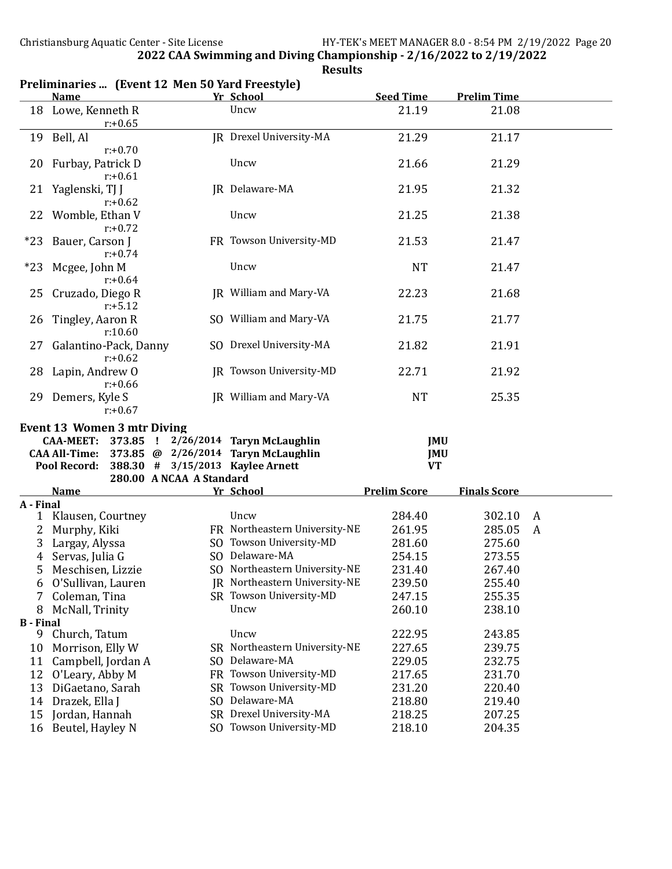|                  | <b>Name</b>                          | Yr School                                                               | <b>Seed Time</b>        | <b>Prelim Time</b>  |   |
|------------------|--------------------------------------|-------------------------------------------------------------------------|-------------------------|---------------------|---|
|                  | 18 Lowe, Kenneth R<br>$r: +0.65$     | Uncw                                                                    | 21.19                   | 21.08               |   |
|                  | 19 Bell, Al<br>$r: +0.70$            | JR Drexel University-MA                                                 | 21.29                   | 21.17               |   |
| 20               | Furbay, Patrick D<br>$r: +0.61$      | Uncw                                                                    | 21.66                   | 21.29               |   |
| 21               | Yaglenski, TJ J<br>$r: +0.62$        | JR Delaware-MA                                                          | 21.95                   | 21.32               |   |
| 22               | Womble, Ethan V<br>$r: +0.72$        | Uncw                                                                    | 21.25                   | 21.38               |   |
| *23              | Bauer, Carson J<br>$r: +0.74$        | FR Towson University-MD                                                 | 21.53                   | 21.47               |   |
| $*23$            | Mcgee, John M<br>$r: +0.64$          | Uncw                                                                    | NT                      | 21.47               |   |
| 25               | Cruzado, Diego R<br>$r: +5.12$       | JR William and Mary-VA                                                  | 22.23                   | 21.68               |   |
| 26               | Tingley, Aaron R<br>r:10.60          | SO William and Mary-VA                                                  | 21.75                   | 21.77               |   |
| ZT               | Galantino-Pack, Danny<br>$r: +0.62$  | SO Drexel University-MA                                                 | 21.82                   | 21.91               |   |
|                  | 28 Lapin, Andrew O<br>$r: +0.66$     | <b>IR Towson University-MD</b>                                          | 22.71                   | 21.92               |   |
|                  | 29 Demers, Kyle S<br>$r: +0.67$      | JR William and Mary-VA                                                  | <b>NT</b>               | 25.35               |   |
|                  | <b>Event 13 Women 3 mtr Diving</b>   |                                                                         |                         |                     |   |
|                  | <b>CAA-MEET:</b>                     | 373.85 ! 2/26/2014 Taryn McLaughlin                                     | JMU                     |                     |   |
|                  | <b>CAA All-Time:</b><br>Pool Record: | 373.85 @ 2/26/2014 Taryn McLaughlin<br>388.30 # 3/15/2013 Kaylee Arnett | <b>JMU</b><br><b>VT</b> |                     |   |
|                  | 280.00 A NCAA A Standard             |                                                                         |                         |                     |   |
|                  | <b>Name</b>                          | Yr School                                                               |                         |                     |   |
| A - Final        |                                      |                                                                         | <b>Prelim Score</b>     | <b>Finals Score</b> |   |
| 1                |                                      |                                                                         |                         |                     |   |
|                  | Klausen, Courtney                    | Uncw                                                                    | 284.40                  | 302.10              | A |
| 2                | Murphy, Kiki                         | FR Northeastern University-NE                                           | 261.95                  | 285.05              | A |
| 3                | Largay, Alyssa                       | SO Towson University-MD                                                 | 281.60                  | 275.60              |   |
| 4                | Servas, Julia G                      | SO Delaware-MA                                                          | 254.15                  | 273.55              |   |
| 5                | Meschisen, Lizzie                    | SO Northeastern University-NE                                           | 231.40                  | 267.40              |   |
| 6                | O'Sullivan, Lauren                   | JR Northeastern University-NE                                           | 239.50                  | 255.40              |   |
| 7                | Coleman, Tina                        | SR Towson University-MD                                                 | 247.15                  | 255.35              |   |
| 8                | McNall, Trinity                      | Uncw                                                                    | 260.10                  | 238.10              |   |
| <b>B</b> - Final |                                      |                                                                         |                         |                     |   |
| 9                | Church, Tatum                        | Uncw                                                                    | 222.95                  | 243.85              |   |
| 10               | Morrison, Elly W                     | SR Northeastern University-NE                                           | 227.65                  | 239.75              |   |
| 11               | Campbell, Jordan A                   | SO Delaware-MA                                                          | 229.05                  | 232.75              |   |
| 12               | O'Leary, Abby M                      | FR Towson University-MD                                                 | 217.65                  | 231.70              |   |
| 13               | DiGaetano, Sarah                     | SR Towson University-MD                                                 | 231.20                  | 220.40              |   |
| 14               |                                      | SO Delaware-MA                                                          | 218.80                  | 219.40              |   |
| 15               | Drazek, Ella J<br>Jordan, Hannah     | SR Drexel University-MA                                                 | 218.25                  | 207.25              |   |

#### Preliminaries ... (Event 12 Men 50 Yard Freestyle)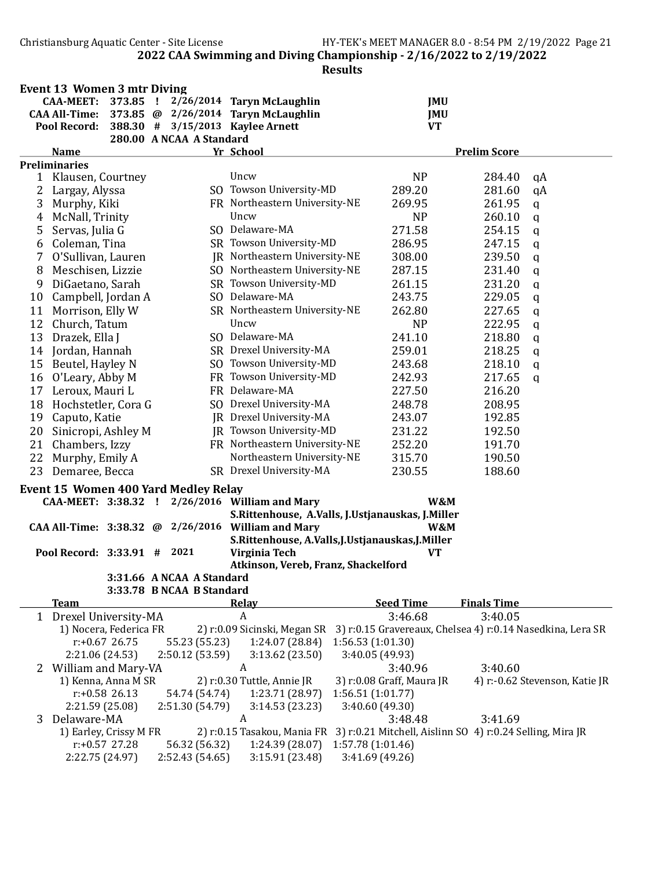|    | <b>Event 13 Women 3 mtr Diving</b>  |                  |                                             |                                                    |                   |                           |                                                           |                                                            |
|----|-------------------------------------|------------------|---------------------------------------------|----------------------------------------------------|-------------------|---------------------------|-----------------------------------------------------------|------------------------------------------------------------|
|    | CAA-MEET: 373.85 !                  |                  |                                             | 2/26/2014 Taryn McLaughlin                         |                   | <b>JMU</b>                |                                                           |                                                            |
|    |                                     |                  |                                             | CAA All-Time: 373.85 @ 2/26/2014 Taryn McLaughlin  |                   | <b>JMU</b>                |                                                           |                                                            |
|    | Pool Record:                        |                  |                                             | 388.30 # 3/15/2013 Kaylee Arnett                   |                   | <b>VT</b>                 |                                                           |                                                            |
|    |                                     |                  | 280.00 A NCAA A Standard                    |                                                    |                   |                           |                                                           |                                                            |
|    | <b>Name</b><br><b>Preliminaries</b> |                  |                                             | Yr School                                          |                   |                           | <b>Prelim Score</b>                                       |                                                            |
| 1  | Klausen, Courtney                   |                  |                                             | Uncw                                               |                   | <b>NP</b>                 | 284.40                                                    | qA                                                         |
| 2  | Largay, Alyssa                      |                  |                                             | SO Towson University-MD                            |                   | 289.20                    | 281.60                                                    | qA                                                         |
| 3  | Murphy, Kiki                        |                  |                                             | FR Northeastern University-NE                      |                   | 269.95                    | 261.95                                                    | $\mathbf q$                                                |
| 4  | McNall, Trinity                     |                  |                                             | Uncw                                               |                   | <b>NP</b>                 | 260.10                                                    | $\mathbf q$                                                |
| 5  | Servas, Julia G                     |                  |                                             | SO Delaware-MA                                     |                   | 271.58                    | 254.15                                                    | $\mathbf q$                                                |
| 6  | Coleman, Tina                       |                  |                                             | SR Towson University-MD                            |                   | 286.95                    | 247.15                                                    | q                                                          |
| 7  | O'Sullivan, Lauren                  |                  |                                             | JR Northeastern University-NE                      |                   | 308.00                    | 239.50                                                    | q                                                          |
| 8  | Meschisen, Lizzie                   |                  |                                             | SO Northeastern University-NE                      |                   | 287.15                    | 231.40                                                    | q                                                          |
| 9  | DiGaetano, Sarah                    |                  |                                             | SR Towson University-MD                            |                   | 261.15                    | 231.20                                                    | q                                                          |
| 10 | Campbell, Jordan A                  |                  |                                             | SO Delaware-MA                                     |                   | 243.75                    | 229.05                                                    | q                                                          |
| 11 | Morrison, Elly W                    |                  |                                             | SR Northeastern University-NE                      |                   | 262.80                    | 227.65                                                    | q                                                          |
| 12 | Church, Tatum                       |                  |                                             | Uncw                                               |                   | N <sub>P</sub>            | 222.95                                                    |                                                            |
|    |                                     |                  |                                             | SO Delaware-MA                                     |                   |                           |                                                           | q                                                          |
| 13 | Drazek, Ella J                      |                  |                                             | SR Drexel University-MA                            |                   | 241.10                    | 218.80                                                    | $\mathbf q$                                                |
| 14 | Jordan, Hannah                      |                  |                                             |                                                    |                   | 259.01                    | 218.25                                                    | q                                                          |
| 15 | Beutel, Hayley N                    |                  |                                             | SO Towson University-MD                            |                   | 243.68                    | 218.10                                                    | $\mathbf q$                                                |
| 16 | O'Leary, Abby M                     |                  |                                             | FR Towson University-MD                            |                   | 242.93                    | 217.65                                                    | q                                                          |
| 17 | Leroux, Mauri L                     |                  |                                             | FR Delaware-MA                                     |                   | 227.50                    | 216.20                                                    |                                                            |
| 18 | Hochstetler, Cora G                 |                  |                                             | SO Drexel University-MA                            |                   | 248.78                    | 208.95                                                    |                                                            |
| 19 | Caputo, Katie                       |                  |                                             | JR Drexel University-MA                            |                   | 243.07                    | 192.85                                                    |                                                            |
| 20 | Sinicropi, Ashley M                 |                  |                                             | JR Towson University-MD                            |                   | 231.22                    | 192.50                                                    |                                                            |
| 21 | Chambers, Izzy                      |                  |                                             | FR Northeastern University-NE                      |                   | 252.20                    | 191.70                                                    |                                                            |
| 22 | Murphy, Emily A                     |                  |                                             | Northeastern University-NE                         |                   | 315.70                    | 190.50                                                    |                                                            |
| 23 | Demaree, Becca                      |                  |                                             | SR Drexel University-MA                            |                   | 230.55                    | 188.60                                                    |                                                            |
|    |                                     |                  | <b>Event 15 Women 400 Yard Medley Relay</b> |                                                    |                   |                           |                                                           |                                                            |
|    |                                     |                  |                                             | CAA-MEET: 3:38.32 ! 2/26/2016 William and Mary     |                   | W&M                       |                                                           |                                                            |
|    |                                     |                  |                                             | S.Rittenhouse, A.Valls, J.Ustjanauskas, J.Miller   |                   |                           |                                                           |                                                            |
|    |                                     |                  |                                             | CAA All-Time: 3:38.32 @ 2/26/2016 William and Mary |                   | W&M                       |                                                           |                                                            |
|    |                                     |                  |                                             | S.Rittenhouse, A.Valls, J.Ustjanauskas, J.Miller   |                   |                           |                                                           |                                                            |
|    | Pool Record: 3:33.91 # 2021         |                  |                                             | Virginia Tech                                      |                   | <b>VT</b>                 |                                                           |                                                            |
|    |                                     |                  |                                             | Atkinson, Vereb, Franz, Shackelford                |                   |                           |                                                           |                                                            |
|    |                                     |                  | 3:31.66 A NCAA A Standard                   |                                                    |                   |                           |                                                           |                                                            |
|    |                                     |                  | 3:33.78 B NCAA B Standard                   |                                                    |                   |                           |                                                           |                                                            |
|    | <b>Team</b>                         |                  |                                             | <b>Relay</b>                                       |                   | <b>Seed Time</b>          | <b>Finals Time</b>                                        |                                                            |
|    | 1 Drexel University-MA              |                  |                                             | A                                                  |                   | 3:46.68                   | 3:40.05                                                   |                                                            |
|    | 1) Nocera, Federica FR              |                  |                                             | 2) r:0.09 Sicinski, Megan SR                       |                   |                           |                                                           | 3) r:0.15 Gravereaux, Chelsea 4) r:0.14 Nasedkina, Lera SR |
|    |                                     | $r: +0.67$ 26.75 | 55.23 (55.23)                               | 1:24.07 (28.84)                                    | 1:56.53(1:01.30)  |                           |                                                           |                                                            |
|    | 2:21.06 (24.53)                     |                  | 2:50.12 (53.59)                             | 3:13.62 (23.50)                                    | 3:40.05 (49.93)   |                           |                                                           |                                                            |
|    | 2 William and Mary-VA               |                  |                                             | A                                                  |                   | 3:40.96                   | 3:40.60                                                   |                                                            |
|    | 1) Kenna, Anna M SR                 |                  |                                             | 2) r:0.30 Tuttle, Annie JR                         |                   | 3) r:0.08 Graff, Maura JR |                                                           | 4) r:-0.62 Stevenson, Katie JR                             |
|    |                                     | $r: +0.58$ 26.13 | 54.74 (54.74)                               | 1:23.71 (28.97)                                    | 1:56.51(1:01.77)  |                           |                                                           |                                                            |
|    | 2:21.59 (25.08)                     |                  | 2:51.30 (54.79)                             | 3:14.53(23.23)                                     | 3:40.60 (49.30)   |                           |                                                           |                                                            |
| 3  | Delaware-MA                         |                  |                                             | A                                                  |                   | 3:48.48                   | 3:41.69                                                   |                                                            |
|    | 1) Earley, Crissy M FR              |                  |                                             | 2) r:0.15 Tasakou, Mania FR                        |                   |                           | 3) r:0.21 Mitchell, Aislinn SO 4) r:0.24 Selling, Mira JR |                                                            |
|    |                                     | $r: +0.57$ 27.28 | 56.32 (56.32)                               | 1:24.39 (28.07)                                    | 1:57.78 (1:01.46) |                           |                                                           |                                                            |
|    | 2:22.75 (24.97)                     |                  | 2:52.43 (54.65)                             | 3:15.91 (23.48)                                    | 3:41.69 (49.26)   |                           |                                                           |                                                            |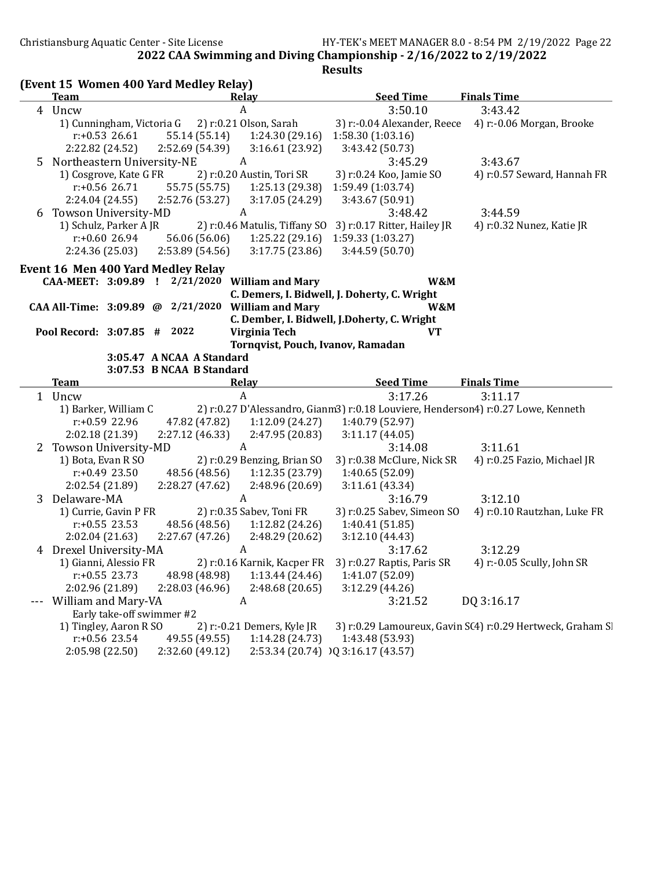4) r:0.57 Seward, Hannah FR

2022 CAA Swimming and Diving Championship - 2/16/2022 to 2/19/2022

|        |  |                                                                                 |                                                                                     | <b>Results</b>                                                                                                                                                                                                                                                                                                         |                                                                                                                                                                                                                                                                                                                                                                                                                                                                                                                                                                    |
|--------|--|---------------------------------------------------------------------------------|-------------------------------------------------------------------------------------|------------------------------------------------------------------------------------------------------------------------------------------------------------------------------------------------------------------------------------------------------------------------------------------------------------------------|--------------------------------------------------------------------------------------------------------------------------------------------------------------------------------------------------------------------------------------------------------------------------------------------------------------------------------------------------------------------------------------------------------------------------------------------------------------------------------------------------------------------------------------------------------------------|
|        |  |                                                                                 |                                                                                     |                                                                                                                                                                                                                                                                                                                        |                                                                                                                                                                                                                                                                                                                                                                                                                                                                                                                                                                    |
| Team   |  |                                                                                 | Relay                                                                               | <b>Seed Time</b>                                                                                                                                                                                                                                                                                                       | <b>Finals Time</b>                                                                                                                                                                                                                                                                                                                                                                                                                                                                                                                                                 |
| 4 Uncw |  |                                                                                 |                                                                                     | 3:50.10                                                                                                                                                                                                                                                                                                                | 3:43.42                                                                                                                                                                                                                                                                                                                                                                                                                                                                                                                                                            |
|        |  |                                                                                 |                                                                                     |                                                                                                                                                                                                                                                                                                                        | 3) r:-0.04 Alexander, Reece 4) r:-0.06 Morgan, Brooke                                                                                                                                                                                                                                                                                                                                                                                                                                                                                                              |
|        |  |                                                                                 |                                                                                     |                                                                                                                                                                                                                                                                                                                        |                                                                                                                                                                                                                                                                                                                                                                                                                                                                                                                                                                    |
|        |  |                                                                                 |                                                                                     | 3:43.42(50.73)                                                                                                                                                                                                                                                                                                         |                                                                                                                                                                                                                                                                                                                                                                                                                                                                                                                                                                    |
|        |  |                                                                                 | A                                                                                   | 3:45.29                                                                                                                                                                                                                                                                                                                | 3:43.67                                                                                                                                                                                                                                                                                                                                                                                                                                                                                                                                                            |
|        |  |                                                                                 |                                                                                     | 3) r:0.24 Koo, Jamie SO                                                                                                                                                                                                                                                                                                | 4) r:0.57 Seward, Hannah                                                                                                                                                                                                                                                                                                                                                                                                                                                                                                                                           |
|        |  |                                                                                 |                                                                                     | 1:59.49 (1:03.74)                                                                                                                                                                                                                                                                                                      |                                                                                                                                                                                                                                                                                                                                                                                                                                                                                                                                                                    |
|        |  |                                                                                 |                                                                                     | 3:43.67 (50.91)                                                                                                                                                                                                                                                                                                        |                                                                                                                                                                                                                                                                                                                                                                                                                                                                                                                                                                    |
|        |  |                                                                                 | $\mathsf{A}$                                                                        | 3:48.42                                                                                                                                                                                                                                                                                                                | 3:44.59                                                                                                                                                                                                                                                                                                                                                                                                                                                                                                                                                            |
|        |  |                                                                                 |                                                                                     |                                                                                                                                                                                                                                                                                                                        | 4) r:0.32 Nunez, Katie JR                                                                                                                                                                                                                                                                                                                                                                                                                                                                                                                                          |
|        |  |                                                                                 |                                                                                     |                                                                                                                                                                                                                                                                                                                        |                                                                                                                                                                                                                                                                                                                                                                                                                                                                                                                                                                    |
|        |  |                                                                                 |                                                                                     |                                                                                                                                                                                                                                                                                                                        |                                                                                                                                                                                                                                                                                                                                                                                                                                                                                                                                                                    |
|        |  |                                                                                 |                                                                                     |                                                                                                                                                                                                                                                                                                                        |                                                                                                                                                                                                                                                                                                                                                                                                                                                                                                                                                                    |
|        |  |                                                                                 |                                                                                     | W&M                                                                                                                                                                                                                                                                                                                    |                                                                                                                                                                                                                                                                                                                                                                                                                                                                                                                                                                    |
|        |  |                                                                                 |                                                                                     |                                                                                                                                                                                                                                                                                                                        |                                                                                                                                                                                                                                                                                                                                                                                                                                                                                                                                                                    |
|        |  |                                                                                 |                                                                                     | W&M                                                                                                                                                                                                                                                                                                                    |                                                                                                                                                                                                                                                                                                                                                                                                                                                                                                                                                                    |
|        |  |                                                                                 |                                                                                     |                                                                                                                                                                                                                                                                                                                        |                                                                                                                                                                                                                                                                                                                                                                                                                                                                                                                                                                    |
|        |  |                                                                                 |                                                                                     | <b>VT</b>                                                                                                                                                                                                                                                                                                              |                                                                                                                                                                                                                                                                                                                                                                                                                                                                                                                                                                    |
|        |  |                                                                                 |                                                                                     |                                                                                                                                                                                                                                                                                                                        |                                                                                                                                                                                                                                                                                                                                                                                                                                                                                                                                                                    |
|        |  |                                                                                 |                                                                                     |                                                                                                                                                                                                                                                                                                                        |                                                                                                                                                                                                                                                                                                                                                                                                                                                                                                                                                                    |
|        |  | r:+0.53 26.61<br>Towson University-MD<br>$r: +0.6026.94$<br>CAA-MEET: 3:09.89 ! | Northeastern University-NE<br>1) Cosgrove, Kate G FR<br>Pool Record: 3:07.85 # 2022 | (Event 15 Women 400 Yard Medley Relay)<br>1) Cunningham, Victoria G 2) r:0.21 Olson, Sarah<br>2) r:0.20 Austin, Tori SR<br><b>Event 16 Men 400 Yard Medley Relay</b><br>$2/21/2020$ William and Mary<br>CAA All-Time: $3:09.89$ @ $2/21/2020$<br><b>William and Mary</b><br>Virginia Tech<br>3:05.47 A NCAA A Standard | 55.14 (55.14) 1:24.30 (29.16) 1:58.30 (1:03.16)<br>$2:22.82$ (24.52) $2:52.69$ (54.39) $3:16.61$ (23.92)<br>$r: +0.56$ 26.71 55.75 (55.75) 1:25.13 (29.38)<br>$2:24.04(24.55)$ $2:52.76(53.27)$ $3:17.05(24.29)$<br>1) Schulz, Parker A JR 2) r:0.46 Matulis, Tiffany SO 3) r:0.17 Ritter, Hailey JR<br>56.06 (56.06) 1:25.22 (29.16) 1:59.33 (1:03.27)<br>$2:24.36(25.03)$ $2:53.89(54.56)$ $3:17.75(23.86)$ $3:44.59(50.70)$<br>C. Demers, I. Bidwell, J. Doherty, C. Wright<br>C. Dember, I. Bidwell, J.Doherty, C. Wright<br>Tornqvist, Pouch, Ivanov, Ramadan |

3:07.53 B NCAA B Standard Team **The Communist Communist Communist Communist Communist Communist Communist Communist Communist Communist Communist Communist Communist Communist Communist Communist Communist Communist Communist Communist Communist Co** 1 Uncw A 3:17.26 3:11.17 1) Barker, William C 2) r:0.27 D'Alessandro, Gianm3) r:0.18 Louviere, Henderson4) r:0.27 Lowe, Kenneth r:+0.59 22.96 47.82 (47.82) 1:12.09 (24.27) 1:40.79 (52.97) 2:02.18 (21.39) 2:27.12 (46.33) 2:47.95 (20.83) 3:11.17 (44.05) 2 Towson University-MD A 3:14.08 3:11.61 1) Bota, Evan R SO 2) r:0.29 Benzing, Brian SO 3) r:0.38 McClure, Nick SR 4) r:0.25 Fazio, Michael JR r:+0.49 23.50 48.56 (48.56) 1:12.35 (23.79) 1:40.65 (52.09) 2:02.54 (21.89) 2:28.27 (47.62) 2:48.96 (20.69) 3:11.61 (43.34) 3 Delaware-MA A 3:16.79 3:12.10 1) Currie, Gavin P FR 2) r:0.35 Sabev, Toni FR 3) r:0.25 Sabev, Simeon SO 4) r:0.10 Rautzhan, Luke FR r:+0.55 23.53 48.56 (48.56) 1:12.82 (24.26) 1:40.41 (51.85) 2:02.04 (21.63) 2:27.67 (47.26) 2:48.29 (20.62) 3:12.10 (44.43) 4 Drexel University-MA A 3:17.62 3:12.29 1) Gianni, Alessio FR 2) r:0.16 Karnik, Kacper FR 3) r:0.27 Raptis, Paris SR 4) r:-0.05 Scully, John SR r:+0.55 23.73 48.98 (48.98) 1:13.44 (24.46) 1:41.07 (52.09) 2:02.96 (21.89) 2:28.03 (46.96) 2:48.68 (20.65) 3:12.29 (44.26) --- William and Mary-VA <br>
A 3:21.52 DQ 3:16.17 Early take-off swimmer #2 1) Tingley, Aaron R SO 2) r:-0.21 Demers, Kyle JR 3) r:0.29 Lamoureux, Gavin S(4) r:0.29 Hertweck, Graham S. r:+0.56 23.54 49.55 (49.55) 1:14.28 (24.73) 1:43.48 (53.93) 2:05.98 (22.50) 2:32.60 (49.12) 2:53.34 (20.74) DQ 3:16.17 (43.57)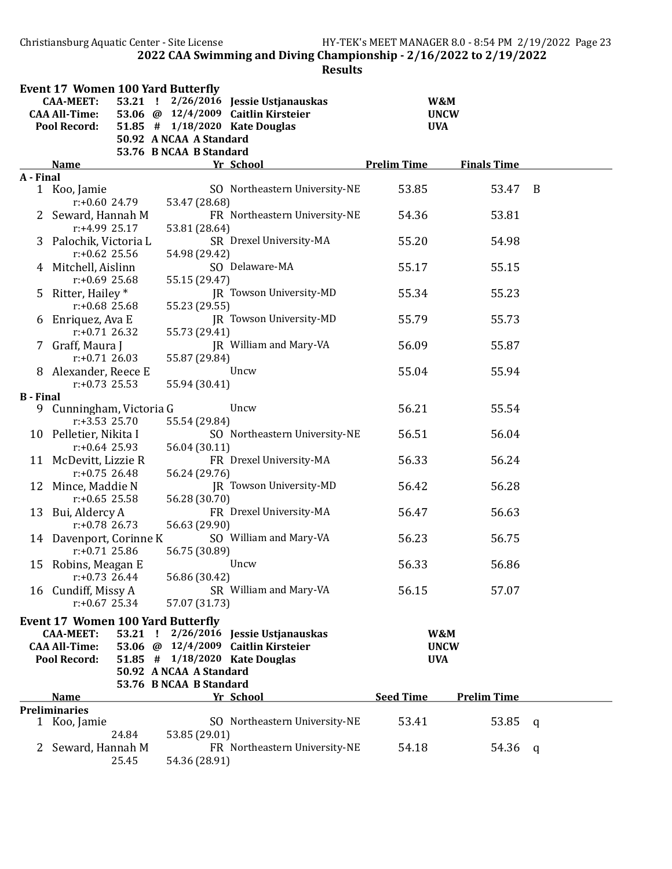Christiansburg Aquatic Center - Site License HY-TEK's MEET MANAGER 8.0 - 8:54 PM 2/19/2022 Page 23 2022 CAA Swimming and Diving Championship - 2/16/2022 to 2/19/2022

|                  | <b>Event 17 Women 100 Yard Butterfly</b> |         |                         |                                     |                    |                    |              |  |
|------------------|------------------------------------------|---------|-------------------------|-------------------------------------|--------------------|--------------------|--------------|--|
|                  | <b>CAA-MEET:</b>                         | 53.21 ! |                         | 2/26/2016 Jessie Ustjanauskas       |                    | W&M                |              |  |
|                  | <b>CAA All-Time:</b>                     |         |                         | 53.06 @ 12/4/2009 Caitlin Kirsteier |                    | <b>UNCW</b>        |              |  |
|                  | Pool Record:                             |         |                         | 51.85 # 1/18/2020 Kate Douglas      |                    | <b>UVA</b>         |              |  |
|                  |                                          |         | 50.92 A NCAA A Standard |                                     |                    |                    |              |  |
|                  |                                          |         | 53.76 B NCAA B Standard |                                     |                    |                    |              |  |
|                  | <b>Name</b>                              |         |                         | Yr School                           | <b>Prelim Time</b> | <b>Finals Time</b> |              |  |
| A - Final        |                                          |         |                         |                                     |                    |                    |              |  |
|                  | 1 Koo, Jamie                             |         |                         | SO Northeastern University-NE       | 53.85              | 53.47              | B            |  |
|                  | $r: +0.60$ 24.79                         |         | 53.47 (28.68)           |                                     |                    |                    |              |  |
|                  | 2 Seward, Hannah M                       |         |                         | FR Northeastern University-NE       | 54.36              | 53.81              |              |  |
|                  | r:+4.99 25.17                            |         | 53.81 (28.64)           |                                     |                    |                    |              |  |
|                  | 3 Palochik, Victoria L                   |         |                         | SR Drexel University-MA             | 55.20              | 54.98              |              |  |
|                  | $r: +0.62$ 25.56                         |         | 54.98 (29.42)           |                                     |                    |                    |              |  |
|                  | 4 Mitchell, Aislinn                      |         |                         | SO Delaware-MA                      | 55.17              | 55.15              |              |  |
|                  | $r: +0.69$ 25.68                         |         | 55.15 (29.47)           |                                     |                    |                    |              |  |
| 5                | Ritter, Hailey *                         |         |                         | JR Towson University-MD             | 55.34              | 55.23              |              |  |
|                  | $r: +0.68$ 25.68                         |         | 55.23 (29.55)           |                                     |                    |                    |              |  |
| 6                | Enriquez, Ava E                          |         |                         | <b>IR Towson University-MD</b>      | 55.79              | 55.73              |              |  |
|                  | $r: +0.71$ 26.32                         |         | 55.73 (29.41)           | JR William and Mary-VA              | 56.09              |                    |              |  |
|                  | 7 Graff, Maura J<br>$r: +0.71$ 26.03     |         |                         |                                     |                    | 55.87              |              |  |
|                  |                                          |         | 55.87 (29.84)           | Uncw                                | 55.04              |                    |              |  |
|                  | 8 Alexander, Reece E<br>$r: +0.73$ 25.53 |         | 55.94 (30.41)           |                                     |                    | 55.94              |              |  |
| <b>B</b> - Final |                                          |         |                         |                                     |                    |                    |              |  |
| 9.               | Cunningham, Victoria G                   |         |                         | Uncw                                | 56.21              | 55.54              |              |  |
|                  | $r: +3.53$ 25.70                         |         | 55.54 (29.84)           |                                     |                    |                    |              |  |
|                  | 10 Pelletier, Nikita I                   |         |                         | SO Northeastern University-NE       | 56.51              | 56.04              |              |  |
|                  | $r: +0.64$ 25.93                         |         | 56.04 (30.11)           |                                     |                    |                    |              |  |
|                  | 11 McDevitt, Lizzie R                    |         |                         | FR Drexel University-MA             | 56.33              | 56.24              |              |  |
|                  | $r: +0.75$ 26.48                         |         | 56.24 (29.76)           |                                     |                    |                    |              |  |
| 12               | Mince, Maddie N                          |         |                         | JR Towson University-MD             | 56.42              | 56.28              |              |  |
|                  | $r: +0.65$ 25.58                         |         | 56.28 (30.70)           |                                     |                    |                    |              |  |
|                  | 13 Bui, Aldercy A                        |         |                         | FR Drexel University-MA             | 56.47              | 56.63              |              |  |
|                  | $r: +0.78$ 26.73                         |         | 56.63 (29.90)           |                                     |                    |                    |              |  |
|                  | 14 Davenport, Corinne K                  |         |                         | SO William and Mary-VA              | 56.23              | 56.75              |              |  |
|                  | $r: +0.71$ 25.86                         |         | 56.75 (30.89)           |                                     |                    |                    |              |  |
|                  | 15 Robins, Meagan E                      |         |                         | Uncw                                | 56.33              | 56.86              |              |  |
|                  | $r: +0.73$ 26.44                         |         | 56.86 (30.42)           |                                     |                    |                    |              |  |
|                  | 16 Cundiff, Missy A                      |         |                         | SR William and Mary-VA              | 56.15              | 57.07              |              |  |
|                  | $r: +0.67$ 25.34                         |         | 57.07 (31.73)           |                                     |                    |                    |              |  |
|                  | <b>Event 17 Women 100 Yard Butterfly</b> |         |                         |                                     |                    |                    |              |  |
|                  | <b>CAA-MEET:</b>                         | 53.21 ! |                         | 2/26/2016 Jessie Ustjanauskas       |                    | W&M                |              |  |
|                  | <b>CAA All-Time:</b>                     |         |                         | 53.06 @ 12/4/2009 Caitlin Kirsteier |                    | <b>UNCW</b>        |              |  |
|                  | <b>Pool Record:</b>                      |         |                         | 51.85 # 1/18/2020 Kate Douglas      |                    | <b>UVA</b>         |              |  |
|                  |                                          |         | 50.92 A NCAA A Standard |                                     |                    |                    |              |  |
|                  |                                          |         | 53.76 B NCAA B Standard |                                     |                    |                    |              |  |
|                  | <b>Name</b>                              |         |                         | Yr School                           | <b>Seed Time</b>   | <b>Prelim Time</b> |              |  |
|                  | <b>Preliminaries</b>                     |         |                         |                                     |                    |                    |              |  |
|                  | 1 Koo, Jamie                             |         |                         | SO Northeastern University-NE       | 53.41              | 53.85              | <sub>q</sub> |  |
|                  |                                          | 24.84   | 53.85 (29.01)           |                                     |                    |                    |              |  |
|                  | Seward, Hannah M                         |         |                         | FR Northeastern University-NE       | 54.18              | 54.36              | - q          |  |
|                  |                                          | 25.45   | 54.36 (28.91)           |                                     |                    |                    |              |  |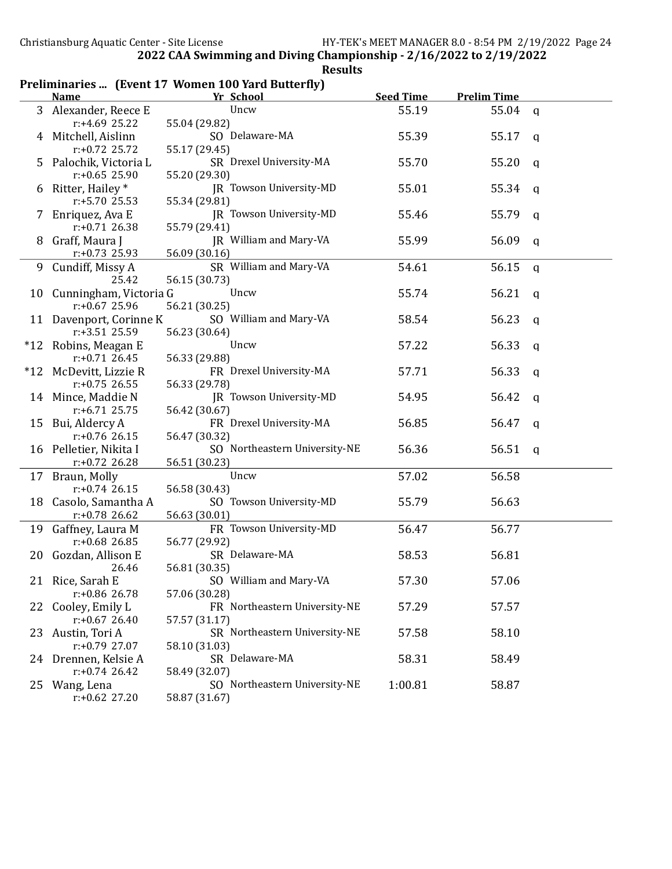|   | <b>Name</b>               | Yr School                     | <b>Seed Time</b> | <b>Prelim Time</b> |              |
|---|---------------------------|-------------------------------|------------------|--------------------|--------------|
|   | 3 Alexander, Reece E      | Uncw                          | 55.19            | $55.04 \quad q$    |              |
|   | $r: +4.69$ 25.22          | 55.04 (29.82)                 |                  |                    |              |
| 4 | Mitchell, Aislinn         | SO Delaware-MA                | 55.39            | 55.17 q            |              |
|   | $r: +0.72$ 25.72          | 55.17 (29.45)                 |                  |                    |              |
|   | 5 Palochik, Victoria L    | SR Drexel University-MA       | 55.70            | 55.20              | q            |
|   | $r: +0.65$ 25.90          | 55.20 (29.30)                 |                  |                    |              |
|   | 6 Ritter, Hailey *        | JR Towson University-MD       | 55.01            | 55.34              | q            |
|   | $r: +5.70$ 25.53          | 55.34 (29.81)                 |                  |                    |              |
|   | 7 Enriquez, Ava E         | JR Towson University-MD       | 55.46            | 55.79              | q            |
|   | $r: +0.71$ 26.38          | 55.79 (29.41)                 |                  |                    |              |
|   | 8 Graff, Maura J          | JR William and Mary-VA        | 55.99            | 56.09              | q            |
|   | $r: +0.73$ 25.93          | 56.09 (30.16)                 |                  |                    |              |
|   | 9 Cundiff, Missy A        | SR William and Mary-VA        | 54.61            | 56.15              | $\mathsf{q}$ |
|   | 25.42                     | 56.15 (30.73)                 |                  |                    |              |
|   | 10 Cunningham, Victoria G | Uncw                          | 55.74            | 56.21              | q            |
|   | $r: +0.67$ 25.96          | 56.21 (30.25)                 |                  |                    |              |
|   | 11 Davenport, Corinne K   | SO William and Mary-VA        | 58.54            | 56.23              | q            |
|   | $r: +3.51$ 25.59          | 56.23 (30.64)                 |                  |                    |              |
|   | *12 Robins, Meagan E      | Uncw                          | 57.22            | 56.33              | q            |
|   | $r: +0.71$ 26.45          | 56.33 (29.88)                 |                  |                    |              |
|   | *12 McDevitt, Lizzie R    | FR Drexel University-MA       | 57.71            | 56.33              | q            |
|   | $r: +0.75$ 26.55          | 56.33 (29.78)                 |                  |                    |              |
|   | 14 Mince, Maddie N        | JR Towson University-MD       | 54.95            | 56.42              | q            |
|   | $r: +6.71$ 25.75          | 56.42 (30.67)                 |                  |                    |              |
|   | 15 Bui, Aldercy A         | FR Drexel University-MA       | 56.85            | 56.47              | q            |
|   | $r: +0.76$ 26.15          | 56.47 (30.32)                 |                  |                    |              |
|   | 16 Pelletier, Nikita I    | SO Northeastern University-NE | 56.36            | 56.51              | q            |
|   | $r: +0.72$ 26.28          | 56.51 (30.23)                 |                  |                    |              |
|   | 17 Braun, Molly           | Uncw                          | 57.02            | 56.58              |              |
|   | $r: +0.74$ 26.15          | 56.58 (30.43)                 |                  |                    |              |
|   | 18 Casolo, Samantha A     | SO Towson University-MD       | 55.79            | 56.63              |              |
|   |                           |                               |                  |                    |              |
|   | $r: +0.78$ 26.62          | 56.63 (30.01)                 |                  |                    |              |
|   | 19 Gaffney, Laura M       | FR Towson University-MD       | 56.47            | 56.77              |              |
|   | $r: +0.68$ 26.85          | 56.77 (29.92)                 |                  |                    |              |
|   | 20 Gozdan, Allison E      | SR Delaware-MA                | 58.53            | 56.81              |              |
|   | 26.46                     | 56.81 (30.35)                 |                  |                    |              |
|   | 21 Rice, Sarah E          | SO William and Mary-VA        | 57.30            | 57.06              |              |
|   | r:+0.86 26.78             | 57.06 (30.28)                 |                  |                    |              |
|   | 22 Cooley, Emily L        | FR Northeastern University-NE | 57.29            | 57.57              |              |
|   | $r: +0.67$ 26.40          | 57.57 (31.17)                 |                  |                    |              |
|   | 23 Austin, Tori A         | SR Northeastern University-NE | 57.58            | 58.10              |              |
|   | $r: +0.79$ 27.07          | 58.10 (31.03)                 |                  |                    |              |
|   | 24 Drennen, Kelsie A      | SR Delaware-MA                | 58.31            | 58.49              |              |
|   | $r: +0.74$ 26.42          | 58.49 (32.07)                 |                  |                    |              |
|   | 25 Wang, Lena             | SO Northeastern University-NE | 1:00.81          | 58.87              |              |
|   | $r: +0.62$ 27.20          | 58.87 (31.67)                 |                  |                    |              |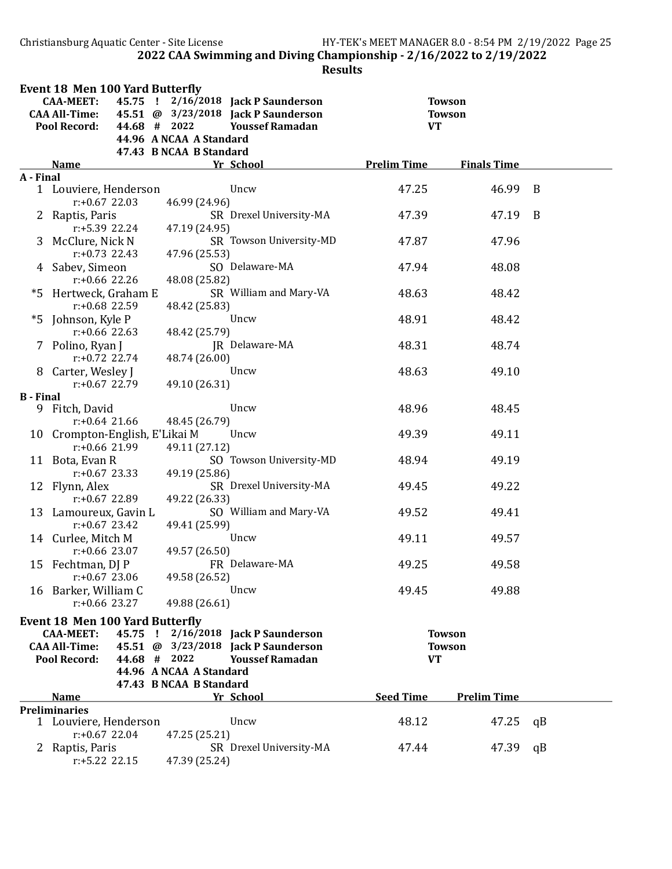Christiansburg Aquatic Center - Site License HY-TEK's MEET MANAGER 8.0 - 8:54 PM 2/19/2022 Page 25 2022 CAA Swimming and Diving Championship - 2/16/2022 to 2/19/2022

|                  | <b>Event 18 Men 100 Yard Butterfly</b><br><b>CAA-MEET:</b> |              |                                                    | 45.75 ! 2/16/2018 Jack P Saunderson                           |                    | <b>Towson</b>      |    |
|------------------|------------------------------------------------------------|--------------|----------------------------------------------------|---------------------------------------------------------------|--------------------|--------------------|----|
|                  | <b>CAA All-Time:</b><br><b>Pool Record:</b>                | 44.68 # 2022 |                                                    | 45.51 @ 3/23/2018 Jack P Saunderson<br><b>Youssef Ramadan</b> | <b>VT</b>          | <b>Towson</b>      |    |
|                  |                                                            |              | 44.96 A NCAA A Standard<br>47.43 B NCAA B Standard |                                                               |                    |                    |    |
|                  | <b>Name</b>                                                |              |                                                    | Yr School                                                     | <b>Prelim Time</b> | <b>Finals Time</b> |    |
| A - Final        |                                                            |              |                                                    |                                                               |                    |                    |    |
|                  | 1 Louviere, Henderson<br>$r: +0.67$ 22.03                  |              | 46.99 (24.96)                                      | Uncw                                                          | 47.25              | 46.99              | B  |
| $\mathbf{Z}$     | Raptis, Paris<br>r:+5.39 22.24                             |              | 47.19 (24.95)                                      | SR Drexel University-MA                                       | 47.39              | 47.19              | B  |
|                  | 3 McClure, Nick N<br>$r: +0.73$ 22.43                      |              | 47.96 (25.53)                                      | SR Towson University-MD                                       | 47.87              | 47.96              |    |
|                  | 4 Sabev, Simeon<br>$r: +0.66$ 22.26                        |              | 48.08 (25.82)                                      | SO Delaware-MA                                                | 47.94              | 48.08              |    |
|                  | *5 Hertweck, Graham E<br>$r: +0.68$ 22.59                  |              | 48.42 (25.83)                                      | SR William and Mary-VA                                        | 48.63              | 48.42              |    |
|                  | *5 Johnson, Kyle P<br>$r: +0.66$ 22.63                     |              | 48.42 (25.79)                                      | Uncw                                                          | 48.91              | 48.42              |    |
|                  | 7 Polino, Ryan J<br>$r: +0.72$ 22.74                       |              |                                                    | JR Delaware-MA                                                | 48.31              | 48.74              |    |
|                  | 8 Carter, Wesley J<br>$r: +0.67$ 22.79                     |              | 48.74 (26.00)<br>49.10 (26.31)                     | Uncw                                                          | 48.63              | 49.10              |    |
| <b>B</b> - Final |                                                            |              |                                                    |                                                               |                    |                    |    |
| 9.               | Fitch, David<br>$r: +0.64$ 21.66                           |              | 48.45 (26.79)                                      | Uncw                                                          | 48.96              | 48.45              |    |
|                  | 10 Crompton-English, E'Likai M<br>$r: +0.66$ 21.99         |              | 49.11 (27.12)                                      | Uncw                                                          | 49.39              | 49.11              |    |
|                  | 11 Bota, Evan R<br>$r: +0.67$ 23.33                        |              | 49.19 (25.86)                                      | SO Towson University-MD                                       | 48.94              | 49.19              |    |
|                  | 12 Flynn, Alex<br>$r: +0.67$ 22.89                         |              | 49.22 (26.33)                                      | SR Drexel University-MA                                       | 49.45              | 49.22              |    |
|                  | 13 Lamoureux, Gavin L<br>$r: +0.67$ 23.42                  |              | 49.41 (25.99)                                      | SO William and Mary-VA                                        | 49.52              | 49.41              |    |
|                  | 14 Curlee, Mitch M<br>$r: +0.66$ 23.07                     |              | 49.57 (26.50)                                      | Uncw                                                          | 49.11              | 49.57              |    |
|                  | 15 Fechtman, DJ P<br>$r: +0.67$ 23.06                      |              | 49.58 (26.52)                                      | FR Delaware-MA                                                | 49.25              | 49.58              |    |
|                  | 16 Barker, William C<br>$r: +0.66$ 23.27                   |              | 49.88 (26.61)                                      | Uncw                                                          | 49.45              | 49.88              |    |
|                  | <b>Event 18 Men 100 Yard Butterfly</b>                     |              |                                                    |                                                               |                    |                    |    |
|                  | <b>CAA-MEET:</b>                                           | 45.75 !      |                                                    | 2/16/2018 Jack P Saunderson                                   |                    | <b>Towson</b>      |    |
|                  | <b>CAA All-Time:</b>                                       |              |                                                    | 45.51 @ 3/23/2018 Jack P Saunderson                           |                    | <b>Towson</b>      |    |
|                  | <b>Pool Record:</b>                                        | 44.68 # 2022 |                                                    | <b>Youssef Ramadan</b>                                        | <b>VT</b>          |                    |    |
|                  |                                                            |              | 44.96 A NCAA A Standard                            |                                                               |                    |                    |    |
|                  |                                                            |              | 47.43 B NCAA B Standard                            |                                                               |                    |                    |    |
|                  | <b>Name</b><br><b>Preliminaries</b>                        |              |                                                    | Yr School                                                     | <b>Seed Time</b>   | <b>Prelim Time</b> |    |
|                  | 1 Louviere, Henderson<br>$r: +0.67$ 22.04                  |              | 47.25 (25.21)                                      | Uncw                                                          | 48.12              | 47.25              | qB |
|                  | 2 Raptis, Paris<br>$r: +5.22$ 22.15                        |              | 47.39 (25.24)                                      | SR Drexel University-MA                                       | 47.44              | 47.39              | qB |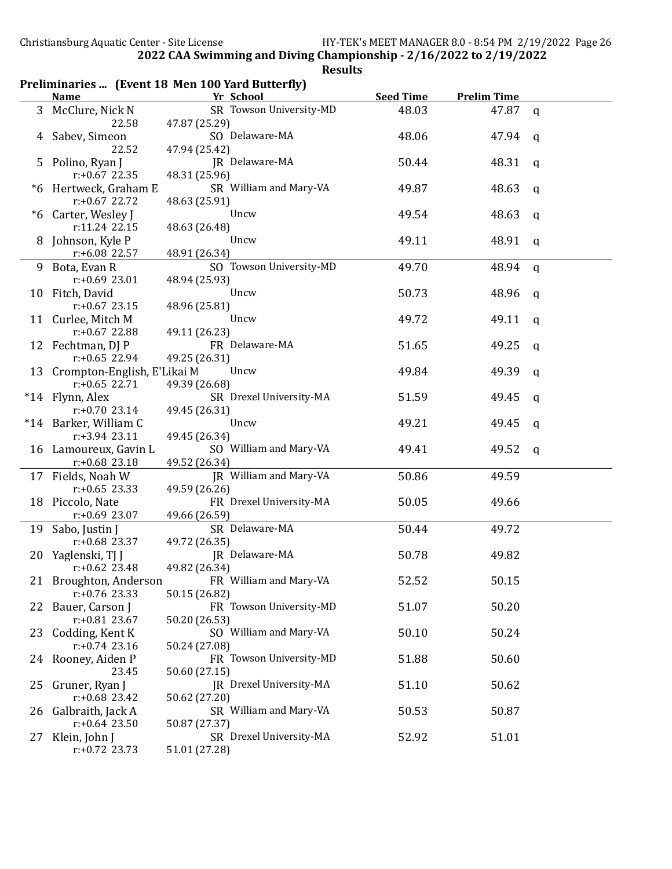| Preliminaries  (Event 18 Men 100 Yard Butterfly) |  |  |  |
|--------------------------------------------------|--|--|--|
|--------------------------------------------------|--|--|--|

|    | <b>Name</b>                           | Yr School                                     | <b>Seed Time</b> | <b>Prelim Time</b> |              |
|----|---------------------------------------|-----------------------------------------------|------------------|--------------------|--------------|
| 3  | McClure, Nick N                       | SR Towson University-MD                       | 48.03            | 47.87              | $\mathsf{q}$ |
|    | 22.58                                 | 47.87 (25.29)                                 |                  |                    |              |
|    | Sabev, Simeon                         | SO Delaware-MA                                | 48.06            | 47.94              | q            |
|    | 22.52                                 | 47.94 (25.42)                                 |                  |                    |              |
| 5  | Polino, Ryan J                        | JR Delaware-MA                                | 50.44            | 48.31              | q            |
|    | $r: +0.67$ 22.35                      | 48.31 (25.96)                                 |                  |                    |              |
|    | *6 Hertweck, Graham E                 | SR William and Mary-VA                        | 49.87            | 48.63              | q            |
|    | $r: +0.67$ 22.72                      | 48.63 (25.91)                                 |                  |                    |              |
|    | *6 Carter, Wesley J                   | Uncw                                          | 49.54            | 48.63              | q            |
|    | r:11.24 22.15                         | 48.63 (26.48)                                 |                  |                    |              |
|    | 8 Johnson, Kyle P                     | Uncw                                          | 49.11            | 48.91              | q            |
|    | r:+6.08 22.57                         | 48.91 (26.34)                                 |                  |                    |              |
|    | 9 Bota, Evan R                        | SO Towson University-MD                       | 49.70            | 48.94              | q            |
|    | $r: +0.69$ 23.01                      | 48.94 (25.93)                                 |                  |                    |              |
|    | 10 Fitch, David                       | Uncw                                          | 50.73            | 48.96              | q            |
|    | $r: +0.67$ 23.15                      | 48.96 (25.81)                                 |                  |                    |              |
|    | 11 Curlee, Mitch M                    | Uncw                                          | 49.72            | 49.11              | a            |
|    | r:+0.67 22.88                         | 49.11 (26.23)                                 |                  |                    |              |
|    | 12 Fechtman, DJ P                     | FR Delaware-MA                                | 51.65            | 49.25              | q            |
|    | $r: +0.65$ 22.94                      | 49.25 (26.31)                                 |                  |                    |              |
|    | 13 Crompton-English, E'Likai M        | Uncw                                          | 49.84            | 49.39              | q            |
|    | $r: +0.65$ 22.71                      | 49.39 (26.68)                                 |                  |                    |              |
|    | *14 Flynn, Alex                       | SR Drexel University-MA                       | 51.59            | 49.45              | a            |
|    | $r: +0.70$ 23.14                      | 49.45 (26.31)                                 |                  |                    |              |
|    | *14 Barker, William C                 | Uncw                                          | 49.21            | 49.45              | a            |
|    | r:+3.94 23.11                         | 49.45 (26.34)                                 |                  |                    |              |
|    | 16 Lamoureux, Gavin L                 | SO William and Mary-VA                        | 49.41            | 49.52              | $\mathsf{q}$ |
|    | $r: +0.68$ 23.18                      | 49.52 (26.34)                                 |                  |                    |              |
|    | 17 Fields, Noah W<br>$r: +0.65$ 23.33 | JR William and Mary-VA                        | 50.86            | 49.59              |              |
|    |                                       | 49.59 (26.26)<br>FR Drexel University-MA      | 50.05            | 49.66              |              |
|    | 18 Piccolo, Nate<br>$r: +0.69$ 23.07  | 49.66 (26.59)                                 |                  |                    |              |
|    |                                       | SR Delaware-MA                                | 50.44            |                    |              |
|    | 19 Sabo, Justin J<br>$r: +0.68$ 23.37 | 49.72 (26.35)                                 |                  | 49.72              |              |
|    | 20 Yaglenski, TJ J                    | JR Delaware-MA                                | 50.78            | 49.82              |              |
|    | $r: +0.62$ 23.48                      | 49.82 (26.34)                                 |                  |                    |              |
|    |                                       | 21 Broughton, Anderson FR William and Mary-VA | 52.52            | 50.15              |              |
|    | $r: +0.76$ 23.33                      | 50.15 (26.82)                                 |                  |                    |              |
| 22 | Bauer, Carson J                       | FR Towson University-MD                       | 51.07            | 50.20              |              |
|    | $r: +0.81$ 23.67                      | 50.20 (26.53)                                 |                  |                    |              |
| 23 | Codding, Kent K                       | SO William and Mary-VA                        | 50.10            | 50.24              |              |
|    | $r: +0.74$ 23.16                      | 50.24 (27.08)                                 |                  |                    |              |
|    | 24 Rooney, Aiden P                    | FR Towson University-MD                       | 51.88            | 50.60              |              |
|    | 23.45                                 | 50.60 (27.15)                                 |                  |                    |              |
|    | 25 Gruner, Ryan J                     | JR Drexel University-MA                       | 51.10            | 50.62              |              |
|    | $r: +0.68$ 23.42                      | 50.62 (27.20)                                 |                  |                    |              |
|    | 26 Galbraith, Jack A                  | SR William and Mary-VA                        | 50.53            | 50.87              |              |
|    | $r: +0.64$ 23.50                      | 50.87 (27.37)                                 |                  |                    |              |
|    | 27 Klein, John J                      | SR Drexel University-MA                       | 52.92            | 51.01              |              |
|    | $r: +0.72$ 23.73                      | 51.01 (27.28)                                 |                  |                    |              |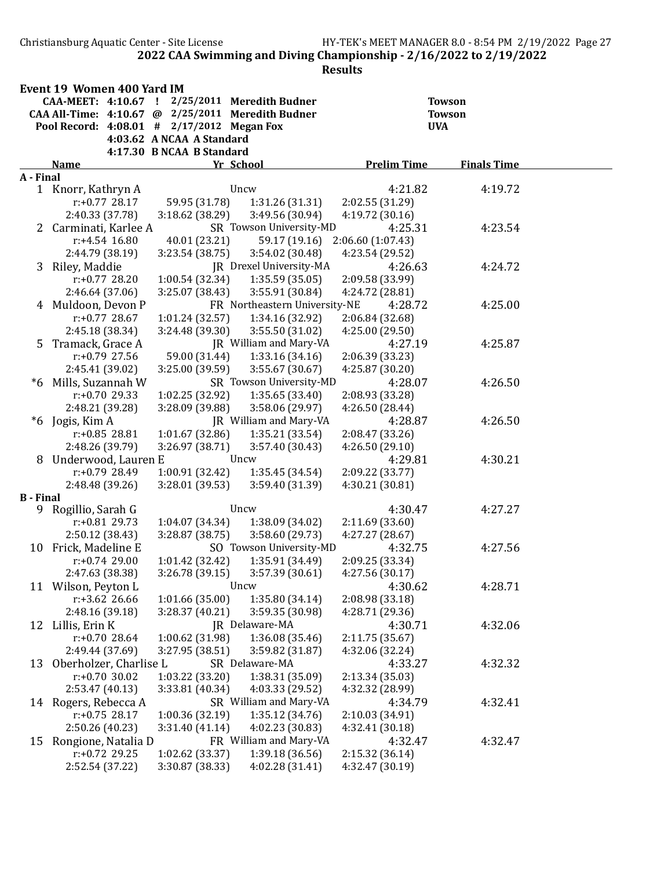Christiansburg Aquatic Center - Site License HY-TEK's MEET MANAGER 8.0 - 8:54 PM 2/19/2022 Page 27 2022 CAA Swimming and Diving Championship - 2/16/2022 to 2/19/2022

|                  | Event 19 Women 400 Yard IM                        |                                    |                                            |                                   |                    |  |
|------------------|---------------------------------------------------|------------------------------------|--------------------------------------------|-----------------------------------|--------------------|--|
|                  | CAA-MEET: 4:10.67 !                               |                                    | 2/25/2011 Meredith Budner                  |                                   | <b>Towson</b>      |  |
|                  | CAA All-Time: 4:10.67 @ 2/25/2011 Meredith Budner |                                    |                                            |                                   | <b>Towson</b>      |  |
|                  | Pool Record: 4:08.01 # 2/17/2012 Megan Fox        |                                    |                                            |                                   | <b>UVA</b>         |  |
|                  |                                                   | 4:03.62 A NCAA A Standard          |                                            |                                   |                    |  |
|                  |                                                   | 4:17.30 B NCAA B Standard          |                                            |                                   |                    |  |
|                  | <b>Name</b>                                       |                                    | Yr School                                  | <b>Prelim Time</b>                | <b>Finals Time</b> |  |
| A - Final        | 1 Knorr, Kathryn A                                |                                    | Uncw                                       | 4:21.82                           | 4:19.72            |  |
|                  | $r: +0.77$ 28.17                                  | 59.95 (31.78)                      | 1:31.26(31.31)                             | 2:02.55 (31.29)                   |                    |  |
|                  | 2:40.33 (37.78)                                   | 3:18.62 (38.29)                    | 3:49.56 (30.94)                            | 4:19.72 (30.16)                   |                    |  |
|                  | 2 Carminati, Karlee A                             |                                    | SR Towson University-MD                    | 4:25.31                           | 4:23.54            |  |
|                  | $r: +4.54$ 16.80                                  | 40.01 (23.21)                      | 59.17 (19.16)                              | 2:06.60(1:07.43)                  |                    |  |
|                  | 2:44.79 (38.19)                                   | 3:23.54(38.75)                     | 3:54.02 (30.48)                            | 4:23.54 (29.52)                   |                    |  |
|                  | 3 Riley, Maddie                                   |                                    | JR Drexel University-MA                    | 4:26.63                           | 4:24.72            |  |
|                  | $r: +0.77$ 28.20                                  | 1:00.54 (32.34)                    | 1:35.59(35.05)                             | 2:09.58 (33.99)                   |                    |  |
|                  | 2:46.64 (37.06)                                   | 3:25.07 (38.43)                    | 3:55.91 (30.84)                            | 4:24.72 (28.81)                   |                    |  |
|                  | 4 Muldoon, Devon P                                |                                    | FR Northeastern University-NE              | 4:28.72                           | 4:25.00            |  |
|                  | $r: +0.77$ 28.67                                  | 1:01.24(32.57)                     | 1:34.16 (32.92)                            | 2:06.84 (32.68)                   |                    |  |
|                  | 2:45.18 (38.34)                                   | 3:24.48 (39.30)                    | 3:55.50 (31.02)                            | 4:25.00 (29.50)                   |                    |  |
|                  | 5 Tramack, Grace A                                |                                    | JR William and Mary-VA                     | 4:27.19                           | 4:25.87            |  |
|                  | $r: +0.79$ 27.56                                  | 59.00 (31.44)                      | 1:33.16(34.16)                             | 2:06.39 (33.23)                   |                    |  |
|                  | 2:45.41 (39.02)                                   | 3:25.00 (39.59)                    | 3:55.67 (30.67)                            | 4:25.87 (30.20)                   |                    |  |
| *6               | Mills, Suzannah W                                 |                                    | SR Towson University-MD                    | 4:28.07                           | 4:26.50            |  |
|                  | $r: +0.70$ 29.33                                  | 1:02.25 (32.92)                    | 1:35.65(33.40)                             | 2:08.93 (33.28)                   |                    |  |
|                  | 2:48.21 (39.28)                                   | 3:28.09 (39.88)                    | 3:58.06 (29.97)                            | 4:26.50 (28.44)                   |                    |  |
| $*6$             | Jogis, Kim A                                      |                                    | JR William and Mary-VA                     | 4:28.87                           | 4:26.50            |  |
|                  | $r: +0.85$ 28.81                                  | 1:01.67 (32.86)                    | 1:35.21(33.54)                             | 2:08.47 (33.26)                   |                    |  |
|                  | 2:48.26 (39.79)                                   | 3:26.97 (38.71)                    | 3:57.40 (30.43)                            | 4:26.50(29.10)                    |                    |  |
| 8                | Underwood, Lauren E                               |                                    | Uncw                                       | 4:29.81                           | 4:30.21            |  |
|                  | r:+0.79 28.49                                     | 1:00.91 (32.42)                    | 1:35.45 (34.54)                            | 2:09.22 (33.77)                   |                    |  |
|                  | 2:48.48 (39.26)                                   | 3:28.01 (39.53)                    | 3:59.40 (31.39)                            | 4:30.21 (30.81)                   |                    |  |
| <b>B</b> - Final |                                                   |                                    |                                            |                                   |                    |  |
|                  | 9 Rogillio, Sarah G                               |                                    | Uncw                                       | 4:30.47                           | 4:27.27            |  |
|                  | $r: +0.81$ 29.73                                  | 1:04.07 (34.34)<br>3:28.87 (38.75) | 1:38.09 (34.02)                            | 2:11.69 (33.60)<br>4:27.27(28.67) |                    |  |
|                  | 2:50.12 (38.43)<br>Frick, Madeline E              |                                    | 3:58.60 (29.73)<br>SO Towson University-MD | 4:32.75                           | 4:27.56            |  |
| 10               | $r: +0.74$ 29.00                                  | 1:01.42 (32.42)                    | 1:35.91 (34.49)                            | 2:09.25 (33.34)                   |                    |  |
|                  | 2:47.63 (38.38)                                   | 3:26.78 (39.15)                    | 3:57.39 (30.61)                            | 4:27.56 (30.17)                   |                    |  |
| 11               | Wilson, Peyton L                                  |                                    | Uncw                                       | 4:30.62                           | 4:28.71            |  |
|                  | $r: +3.62$ 26.66                                  | 1:01.66(35.00)                     | 1:35.80 (34.14)                            | 2:08.98 (33.18)                   |                    |  |
|                  | 2:48.16 (39.18)                                   | 3:28.37 (40.21)                    | 3:59.35 (30.98)                            | 4:28.71 (29.36)                   |                    |  |
|                  | 12 Lillis, Erin K                                 |                                    | JR Delaware-MA                             | 4:30.71                           | 4:32.06            |  |
|                  | $r: +0.7028.64$                                   | 1:00.62 (31.98)                    | 1:36.08 (35.46)                            | 2:11.75 (35.67)                   |                    |  |
|                  | 2:49.44 (37.69)                                   | 3:27.95 (38.51)                    | 3:59.82 (31.87)                            | 4:32.06 (32.24)                   |                    |  |
| 13               | Oberholzer, Charlise L                            |                                    | SR Delaware-MA                             | 4:33.27                           | 4:32.32            |  |
|                  | $r: +0.70$ 30.02                                  | 1:03.22 (33.20)                    | 1:38.31 (35.09)                            | 2:13.34 (35.03)                   |                    |  |
|                  | 2:53.47 (40.13)                                   | 3:33.81 (40.34)                    | 4:03.33 (29.52)                            | 4:32.32 (28.99)                   |                    |  |
|                  | 14 Rogers, Rebecca A                              |                                    | SR William and Mary-VA                     | 4:34.79                           | 4:32.41            |  |
|                  | $r: +0.75$ 28.17                                  | 1:00.36 (32.19)                    | 1:35.12 (34.76)                            | 2:10.03 (34.91)                   |                    |  |
|                  | 2:50.26 (40.23)                                   | 3:31.40(41.14)                     | 4:02.23 (30.83)                            | 4:32.41 (30.18)                   |                    |  |
| 15               | Rongione, Natalia D                               |                                    | FR William and Mary-VA                     | 4:32.47                           | 4:32.47            |  |
|                  | $r: +0.72$ 29.25                                  | 1:02.62 (33.37)                    | 1:39.18 (36.56)                            | 2:15.32 (36.14)                   |                    |  |
|                  | 2:52.54 (37.22)                                   | 3:30.87 (38.33)                    | 4:02.28 (31.41)                            | 4:32.47 (30.19)                   |                    |  |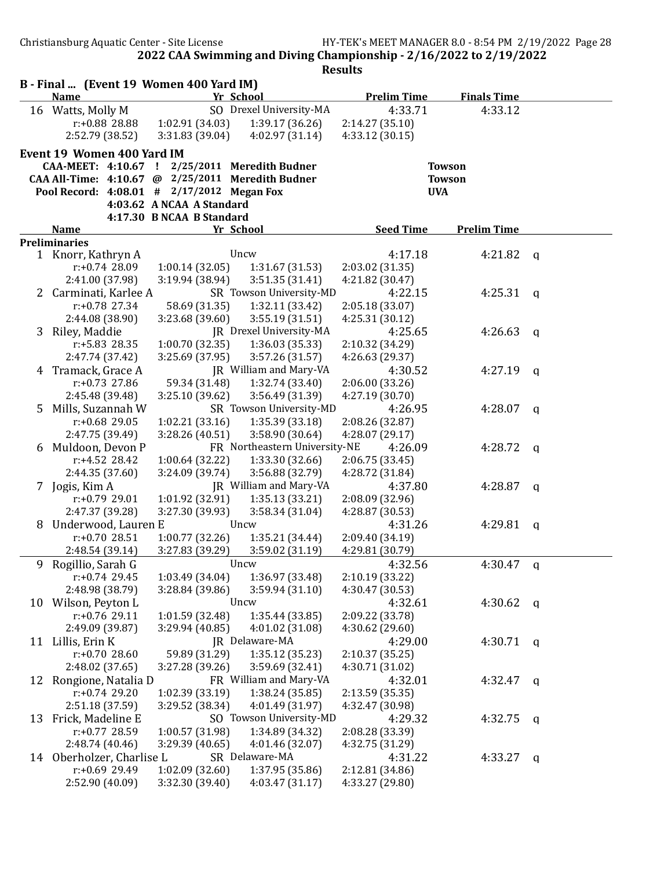Christiansburg Aquatic Center - Site License HY-TEK's MEET MANAGER 8.0 - 8:54 PM 2/19/2022 Page 28

|    | B - Final  (Event 19 Women 400 Yard IM)<br><b>Name</b>                      | Yr School       |                               | <b>Prelim Time</b> | <b>Finals Time</b>             |              |  |  |  |  |
|----|-----------------------------------------------------------------------------|-----------------|-------------------------------|--------------------|--------------------------------|--------------|--|--|--|--|
|    | 16 Watts, Molly M                                                           |                 | SO Drexel University-MA       | 4:33.71            | 4:33.12                        |              |  |  |  |  |
|    | r:+0.88 28.88                                                               | 1:02.91 (34.03) | 1:39.17(36.26)                | 2:14.27 (35.10)    |                                |              |  |  |  |  |
|    | 2:52.79 (38.52)                                                             | 3:31.83 (39.04) | 4:02.97 (31.14)               | 4:33.12 (30.15)    |                                |              |  |  |  |  |
|    |                                                                             |                 |                               |                    |                                |              |  |  |  |  |
|    | Event 19 Women 400 Yard IM<br>CAA-MEET: 4:10.67 ! 2/25/2011 Meredith Budner |                 |                               |                    |                                |              |  |  |  |  |
|    | CAA All-Time: 4:10.67 @ 2/25/2011 Meredith Budner                           |                 |                               |                    | <b>Towson</b><br><b>Towson</b> |              |  |  |  |  |
|    | Pool Record: 4:08.01 # 2/17/2012 Megan Fox                                  |                 |                               |                    | <b>UVA</b>                     |              |  |  |  |  |
|    |                                                                             |                 |                               |                    |                                |              |  |  |  |  |
|    | 4:03.62 A NCAA A Standard<br>4:17.30 B NCAA B Standard                      |                 |                               |                    |                                |              |  |  |  |  |
|    | <b>Name</b>                                                                 | Yr School       |                               | <b>Seed Time</b>   | <b>Prelim Time</b>             |              |  |  |  |  |
|    | <b>Preliminaries</b>                                                        |                 |                               |                    |                                |              |  |  |  |  |
|    | 1 Knorr, Kathryn A                                                          | Uncw            |                               | 4:17.18            | 4:21.82                        | q            |  |  |  |  |
|    | r:+0.74 28.09                                                               | 1:00.14(32.05)  | 1:31.67(31.53)                | 2:03.02 (31.35)    |                                |              |  |  |  |  |
|    | 2:41.00 (37.98)                                                             | 3:19.94 (38.94) | 3:51.35 (31.41)               | 4:21.82 (30.47)    |                                |              |  |  |  |  |
|    | 2 Carminati, Karlee A                                                       |                 | SR Towson University-MD       | 4:22.15            | 4:25.31                        | q            |  |  |  |  |
|    | $r: +0.78$ 27.34                                                            | 58.69 (31.35)   | 1:32.11 (33.42)               | 2:05.18 (33.07)    |                                |              |  |  |  |  |
|    | 2:44.08 (38.90)                                                             | 3:23.68 (39.60) | 3:55.19(31.51)                | 4:25.31 (30.12)    |                                |              |  |  |  |  |
| 3  | Riley, Maddie                                                               |                 | JR Drexel University-MA       | 4:25.65            | 4:26.63                        | $\mathsf{q}$ |  |  |  |  |
|    | r:+5.83 28.35                                                               | 1:00.70 (32.35) | 1:36.03 (35.33)               | 2:10.32 (34.29)    |                                |              |  |  |  |  |
|    | 2:47.74 (37.42)                                                             | 3:25.69 (37.95) | 3:57.26 (31.57)               | 4:26.63 (29.37)    |                                |              |  |  |  |  |
|    | 4 Tramack, Grace A                                                          |                 | JR William and Mary-VA        | 4:30.52            | 4:27.19                        | $\mathsf{q}$ |  |  |  |  |
|    | $r: +0.73$ 27.86                                                            | 59.34 (31.48)   | 1:32.74 (33.40)               | 2:06.00 (33.26)    |                                |              |  |  |  |  |
|    | 2:45.48 (39.48)                                                             | 3:25.10 (39.62) | 3:56.49 (31.39)               | 4:27.19 (30.70)    |                                |              |  |  |  |  |
| 5  | Mills, Suzannah W                                                           |                 | SR Towson University-MD       | 4:26.95            | 4:28.07                        | $\mathsf{q}$ |  |  |  |  |
|    | $r: +0.68$ 29.05                                                            | 1:02.21 (33.16) | 1:35.39 (33.18)               | 2:08.26 (32.87)    |                                |              |  |  |  |  |
|    | 2:47.75 (39.49)                                                             | 3:28.26 (40.51) | 3:58.90 (30.64)               | 4:28.07 (29.17)    |                                |              |  |  |  |  |
| 6  | Muldoon, Devon P                                                            |                 | FR Northeastern University-NE | 4:26.09            | 4:28.72                        | a            |  |  |  |  |
|    | $r: +4.52$ 28.42                                                            | 1:00.64 (32.22) | 1:33.30 (32.66)               | 2:06.75 (33.45)    |                                |              |  |  |  |  |
|    | 2:44.35 (37.60)                                                             | 3:24.09 (39.74) | 3:56.88 (32.79)               | 4:28.72 (31.84)    |                                |              |  |  |  |  |
|    | 7 Jogis, Kim A                                                              |                 | JR William and Mary-VA        | 4:37.80            | 4:28.87                        | a            |  |  |  |  |
|    | $r: +0.79$ 29.01                                                            | 1:01.92 (32.91) | 1:35.13 (33.21)               | 2:08.09 (32.96)    |                                |              |  |  |  |  |
|    | 2:47.37 (39.28)                                                             | 3:27.30 (39.93) | 3:58.34(31.04)                | 4:28.87 (30.53)    |                                |              |  |  |  |  |
| 8  | Underwood, Lauren E                                                         | Uncw            |                               | 4:31.26            | 4:29.81                        | a            |  |  |  |  |
|    | $r: +0.7028.51$                                                             | 1:00.77(32.26)  | 1:35.21 (34.44)               | 2:09.40 (34.19)    |                                |              |  |  |  |  |
|    | 2:48.54 (39.14)                                                             | 3:27.83 (39.29) | 3:59.02 (31.19)               | 4:29.81 (30.79)    |                                |              |  |  |  |  |
| 9  | Rogillio, Sarah G                                                           | Uncw            |                               | 4:32.56            | 4:30.47                        | q            |  |  |  |  |
|    | $r: +0.74$ 29.45                                                            | 1:03.49 (34.04) | 1:36.97 (33.48)               | 2:10.19 (33.22)    |                                |              |  |  |  |  |
|    | 2:48.98 (38.79)                                                             | 3:28.84 (39.86) | 3:59.94 (31.10)               | 4:30.47 (30.53)    |                                |              |  |  |  |  |
| 10 | Wilson, Peyton L                                                            | Uncw            |                               | 4:32.61            | 4:30.62                        | q            |  |  |  |  |
|    | r:+0.76 29.11                                                               | 1:01.59 (32.48) | 1:35.44 (33.85)               | 2:09.22 (33.78)    |                                |              |  |  |  |  |
|    | 2:49.09 (39.87)                                                             | 3:29.94 (40.85) | 4:01.02 (31.08)               | 4:30.62 (29.60)    |                                |              |  |  |  |  |
|    | 11 Lillis, Erin K                                                           | JR Delaware-MA  |                               | 4:29.00            | $4:30.71$ q                    |              |  |  |  |  |
|    | $r: +0.7028.60$                                                             | 59.89 (31.29)   | 1:35.12 (35.23)               | 2:10.37 (35.25)    |                                |              |  |  |  |  |
|    | 2:48.02 (37.65)                                                             | 3:27.28 (39.26) | 3:59.69 (32.41)               | 4:30.71 (31.02)    |                                |              |  |  |  |  |
| 12 | Rongione, Natalia D                                                         |                 | FR William and Mary-VA        | 4:32.01            | 4:32.47                        | q            |  |  |  |  |
|    | $r: +0.74$ 29.20                                                            | 1:02.39 (33.19) | 1:38.24 (35.85)               | 2:13.59 (35.35)    |                                |              |  |  |  |  |
|    | 2:51.18 (37.59)                                                             | 3:29.52 (38.34) | 4:01.49 (31.97)               | 4:32.47 (30.98)    |                                |              |  |  |  |  |
| 13 | Frick, Madeline E                                                           |                 | SO Towson University-MD       | 4:29.32            | 4:32.75                        | q            |  |  |  |  |
|    | $r: +0.77$ 28.59                                                            | 1:00.57 (31.98) | 1:34.89 (34.32)               | 2:08.28 (33.39)    |                                |              |  |  |  |  |
|    | 2:48.74 (40.46)                                                             | 3:29.39 (40.65) | 4:01.46 (32.07)               | 4:32.75 (31.29)    |                                |              |  |  |  |  |
|    | 14 Oberholzer, Charlise L                                                   | SR Delaware-MA  |                               | 4:31.22            | 4:33.27                        | q            |  |  |  |  |
|    | r:+0.69 29.49                                                               | 1:02.09 (32.60) | 1:37.95 (35.86)               | 2:12.81 (34.86)    |                                |              |  |  |  |  |
|    | 2:52.90 (40.09)                                                             | 3:32.30 (39.40) | 4:03.47 (31.17)               | 4:33.27 (29.80)    |                                |              |  |  |  |  |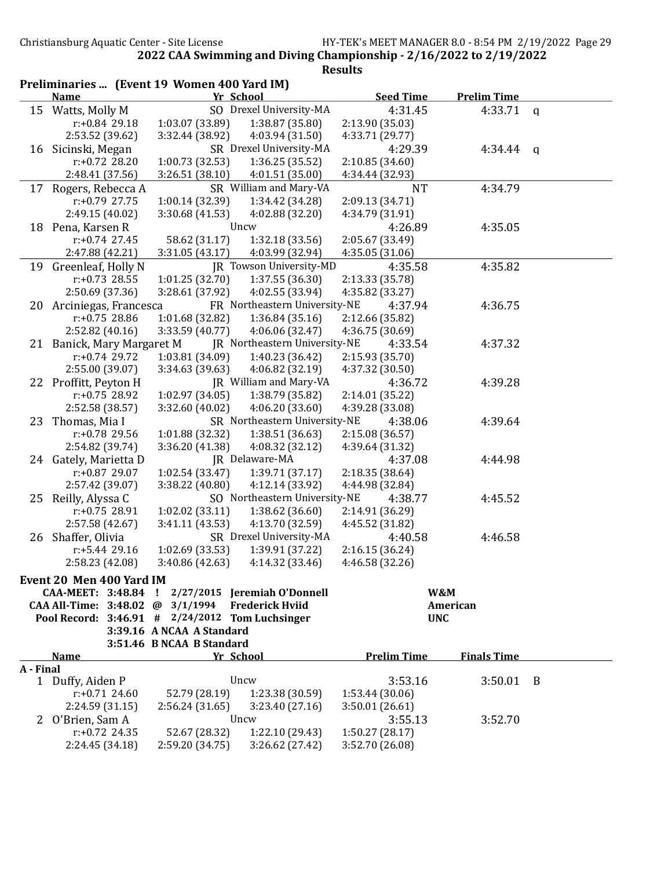| Preliminaries  (Event 19 Women 400 Yard IM) |                                                                                                      |                           |                               |                    |                    |              |  |
|---------------------------------------------|------------------------------------------------------------------------------------------------------|---------------------------|-------------------------------|--------------------|--------------------|--------------|--|
|                                             | <b>Name</b>                                                                                          | Yr School                 |                               | <b>Seed Time</b>   | <b>Prelim Time</b> |              |  |
|                                             | 15 Watts, Molly M                                                                                    |                           | SO Drexel University-MA       | 4:31.45            | 4:33.71            | $\mathsf{q}$ |  |
|                                             | $r: +0.84$ 29.18                                                                                     | 1:03.07 (33.89)           | 1:38.87 (35.80)               | 2:13.90 (35.03)    |                    |              |  |
|                                             | 2:53.52 (39.62)                                                                                      | 3:32.44 (38.92)           | 4:03.94 (31.50)               | 4:33.71 (29.77)    |                    |              |  |
|                                             | 16 Sicinski, Megan                                                                                   |                           | SR Drexel University-MA       | 4:29.39            | 4:34.44            | q            |  |
|                                             | $r: +0.72$ 28.20                                                                                     | 1:00.73 (32.53)           | 1:36.25(35.52)                | 2:10.85 (34.60)    |                    |              |  |
|                                             | 2:48.41 (37.56)                                                                                      | 3:26.51(38.10)            | 4:01.51 (35.00)               | 4:34.44 (32.93)    |                    |              |  |
|                                             | 17 Rogers, Rebecca A                                                                                 |                           | SR William and Mary-VA        | <b>NT</b>          | 4:34.79            |              |  |
|                                             | $r: +0.79$ 27.75                                                                                     | 1:00.14 (32.39)           | 1:34.42 (34.28)               | 2:09.13 (34.71)    |                    |              |  |
|                                             | 2:49.15 (40.02)                                                                                      | 3:30.68 (41.53)           | 4:02.88 (32.20)               | 4:34.79 (31.91)    |                    |              |  |
|                                             | 18 Pena, Karsen R                                                                                    |                           | Uncw                          | 4:26.89            | 4:35.05            |              |  |
|                                             | $r: +0.74$ 27.45                                                                                     | 58.62 (31.17)             | 1:32.18(33.56)                | 2:05.67 (33.49)    |                    |              |  |
|                                             | 2:47.88 (42.21)                                                                                      | 3:31.05(43.17)            | 4:03.99 (32.94)               | 4:35.05(31.06)     |                    |              |  |
| 19                                          | Greenleaf, Holly N                                                                                   |                           | JR Towson University-MD       | 4:35.58            | 4:35.82            |              |  |
|                                             | $r: +0.73$ 28.55                                                                                     | 1:01.25 (32.70)           | 1:37.55 (36.30)               | 2:13.33 (35.78)    |                    |              |  |
|                                             | 2:50.69 (37.36)                                                                                      | 3:28.61 (37.92)           | 4:02.55 (33.94)               | 4:35.82 (33.27)    |                    |              |  |
|                                             | 20 Arciniegas, Francesca                                                                             |                           | FR Northeastern University-NE | 4:37.94            | 4:36.75            |              |  |
|                                             | $r: +0.75$ 28.86                                                                                     | 1:01.68 (32.82)           | 1:36.84(35.16)                | 2:12.66 (35.82)    |                    |              |  |
|                                             | 2:52.82(40.16)                                                                                       | 3:33.59 (40.77)           | 4:06.06 (32.47)               | 4:36.75 (30.69)    |                    |              |  |
|                                             | 21 Banick, Mary Margaret M                                                                           |                           | JR Northeastern University-NE | 4:33.54            | 4:37.32            |              |  |
|                                             | $r: +0.74$ 29.72                                                                                     | 1:03.81 (34.09)           | 1:40.23 (36.42)               | 2:15.93 (35.70)    |                    |              |  |
|                                             | 2:55.00 (39.07)                                                                                      | 3:34.63 (39.63)           | 4:06.82 (32.19)               | 4:37.32 (30.50)    |                    |              |  |
|                                             | 22 Proffitt, Peyton H                                                                                |                           | JR William and Mary-VA        | 4:36.72            | 4:39.28            |              |  |
|                                             | $r: +0.75$ 28.92                                                                                     | 1:02.97 (34.05)           | 1:38.79 (35.82)               | 2:14.01 (35.22)    |                    |              |  |
|                                             | 2:52.58 (38.57)                                                                                      | 3:32.60 (40.02)           | 4:06.20(33.60)                | 4:39.28 (33.08)    |                    |              |  |
| 23                                          | Thomas, Mia I                                                                                        |                           | SR Northeastern University-NE | 4:38.06            | 4:39.64            |              |  |
|                                             | r:+0.78 29.56                                                                                        | 1:01.88 (32.32)           | 1:38.51(36.63)                | 2:15.08 (36.57)    |                    |              |  |
|                                             | 2:54.82 (39.74)                                                                                      | 3:36.20 (41.38)           | 4:08.32 (32.12)               | 4:39.64 (31.32)    |                    |              |  |
|                                             | 24 Gately, Marietta D                                                                                |                           | JR Delaware-MA                | 4:37.08            | 4:44.98            |              |  |
|                                             | r:+0.87 29.07                                                                                        | 1:02.54(33.47)            | 1:39.71 (37.17)               | 2:18.35 (38.64)    |                    |              |  |
|                                             | 2:57.42 (39.07)                                                                                      | 3:38.22 (40.80)           | 4:12.14 (33.92)               | 4:44.98 (32.84)    |                    |              |  |
| 25                                          | Reilly, Alyssa C                                                                                     |                           | SO Northeastern University-NE | 4:38.77            | 4:45.52            |              |  |
|                                             | r:+0.75 28.91                                                                                        | 1:02.02 (33.11)           | 1:38.62 (36.60)               | 2:14.91 (36.29)    |                    |              |  |
|                                             | 2:57.58 (42.67)                                                                                      | 3:41.11 (43.53)           | 4:13.70 (32.59)               | 4:45.52 (31.82)    |                    |              |  |
|                                             | 26 Shaffer, Olivia                                                                                   |                           | SR Drexel University-MA       | 4:40.58            | 4:46.58            |              |  |
|                                             | r:+5.44 29.16                                                                                        | 1:02.69 (33.53)           | 1:39.91 (37.22)               | 2:16.15 (36.24)    |                    |              |  |
|                                             | 2:58.23 (42.08)                                                                                      | 3:40.86 (42.63)           | 4:14.32 (33.46)               | 4:46.58 (32.26)    |                    |              |  |
|                                             |                                                                                                      |                           |                               |                    |                    |              |  |
|                                             | Event 20 Men 400 Yard IM                                                                             |                           |                               |                    |                    |              |  |
|                                             | CAA-MEET: 3:48.84 ! 2/27/2015 Jeremiah O'Donnell<br>CAA All-Time: 3:48.02 @ 3/1/1994 Frederick Hviid |                           |                               |                    | W&M<br>American    |              |  |
|                                             | Pool Record: $3:46.91$ # $2/24/2012$ Tom Luchsinger                                                  |                           |                               |                    | <b>UNC</b>         |              |  |
|                                             |                                                                                                      | 3:39.16 A NCAA A Standard |                               |                    |                    |              |  |
|                                             |                                                                                                      | 3:51.46 B NCAA B Standard |                               |                    |                    |              |  |
|                                             | <b>Name</b>                                                                                          | Yr School                 |                               | <b>Prelim Time</b> | <b>Finals Time</b> |              |  |
| A - Final                                   |                                                                                                      |                           |                               |                    |                    |              |  |
|                                             | 1 Duffy, Aiden P                                                                                     |                           | Uncw                          | 3:53.16            | $3:50.01$ B        |              |  |
|                                             | $r: +0.71$ 24.60                                                                                     | 52.79 (28.19)             | 1:23.38 (30.59)               | 1:53.44 (30.06)    |                    |              |  |
|                                             | 2:24.59 (31.15)                                                                                      | 2:56.24(31.65)            | 3:23.40(27.16)                | 3:50.01(26.61)     |                    |              |  |
| $\mathbf{Z}$                                | O'Brien, Sam A                                                                                       |                           | Uncw                          | 3:55.13            | 3:52.70            |              |  |
|                                             | $r: +0.72$ 24.35                                                                                     | 52.67 (28.32)             | 1:22.10 (29.43)               | 1:50.27(28.17)     |                    |              |  |
|                                             | 2:24.45 (34.18)                                                                                      | 2:59.20 (34.75)           | 3:26.62 (27.42)               | 3:52.70 (26.08)    |                    |              |  |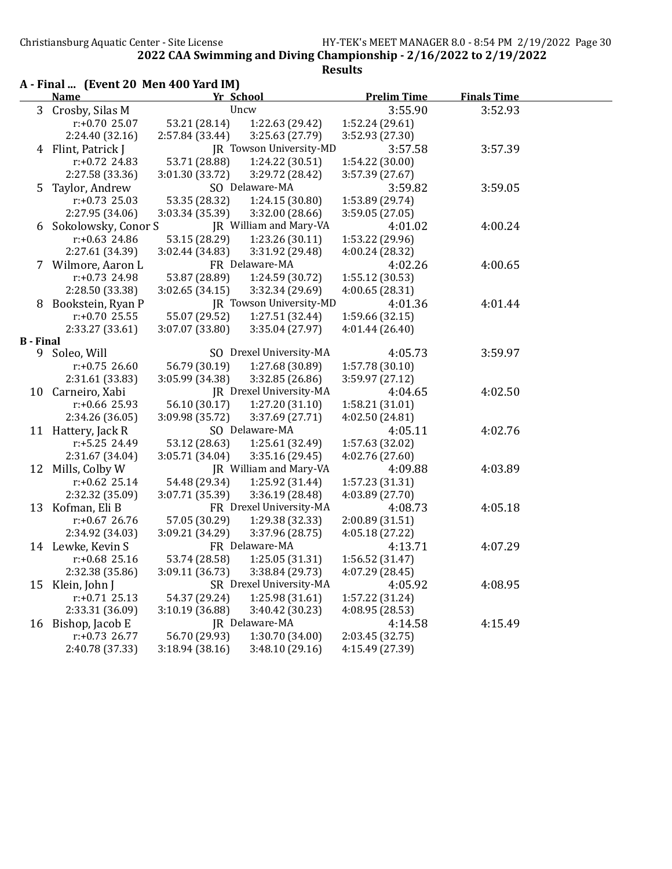|                       | A - Final  (Event 20 Men 400 Yard IM)<br><b>Name</b> | Yr School       |                                           | <b>Prelim Time</b>                 | <b>Finals Time</b> |
|-----------------------|------------------------------------------------------|-----------------|-------------------------------------------|------------------------------------|--------------------|
|                       | 3 Crosby, Silas M                                    |                 | Uncw                                      | 3:55.90                            | 3:52.93            |
|                       | $r: +0.7025.07$                                      | 53.21 (28.14)   | 1:22.63 (29.42)                           | 1:52.24 (29.61)                    |                    |
|                       | 2:24.40 (32.16)                                      | 2:57.84 (33.44) | 3:25.63 (27.79)                           | 3:52.93 (27.30)                    |                    |
|                       | 4 Flint, Patrick J                                   |                 | JR Towson University-MD                   | 3:57.58                            | 3:57.39            |
|                       | $r: +0.72$ 24.83                                     | 53.71 (28.88)   | 1:24.22 (30.51)                           | 1:54.22 (30.00)                    |                    |
|                       | 2:27.58 (33.36)                                      | 3:01.30 (33.72) | 3:29.72 (28.42)                           | 3:57.39 (27.67)                    |                    |
| 5.                    | Taylor, Andrew                                       |                 | SO Delaware-MA                            | 3:59.82                            | 3:59.05            |
|                       | $r: +0.73$ 25.03                                     | 53.35 (28.32)   | 1:24.15 (30.80)                           |                                    |                    |
|                       | 2:27.95 (34.06)                                      | 3:03.34 (35.39) |                                           | 1:53.89 (29.74)<br>3:59.05 (27.05) |                    |
|                       |                                                      |                 | 3:32.00 (28.66)<br>JR William and Mary-VA |                                    |                    |
| 6                     | Sokolowsky, Conor S                                  |                 |                                           | 4:01.02                            | 4:00.24            |
|                       | $r: +0.63$ 24.86                                     | 53.15 (28.29)   | 1:23.26 (30.11)                           | 1:53.22 (29.96)                    |                    |
|                       | 2:27.61 (34.39)                                      | 3:02.44 (34.83) | 3:31.92 (29.48)                           | 4:00.24 (28.32)                    |                    |
| 7                     | Wilmore, Aaron L                                     |                 | FR Delaware-MA                            | 4:02.26                            | 4:00.65            |
|                       | $r: +0.73$ 24.98                                     | 53.87 (28.89)   | 1:24.59 (30.72)                           | 1:55.12 (30.53)                    |                    |
|                       | 2:28.50 (33.38)                                      | 3:02.65(34.15)  | 3:32.34 (29.69)                           | 4:00.65 (28.31)                    |                    |
| 8                     | Bookstein, Ryan P                                    |                 | JR Towson University-MD                   | 4:01.36                            | 4:01.44            |
|                       | $r: +0.70$ 25.55                                     | 55.07 (29.52)   | 1:27.51 (32.44)                           | 1:59.66 (32.15)                    |                    |
|                       | 2:33.27 (33.61)                                      | 3:07.07 (33.80) | 3:35.04 (27.97)                           | 4:01.44 (26.40)                    |                    |
| <b>B</b> - Final<br>9 | Soleo, Will                                          |                 | SO Drexel University-MA                   | 4:05.73                            | 3:59.97            |
|                       | $r: +0.75$ 26.60                                     | 56.79 (30.19)   |                                           |                                    |                    |
|                       | 2:31.61 (33.83)                                      | 3:05.99 (34.38) | 1:27.68 (30.89)<br>3:32.85 (26.86)        | 1:57.78 (30.10)<br>3:59.97 (27.12) |                    |
| 10                    |                                                      |                 | JR Drexel University-MA                   | 4:04.65                            | 4:02.50            |
|                       | Carneiro, Xabi<br>$r: +0.66$ 25.93                   | 56.10 (30.17)   |                                           |                                    |                    |
|                       |                                                      |                 | 1:27.20(31.10)                            | 1:58.21 (31.01)                    |                    |
|                       | 2:34.26 (36.05)                                      | 3:09.98 (35.72) | 3:37.69 (27.71)                           | 4:02.50 (24.81)                    |                    |
| 11                    | Hattery, Jack R                                      |                 | SO Delaware-MA                            | 4:05.11                            | 4:02.76            |
|                       | r:+5.25 24.49                                        | 53.12 (28.63)   | 1:25.61 (32.49)                           | 1:57.63 (32.02)                    |                    |
|                       | 2:31.67 (34.04)                                      | 3:05.71 (34.04) | 3:35.16 (29.45)                           | 4:02.76 (27.60)                    |                    |
| 12                    | Mills, Colby W                                       |                 | JR William and Mary-VA                    | 4:09.88                            | 4:03.89            |
|                       | $r: +0.62$ 25.14                                     | 54.48 (29.34)   | 1:25.92 (31.44)                           | 1:57.23 (31.31)                    |                    |
|                       | 2:32.32 (35.09)                                      | 3:07.71 (35.39) | 3:36.19 (28.48)                           | 4:03.89 (27.70)                    |                    |
| 13                    | Kofman, Eli B                                        |                 | FR Drexel University-MA                   | 4:08.73                            | 4:05.18            |
|                       | $r: +0.67$ 26.76                                     | 57.05 (30.29)   | 1:29.38 (32.33)                           | 2:00.89 (31.51)                    |                    |
|                       | 2:34.92 (34.03)                                      | 3:09.21 (34.29) | 3:37.96 (28.75)                           | 4:05.18(27.22)                     |                    |
|                       | 14 Lewke, Kevin S                                    |                 | FR Delaware-MA                            | 4:13.71                            | 4:07.29            |
|                       | $r: +0.68$ 25.16                                     | 53.74 (28.58)   | 1:25.05 (31.31)                           | 1:56.52 (31.47)                    |                    |
|                       | 2:32.38 (35.86)                                      | 3:09.11 (36.73) | 3:38.84 (29.73)                           | 4:07.29 (28.45)                    |                    |
| 15                    | Klein, John J                                        |                 | SR Drexel University-MA                   | 4:05.92                            | 4:08.95            |
|                       | $r: +0.71$ 25.13                                     | 54.37 (29.24)   | 1:25.98 (31.61)                           | 1:57.22 (31.24)                    |                    |
|                       | 2:33.31 (36.09)                                      | 3:10.19 (36.88) | 3:40.42 (30.23)                           | 4:08.95 (28.53)                    |                    |
| 16                    | Bishop, Jacob E                                      |                 | JR Delaware-MA                            | 4:14.58                            | 4:15.49            |
|                       | $r: +0.73$ 26.77                                     | 56.70 (29.93)   | 1:30.70 (34.00)                           | 2:03.45 (32.75)                    |                    |
|                       | 2:40.78 (37.33)                                      | 3:18.94 (38.16) | 3:48.10 (29.16)                           | 4:15.49 (27.39)                    |                    |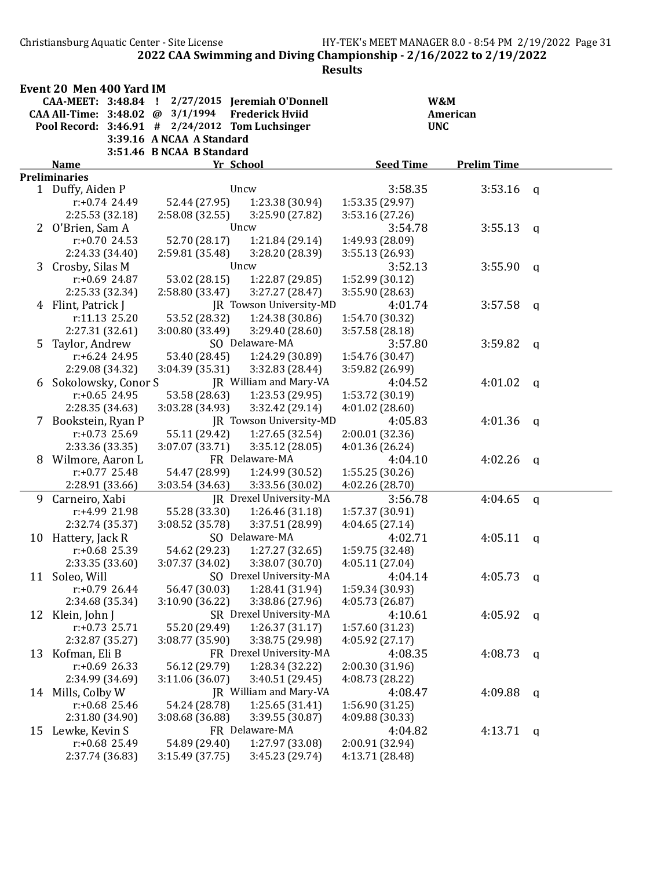Christiansburg Aquatic Center - Site License HY-TEK's MEET MANAGER 8.0 - 8:54 PM 2/19/2022 Page 31 2022 CAA Swimming and Diving Championship - 2/16/2022 to 2/19/2022

|    | Event 20 Men 400 Yard IM            |                           |                                            |                                    |                    |              |
|----|-------------------------------------|---------------------------|--------------------------------------------|------------------------------------|--------------------|--------------|
|    | CAA-MEET: 3:48.84                   | л.                        | 2/27/2015 Jeremiah O'Donnell               |                                    | W&M                |              |
|    | CAA All-Time: 3:48.02 @             | 3/1/1994                  | <b>Frederick Hviid</b>                     |                                    | American           |              |
|    | Pool Record: 3:46.91 #              |                           | 2/24/2012 Tom Luchsinger                   |                                    | <b>UNC</b>         |              |
|    |                                     | 3:39.16 A NCAA A Standard |                                            |                                    |                    |              |
|    |                                     | 3:51.46 B NCAA B Standard |                                            |                                    |                    |              |
|    | <b>Name</b>                         |                           | Yr School                                  | <b>Seed Time</b>                   | <b>Prelim Time</b> |              |
|    | <b>Preliminaries</b>                |                           |                                            |                                    |                    |              |
|    | 1 Duffy, Aiden P                    |                           | Uncw                                       | 3:58.35                            | 3:53.16            | q            |
|    | $r: +0.74$ 24.49                    | 52.44 (27.95)             | 1:23.38 (30.94)                            | 1:53.35 (29.97)                    |                    |              |
|    | 2:25.53 (32.18)                     | 2:58.08 (32.55)           | 3:25.90 (27.82)                            | 3:53.16(27.26)                     |                    |              |
|    | 2 O'Brien, Sam A                    |                           | Uncw                                       | 3:54.78                            | 3:55.13            | $\mathbf{q}$ |
|    | $r: +0.70$ 24.53                    | 52.70 (28.17)             | 1:21.84 (29.14)                            | 1:49.93 (28.09)                    |                    |              |
|    | 2:24.33 (34.40)                     | 2:59.81 (35.48)           | 3:28.20 (28.39)                            | 3:55.13 (26.93)                    |                    |              |
|    | 3 Crosby, Silas M                   |                           | Uncw                                       | 3:52.13                            | 3:55.90            | $\mathbf{q}$ |
|    | $r: +0.69$ 24.87                    | 53.02 (28.15)             | 1:22.87 (29.85)                            | 1:52.99 (30.12)                    |                    |              |
|    | 2:25.33 (32.34)                     | 2:58.80 (33.47)           | 3:27.27 (28.47)                            | 3:55.90 (28.63)                    |                    |              |
|    | 4 Flint, Patrick J                  |                           | JR Towson University-MD                    | 4:01.74                            | 3:57.58            | q            |
|    | r:11.13 25.20                       | 53.52 (28.32)             | 1:24.38 (30.86)                            | 1:54.70 (30.32)                    |                    |              |
|    | 2:27.31 (32.61)                     | 3:00.80 (33.49)           | 3:29.40 (28.60)                            | 3:57.58 (28.18)                    |                    |              |
| 5  | Taylor, Andrew                      |                           | SO Delaware-MA                             | 3:57.80                            | 3:59.82            | q            |
|    | $r: +6.24$ 24.95                    | 53.40 (28.45)             | 1:24.29 (30.89)                            | 1:54.76 (30.47)                    |                    |              |
|    | 2:29.08 (34.32)                     | 3:04.39 (35.31)           | 3:32.83 (28.44)                            | 3:59.82 (26.99)                    |                    |              |
| 6  | Sokolowsky, Conor S                 |                           | JR William and Mary-VA                     | 4:04.52                            | 4:01.02            | $\mathsf{q}$ |
|    | $r: +0.65$ 24.95                    | 53.58 (28.63)             | 1:23.53 (29.95)                            | 1:53.72 (30.19)                    |                    |              |
|    | 2:28.35 (34.63)                     | 3:03.28 (34.93)           | 3:32.42 (29.14)                            | 4:01.02(28.60)                     |                    |              |
|    | 7 Bookstein, Ryan P                 |                           | JR Towson University-MD                    | 4:05.83                            | 4:01.36            | $\mathbf q$  |
|    | $r: +0.73$ 25.69                    | 55.11 (29.42)             | 1:27.65 (32.54)                            | 2:00.01 (32.36)                    |                    |              |
|    | 2:33.36 (33.35)                     | 3:07.07 (33.71)           | 3:35.12(28.05)                             | 4:01.36 (26.24)                    |                    |              |
| 8  | Wilmore, Aaron L                    |                           | FR Delaware-MA                             | 4:04.10                            | 4:02.26            | $\mathsf{q}$ |
|    | $r: +0.77$ 25.48                    | 54.47 (28.99)             | 1:24.99 (30.52)                            | 1:55.25 (30.26)                    |                    |              |
|    | 2:28.91 (33.66)                     | 3:03.54 (34.63)           | 3:33.56 (30.02)                            | 4:02.26 (28.70)                    |                    |              |
| 9  | Carneiro, Xabi                      |                           | JR Drexel University-MA                    | 3:56.78                            | 4:04.65            | $\mathbf q$  |
|    | r:+4.99 21.98                       | 55.28 (33.30)             | 1:26.46 (31.18)                            | 1:57.37 (30.91)                    |                    |              |
|    | 2:32.74 (35.37)                     | 3:08.52 (35.78)           | 3:37.51 (28.99)                            | 4:04.65(27.14)                     |                    |              |
|    | 10 Hattery, Jack R                  |                           | SO Delaware-MA                             | 4:02.71                            | 4:05.11            | q            |
|    | $r: +0.68$ 25.39                    | 54.62 (29.23)             | 1:27.27(32.65)                             | 1:59.75 (32.48)                    |                    |              |
|    | 2:33.35 (33.60)                     | 3:07.37 (34.02)           | 3:38.07 (30.70)                            | 4:05.11(27.04)                     |                    |              |
|    | 11 Soleo, Will                      |                           | SO Drexel University-MA                    | 4:04.14                            | 4:05.73            | <sub>q</sub> |
|    | $r: +0.79$ 26.44                    | 56.47 (30.03)             | 1:28.41 (31.94)                            | 1:59.34 (30.93)<br>4:05.73 (26.87) |                    |              |
|    | 2:34.68 (35.34)<br>12 Klein, John J | 3:10.90 (36.22)           | 3:38.86 (27.96)<br>SR Drexel University-MA |                                    | 4:05.92            |              |
|    | $r: +0.73$ 25.71                    | 55.20 (29.49)             | 1:26.37(31.17)                             | 4:10.61<br>1:57.60 (31.23)         |                    | q            |
|    | 2:32.87 (35.27)                     | 3:08.77 (35.90)           | 3:38.75 (29.98)                            | 4:05.92 (27.17)                    |                    |              |
|    | 13 Kofman, Eli B                    |                           | FR Drexel University-MA                    | 4:08.35                            | 4:08.73            |              |
|    | $r: +0.69$ 26.33                    | 56.12 (29.79)             | 1:28.34 (32.22)                            | 2:00.30 (31.96)                    |                    | q            |
|    | 2:34.99 (34.69)                     | 3:11.06(36.07)            | 3:40.51 (29.45)                            | 4:08.73 (28.22)                    |                    |              |
|    | 14 Mills, Colby W                   |                           | JR William and Mary-VA                     | 4:08.47                            |                    |              |
|    | $r: +0.68$ 25.46                    | 54.24 (28.78)             | 1:25.65(31.41)                             | 1:56.90 (31.25)                    | 4:09.88            | q            |
|    | 2:31.80 (34.90)                     | 3:08.68 (36.88)           | 3:39.55 (30.87)                            | 4:09.88 (30.33)                    |                    |              |
|    | Lewke, Kevin S                      |                           | FR Delaware-MA                             |                                    | 4:13.71            |              |
| 15 | $r: +0.68$ 25.49                    | 54.89 (29.40)             | 1:27.97 (33.08)                            | 4:04.82<br>2:00.91 (32.94)         |                    | q            |
|    | 2:37.74 (36.83)                     | 3:15.49 (37.75)           | 3:45.23 (29.74)                            | 4:13.71 (28.48)                    |                    |              |
|    |                                     |                           |                                            |                                    |                    |              |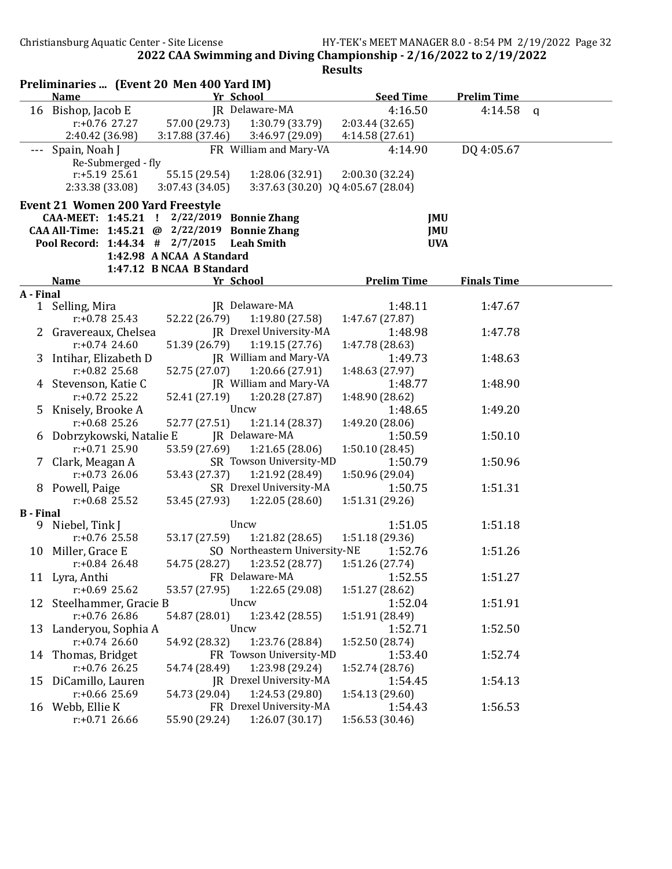| Preliminaries  (Event 20 Men 400 Yard IM) |                                                |                           |                                       |                    |                    |  |  |
|-------------------------------------------|------------------------------------------------|---------------------------|---------------------------------------|--------------------|--------------------|--|--|
|                                           | <b>Name</b>                                    |                           | Yr School                             | <b>Seed Time</b>   | <b>Prelim Time</b> |  |  |
|                                           | 16 Bishop, Jacob E                             |                           | JR Delaware-MA                        | 4:16.50            | 4:14.58 $q$        |  |  |
|                                           | $r: +0.76$ 27.27                               | 57.00 (29.73)             | 1:30.79 (33.79)                       | 2:03.44(32.65)     |                    |  |  |
|                                           | 2:40.42 (36.98)                                | 3:17.88 (37.46)           | 3:46.97 (29.09)                       | 4:14.58 (27.61)    |                    |  |  |
|                                           | --- Spain, Noah J                              |                           | FR William and Mary-VA                | 4:14.90            | DQ 4:05.67         |  |  |
|                                           | Re-Submerged - fly                             |                           |                                       |                    |                    |  |  |
|                                           | $r: +5.19$ 25.61                               | 55.15 (29.54)             | 1:28.06 (32.91)                       | 2:00.30 (32.24)    |                    |  |  |
|                                           | 2:33.38 (33.08)                                | 3:07.43(34.05)            | 3:37.63 (30.20) $)$ Q 4:05.67 (28.04) |                    |                    |  |  |
|                                           | <b>Event 21 Women 200 Yard Freestyle</b>       |                           |                                       |                    |                    |  |  |
|                                           | CAA-MEET: 1:45.21 ! 2/22/2019 Bonnie Zhang     |                           |                                       | JMU                |                    |  |  |
|                                           | CAA All-Time: 1:45.21 @ 2/22/2019 Bonnie Zhang |                           |                                       | <b>JMU</b>         |                    |  |  |
|                                           | Pool Record: 1:44.34 # 2/7/2015                |                           | <b>Leah Smith</b>                     | <b>UVA</b>         |                    |  |  |
|                                           |                                                | 1:42.98 A NCAA A Standard |                                       |                    |                    |  |  |
|                                           |                                                | 1:47.12 B NCAA B Standard |                                       |                    |                    |  |  |
|                                           | <b>Name</b>                                    |                           | Yr School                             | <b>Prelim Time</b> | <b>Finals Time</b> |  |  |
| A - Final                                 |                                                |                           |                                       |                    |                    |  |  |
|                                           | 1 Selling, Mira                                |                           | JR Delaware-MA                        | 1:48.11            | 1:47.67            |  |  |
|                                           | $r: +0.78$ 25.43                               | 52.22 (26.79)             | 1:19.80 (27.58)                       | 1:47.67 (27.87)    |                    |  |  |
|                                           | 2 Gravereaux, Chelsea                          |                           | JR Drexel University-MA               | 1:48.98            | 1:47.78            |  |  |
|                                           | $r: +0.74$ 24.60                               | 51.39 (26.79)             | 1:19.15(27.76)                        | 1:47.78 (28.63)    |                    |  |  |
|                                           | 3 Intihar, Elizabeth D                         |                           | JR William and Mary-VA                | 1:49.73            | 1:48.63            |  |  |
|                                           | $r: +0.82$ 25.68                               | 52.75 (27.07)             | 1:20.66 (27.91)                       | 1:48.63 (27.97)    |                    |  |  |
|                                           | 4 Stevenson, Katie C                           |                           | JR William and Mary-VA                | 1:48.77            | 1:48.90            |  |  |
|                                           | $r: +0.72$ 25.22                               | 52.41 (27.19)             | 1:20.28 (27.87)                       | 1:48.90 (28.62)    |                    |  |  |
|                                           | 5 Knisely, Brooke A                            |                           | Uncw                                  | 1:48.65            | 1:49.20            |  |  |
|                                           | $r: +0.68$ 25.26                               | 52.77 (27.51)             | 1:21.14(28.37)                        | 1:49.20 (28.06)    |                    |  |  |
|                                           | 6 Dobrzykowski, Natalie E                      |                           | JR Delaware-MA                        | 1:50.59            | 1:50.10            |  |  |
|                                           | $r: +0.71$ 25.90                               | 53.59 (27.69)             | 1:21.65(28.06)                        | 1:50.10 (28.45)    |                    |  |  |
|                                           | 7 Clark, Meagan A                              |                           | SR Towson University-MD               | 1:50.79            | 1:50.96            |  |  |
|                                           | $r: +0.73$ 26.06                               | 53.43 (27.37)             | 1:21.92 (28.49)                       | 1:50.96 (29.04)    |                    |  |  |
|                                           | 8 Powell, Paige                                |                           | SR Drexel University-MA               | 1:50.75            | 1:51.31            |  |  |
|                                           | $r: +0.68$ 25.52                               | 53.45 (27.93)             | 1:22.05 (28.60)                       | 1:51.31 (29.26)    |                    |  |  |
| <b>B</b> - Final                          |                                                |                           |                                       |                    |                    |  |  |
| 9.                                        | Niebel, Tink J                                 |                           | Uncw                                  | 1:51.05            | 1:51.18            |  |  |
|                                           | r:+0.76 25.58                                  | 53.17 (27.59)             | 1:21.82 (28.65)                       | 1:51.18 (29.36)    |                    |  |  |
|                                           | 10 Miller, Grace E                             |                           | SO Northeastern University-NE         | 1:52.76            | 1:51.26            |  |  |
|                                           | $r: +0.84$ 26.48                               | 54.75 (28.27)             | 1:23.52 (28.77)                       | 1:51.26 (27.74)    |                    |  |  |
|                                           | 11 Lyra, Anthi                                 |                           | FR Delaware-MA                        | 1:52.55            | 1:51.27            |  |  |
|                                           | r:+0.69 25.62                                  | 53.57 (27.95)             | 1:22.65 (29.08)                       | 1:51.27 (28.62)    |                    |  |  |
|                                           | 12 Steelhammer, Gracie B                       |                           | Uncw                                  | 1:52.04            | 1:51.91            |  |  |
|                                           | $r: +0.76$ 26.86                               | 54.87 (28.01)             | 1:23.42 (28.55)                       | 1:51.91 (28.49)    |                    |  |  |
|                                           | 13 Landeryou, Sophia A                         |                           | Uncw                                  | 1:52.71            | 1:52.50            |  |  |
|                                           | $r: +0.74$ 26.60                               | 54.92 (28.32)             | 1:23.76 (28.84)                       | 1:52.50 (28.74)    |                    |  |  |
|                                           | 14 Thomas, Bridget                             |                           | FR Towson University-MD               | 1:53.40            | 1:52.74            |  |  |
|                                           | $r: +0.76$ 26.25                               | 54.74 (28.49)             | 1:23.98 (29.24)                       | 1:52.74 (28.76)    |                    |  |  |
| 15                                        | DiCamillo, Lauren                              |                           | JR Drexel University-MA               | 1:54.45            | 1:54.13            |  |  |
|                                           | $r: +0.66$ 25.69                               | 54.73 (29.04)             | 1:24.53 (29.80)                       | 1:54.13 (29.60)    |                    |  |  |
|                                           | 16 Webb, Ellie K                               |                           | FR Drexel University-MA               | 1:54.43            | 1:56.53            |  |  |
|                                           | $r: +0.71$ 26.66                               | 55.90 (29.24)             | 1:26.07 (30.17)                       | 1:56.53 (30.46)    |                    |  |  |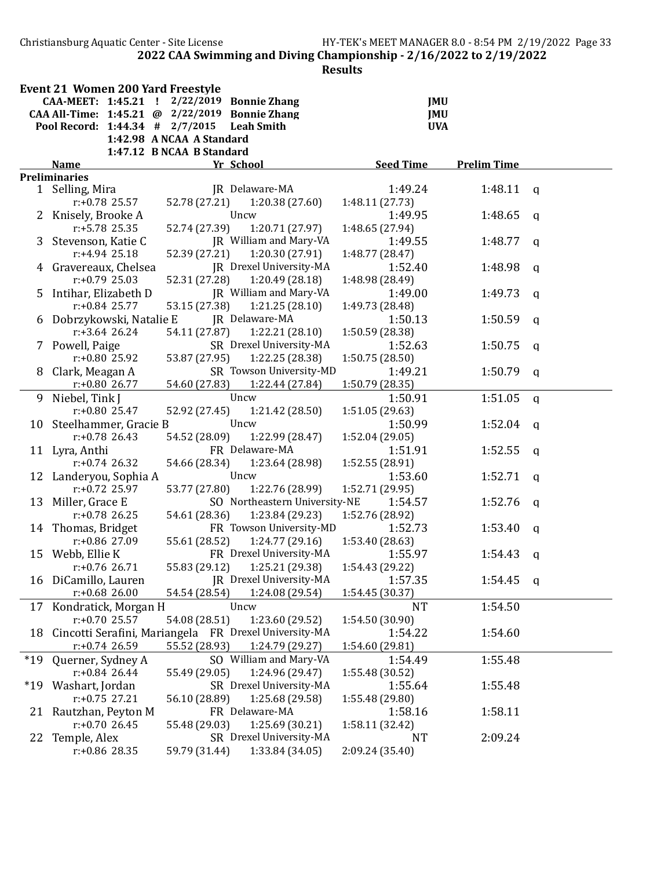Christiansburg Aquatic Center - Site License HY-TEK's MEET MANAGER 8.0 - 8:54 PM 2/19/2022 Page 33 2022 CAA Swimming and Diving Championship - 2/16/2022 to 2/19/2022

| 11<br>Ш<br>91 |
|---------------|
|---------------|

|       | <b>Event 21 Women 200 Yard Freestyle</b>                 |                           |                               |                  |                    |              |  |  |  |  |  |
|-------|----------------------------------------------------------|---------------------------|-------------------------------|------------------|--------------------|--------------|--|--|--|--|--|
|       | CAA-MEET: 1:45.21 !                                      | 2/22/2019                 | <b>Bonnie Zhang</b>           |                  | <b>JMU</b>         |              |  |  |  |  |  |
|       | CAA All-Time: 1:45.21 @ 2/22/2019                        |                           | <b>Bonnie Zhang</b>           |                  | JMU                |              |  |  |  |  |  |
|       | Pool Record: 1:44.34 # 2/7/2015                          |                           | <b>Leah Smith</b>             |                  | <b>UVA</b>         |              |  |  |  |  |  |
|       |                                                          | 1:42.98 A NCAA A Standard |                               |                  |                    |              |  |  |  |  |  |
|       | 1:47.12 B NCAA B Standard                                |                           |                               |                  |                    |              |  |  |  |  |  |
|       | <b>Name</b>                                              |                           | Yr School                     | <b>Seed Time</b> | <b>Prelim Time</b> |              |  |  |  |  |  |
|       | <b>Preliminaries</b>                                     |                           |                               |                  |                    |              |  |  |  |  |  |
|       | 1 Selling, Mira                                          |                           | JR Delaware-MA                | 1:49.24          | 1:48.11            | a            |  |  |  |  |  |
|       | $r: +0.78$ 25.57                                         | 52.78 (27.21)             | 1:20.38(27.60)                | 1:48.11 (27.73)  |                    |              |  |  |  |  |  |
|       | 2 Knisely, Brooke A                                      |                           | Uncw                          | 1:49.95          | 1:48.65            | a            |  |  |  |  |  |
|       | $r: +5.78$ 25.35                                         | 52.74 (27.39)             | 1:20.71 (27.97)               | 1:48.65 (27.94)  |                    |              |  |  |  |  |  |
|       | 3 Stevenson, Katie C                                     |                           | JR William and Mary-VA        | 1:49.55          | 1:48.77            | q            |  |  |  |  |  |
|       | $r: +4.94$ 25.18                                         | 52.39 (27.21)             | 1:20.30 (27.91)               | 1:48.77 (28.47)  |                    |              |  |  |  |  |  |
|       | 4 Gravereaux, Chelsea                                    |                           | JR Drexel University-MA       | 1:52.40          | 1:48.98            | a            |  |  |  |  |  |
|       | $r: +0.79$ 25.03                                         | 52.31 (27.28)             | 1:20.49(28.18)                | 1:48.98 (28.49)  |                    |              |  |  |  |  |  |
|       | 5 Intihar, Elizabeth D                                   |                           | JR William and Mary-VA        | 1:49.00          | 1:49.73            | q            |  |  |  |  |  |
|       | $r: +0.84$ 25.77                                         | 53.15 (27.38)             | 1:21.25(28.10)                | 1:49.73 (28.48)  |                    |              |  |  |  |  |  |
| 6     | Dobrzykowski, Natalie E                                  |                           | JR Delaware-MA                | 1:50.13          | 1:50.59            | q            |  |  |  |  |  |
|       | $r: +3.64$ 26.24                                         | 54.11 (27.87)             | 1:22.21(28.10)                | 1:50.59 (28.38)  |                    |              |  |  |  |  |  |
|       | 7 Powell, Paige                                          |                           | SR Drexel University-MA       | 1:52.63          | 1:50.75            | q            |  |  |  |  |  |
|       | r:+0.80 25.92                                            | 53.87 (27.95)             | 1:22.25 (28.38)               | 1:50.75 (28.50)  |                    |              |  |  |  |  |  |
| 8     | Clark, Meagan A                                          |                           | SR Towson University-MD       | 1:49.21          | 1:50.79            | $\mathbf{q}$ |  |  |  |  |  |
|       | $r: +0.80$ 26.77                                         | 54.60 (27.83)             | 1:22.44 (27.84)               | 1:50.79 (28.35)  |                    |              |  |  |  |  |  |
|       | 9 Niebel, Tink J                                         |                           | Uncw                          | 1:50.91          | 1:51.05            | $\mathsf{q}$ |  |  |  |  |  |
|       | $r: +0.80$ 25.47                                         | 52.92 (27.45)             | 1:21.42 (28.50)               | 1:51.05 (29.63)  |                    |              |  |  |  |  |  |
|       | 10 Steelhammer, Gracie B                                 |                           | Uncw                          | 1:50.99          | 1:52.04            | $\mathbf{q}$ |  |  |  |  |  |
|       | $r: +0.78$ 26.43                                         | 54.52 (28.09)             | 1:22.99 (28.47)               | 1:52.04 (29.05)  |                    |              |  |  |  |  |  |
|       | 11 Lyra, Anthi                                           |                           | FR Delaware-MA                | 1:51.91          | 1:52.55            | q            |  |  |  |  |  |
|       | $r: +0.74$ 26.32                                         | 54.66 (28.34)             | 1:23.64 (28.98)               | 1:52.55 (28.91)  |                    |              |  |  |  |  |  |
|       | 12 Landeryou, Sophia A                                   |                           | Uncw                          | 1:53.60          | 1:52.71            | q            |  |  |  |  |  |
|       | $r: +0.72$ 25.97                                         | 53.77 (27.80)             | 1:22.76 (28.99)               | 1:52.71 (29.95)  |                    |              |  |  |  |  |  |
|       | 13 Miller, Grace E                                       |                           | SO Northeastern University-NE | 1:54.57          | 1:52.76            | q            |  |  |  |  |  |
|       | $r: +0.78$ 26.25                                         | 54.61 (28.36)             | 1:23.84 (29.23)               | 1:52.76 (28.92)  |                    |              |  |  |  |  |  |
|       | 14 Thomas, Bridget                                       |                           | FR Towson University-MD       | 1:52.73          | 1:53.40            | q            |  |  |  |  |  |
|       | $r: +0.86$ 27.09                                         | 55.61 (28.52)             | 1:24.77 (29.16)               | 1:53.40 (28.63)  |                    |              |  |  |  |  |  |
|       | 15 Webb, Ellie K                                         |                           | FR Drexel University-MA       | 1:55.97          | 1:54.43            | a            |  |  |  |  |  |
|       | $r: +0.76$ 26.71                                         | 55.83 (29.12)             | 1:25.21 (29.38)               | 1:54.43 (29.22)  |                    |              |  |  |  |  |  |
|       | 16 DiCamillo, Lauren                                     |                           | JR Drexel University-MA       | 1:57.35          | 1:54.45            | $\mathbf{q}$ |  |  |  |  |  |
|       | $r: +0.68$ 26.00                                         | 54.54 (28.54)             | 1:24.08 (29.54)               | 1:54.45(30.37)   |                    |              |  |  |  |  |  |
|       | 17 Kondratick, Morgan H                                  |                           | Uncw                          | <b>NT</b>        | 1:54.50            |              |  |  |  |  |  |
|       | $r: +0.70$ 25.57                                         | 54.08 (28.51)             | 1:23.60 (29.52)               | 1:54.50 (30.90)  |                    |              |  |  |  |  |  |
|       | 18 Cincotti Serafini, Mariangela FR Drexel University-MA |                           |                               | 1:54.22          | 1:54.60            |              |  |  |  |  |  |
|       | $r: +0.74$ 26.59                                         | 55.52 (28.93)             | 1:24.79 (29.27)               | 1:54.60 (29.81)  |                    |              |  |  |  |  |  |
| $*19$ | Querner, Sydney A                                        |                           | SO William and Mary-VA        | 1:54.49          | 1:55.48            |              |  |  |  |  |  |
|       | $r: +0.84$ 26.44                                         | 55.49 (29.05)             | 1:24.96 (29.47)               | 1:55.48 (30.52)  |                    |              |  |  |  |  |  |
| $*19$ | Washart, Jordan                                          |                           | SR Drexel University-MA       | 1:55.64          | 1:55.48            |              |  |  |  |  |  |
|       | $r: +0.75$ 27.21                                         | 56.10 (28.89)             | 1:25.68 (29.58)               | 1:55.48 (29.80)  |                    |              |  |  |  |  |  |
|       | 21 Rautzhan, Peyton M                                    |                           | FR Delaware-MA                | 1:58.16          | 1:58.11            |              |  |  |  |  |  |
|       | $r: +0.70$ 26.45                                         | 55.48 (29.03)             | 1:25.69(30.21)                | 1:58.11 (32.42)  |                    |              |  |  |  |  |  |
| 22    | Temple, Alex                                             |                           | SR Drexel University-MA       | NT               | 2:09.24            |              |  |  |  |  |  |
|       | r:+0.86 28.35                                            | 59.79 (31.44)             | 1:33.84 (34.05)               | 2:09.24 (35.40)  |                    |              |  |  |  |  |  |
|       |                                                          |                           |                               |                  |                    |              |  |  |  |  |  |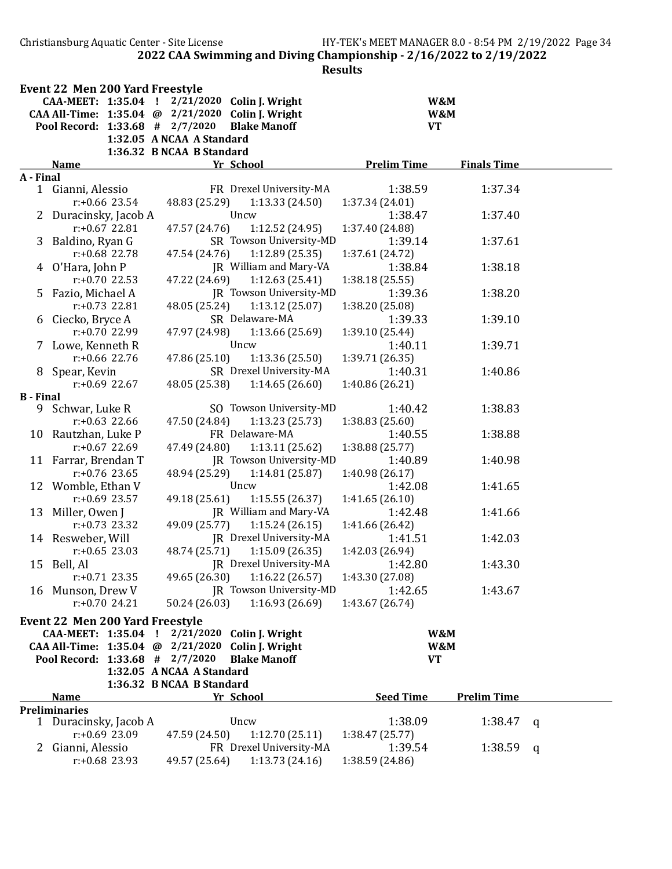Christiansburg Aquatic Center - Site License HY-TEK's MEET MANAGER 8.0 - 8:54 PM 2/19/2022 Page 34 2022 CAA Swimming and Diving Championship - 2/16/2022 to 2/19/2022

| CAA-MEET: 1:35.04 ! 2/21/2020 Colin J. Wright<br>W&M<br>CAA All-Time: 1:35.04 @ 2/21/2020 Colin J. Wright<br>W&M<br>Pool Record: 1:33.68 # 2/7/2020<br><b>Blake Manoff</b><br><b>VT</b><br>1:32.05 A NCAA A Standard<br>1:36.32 B NCAA B Standard<br><b>Prelim Time</b><br><b>Finals Time</b><br><b>Name</b><br>Yr School<br>A - Final<br>Gianni, Alessio<br>FR Drexel University-MA<br>1:38.59<br>1:37.34<br>$\mathbf{1}$<br>$r: +0.66$ 23.54<br>48.83 (25.29)<br>1:13.33(24.50)<br>1:37.34(24.01)<br>Uncw<br>1:37.40<br>2 Duracinsky, Jacob A<br>1:38.47<br>1:12.52 (24.95)<br>$r: +0.67$ 22.81<br>47.57 (24.76)<br>1:37.40 (24.88)<br>SR Towson University-MD<br>1:37.61<br>3<br>Baldino, Ryan G<br>1:39.14<br>1:12.89(25.35)<br>$r: +0.68$ 22.78<br>47.54 (24.76)<br>1:37.61 (24.72)<br>JR William and Mary-VA<br>1:38.18<br>4 O'Hara, John P<br>1:38.84<br>47.22 (24.69)<br>1:12.63(25.41)<br>$r: +0.70$ 22.53<br>1:38.18(25.55)<br>JR Towson University-MD<br>5 Fazio, Michael A<br>1:39.36<br>1:38.20<br>48.05 (25.24)<br>1:13.12(25.07)<br>$r: +0.73$ 22.81<br>1:38.20 (25.08)<br>SR Delaware-MA<br>6 Ciecko, Bryce A<br>1:39.33<br>1:39.10<br>r:+0.70 22.99<br>1:13.66(25.69)<br>47.97 (24.98)<br>1:39.10 (25.44)<br>Uncw<br>1:39.71<br>7 Lowe, Kenneth R<br>1:40.11<br>$r: +0.66$ 22.76<br>47.86 (25.10)<br>1:13.36(25.50)<br>1:39.71 (26.35)<br>SR Drexel University-MA<br>1:40.31<br>8 Spear, Kevin<br>1:40.86<br>$r: +0.69$ 22.67<br>48.05 (25.38)<br>1:14.65(26.60)<br>1:40.86 (26.21)<br><b>B</b> - Final<br>SO Towson University-MD<br>9 Schwar, Luke R<br>1:40.42<br>1:38.83<br>1:13.23(25.73)<br>$r: +0.63$ 22.66<br>47.50 (24.84)<br>1:38.83 (25.60)<br>FR Delaware-MA<br>1:40.55<br>1:38.88<br>10 Rautzhan, Luke P<br>1:13.11(25.62)<br>$r: +0.67$ 22.69<br>47.49 (24.80)<br>1:38.88 (25.77)<br>JR Towson University-MD<br>11 Farrar, Brendan T<br>1:40.89<br>1:40.98<br>1:14.81(25.87)<br>$r: +0.76$ 23.65<br>48.94 (25.29)<br>1:40.98 (26.17)<br>12 Womble, Ethan V<br>Uncw<br>1:42.08<br>1:41.65<br>$r: +0.69$ 23.57<br>49.18 (25.61)<br>1:15.55(26.37)<br>1:41.65(26.10)<br>13 Miller, Owen J<br>JR William and Mary-VA<br>1:42.48<br>1:41.66<br>$r: +0.73$ 23.32<br>49.09 (25.77)<br>1:15.24(26.15)<br>1:41.66 (26.42)<br>JR Drexel University-MA<br>14 Resweber, Will<br>1:41.51<br>1:42.03<br>$r: +0.65$ 23.03<br>48.74 (25.71)<br>1:15.09(26.35)<br>1:42.03 (26.94)<br>JR Drexel University-MA<br>1:43.30<br>15 Bell, Al<br>1:42.80<br>$r: +0.71$ 23.35<br>49.65 (26.30)<br>1:16.22(26.57)<br>1:43.30 (27.08)<br>JR Towson University-MD<br>16 Munson, Drew V<br>1:42.65<br>1:43.67<br>50.24 (26.03)<br>1:16.93(26.69)<br>$r: +0.70$ 24.21<br>1:43.67 (26.74)<br><b>Event 22 Men 200 Yard Freestyle</b><br>2/21/2020 Colin J. Wright<br>CAA-MEET: 1:35.04<br>W&M<br>-1<br>CAA All-Time: 1:35.04 @ 2/21/2020 Colin J. Wright<br>W&M<br>Pool Record: 1:33.68 # 2/7/2020<br><b>Blake Manoff</b><br><b>VT</b><br>1:32.05 A NCAA A Standard<br>1:36.32 B NCAA B Standard<br><b>Seed Time</b><br><b>Prelim Time</b><br>Yr School<br>Name<br><b>Preliminaries</b><br>1:38.09<br>1 Duracinsky, Jacob A<br>Uncw<br>1:38.47<br>q<br>$r: +0.69$ 23.09<br>47.59 (24.50)<br>1:12.70(25.11)<br>1:38.47 (25.77)<br>FR Drexel University-MA<br>Gianni, Alessio<br>1:39.54<br>1:38.59<br>$\mathbf{Z}$<br>q<br>49.57 (25.64)<br>1:13.73(24.16)<br>1:38.59 (24.86)<br>$r: +0.68$ 23.93 | <b>Event 22 Men 200 Yard Freestyle</b> |  |  |  |
|-------------------------------------------------------------------------------------------------------------------------------------------------------------------------------------------------------------------------------------------------------------------------------------------------------------------------------------------------------------------------------------------------------------------------------------------------------------------------------------------------------------------------------------------------------------------------------------------------------------------------------------------------------------------------------------------------------------------------------------------------------------------------------------------------------------------------------------------------------------------------------------------------------------------------------------------------------------------------------------------------------------------------------------------------------------------------------------------------------------------------------------------------------------------------------------------------------------------------------------------------------------------------------------------------------------------------------------------------------------------------------------------------------------------------------------------------------------------------------------------------------------------------------------------------------------------------------------------------------------------------------------------------------------------------------------------------------------------------------------------------------------------------------------------------------------------------------------------------------------------------------------------------------------------------------------------------------------------------------------------------------------------------------------------------------------------------------------------------------------------------------------------------------------------------------------------------------------------------------------------------------------------------------------------------------------------------------------------------------------------------------------------------------------------------------------------------------------------------------------------------------------------------------------------------------------------------------------------------------------------------------------------------------------------------------------------------------------------------------------------------------------------------------------------------------------------------------------------------------------------------------------------------------------------------------------------------------------------------------------------------------------------------------------------------------------------------------------------------------------------------------------------------------------------------------------------------------------------------------------------------------------------------------------------------------------------------------------------------------------------------------------------------|----------------------------------------|--|--|--|
|                                                                                                                                                                                                                                                                                                                                                                                                                                                                                                                                                                                                                                                                                                                                                                                                                                                                                                                                                                                                                                                                                                                                                                                                                                                                                                                                                                                                                                                                                                                                                                                                                                                                                                                                                                                                                                                                                                                                                                                                                                                                                                                                                                                                                                                                                                                                                                                                                                                                                                                                                                                                                                                                                                                                                                                                                                                                                                                                                                                                                                                                                                                                                                                                                                                                                                                                                                                                 |                                        |  |  |  |
|                                                                                                                                                                                                                                                                                                                                                                                                                                                                                                                                                                                                                                                                                                                                                                                                                                                                                                                                                                                                                                                                                                                                                                                                                                                                                                                                                                                                                                                                                                                                                                                                                                                                                                                                                                                                                                                                                                                                                                                                                                                                                                                                                                                                                                                                                                                                                                                                                                                                                                                                                                                                                                                                                                                                                                                                                                                                                                                                                                                                                                                                                                                                                                                                                                                                                                                                                                                                 |                                        |  |  |  |
|                                                                                                                                                                                                                                                                                                                                                                                                                                                                                                                                                                                                                                                                                                                                                                                                                                                                                                                                                                                                                                                                                                                                                                                                                                                                                                                                                                                                                                                                                                                                                                                                                                                                                                                                                                                                                                                                                                                                                                                                                                                                                                                                                                                                                                                                                                                                                                                                                                                                                                                                                                                                                                                                                                                                                                                                                                                                                                                                                                                                                                                                                                                                                                                                                                                                                                                                                                                                 |                                        |  |  |  |
|                                                                                                                                                                                                                                                                                                                                                                                                                                                                                                                                                                                                                                                                                                                                                                                                                                                                                                                                                                                                                                                                                                                                                                                                                                                                                                                                                                                                                                                                                                                                                                                                                                                                                                                                                                                                                                                                                                                                                                                                                                                                                                                                                                                                                                                                                                                                                                                                                                                                                                                                                                                                                                                                                                                                                                                                                                                                                                                                                                                                                                                                                                                                                                                                                                                                                                                                                                                                 |                                        |  |  |  |
|                                                                                                                                                                                                                                                                                                                                                                                                                                                                                                                                                                                                                                                                                                                                                                                                                                                                                                                                                                                                                                                                                                                                                                                                                                                                                                                                                                                                                                                                                                                                                                                                                                                                                                                                                                                                                                                                                                                                                                                                                                                                                                                                                                                                                                                                                                                                                                                                                                                                                                                                                                                                                                                                                                                                                                                                                                                                                                                                                                                                                                                                                                                                                                                                                                                                                                                                                                                                 |                                        |  |  |  |
|                                                                                                                                                                                                                                                                                                                                                                                                                                                                                                                                                                                                                                                                                                                                                                                                                                                                                                                                                                                                                                                                                                                                                                                                                                                                                                                                                                                                                                                                                                                                                                                                                                                                                                                                                                                                                                                                                                                                                                                                                                                                                                                                                                                                                                                                                                                                                                                                                                                                                                                                                                                                                                                                                                                                                                                                                                                                                                                                                                                                                                                                                                                                                                                                                                                                                                                                                                                                 |                                        |  |  |  |
|                                                                                                                                                                                                                                                                                                                                                                                                                                                                                                                                                                                                                                                                                                                                                                                                                                                                                                                                                                                                                                                                                                                                                                                                                                                                                                                                                                                                                                                                                                                                                                                                                                                                                                                                                                                                                                                                                                                                                                                                                                                                                                                                                                                                                                                                                                                                                                                                                                                                                                                                                                                                                                                                                                                                                                                                                                                                                                                                                                                                                                                                                                                                                                                                                                                                                                                                                                                                 |                                        |  |  |  |
|                                                                                                                                                                                                                                                                                                                                                                                                                                                                                                                                                                                                                                                                                                                                                                                                                                                                                                                                                                                                                                                                                                                                                                                                                                                                                                                                                                                                                                                                                                                                                                                                                                                                                                                                                                                                                                                                                                                                                                                                                                                                                                                                                                                                                                                                                                                                                                                                                                                                                                                                                                                                                                                                                                                                                                                                                                                                                                                                                                                                                                                                                                                                                                                                                                                                                                                                                                                                 |                                        |  |  |  |
|                                                                                                                                                                                                                                                                                                                                                                                                                                                                                                                                                                                                                                                                                                                                                                                                                                                                                                                                                                                                                                                                                                                                                                                                                                                                                                                                                                                                                                                                                                                                                                                                                                                                                                                                                                                                                                                                                                                                                                                                                                                                                                                                                                                                                                                                                                                                                                                                                                                                                                                                                                                                                                                                                                                                                                                                                                                                                                                                                                                                                                                                                                                                                                                                                                                                                                                                                                                                 |                                        |  |  |  |
|                                                                                                                                                                                                                                                                                                                                                                                                                                                                                                                                                                                                                                                                                                                                                                                                                                                                                                                                                                                                                                                                                                                                                                                                                                                                                                                                                                                                                                                                                                                                                                                                                                                                                                                                                                                                                                                                                                                                                                                                                                                                                                                                                                                                                                                                                                                                                                                                                                                                                                                                                                                                                                                                                                                                                                                                                                                                                                                                                                                                                                                                                                                                                                                                                                                                                                                                                                                                 |                                        |  |  |  |
|                                                                                                                                                                                                                                                                                                                                                                                                                                                                                                                                                                                                                                                                                                                                                                                                                                                                                                                                                                                                                                                                                                                                                                                                                                                                                                                                                                                                                                                                                                                                                                                                                                                                                                                                                                                                                                                                                                                                                                                                                                                                                                                                                                                                                                                                                                                                                                                                                                                                                                                                                                                                                                                                                                                                                                                                                                                                                                                                                                                                                                                                                                                                                                                                                                                                                                                                                                                                 |                                        |  |  |  |
|                                                                                                                                                                                                                                                                                                                                                                                                                                                                                                                                                                                                                                                                                                                                                                                                                                                                                                                                                                                                                                                                                                                                                                                                                                                                                                                                                                                                                                                                                                                                                                                                                                                                                                                                                                                                                                                                                                                                                                                                                                                                                                                                                                                                                                                                                                                                                                                                                                                                                                                                                                                                                                                                                                                                                                                                                                                                                                                                                                                                                                                                                                                                                                                                                                                                                                                                                                                                 |                                        |  |  |  |
|                                                                                                                                                                                                                                                                                                                                                                                                                                                                                                                                                                                                                                                                                                                                                                                                                                                                                                                                                                                                                                                                                                                                                                                                                                                                                                                                                                                                                                                                                                                                                                                                                                                                                                                                                                                                                                                                                                                                                                                                                                                                                                                                                                                                                                                                                                                                                                                                                                                                                                                                                                                                                                                                                                                                                                                                                                                                                                                                                                                                                                                                                                                                                                                                                                                                                                                                                                                                 |                                        |  |  |  |
|                                                                                                                                                                                                                                                                                                                                                                                                                                                                                                                                                                                                                                                                                                                                                                                                                                                                                                                                                                                                                                                                                                                                                                                                                                                                                                                                                                                                                                                                                                                                                                                                                                                                                                                                                                                                                                                                                                                                                                                                                                                                                                                                                                                                                                                                                                                                                                                                                                                                                                                                                                                                                                                                                                                                                                                                                                                                                                                                                                                                                                                                                                                                                                                                                                                                                                                                                                                                 |                                        |  |  |  |
|                                                                                                                                                                                                                                                                                                                                                                                                                                                                                                                                                                                                                                                                                                                                                                                                                                                                                                                                                                                                                                                                                                                                                                                                                                                                                                                                                                                                                                                                                                                                                                                                                                                                                                                                                                                                                                                                                                                                                                                                                                                                                                                                                                                                                                                                                                                                                                                                                                                                                                                                                                                                                                                                                                                                                                                                                                                                                                                                                                                                                                                                                                                                                                                                                                                                                                                                                                                                 |                                        |  |  |  |
|                                                                                                                                                                                                                                                                                                                                                                                                                                                                                                                                                                                                                                                                                                                                                                                                                                                                                                                                                                                                                                                                                                                                                                                                                                                                                                                                                                                                                                                                                                                                                                                                                                                                                                                                                                                                                                                                                                                                                                                                                                                                                                                                                                                                                                                                                                                                                                                                                                                                                                                                                                                                                                                                                                                                                                                                                                                                                                                                                                                                                                                                                                                                                                                                                                                                                                                                                                                                 |                                        |  |  |  |
|                                                                                                                                                                                                                                                                                                                                                                                                                                                                                                                                                                                                                                                                                                                                                                                                                                                                                                                                                                                                                                                                                                                                                                                                                                                                                                                                                                                                                                                                                                                                                                                                                                                                                                                                                                                                                                                                                                                                                                                                                                                                                                                                                                                                                                                                                                                                                                                                                                                                                                                                                                                                                                                                                                                                                                                                                                                                                                                                                                                                                                                                                                                                                                                                                                                                                                                                                                                                 |                                        |  |  |  |
|                                                                                                                                                                                                                                                                                                                                                                                                                                                                                                                                                                                                                                                                                                                                                                                                                                                                                                                                                                                                                                                                                                                                                                                                                                                                                                                                                                                                                                                                                                                                                                                                                                                                                                                                                                                                                                                                                                                                                                                                                                                                                                                                                                                                                                                                                                                                                                                                                                                                                                                                                                                                                                                                                                                                                                                                                                                                                                                                                                                                                                                                                                                                                                                                                                                                                                                                                                                                 |                                        |  |  |  |
|                                                                                                                                                                                                                                                                                                                                                                                                                                                                                                                                                                                                                                                                                                                                                                                                                                                                                                                                                                                                                                                                                                                                                                                                                                                                                                                                                                                                                                                                                                                                                                                                                                                                                                                                                                                                                                                                                                                                                                                                                                                                                                                                                                                                                                                                                                                                                                                                                                                                                                                                                                                                                                                                                                                                                                                                                                                                                                                                                                                                                                                                                                                                                                                                                                                                                                                                                                                                 |                                        |  |  |  |
|                                                                                                                                                                                                                                                                                                                                                                                                                                                                                                                                                                                                                                                                                                                                                                                                                                                                                                                                                                                                                                                                                                                                                                                                                                                                                                                                                                                                                                                                                                                                                                                                                                                                                                                                                                                                                                                                                                                                                                                                                                                                                                                                                                                                                                                                                                                                                                                                                                                                                                                                                                                                                                                                                                                                                                                                                                                                                                                                                                                                                                                                                                                                                                                                                                                                                                                                                                                                 |                                        |  |  |  |
|                                                                                                                                                                                                                                                                                                                                                                                                                                                                                                                                                                                                                                                                                                                                                                                                                                                                                                                                                                                                                                                                                                                                                                                                                                                                                                                                                                                                                                                                                                                                                                                                                                                                                                                                                                                                                                                                                                                                                                                                                                                                                                                                                                                                                                                                                                                                                                                                                                                                                                                                                                                                                                                                                                                                                                                                                                                                                                                                                                                                                                                                                                                                                                                                                                                                                                                                                                                                 |                                        |  |  |  |
|                                                                                                                                                                                                                                                                                                                                                                                                                                                                                                                                                                                                                                                                                                                                                                                                                                                                                                                                                                                                                                                                                                                                                                                                                                                                                                                                                                                                                                                                                                                                                                                                                                                                                                                                                                                                                                                                                                                                                                                                                                                                                                                                                                                                                                                                                                                                                                                                                                                                                                                                                                                                                                                                                                                                                                                                                                                                                                                                                                                                                                                                                                                                                                                                                                                                                                                                                                                                 |                                        |  |  |  |
|                                                                                                                                                                                                                                                                                                                                                                                                                                                                                                                                                                                                                                                                                                                                                                                                                                                                                                                                                                                                                                                                                                                                                                                                                                                                                                                                                                                                                                                                                                                                                                                                                                                                                                                                                                                                                                                                                                                                                                                                                                                                                                                                                                                                                                                                                                                                                                                                                                                                                                                                                                                                                                                                                                                                                                                                                                                                                                                                                                                                                                                                                                                                                                                                                                                                                                                                                                                                 |                                        |  |  |  |
|                                                                                                                                                                                                                                                                                                                                                                                                                                                                                                                                                                                                                                                                                                                                                                                                                                                                                                                                                                                                                                                                                                                                                                                                                                                                                                                                                                                                                                                                                                                                                                                                                                                                                                                                                                                                                                                                                                                                                                                                                                                                                                                                                                                                                                                                                                                                                                                                                                                                                                                                                                                                                                                                                                                                                                                                                                                                                                                                                                                                                                                                                                                                                                                                                                                                                                                                                                                                 |                                        |  |  |  |
|                                                                                                                                                                                                                                                                                                                                                                                                                                                                                                                                                                                                                                                                                                                                                                                                                                                                                                                                                                                                                                                                                                                                                                                                                                                                                                                                                                                                                                                                                                                                                                                                                                                                                                                                                                                                                                                                                                                                                                                                                                                                                                                                                                                                                                                                                                                                                                                                                                                                                                                                                                                                                                                                                                                                                                                                                                                                                                                                                                                                                                                                                                                                                                                                                                                                                                                                                                                                 |                                        |  |  |  |
|                                                                                                                                                                                                                                                                                                                                                                                                                                                                                                                                                                                                                                                                                                                                                                                                                                                                                                                                                                                                                                                                                                                                                                                                                                                                                                                                                                                                                                                                                                                                                                                                                                                                                                                                                                                                                                                                                                                                                                                                                                                                                                                                                                                                                                                                                                                                                                                                                                                                                                                                                                                                                                                                                                                                                                                                                                                                                                                                                                                                                                                                                                                                                                                                                                                                                                                                                                                                 |                                        |  |  |  |
|                                                                                                                                                                                                                                                                                                                                                                                                                                                                                                                                                                                                                                                                                                                                                                                                                                                                                                                                                                                                                                                                                                                                                                                                                                                                                                                                                                                                                                                                                                                                                                                                                                                                                                                                                                                                                                                                                                                                                                                                                                                                                                                                                                                                                                                                                                                                                                                                                                                                                                                                                                                                                                                                                                                                                                                                                                                                                                                                                                                                                                                                                                                                                                                                                                                                                                                                                                                                 |                                        |  |  |  |
|                                                                                                                                                                                                                                                                                                                                                                                                                                                                                                                                                                                                                                                                                                                                                                                                                                                                                                                                                                                                                                                                                                                                                                                                                                                                                                                                                                                                                                                                                                                                                                                                                                                                                                                                                                                                                                                                                                                                                                                                                                                                                                                                                                                                                                                                                                                                                                                                                                                                                                                                                                                                                                                                                                                                                                                                                                                                                                                                                                                                                                                                                                                                                                                                                                                                                                                                                                                                 |                                        |  |  |  |
|                                                                                                                                                                                                                                                                                                                                                                                                                                                                                                                                                                                                                                                                                                                                                                                                                                                                                                                                                                                                                                                                                                                                                                                                                                                                                                                                                                                                                                                                                                                                                                                                                                                                                                                                                                                                                                                                                                                                                                                                                                                                                                                                                                                                                                                                                                                                                                                                                                                                                                                                                                                                                                                                                                                                                                                                                                                                                                                                                                                                                                                                                                                                                                                                                                                                                                                                                                                                 |                                        |  |  |  |
|                                                                                                                                                                                                                                                                                                                                                                                                                                                                                                                                                                                                                                                                                                                                                                                                                                                                                                                                                                                                                                                                                                                                                                                                                                                                                                                                                                                                                                                                                                                                                                                                                                                                                                                                                                                                                                                                                                                                                                                                                                                                                                                                                                                                                                                                                                                                                                                                                                                                                                                                                                                                                                                                                                                                                                                                                                                                                                                                                                                                                                                                                                                                                                                                                                                                                                                                                                                                 |                                        |  |  |  |
|                                                                                                                                                                                                                                                                                                                                                                                                                                                                                                                                                                                                                                                                                                                                                                                                                                                                                                                                                                                                                                                                                                                                                                                                                                                                                                                                                                                                                                                                                                                                                                                                                                                                                                                                                                                                                                                                                                                                                                                                                                                                                                                                                                                                                                                                                                                                                                                                                                                                                                                                                                                                                                                                                                                                                                                                                                                                                                                                                                                                                                                                                                                                                                                                                                                                                                                                                                                                 |                                        |  |  |  |
|                                                                                                                                                                                                                                                                                                                                                                                                                                                                                                                                                                                                                                                                                                                                                                                                                                                                                                                                                                                                                                                                                                                                                                                                                                                                                                                                                                                                                                                                                                                                                                                                                                                                                                                                                                                                                                                                                                                                                                                                                                                                                                                                                                                                                                                                                                                                                                                                                                                                                                                                                                                                                                                                                                                                                                                                                                                                                                                                                                                                                                                                                                                                                                                                                                                                                                                                                                                                 |                                        |  |  |  |
|                                                                                                                                                                                                                                                                                                                                                                                                                                                                                                                                                                                                                                                                                                                                                                                                                                                                                                                                                                                                                                                                                                                                                                                                                                                                                                                                                                                                                                                                                                                                                                                                                                                                                                                                                                                                                                                                                                                                                                                                                                                                                                                                                                                                                                                                                                                                                                                                                                                                                                                                                                                                                                                                                                                                                                                                                                                                                                                                                                                                                                                                                                                                                                                                                                                                                                                                                                                                 |                                        |  |  |  |
|                                                                                                                                                                                                                                                                                                                                                                                                                                                                                                                                                                                                                                                                                                                                                                                                                                                                                                                                                                                                                                                                                                                                                                                                                                                                                                                                                                                                                                                                                                                                                                                                                                                                                                                                                                                                                                                                                                                                                                                                                                                                                                                                                                                                                                                                                                                                                                                                                                                                                                                                                                                                                                                                                                                                                                                                                                                                                                                                                                                                                                                                                                                                                                                                                                                                                                                                                                                                 |                                        |  |  |  |
|                                                                                                                                                                                                                                                                                                                                                                                                                                                                                                                                                                                                                                                                                                                                                                                                                                                                                                                                                                                                                                                                                                                                                                                                                                                                                                                                                                                                                                                                                                                                                                                                                                                                                                                                                                                                                                                                                                                                                                                                                                                                                                                                                                                                                                                                                                                                                                                                                                                                                                                                                                                                                                                                                                                                                                                                                                                                                                                                                                                                                                                                                                                                                                                                                                                                                                                                                                                                 |                                        |  |  |  |
|                                                                                                                                                                                                                                                                                                                                                                                                                                                                                                                                                                                                                                                                                                                                                                                                                                                                                                                                                                                                                                                                                                                                                                                                                                                                                                                                                                                                                                                                                                                                                                                                                                                                                                                                                                                                                                                                                                                                                                                                                                                                                                                                                                                                                                                                                                                                                                                                                                                                                                                                                                                                                                                                                                                                                                                                                                                                                                                                                                                                                                                                                                                                                                                                                                                                                                                                                                                                 |                                        |  |  |  |
|                                                                                                                                                                                                                                                                                                                                                                                                                                                                                                                                                                                                                                                                                                                                                                                                                                                                                                                                                                                                                                                                                                                                                                                                                                                                                                                                                                                                                                                                                                                                                                                                                                                                                                                                                                                                                                                                                                                                                                                                                                                                                                                                                                                                                                                                                                                                                                                                                                                                                                                                                                                                                                                                                                                                                                                                                                                                                                                                                                                                                                                                                                                                                                                                                                                                                                                                                                                                 |                                        |  |  |  |
|                                                                                                                                                                                                                                                                                                                                                                                                                                                                                                                                                                                                                                                                                                                                                                                                                                                                                                                                                                                                                                                                                                                                                                                                                                                                                                                                                                                                                                                                                                                                                                                                                                                                                                                                                                                                                                                                                                                                                                                                                                                                                                                                                                                                                                                                                                                                                                                                                                                                                                                                                                                                                                                                                                                                                                                                                                                                                                                                                                                                                                                                                                                                                                                                                                                                                                                                                                                                 |                                        |  |  |  |
|                                                                                                                                                                                                                                                                                                                                                                                                                                                                                                                                                                                                                                                                                                                                                                                                                                                                                                                                                                                                                                                                                                                                                                                                                                                                                                                                                                                                                                                                                                                                                                                                                                                                                                                                                                                                                                                                                                                                                                                                                                                                                                                                                                                                                                                                                                                                                                                                                                                                                                                                                                                                                                                                                                                                                                                                                                                                                                                                                                                                                                                                                                                                                                                                                                                                                                                                                                                                 |                                        |  |  |  |
|                                                                                                                                                                                                                                                                                                                                                                                                                                                                                                                                                                                                                                                                                                                                                                                                                                                                                                                                                                                                                                                                                                                                                                                                                                                                                                                                                                                                                                                                                                                                                                                                                                                                                                                                                                                                                                                                                                                                                                                                                                                                                                                                                                                                                                                                                                                                                                                                                                                                                                                                                                                                                                                                                                                                                                                                                                                                                                                                                                                                                                                                                                                                                                                                                                                                                                                                                                                                 |                                        |  |  |  |
|                                                                                                                                                                                                                                                                                                                                                                                                                                                                                                                                                                                                                                                                                                                                                                                                                                                                                                                                                                                                                                                                                                                                                                                                                                                                                                                                                                                                                                                                                                                                                                                                                                                                                                                                                                                                                                                                                                                                                                                                                                                                                                                                                                                                                                                                                                                                                                                                                                                                                                                                                                                                                                                                                                                                                                                                                                                                                                                                                                                                                                                                                                                                                                                                                                                                                                                                                                                                 |                                        |  |  |  |
|                                                                                                                                                                                                                                                                                                                                                                                                                                                                                                                                                                                                                                                                                                                                                                                                                                                                                                                                                                                                                                                                                                                                                                                                                                                                                                                                                                                                                                                                                                                                                                                                                                                                                                                                                                                                                                                                                                                                                                                                                                                                                                                                                                                                                                                                                                                                                                                                                                                                                                                                                                                                                                                                                                                                                                                                                                                                                                                                                                                                                                                                                                                                                                                                                                                                                                                                                                                                 |                                        |  |  |  |
|                                                                                                                                                                                                                                                                                                                                                                                                                                                                                                                                                                                                                                                                                                                                                                                                                                                                                                                                                                                                                                                                                                                                                                                                                                                                                                                                                                                                                                                                                                                                                                                                                                                                                                                                                                                                                                                                                                                                                                                                                                                                                                                                                                                                                                                                                                                                                                                                                                                                                                                                                                                                                                                                                                                                                                                                                                                                                                                                                                                                                                                                                                                                                                                                                                                                                                                                                                                                 |                                        |  |  |  |
|                                                                                                                                                                                                                                                                                                                                                                                                                                                                                                                                                                                                                                                                                                                                                                                                                                                                                                                                                                                                                                                                                                                                                                                                                                                                                                                                                                                                                                                                                                                                                                                                                                                                                                                                                                                                                                                                                                                                                                                                                                                                                                                                                                                                                                                                                                                                                                                                                                                                                                                                                                                                                                                                                                                                                                                                                                                                                                                                                                                                                                                                                                                                                                                                                                                                                                                                                                                                 |                                        |  |  |  |
|                                                                                                                                                                                                                                                                                                                                                                                                                                                                                                                                                                                                                                                                                                                                                                                                                                                                                                                                                                                                                                                                                                                                                                                                                                                                                                                                                                                                                                                                                                                                                                                                                                                                                                                                                                                                                                                                                                                                                                                                                                                                                                                                                                                                                                                                                                                                                                                                                                                                                                                                                                                                                                                                                                                                                                                                                                                                                                                                                                                                                                                                                                                                                                                                                                                                                                                                                                                                 |                                        |  |  |  |
|                                                                                                                                                                                                                                                                                                                                                                                                                                                                                                                                                                                                                                                                                                                                                                                                                                                                                                                                                                                                                                                                                                                                                                                                                                                                                                                                                                                                                                                                                                                                                                                                                                                                                                                                                                                                                                                                                                                                                                                                                                                                                                                                                                                                                                                                                                                                                                                                                                                                                                                                                                                                                                                                                                                                                                                                                                                                                                                                                                                                                                                                                                                                                                                                                                                                                                                                                                                                 |                                        |  |  |  |
|                                                                                                                                                                                                                                                                                                                                                                                                                                                                                                                                                                                                                                                                                                                                                                                                                                                                                                                                                                                                                                                                                                                                                                                                                                                                                                                                                                                                                                                                                                                                                                                                                                                                                                                                                                                                                                                                                                                                                                                                                                                                                                                                                                                                                                                                                                                                                                                                                                                                                                                                                                                                                                                                                                                                                                                                                                                                                                                                                                                                                                                                                                                                                                                                                                                                                                                                                                                                 |                                        |  |  |  |
|                                                                                                                                                                                                                                                                                                                                                                                                                                                                                                                                                                                                                                                                                                                                                                                                                                                                                                                                                                                                                                                                                                                                                                                                                                                                                                                                                                                                                                                                                                                                                                                                                                                                                                                                                                                                                                                                                                                                                                                                                                                                                                                                                                                                                                                                                                                                                                                                                                                                                                                                                                                                                                                                                                                                                                                                                                                                                                                                                                                                                                                                                                                                                                                                                                                                                                                                                                                                 |                                        |  |  |  |
|                                                                                                                                                                                                                                                                                                                                                                                                                                                                                                                                                                                                                                                                                                                                                                                                                                                                                                                                                                                                                                                                                                                                                                                                                                                                                                                                                                                                                                                                                                                                                                                                                                                                                                                                                                                                                                                                                                                                                                                                                                                                                                                                                                                                                                                                                                                                                                                                                                                                                                                                                                                                                                                                                                                                                                                                                                                                                                                                                                                                                                                                                                                                                                                                                                                                                                                                                                                                 |                                        |  |  |  |
|                                                                                                                                                                                                                                                                                                                                                                                                                                                                                                                                                                                                                                                                                                                                                                                                                                                                                                                                                                                                                                                                                                                                                                                                                                                                                                                                                                                                                                                                                                                                                                                                                                                                                                                                                                                                                                                                                                                                                                                                                                                                                                                                                                                                                                                                                                                                                                                                                                                                                                                                                                                                                                                                                                                                                                                                                                                                                                                                                                                                                                                                                                                                                                                                                                                                                                                                                                                                 |                                        |  |  |  |
|                                                                                                                                                                                                                                                                                                                                                                                                                                                                                                                                                                                                                                                                                                                                                                                                                                                                                                                                                                                                                                                                                                                                                                                                                                                                                                                                                                                                                                                                                                                                                                                                                                                                                                                                                                                                                                                                                                                                                                                                                                                                                                                                                                                                                                                                                                                                                                                                                                                                                                                                                                                                                                                                                                                                                                                                                                                                                                                                                                                                                                                                                                                                                                                                                                                                                                                                                                                                 |                                        |  |  |  |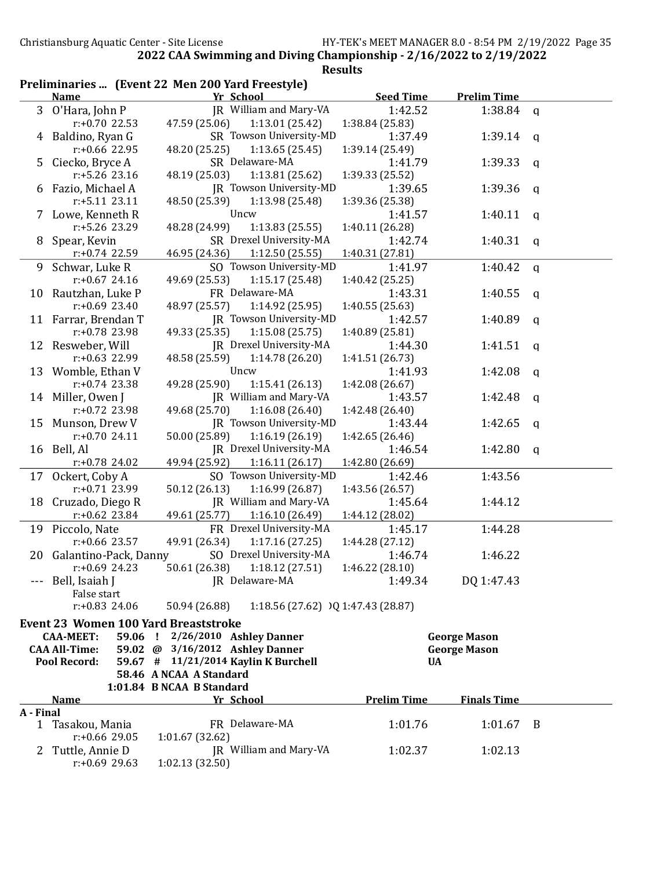| Preliminaries  (Event 22 Men 200 Yard Freestyle) |  |  |  |
|--------------------------------------------------|--|--|--|
|--------------------------------------------------|--|--|--|

|              | <u>Name</u>                                         | Yr School                                              | <b>Seed Time</b>           | <b>Prelim Time</b>                         |             |
|--------------|-----------------------------------------------------|--------------------------------------------------------|----------------------------|--------------------------------------------|-------------|
| 3            | O'Hara, John P                                      | JR William and Mary-VA                                 | 1:42.52                    | 1:38.84                                    | q           |
|              | $r: +0.70$ 22.53                                    | 47.59 (25.06)<br>1:13.01(25.42)                        | 1:38.84 (25.83)            |                                            |             |
|              | 4 Baldino, Ryan G                                   | SR Towson University-MD                                | 1:37.49                    | 1:39.14                                    | q           |
|              | $r: +0.66$ 22.95                                    | 1:13.65(25.45)<br>48.20 (25.25)                        | 1:39.14 (25.49)            |                                            |             |
| 5            | Ciecko, Bryce A                                     | SR Delaware-MA                                         | 1:41.79                    | 1:39.33                                    | q           |
|              | r:+5.26 23.16                                       | 1:13.81 (25.62)<br>48.19 (25.03)                       | 1:39.33 (25.52)            |                                            |             |
| 6            | Fazio, Michael A                                    | JR Towson University-MD                                | 1:39.65                    | 1:39.36                                    | q           |
|              | r:+5.11 23.11                                       | 48.50 (25.39)<br>1:13.98 (25.48)                       | 1:39.36 (25.38)            |                                            |             |
|              | Lowe, Kenneth R                                     | Uncw                                                   | 1:41.57                    | 1:40.11                                    | q           |
|              | r:+5.26 23.29                                       | 48.28 (24.99)<br>1:13.83(25.55)                        | 1:40.11 (26.28)            |                                            |             |
| 8            | Spear, Kevin                                        | SR Drexel University-MA                                | 1:42.74                    | 1:40.31                                    | q           |
|              | $r: +0.74$ 22.59                                    | 46.95 (24.36)<br>1:12.50(25.55)                        | 1:40.31 (27.81)            |                                            |             |
| 9            | Schwar, Luke R                                      | SO Towson University-MD                                | 1:41.97                    | 1:40.42                                    | $\mathbf q$ |
|              | $r: +0.67$ 24.16                                    | 49.69 (25.53)<br>1:15.17(25.48)                        | 1:40.42 (25.25)            |                                            |             |
| 10           | Rautzhan, Luke P                                    | FR Delaware-MA                                         | 1:43.31                    | 1:40.55                                    | q           |
|              | $r: +0.69$ 23.40                                    | 1:14.92 (25.95)<br>48.97 (25.57)                       | 1:40.55(25.63)             |                                            |             |
| 11           | Farrar, Brendan T                                   | JR Towson University-MD                                | 1:42.57                    | 1:40.89                                    | q           |
|              | r:+0.78 23.98                                       | 49.33 (25.35)<br>1:15.08(25.75)                        | 1:40.89 (25.81)            |                                            |             |
| 12           | Resweber, Will                                      | JR Drexel University-MA                                | 1:44.30                    | 1:41.51                                    | q           |
|              | r:+0.63 22.99                                       | 1:14.78 (26.20)<br>48.58 (25.59)                       | 1:41.51 (26.73)            |                                            |             |
| 13           | Womble, Ethan V                                     | Uncw                                                   | 1:41.93                    | 1:42.08                                    | q           |
|              | $r: +0.74$ 23.38                                    | 49.28 (25.90)<br>1:15.41(26.13)                        | 1:42.08 (26.67)            |                                            |             |
| 14           | Miller, Owen J                                      | JR William and Mary-VA                                 | 1:43.57                    | 1:42.48                                    | q           |
|              | $r: +0.72$ 23.98                                    | 49.68 (25.70)<br>1:16.08(26.40)                        | 1:42.48 (26.40)            |                                            |             |
| 15           | Munson, Drew V                                      | JR Towson University-MD                                | 1:43.44                    | 1:42.65                                    | q           |
|              | $r: +0.7024.11$                                     | 50.00 (25.89)<br>1:16.19(26.19)                        | 1:42.65 (26.46)            |                                            |             |
| 16           | Bell, Al                                            | JR Drexel University-MA                                | 1:46.54                    | 1:42.80                                    | q           |
|              | $r: +0.78$ 24.02                                    | 49.94 (25.92)<br>1:16.11(26.17)                        | 1:42.80 (26.69)            |                                            |             |
| 17           | Ockert, Coby A<br>r:+0.71 23.99                     | SO Towson University-MD<br>50.12 (26.13)               | 1:42.46                    | 1:43.56                                    |             |
| 18           |                                                     | 1:16.99(26.87)<br>JR William and Mary-VA               | 1:43.56 (26.57)<br>1:45.64 | 1:44.12                                    |             |
|              | Cruzado, Diego R<br>$r: +0.62$ 23.84                | 49.61 (25.77)<br>1:16.10(26.49)                        | 1:44.12 (28.02)            |                                            |             |
|              |                                                     | FR Drexel University-MA                                |                            |                                            |             |
|              | 19 Piccolo, Nate<br>$r: +0.66$ 23.57                | 49.91 (26.34)<br>1:17.16(27.25)                        | 1:45.17<br>1:44.28 (27.12) | 1:44.28                                    |             |
| 20           | Galantino-Pack, Danny                               | SO Drexel University-MA                                | 1:46.74                    | 1:46.22                                    |             |
|              | $r: +0.69$ 24.23                                    | 50.61 (26.38)<br>1:18.12(27.51)                        | 1:46.22 (28.10)            |                                            |             |
|              | Bell, Isaiah J                                      | JR Delaware-MA                                         | 1:49.34                    | DQ 1:47.43                                 |             |
|              | False start                                         |                                                        |                            |                                            |             |
|              | $r: +0.83$ 24.06                                    | 50.94 (26.88)<br>1:18.56 (27.62) $)$ Q 1:47.43 (28.87) |                            |                                            |             |
|              | <b>Event 23 Women 100 Yard Breaststroke</b>         |                                                        |                            |                                            |             |
|              |                                                     | 2/26/2010 Ashley Danner                                |                            |                                            |             |
|              | <b>CAA-MEET:</b><br>59.06 !<br><b>CAA All-Time:</b> | 59.02 @ 3/16/2012 Ashley Danner                        |                            | <b>George Mason</b><br><b>George Mason</b> |             |
|              | <b>Pool Record:</b>                                 | 59.67 # 11/21/2014 Kaylin K Burchell                   | <b>UA</b>                  |                                            |             |
|              |                                                     | 58.46 A NCAA A Standard                                |                            |                                            |             |
|              |                                                     | 1:01.84 B NCAA B Standard                              |                            |                                            |             |
|              | <b>Name</b>                                         | Yr School                                              | <b>Prelim Time</b>         | <b>Finals Time</b>                         |             |
| A - Final    |                                                     |                                                        |                            |                                            |             |
|              | 1 Tasakou, Mania                                    | FR Delaware-MA                                         | 1:01.76                    | 1:01.67                                    | - B         |
|              | $r: +0.66$ 29.05                                    | 1:01.67(32.62)                                         |                            |                                            |             |
| $\mathbf{Z}$ | Tuttle, Annie D                                     | JR William and Mary-VA                                 | 1:02.37                    | 1:02.13                                    |             |
|              | $r: +0.69$ 29.63                                    | 1:02.13(32.50)                                         |                            |                                            |             |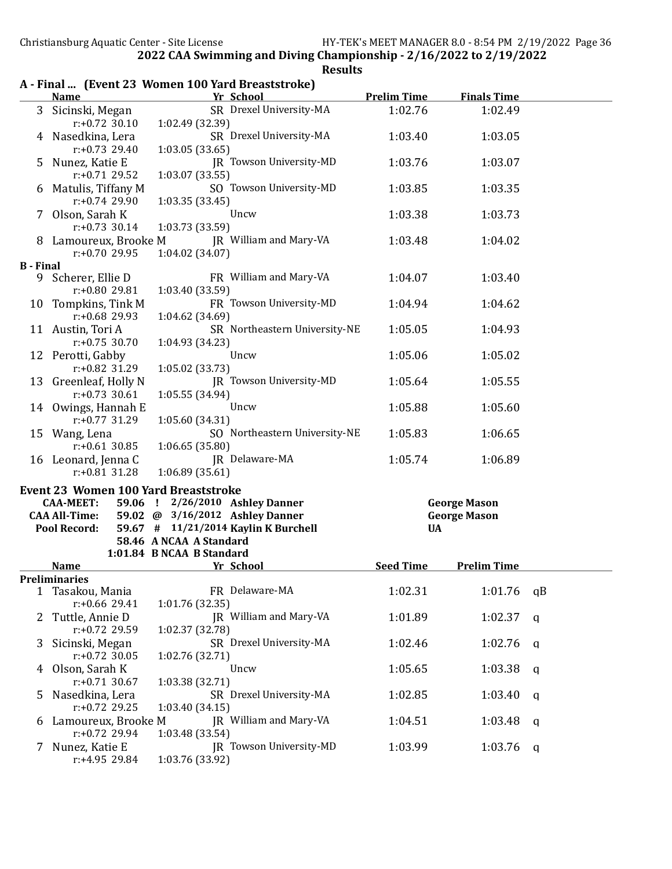|                  |                                             | A - Final  (Event 23 Women 100 Yard Breaststroke) |                    |                     |    |
|------------------|---------------------------------------------|---------------------------------------------------|--------------------|---------------------|----|
|                  | <b>Name</b>                                 | Yr School                                         | <b>Prelim Time</b> | <b>Finals Time</b>  |    |
| 3                | Sicinski, Megan<br>$r: +0.72$ 30.10         | SR Drexel University-MA<br>1:02.49 (32.39)        | 1:02.76            | 1:02.49             |    |
|                  | 4 Nasedkina, Lera<br>$r: +0.73$ 29.40       | SR Drexel University-MA<br>1:03.05(33.65)         | 1:03.40            | 1:03.05             |    |
| 5.               | Nunez, Katie E<br>$r: +0.71$ 29.52          | JR Towson University-MD<br>1:03.07 (33.55)        | 1:03.76            | 1:03.07             |    |
|                  | 6 Matulis, Tiffany M<br>$r: +0.74$ 29.90    | SO Towson University-MD<br>1:03.35 (33.45)        | 1:03.85            | 1:03.35             |    |
|                  | 7 Olson, Sarah K<br>$r: +0.73$ 30.14        | Uncw<br>1:03.73 (33.59)                           | 1:03.38            | 1:03.73             |    |
|                  | 8 Lamoureux, Brooke M<br>$r: +0.7029.95$    | JR William and Mary-VA<br>1:04.02(34.07)          | 1:03.48            | 1:04.02             |    |
| <b>B</b> - Final |                                             |                                                   |                    |                     |    |
|                  | 9 Scherer, Ellie D<br>r:+0.80 29.81         | FR William and Mary-VA<br>1:03.40 (33.59)         | 1:04.07            | 1:03.40             |    |
|                  | 10 Tompkins, Tink M<br>$r: +0.68$ 29.93     | FR Towson University-MD<br>1:04.62 (34.69)        | 1:04.94            | 1:04.62             |    |
|                  | 11 Austin, Tori A<br>$r: +0.75$ 30.70       | SR Northeastern University-NE<br>1:04.93 (34.23)  | 1:05.05            | 1:04.93             |    |
|                  | 12 Perotti, Gabby<br>$r: +0.82$ 31.29       | Uncw<br>1:05.02 (33.73)                           | 1:05.06            | 1:05.02             |    |
|                  | 13 Greenleaf, Holly N<br>$r: +0.73$ 30.61   | JR Towson University-MD<br>1:05.55 (34.94)        | 1:05.64            | 1:05.55             |    |
|                  | 14 Owings, Hannah E<br>$r: +0.77$ 31.29     | Uncw<br>1:05.60 (34.31)                           | 1:05.88            | 1:05.60             |    |
|                  | 15 Wang, Lena<br>$r: +0.61$ 30.85           | SO Northeastern University-NE<br>1:06.65(35.80)   | 1:05.83            | 1:06.65             |    |
|                  | 16 Leonard, Jenna C<br>$r: +0.81$ 31.28     | JR Delaware-MA<br>1:06.89(35.61)                  | 1:05.74            | 1:06.89             |    |
|                  | <b>Event 23 Women 100 Yard Breaststroke</b> |                                                   |                    |                     |    |
|                  | <b>CAA-MEET:</b>                            | 59.06 ! 2/26/2010 Ashley Danner                   |                    | <b>George Mason</b> |    |
|                  | <b>CAA All-Time:</b>                        | 59.02 @ 3/16/2012 Ashley Danner                   |                    | <b>George Mason</b> |    |
|                  | <b>Pool Record:</b>                         | 59.67 # 11/21/2014 Kaylin K Burchell              | <b>UA</b>          |                     |    |
|                  |                                             | 58.46 A NCAA A Standard                           |                    |                     |    |
|                  |                                             | 1:01.84 B NCAA B Standard                         |                    |                     |    |
|                  | <b>Name</b>                                 | <b>Example 12 Yr School</b>                       | <b>Seed Time</b>   | <b>Prelim Time</b>  |    |
|                  | Preliminaries                               |                                                   |                    |                     |    |
|                  | 1 Tasakou, Mania<br>$r: +0.66$ 29.41        | FR Delaware-MA<br>1:01.76 (32.35)                 | 1:02.31            | 1:01.76             | qB |
| 2                | Tuttle, Annie D<br>r:+0.72 29.59            | JR William and Mary-VA<br>1:02.37 (32.78)         | 1:01.89            | 1:02.37             | q  |
| 3                | Sicinski, Megan<br>$r: +0.72$ 30.05         | SR Drexel University-MA<br>1:02.76 (32.71)        | 1:02.46            | 1:02.76             | a  |
| 4                | Olson, Sarah K<br>$r: +0.71$ 30.67          | Uncw<br>1:03.38 (32.71)                           | 1:05.65            | 1:03.38             | q  |
| 5                | Nasedkina, Lera<br>$r: +0.72$ 29.25         | SR Drexel University-MA<br>1:03.40(34.15)         | 1:02.85            | 1:03.40             | q  |
| 6                | Lamoureux, Brooke M<br>$r: +0.72$ 29.94     | JR William and Mary-VA<br>1:03.48 (33.54)         | 1:04.51            | 1:03.48             | q  |
| 7                | Nunez, Katie E<br>r:+4.95 29.84             | JR Towson University-MD<br>1:03.76 (33.92)        | 1:03.99            | 1:03.76             | q  |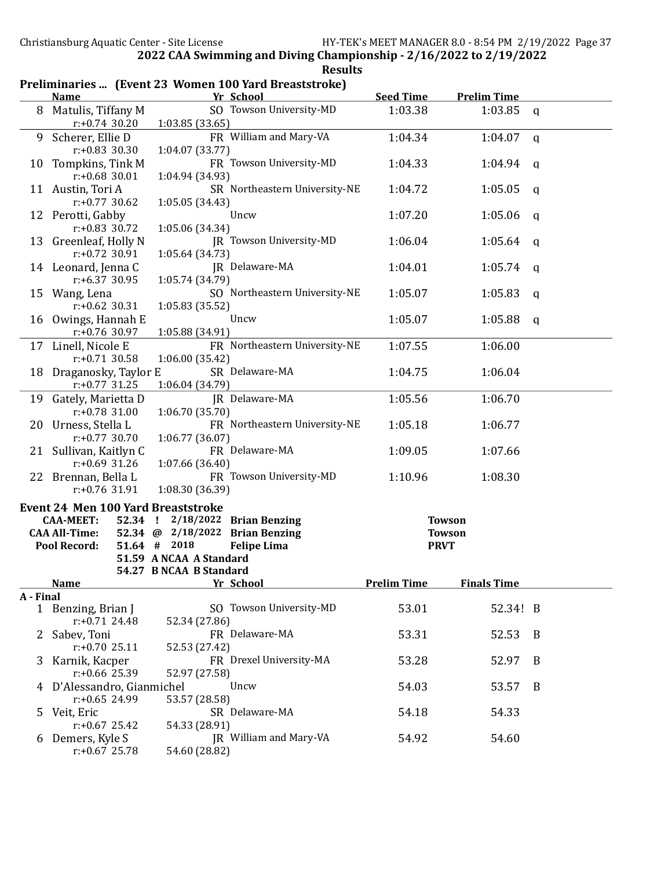|              |                                                                 |                                                                                                                        | Preliminaries  (Event 23 Women 100 Yard Breaststroke)                   |                                               |                    |              |
|--------------|-----------------------------------------------------------------|------------------------------------------------------------------------------------------------------------------------|-------------------------------------------------------------------------|-----------------------------------------------|--------------------|--------------|
|              | <b>Name</b>                                                     |                                                                                                                        | Yr School                                                               | <b>Seed Time</b>                              | <b>Prelim Time</b> |              |
| 8            | Matulis, Tiffany M<br>$r: +0.74$ 30.20                          | 1:03.85 (33.65)                                                                                                        | SO Towson University-MD                                                 | 1:03.38                                       | 1:03.85            | $\mathsf{q}$ |
| 9            | Scherer, Ellie D<br>$r: +0.83$ 30.30                            | 1:04.07(33.77)                                                                                                         | FR William and Mary-VA                                                  | 1:04.34                                       | 1:04.07            | $\mathsf{q}$ |
| 10           | Tompkins, Tink M<br>$r: +0.68$ 30.01                            | 1:04.94 (34.93)                                                                                                        | FR Towson University-MD                                                 | 1:04.33                                       | 1:04.94            | a            |
|              | 11 Austin, Tori A<br>$r: +0.77$ 30.62                           | 1:05.05 (34.43)                                                                                                        | SR Northeastern University-NE                                           | 1:04.72                                       | 1:05.05            | $\mathsf{q}$ |
| 12           | Perotti, Gabby<br>$r: +0.83$ 30.72                              | 1:05.06(34.34)                                                                                                         | Uncw                                                                    | 1:07.20                                       | 1:05.06            | a            |
| 13           | Greenleaf, Holly N<br>$r: +0.72$ 30.91                          | 1:05.64 (34.73)                                                                                                        | JR Towson University-MD                                                 | 1:06.04                                       | 1:05.64            | q            |
|              | 14 Leonard, Jenna C<br>$r: +6.37$ 30.95                         | 1:05.74 (34.79)                                                                                                        | JR Delaware-MA                                                          | 1:04.01                                       | 1:05.74            | a            |
| 15           | Wang, Lena<br>$r: +0.62$ 30.31                                  | 1:05.83 (35.52)                                                                                                        | SO Northeastern University-NE                                           | 1:05.07                                       | 1:05.83            | a            |
| 16           | Owings, Hannah E<br>$r: +0.76$ 30.97                            | 1:05.88(34.91)                                                                                                         | Uncw                                                                    | 1:05.07                                       | 1:05.88            | q            |
|              | 17 Linell, Nicole E<br>$r: +0.71$ 30.58                         | 1:06.00(35.42)                                                                                                         | FR Northeastern University-NE                                           | 1:07.55                                       | 1:06.00            |              |
| 18           | Draganosky, Taylor E<br>$r: +0.77$ 31.25                        | 1:06.04 (34.79)                                                                                                        | SR Delaware-MA                                                          | 1:04.75                                       | 1:06.04            |              |
| 19           | Gately, Marietta D<br>$r: +0.78$ 31.00                          | 1:06.70(35.70)                                                                                                         | JR Delaware-MA                                                          | 1:05.56                                       | 1:06.70            |              |
| 20           | Urness, Stella L<br>$r: +0.77$ 30.70                            | 1:06.77(36.07)                                                                                                         | FR Northeastern University-NE                                           | 1:05.18                                       | 1:06.77            |              |
| 21           | Sullivan, Kaitlyn C<br>$r: +0.69$ 31.26                         | 1:07.66(36.40)                                                                                                         | FR Delaware-MA                                                          | 1:09.05                                       | 1:07.66            |              |
| 22           | Brennan, Bella L<br>$r: +0.76$ 31.91                            | 1:08.30 (36.39)                                                                                                        | FR Towson University-MD                                                 | 1:10.96                                       | 1:08.30            |              |
|              | <b>CAA-MEET:</b><br><b>CAA All-Time:</b><br><b>Pool Record:</b> | <b>Event 24 Men 100 Yard Breaststroke</b><br>52.34 !<br>52.34 @ $2/18/2022$<br>51.64 # 2018<br>51.59 A NCAA A Standard | $2/18/2022$ Brian Benzing<br><b>Brian Benzing</b><br><b>Felipe Lima</b> | <b>Towson</b><br><b>Towson</b><br><b>PRVT</b> |                    |              |
|              | <b>Name</b>                                                     | 54.27 B NCAA B Standard                                                                                                | Yr School                                                               | <b>Prelim Time</b>                            | <b>Finals Time</b> |              |
| A - Final    |                                                                 |                                                                                                                        |                                                                         |                                               |                    |              |
|              | 1 Benzing, Brian J<br>$r: +0.71$ 24.48                          | 52.34 (27.86)                                                                                                          | SO Towson University-MD                                                 | 53.01                                         | 52.34! B           |              |
| $\mathbf{Z}$ | Sabev, Toni<br>$r: +0.7025.11$                                  | 52.53 (27.42)                                                                                                          | FR Delaware-MA                                                          | 53.31                                         | 52.53              | - B          |
| 3.           | Karnik, Kacper<br>$r: +0.66$ 25.39                              | 52.97 (27.58)                                                                                                          | FR Drexel University-MA                                                 | 53.28                                         | 52.97              | B            |
|              | 4 D'Alessandro, Gianmichel<br>$r: +0.65$ 24.99                  | 53.57 (28.58)                                                                                                          | Uncw                                                                    | 54.03                                         | 53.57              | B            |
| 5            | Veit, Eric<br>$r: +0.67$ 25.42                                  | 54.33 (28.91)                                                                                                          | SR Delaware-MA                                                          | 54.18                                         | 54.33              |              |
|              | 6 Demers, Kyle S<br>$r: +0.67$ 25.78                            | 54.60 (28.82)                                                                                                          | JR William and Mary-VA                                                  | 54.92                                         | 54.60              |              |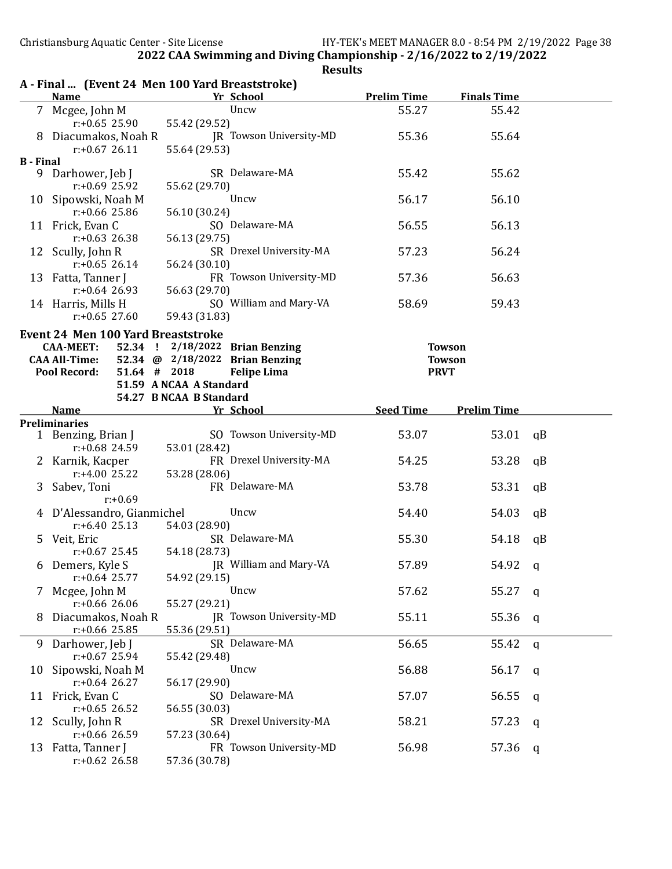|                  | <b>Name</b>                                                 | A - Final  (Event 24 Men 100 Yard Breaststroke)<br>Yr School | <b>Prelim Time</b> | <b>Finals Time</b> |              |
|------------------|-------------------------------------------------------------|--------------------------------------------------------------|--------------------|--------------------|--------------|
|                  | 7 Mcgee, John M                                             | Uncw                                                         | 55.27              | 55.42              |              |
|                  | $r: +0.65$ 25.90                                            | 55.42 (29.52)                                                |                    |                    |              |
|                  | 8 Diacumakos, Noah R                                        | <b>IR Towson University-MD</b>                               | 55.36              | 55.64              |              |
|                  | $r: +0.6726.11$                                             | 55.64 (29.53)                                                |                    |                    |              |
| <b>B</b> - Final |                                                             |                                                              |                    |                    |              |
| 9                | Darhower, Jeb J                                             | SR Delaware-MA                                               | 55.42              | 55.62              |              |
|                  | $r: +0.69$ 25.92                                            | 55.62 (29.70)                                                |                    |                    |              |
|                  | 10 Sipowski, Noah M                                         | Uncw                                                         | 56.17              | 56.10              |              |
|                  | $r: +0.66$ 25.86                                            | 56.10 (30.24)                                                |                    |                    |              |
|                  | 11 Frick, Evan C                                            | SO Delaware-MA                                               | 56.55              | 56.13              |              |
|                  | $r: +0.63$ 26.38                                            | 56.13 (29.75)                                                |                    |                    |              |
|                  | 12 Scully, John R                                           | SR Drexel University-MA                                      | 57.23              | 56.24              |              |
|                  | $r: +0.65$ 26.14                                            | 56.24 (30.10)                                                |                    |                    |              |
|                  | 13 Fatta, Tanner J                                          | FR Towson University-MD                                      | 57.36              | 56.63              |              |
|                  | $r: +0.64$ 26.93                                            | 56.63 (29.70)                                                |                    |                    |              |
|                  | 14 Harris, Mills H                                          | SO William and Mary-VA                                       | 58.69              | 59.43              |              |
|                  | $r: +0.65$ 27.60                                            | 59.43 (31.83)                                                |                    |                    |              |
|                  |                                                             |                                                              |                    |                    |              |
|                  | <b>Event 24 Men 100 Yard Breaststroke</b>                   | 52.34 ! 2/18/2022 Brian Benzing                              |                    |                    |              |
|                  | <b>CAA-MEET:</b>                                            | 52.34 @ 2/18/2022 Brian Benzing                              |                    | <b>Towson</b>      |              |
|                  | <b>CAA All-Time:</b><br>51.64 # 2018<br><b>Pool Record:</b> |                                                              |                    | <b>Towson</b>      |              |
|                  |                                                             | <b>Felipe Lima</b><br>51.59 A NCAA A Standard                | <b>PRVT</b>        |                    |              |
|                  |                                                             | 54.27 B NCAA B Standard                                      |                    |                    |              |
|                  | <b>Name</b>                                                 | Yr School                                                    | <b>Seed Time</b>   | <b>Prelim Time</b> |              |
|                  | <b>Preliminaries</b>                                        |                                                              |                    |                    |              |
|                  | 1 Benzing, Brian J                                          | SO Towson University-MD                                      | 53.07              | 53.01              | qB           |
|                  | $r: +0.68$ 24.59                                            | 53.01 (28.42)                                                |                    |                    |              |
|                  | 2 Karnik, Kacper                                            | FR Drexel University-MA                                      | 54.25              | 53.28              | qB           |
|                  | $r: +4.00$ 25.22                                            | 53.28 (28.06)                                                |                    |                    |              |
|                  |                                                             | FR Delaware-MA                                               | 53.78              | 53.31              | qB           |
|                  | 3 Sabev, Toni<br>$r: +0.69$                                 |                                                              |                    |                    |              |
|                  |                                                             | Uncw                                                         |                    |                    |              |
|                  | 4 D'Alessandro, Gianmichel                                  |                                                              | 54.40              | 54.03              | qB           |
|                  | $r: +6.4025.13$                                             | 54.03 (28.90)<br>SR Delaware-MA                              |                    |                    |              |
|                  | 5 Veit, Eric                                                |                                                              | 55.30              | 54.18              | qB           |
|                  | $r: +0.67$ 25.45                                            | 54.18 (28.73)<br>IR William and Mary-VA                      |                    |                    |              |
|                  | 6 Demers, Kyle S                                            |                                                              | 57.89              | 54.92              | q            |
|                  | $r: +0.64$ 25.77                                            | 54.92 (29.15)                                                |                    |                    |              |
|                  | 7 Mcgee, John M                                             | Uncw                                                         | 57.62              | 55.27              | a            |
|                  | $r: +0.66$ 26.06                                            | 55.27 (29.21)                                                |                    |                    |              |
| 8                | Diacumakos, Noah R                                          | JR Towson University-MD                                      | 55.11              | 55.36              | q            |
|                  | $r: +0.66$ 25.85                                            | 55.36 (29.51)                                                |                    |                    |              |
|                  | 9 Darhower, Jeb J                                           | SR Delaware-MA                                               | 56.65              | 55.42              | $\mathbf{q}$ |
|                  | $r: +0.67$ 25.94                                            | 55.42 (29.48)                                                |                    |                    |              |
|                  | 10 Sipowski, Noah M                                         | Uncw                                                         | 56.88              | 56.17              | q            |
|                  | $r: +0.64$ 26.27                                            | 56.17 (29.90)                                                |                    |                    |              |
|                  | 11 Frick, Evan C                                            | SO Delaware-MA                                               | 57.07              | 56.55              | q            |
|                  | $r: +0.65$ 26.52                                            | 56.55 (30.03)                                                |                    |                    |              |
|                  | 12 Scully, John R                                           | SR Drexel University-MA                                      | 58.21              | 57.23              | q            |
|                  | $r: +0.66$ 26.59                                            | 57.23 (30.64)                                                |                    |                    |              |
|                  | 13 Fatta, Tanner J                                          | FR Towson University-MD                                      | 56.98              | 57.36              | q            |
|                  | $r: +0.62$ 26.58                                            | 57.36 (30.78)                                                |                    |                    |              |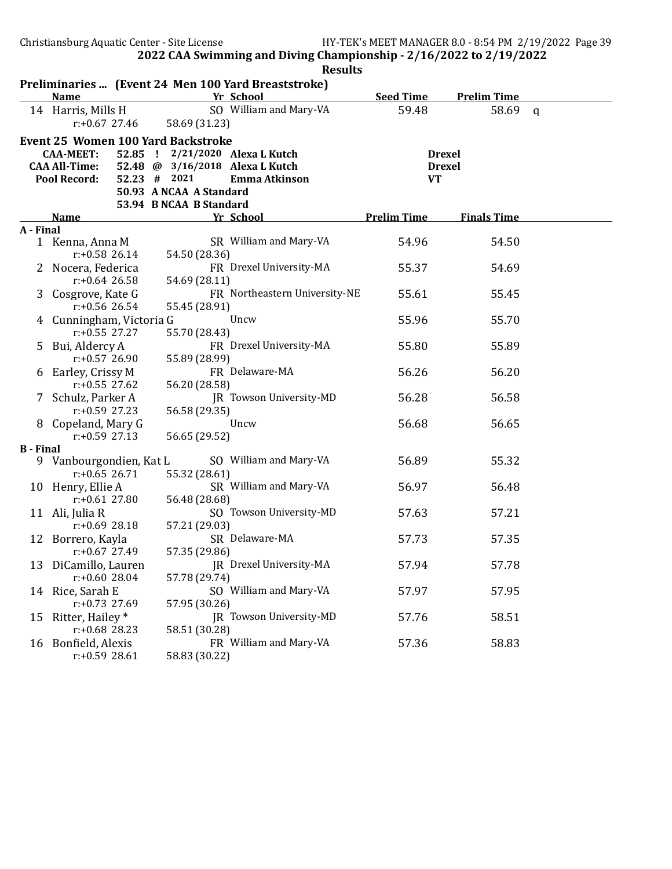|                  | Preliminaries  (Event 24 Men 100 Yard Breaststroke) |                                 |                               |                    |                    |  |
|------------------|-----------------------------------------------------|---------------------------------|-------------------------------|--------------------|--------------------|--|
|                  | <b>Name</b>                                         |                                 | Yr School                     | <b>Seed Time</b>   | <b>Prelim Time</b> |  |
|                  | 14 Harris, Mills H                                  |                                 | SO William and Mary-VA        | 59.48              | 58.69 q            |  |
|                  | $r: +0.67$ 27.46                                    | 58.69 (31.23)                   |                               |                    |                    |  |
|                  | <b>Event 25 Women 100 Yard Backstroke</b>           |                                 |                               |                    |                    |  |
|                  | 52.85 !<br><b>CAA-MEET:</b>                         |                                 | 2/21/2020 Alexa L Kutch       |                    | <b>Drexel</b>      |  |
|                  | <b>CAA All-Time:</b>                                | 52.48 @ 3/16/2018 Alexa L Kutch |                               |                    | <b>Drexel</b>      |  |
|                  | <b>Pool Record:</b>                                 | $52.23$ # 2021                  | <b>Emma Atkinson</b>          | <b>VT</b>          |                    |  |
|                  |                                                     | 50.93 A NCAA A Standard         |                               |                    |                    |  |
|                  |                                                     | 53.94 B NCAA B Standard         |                               |                    |                    |  |
|                  | <b>Name</b>                                         |                                 | Yr School                     | <b>Prelim Time</b> | <b>Finals Time</b> |  |
| A - Final        | 1 Kenna, Anna M                                     |                                 | SR William and Mary-VA        | 54.96              | 54.50              |  |
|                  | $r: +0.58$ 26.14                                    | 54.50 (28.36)                   |                               |                    |                    |  |
|                  | 2 Nocera, Federica                                  |                                 | FR Drexel University-MA       | 55.37              | 54.69              |  |
|                  | $r: +0.64$ 26.58                                    | 54.69 (28.11)                   |                               |                    |                    |  |
|                  | 3 Cosgrove, Kate G                                  |                                 | FR Northeastern University-NE | 55.61              | 55.45              |  |
|                  | $r: +0.56$ 26.54                                    | 55.45 (28.91)                   |                               |                    |                    |  |
|                  | 4 Cunningham, Victoria G                            |                                 | Uncw                          | 55.96              | 55.70              |  |
|                  | $r: +0.55$ 27.27                                    | 55.70 (28.43)                   |                               |                    |                    |  |
| 5.               | Bui, Aldercy A                                      |                                 | FR Drexel University-MA       | 55.80              | 55.89              |  |
|                  | $r: +0.57$ 26.90                                    | 55.89 (28.99)                   |                               |                    |                    |  |
|                  | 6 Earley, Crissy M                                  |                                 | FR Delaware-MA                | 56.26              | 56.20              |  |
|                  | $r: +0.55$ 27.62                                    | 56.20 (28.58)                   |                               |                    |                    |  |
|                  | 7 Schulz, Parker A                                  |                                 | IR Towson University-MD       | 56.28              | 56.58              |  |
|                  | $r: +0.59$ 27.23                                    | 56.58 (29.35)                   |                               |                    |                    |  |
|                  | 8 Copeland, Mary G                                  |                                 | Uncw                          | 56.68              | 56.65              |  |
| <b>B</b> - Final | $r: +0.59$ 27.13                                    | 56.65 (29.52)                   |                               |                    |                    |  |
|                  | 9 Vanbourgondien, Kat L                             |                                 | SO William and Mary-VA        | 56.89              | 55.32              |  |
|                  | $r: +0.65$ 26.71                                    | 55.32 (28.61)                   |                               |                    |                    |  |
|                  | 10 Henry, Ellie A                                   |                                 | SR William and Mary-VA        | 56.97              | 56.48              |  |
|                  | $r: +0.61$ 27.80                                    | 56.48 (28.68)                   |                               |                    |                    |  |
|                  | 11 Ali, Julia R                                     |                                 | SO Towson University-MD       | 57.63              | 57.21              |  |
|                  | $r: +0.69$ 28.18                                    | 57.21 (29.03)                   |                               |                    |                    |  |
|                  | 12 Borrero, Kayla                                   |                                 | SR Delaware-MA                | 57.73              | 57.35              |  |
|                  | $r: +0.67$ 27.49                                    | 57.35 (29.86)                   |                               |                    |                    |  |
|                  | 13 DiCamillo, Lauren                                |                                 | JR Drexel University-MA       | 57.94              | 57.78              |  |
|                  | $r: +0.6028.04$                                     | 57.78 (29.74)                   |                               |                    |                    |  |
|                  | 14 Rice, Sarah E<br>$r: +0.73$ 27.69                | 57.95 (30.26)                   | SO William and Mary-VA        | 57.97              | 57.95              |  |
| 15               | Ritter, Hailey *                                    |                                 | JR Towson University-MD       | 57.76              | 58.51              |  |
|                  | $r: +0.68$ 28.23                                    | 58.51 (30.28)                   |                               |                    |                    |  |
|                  | 16 Bonfield, Alexis                                 |                                 | FR William and Mary-VA        | 57.36              | 58.83              |  |
|                  | $r: +0.59$ 28.61                                    | 58.83 (30.22)                   |                               |                    |                    |  |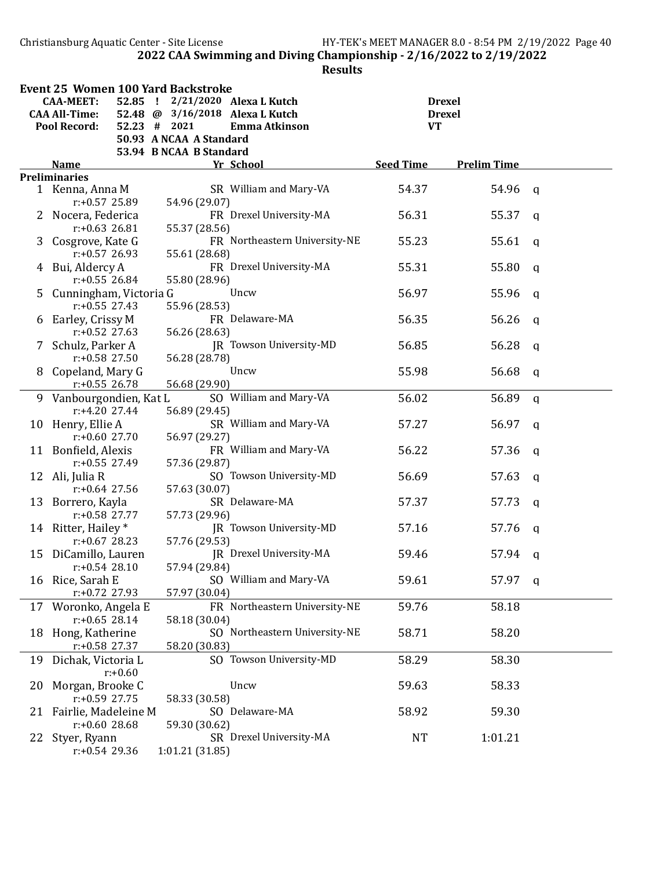Christiansburg Aquatic Center - Site License HY-TEK's MEET MANAGER 8.0 - 8:54 PM 2/19/2022 Page 40 2022 CAA Swimming and Diving Championship - 2/16/2022 to 2/19/2022

|    | <b>Event 25 Women 100 Yard Backstroke</b> |                                 |                               |                  |                    |              |  |
|----|-------------------------------------------|---------------------------------|-------------------------------|------------------|--------------------|--------------|--|
|    | <b>CAA-MEET:</b><br>$52.85$ !             |                                 | 2/21/2020 Alexa L Kutch       |                  | <b>Drexel</b>      |              |  |
|    | <b>CAA All-Time:</b>                      | 52.48 @ 3/16/2018 Alexa L Kutch |                               |                  | <b>Drexel</b>      |              |  |
|    | <b>Pool Record:</b>                       | $52.23$ # 2021                  | Emma Atkinson                 | <b>VT</b>        |                    |              |  |
|    |                                           | 50.93 A NCAA A Standard         |                               |                  |                    |              |  |
|    |                                           | 53.94 B NCAA B Standard         |                               |                  |                    |              |  |
|    | Name                                      |                                 | Yr School                     | <b>Seed Time</b> | <b>Prelim Time</b> |              |  |
|    | <b>Preliminaries</b>                      |                                 |                               |                  |                    |              |  |
|    | 1 Kenna, Anna M                           |                                 | SR William and Mary-VA        | 54.37            | 54.96              | $\mathsf{q}$ |  |
|    | r:+0.57 25.89                             | 54.96 (29.07)                   |                               |                  |                    |              |  |
|    | 2 Nocera, Federica                        |                                 | FR Drexel University-MA       | 56.31            | 55.37              | $\mathsf{q}$ |  |
|    | $r: +0.63$ 26.81                          | 55.37 (28.56)                   |                               |                  |                    |              |  |
| 3  | Cosgrove, Kate G                          |                                 | FR Northeastern University-NE | 55.23            | 55.61              | $\mathsf{q}$ |  |
|    | $r: +0.57$ 26.93                          | 55.61 (28.68)                   |                               |                  |                    |              |  |
|    | 4 Bui, Aldercy A                          |                                 | FR Drexel University-MA       | 55.31            | 55.80              | $\mathsf{q}$ |  |
|    | $r: +0.55$ 26.84                          | 55.80 (28.96)                   |                               |                  |                    |              |  |
|    | 5 Cunningham, Victoria G                  |                                 | Uncw                          | 56.97            | 55.96              | $\mathsf{q}$ |  |
|    | $r: +0.55$ 27.43                          | 55.96 (28.53)                   |                               |                  |                    |              |  |
|    | 6 Earley, Crissy M                        |                                 | FR Delaware-MA                | 56.35            | 56.26              | $\mathsf{q}$ |  |
|    | $r: +0.52$ 27.63                          | 56.26 (28.63)                   |                               |                  |                    |              |  |
|    | 7 Schulz, Parker A                        |                                 | JR Towson University-MD       | 56.85            | 56.28              | q            |  |
|    | $r: +0.58$ 27.50                          | 56.28 (28.78)                   |                               |                  |                    |              |  |
|    | 8 Copeland, Mary G                        |                                 | Uncw                          | 55.98            | 56.68              | $\mathsf{q}$ |  |
|    | $r: +0.55$ 26.78                          | 56.68 (29.90)                   |                               |                  |                    |              |  |
|    | 9 Vanbourgondien, Kat L                   |                                 | SO William and Mary-VA        | 56.02            | 56.89              | $\mathbf q$  |  |
|    | $r: +4.20$ 27.44                          | 56.89 (29.45)                   | SR William and Mary-VA        |                  |                    |              |  |
|    | 10 Henry, Ellie A<br>$r: +0.60$ 27.70     |                                 |                               | 57.27            | 56.97              | a            |  |
|    | 11 Bonfield, Alexis                       | 56.97 (29.27)                   | FR William and Mary-VA        | 56.22            | 57.36              |              |  |
|    | $r: +0.55$ 27.49                          | 57.36 (29.87)                   |                               |                  |                    | $\mathsf{q}$ |  |
|    | 12 Ali, Julia R                           |                                 | SO Towson University-MD       | 56.69            | 57.63              |              |  |
|    | $r: +0.64$ 27.56                          | 57.63 (30.07)                   |                               |                  |                    | q            |  |
|    | 13 Borrero, Kayla                         |                                 | SR Delaware-MA                | 57.37            | 57.73              | q            |  |
|    | $r: +0.58$ 27.77                          | 57.73 (29.96)                   |                               |                  |                    |              |  |
|    | 14 Ritter, Hailey *                       |                                 | JR Towson University-MD       | 57.16            | 57.76              | q            |  |
|    | $r: +0.67$ 28.23                          | 57.76 (29.53)                   |                               |                  |                    |              |  |
| 15 | DiCamillo, Lauren                         |                                 | IR Drexel University-MA       | 59.46            | 57.94              | q            |  |
|    | $r: +0.54$ 28.10                          | 57.94 (29.84)                   |                               |                  |                    |              |  |
|    | 16 Rice, Sarah E                          |                                 | SO William and Mary-VA        | 59.61            | 57.97              | $\mathbf{q}$ |  |
|    | r:+0.72 27.93                             | 57.97 (30.04)                   |                               |                  |                    |              |  |
|    | 17 Woronko, Angela E                      |                                 | FR Northeastern University-NE | 59.76            | 58.18              |              |  |
|    | $r: +0.65$ 28.14                          | 58.18 (30.04)                   |                               |                  |                    |              |  |
|    | 18 Hong, Katherine                        |                                 | SO Northeastern University-NE | 58.71            | 58.20              |              |  |
|    | $r: +0.58$ 27.37                          | 58.20 (30.83)                   |                               |                  |                    |              |  |
|    | 19 Dichak, Victoria L                     |                                 | SO Towson University-MD       | 58.29            | 58.30              |              |  |
|    | $r: +0.60$                                |                                 |                               |                  |                    |              |  |
| 20 | Morgan, Brooke C                          |                                 | Uncw                          | 59.63            | 58.33              |              |  |
|    | r:+0.59 27.75                             | 58.33 (30.58)                   |                               |                  |                    |              |  |
|    | 21 Fairlie, Madeleine M                   |                                 | SO Delaware-MA                | 58.92            | 59.30              |              |  |
|    | $r: +0.6028.68$                           | 59.30 (30.62)                   |                               |                  |                    |              |  |
|    | 22 Styer, Ryann                           |                                 | SR Drexel University-MA       | <b>NT</b>        | 1:01.21            |              |  |
|    | $r: +0.54$ 29.36                          | 1:01.21 (31.85)                 |                               |                  |                    |              |  |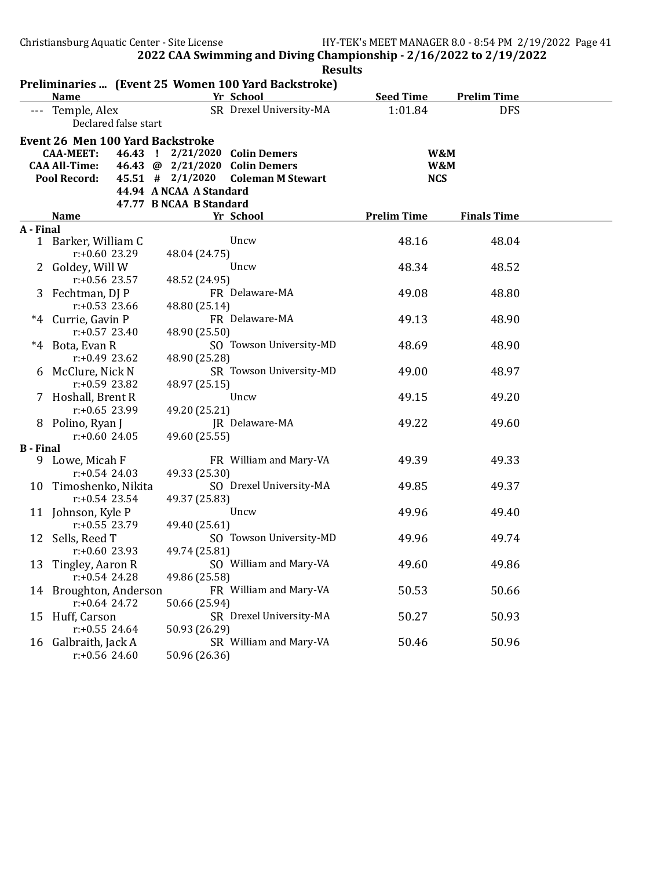|                  | Preliminaries  (Event 25 Women 100 Yard Backstroke)                                                                                                                                                                                                                                                                   |                                                                                                                     |                                                                                                                                                                                               |                                                                      |                                                                      |  |
|------------------|-----------------------------------------------------------------------------------------------------------------------------------------------------------------------------------------------------------------------------------------------------------------------------------------------------------------------|---------------------------------------------------------------------------------------------------------------------|-----------------------------------------------------------------------------------------------------------------------------------------------------------------------------------------------|----------------------------------------------------------------------|----------------------------------------------------------------------|--|
|                  | <b>Name</b>                                                                                                                                                                                                                                                                                                           |                                                                                                                     | Yr School                                                                                                                                                                                     | <b>Seed Time</b>                                                     | <b>Prelim Time</b>                                                   |  |
|                  | --- Temple, Alex<br>Declared false start                                                                                                                                                                                                                                                                              |                                                                                                                     | SR Drexel University-MA                                                                                                                                                                       | 1:01.84                                                              | <b>DFS</b>                                                           |  |
|                  | <b>Event 26 Men 100 Yard Backstroke</b>                                                                                                                                                                                                                                                                               |                                                                                                                     |                                                                                                                                                                                               |                                                                      |                                                                      |  |
|                  | <b>CAA-MEET:</b>                                                                                                                                                                                                                                                                                                      |                                                                                                                     | 46.43 ! 2/21/2020 Colin Demers                                                                                                                                                                | W&M                                                                  |                                                                      |  |
|                  | <b>CAA All-Time:</b>                                                                                                                                                                                                                                                                                                  |                                                                                                                     | 46.43 @ 2/21/2020 Colin Demers                                                                                                                                                                | W&M                                                                  |                                                                      |  |
|                  | <b>Pool Record:</b>                                                                                                                                                                                                                                                                                                   | $45.51$ # $2/1/2020$                                                                                                | <b>Coleman M Stewart</b>                                                                                                                                                                      | <b>NCS</b>                                                           |                                                                      |  |
|                  |                                                                                                                                                                                                                                                                                                                       | 44.94 A NCAA A Standard                                                                                             |                                                                                                                                                                                               |                                                                      |                                                                      |  |
|                  |                                                                                                                                                                                                                                                                                                                       | 47.77 B NCAA B Standard                                                                                             |                                                                                                                                                                                               |                                                                      |                                                                      |  |
|                  | <b>Name</b>                                                                                                                                                                                                                                                                                                           |                                                                                                                     | Yr School                                                                                                                                                                                     | <b>Prelim Time</b>                                                   | <b>Finals Time</b>                                                   |  |
| A - Final        |                                                                                                                                                                                                                                                                                                                       |                                                                                                                     |                                                                                                                                                                                               |                                                                      |                                                                      |  |
|                  | 1 Barker, William C                                                                                                                                                                                                                                                                                                   |                                                                                                                     | Uncw                                                                                                                                                                                          | 48.16                                                                | 48.04                                                                |  |
|                  | $r: +0.60$ 23.29                                                                                                                                                                                                                                                                                                      | 48.04 (24.75)                                                                                                       |                                                                                                                                                                                               |                                                                      |                                                                      |  |
|                  | 2 Goldey, Will W                                                                                                                                                                                                                                                                                                      |                                                                                                                     | Uncw                                                                                                                                                                                          | 48.34                                                                | 48.52                                                                |  |
|                  | $r: +0.56$ 23.57                                                                                                                                                                                                                                                                                                      | 48.52 (24.95)                                                                                                       |                                                                                                                                                                                               |                                                                      |                                                                      |  |
|                  | 3 Fechtman, DJ P                                                                                                                                                                                                                                                                                                      |                                                                                                                     | FR Delaware-MA                                                                                                                                                                                | 49.08                                                                | 48.80                                                                |  |
|                  | $r: +0.53$ 23.66<br>*4 Currie, Gavin P                                                                                                                                                                                                                                                                                | 48.80 (25.14)                                                                                                       | FR Delaware-MA                                                                                                                                                                                | 49.13                                                                | 48.90                                                                |  |
|                  | $r: +0.57$ 23.40                                                                                                                                                                                                                                                                                                      | 48.90 (25.50)                                                                                                       |                                                                                                                                                                                               |                                                                      |                                                                      |  |
|                  | *4 Bota, Evan R                                                                                                                                                                                                                                                                                                       |                                                                                                                     | SO Towson University-MD                                                                                                                                                                       | 48.69                                                                | 48.90                                                                |  |
|                  | $r: +0.49$ 23.62                                                                                                                                                                                                                                                                                                      | 48.90 (25.28)                                                                                                       |                                                                                                                                                                                               |                                                                      |                                                                      |  |
|                  | 6 McClure, Nick N                                                                                                                                                                                                                                                                                                     |                                                                                                                     | SR Towson University-MD                                                                                                                                                                       | 49.00                                                                | 48.97                                                                |  |
|                  | r:+0.59 23.82                                                                                                                                                                                                                                                                                                         | 48.97 (25.15)                                                                                                       |                                                                                                                                                                                               |                                                                      |                                                                      |  |
|                  | 7 Hoshall, Brent R                                                                                                                                                                                                                                                                                                    |                                                                                                                     | Uncw                                                                                                                                                                                          | 49.15                                                                | 49.20                                                                |  |
|                  | $r: +0.65$ 23.99                                                                                                                                                                                                                                                                                                      | 49.20 (25.21)                                                                                                       |                                                                                                                                                                                               |                                                                      |                                                                      |  |
|                  | 8 Polino, Ryan J                                                                                                                                                                                                                                                                                                      |                                                                                                                     | JR Delaware-MA                                                                                                                                                                                | 49.22                                                                | 49.60                                                                |  |
|                  | $r: +0.6024.05$                                                                                                                                                                                                                                                                                                       | 49.60 (25.55)                                                                                                       |                                                                                                                                                                                               |                                                                      |                                                                      |  |
| <b>B</b> - Final |                                                                                                                                                                                                                                                                                                                       |                                                                                                                     |                                                                                                                                                                                               |                                                                      |                                                                      |  |
| 9.               |                                                                                                                                                                                                                                                                                                                       |                                                                                                                     |                                                                                                                                                                                               |                                                                      |                                                                      |  |
|                  |                                                                                                                                                                                                                                                                                                                       |                                                                                                                     |                                                                                                                                                                                               |                                                                      |                                                                      |  |
|                  |                                                                                                                                                                                                                                                                                                                       |                                                                                                                     |                                                                                                                                                                                               |                                                                      |                                                                      |  |
|                  |                                                                                                                                                                                                                                                                                                                       |                                                                                                                     |                                                                                                                                                                                               |                                                                      |                                                                      |  |
|                  |                                                                                                                                                                                                                                                                                                                       |                                                                                                                     |                                                                                                                                                                                               |                                                                      |                                                                      |  |
|                  |                                                                                                                                                                                                                                                                                                                       |                                                                                                                     |                                                                                                                                                                                               |                                                                      |                                                                      |  |
|                  |                                                                                                                                                                                                                                                                                                                       |                                                                                                                     |                                                                                                                                                                                               |                                                                      |                                                                      |  |
|                  |                                                                                                                                                                                                                                                                                                                       |                                                                                                                     |                                                                                                                                                                                               |                                                                      |                                                                      |  |
|                  |                                                                                                                                                                                                                                                                                                                       |                                                                                                                     |                                                                                                                                                                                               |                                                                      |                                                                      |  |
|                  |                                                                                                                                                                                                                                                                                                                       |                                                                                                                     |                                                                                                                                                                                               |                                                                      |                                                                      |  |
|                  |                                                                                                                                                                                                                                                                                                                       |                                                                                                                     |                                                                                                                                                                                               |                                                                      |                                                                      |  |
|                  |                                                                                                                                                                                                                                                                                                                       |                                                                                                                     |                                                                                                                                                                                               |                                                                      |                                                                      |  |
|                  |                                                                                                                                                                                                                                                                                                                       |                                                                                                                     |                                                                                                                                                                                               |                                                                      |                                                                      |  |
|                  |                                                                                                                                                                                                                                                                                                                       |                                                                                                                     |                                                                                                                                                                                               |                                                                      |                                                                      |  |
|                  | $r: +0.56$ 24.60                                                                                                                                                                                                                                                                                                      | 50.96 (26.36)                                                                                                       |                                                                                                                                                                                               |                                                                      |                                                                      |  |
| 15               | Lowe, Micah F<br>$r: +0.54$ 24.03<br>10 Timoshenko, Nikita<br>$r: +0.54$ 23.54<br>11 Johnson, Kyle P<br>$r: +0.55$ 23.79<br>12 Sells, Reed T<br>$r: +0.60$ 23.93<br>13 Tingley, Aaron R<br>$r: +0.54$ 24.28<br>14 Broughton, Anderson<br>$r: +0.64$ 24.72<br>Huff, Carson<br>$r: +0.55$ 24.64<br>16 Galbraith, Jack A | 49.33 (25.30)<br>49.37 (25.83)<br>49.40 (25.61)<br>49.74 (25.81)<br>49.86 (25.58)<br>50.66 (25.94)<br>50.93 (26.29) | FR William and Mary-VA<br>SO Drexel University-MA<br>Uncw<br>SO Towson University-MD<br>SO William and Mary-VA<br>FR William and Mary-VA<br>SR Drexel University-MA<br>SR William and Mary-VA | 49.39<br>49.85<br>49.96<br>49.96<br>49.60<br>50.53<br>50.27<br>50.46 | 49.33<br>49.37<br>49.40<br>49.74<br>49.86<br>50.66<br>50.93<br>50.96 |  |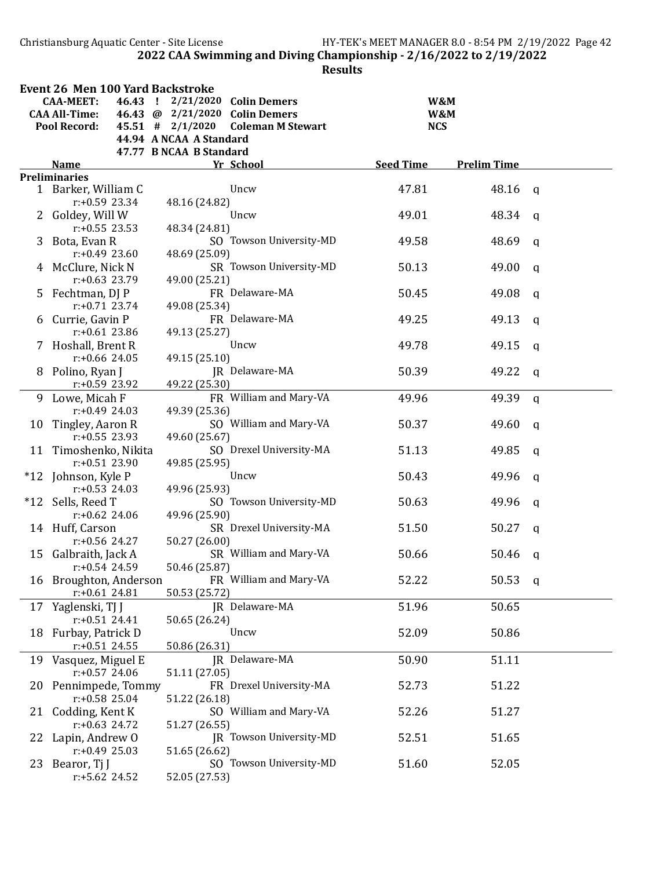Christiansburg Aquatic Center - Site License HY-TEK's MEET MANAGER 8.0 - 8:54 PM 2/19/2022 Page 42 2022 CAA Swimming and Diving Championship - 2/16/2022 to 2/19/2022

|    | <b>Event 26 Men 100 Yard Backstroke</b> |         |                         |                                |                  |                    |              |
|----|-----------------------------------------|---------|-------------------------|--------------------------------|------------------|--------------------|--------------|
|    | <b>CAA-MEET:</b>                        | 46.43 ! |                         | 2/21/2020 Colin Demers         |                  | W&M                |              |
|    | <b>CAA All-Time:</b>                    |         |                         | 46.43 @ 2/21/2020 Colin Demers |                  | W&M                |              |
|    | <b>Pool Record:</b>                     |         | $45.51$ # $2/1/2020$    | <b>Coleman M Stewart</b>       |                  | <b>NCS</b>         |              |
|    |                                         |         | 44.94 A NCAA A Standard |                                |                  |                    |              |
|    |                                         |         | 47.77 B NCAA B Standard |                                |                  |                    |              |
|    | <b>Name</b>                             |         |                         | Yr School                      | <b>Seed Time</b> | <b>Prelim Time</b> |              |
|    | <b>Preliminaries</b>                    |         |                         |                                |                  |                    |              |
|    | 1 Barker, William C                     |         |                         | Uncw                           | 47.81            | 48.16              | $\mathsf{q}$ |
|    | $r: +0.59$ 23.34                        |         | 48.16 (24.82)           |                                |                  |                    |              |
|    | 2 Goldey, Will W                        |         |                         | Uncw                           | 49.01            | 48.34              | $\mathsf{q}$ |
|    | $r: +0.55$ 23.53                        |         | 48.34 (24.81)           |                                |                  |                    |              |
| 3  | Bota, Evan R                            |         |                         | SO Towson University-MD        | 49.58            | 48.69              | $\mathbf q$  |
|    | $r: +0.49$ 23.60                        |         | 48.69 (25.09)           |                                |                  |                    |              |
|    | 4 McClure, Nick N                       |         |                         | SR Towson University-MD        | 50.13            | 49.00              | $\mathbf q$  |
|    | $r: +0.63$ 23.79                        |         | 49.00 (25.21)           |                                |                  |                    |              |
|    | 5 Fechtman, DJ P                        |         |                         | FR Delaware-MA                 | 50.45            | 49.08              | $\mathsf{q}$ |
|    | $r: +0.71$ 23.74                        |         | 49.08 (25.34)           |                                |                  |                    |              |
|    | 6 Currie, Gavin P                       |         |                         | FR Delaware-MA                 | 49.25            | 49.13              | $\mathsf{q}$ |
|    | $r: +0.61$ 23.86                        |         | 49.13 (25.27)           |                                |                  |                    |              |
|    | 7 Hoshall, Brent R                      |         |                         | Uncw                           | 49.78            | 49.15              | q            |
|    | $r: +0.66$ 24.05                        |         | 49.15 (25.10)           |                                |                  |                    |              |
|    | 8 Polino, Ryan J                        |         |                         | JR Delaware-MA                 | 50.39            | 49.22              | $\mathbf q$  |
|    | $r: +0.59$ 23.92                        |         | 49.22 (25.30)           |                                |                  |                    |              |
|    | 9 Lowe, Micah F                         |         |                         | FR William and Mary-VA         | 49.96            | 49.39              | $\mathbf q$  |
|    | $r: +0.49$ 24.03                        |         | 49.39 (25.36)           |                                |                  |                    |              |
| 10 | Tingley, Aaron R                        |         |                         | SO William and Mary-VA         | 50.37            | 49.60              | $\mathbf q$  |
|    | $r: +0.55$ 23.93                        |         | 49.60 (25.67)           |                                |                  |                    |              |
|    | 11 Timoshenko, Nikita                   |         |                         | SO Drexel University-MA        | 51.13            | 49.85              |              |
|    | $r: +0.51$ 23.90                        |         | 49.85 (25.95)           |                                |                  |                    | $\mathbf q$  |
|    | *12 Johnson, Kyle P                     |         |                         | Uncw                           | 50.43            | 49.96              |              |
|    | $r: +0.53$ 24.03                        |         | 49.96 (25.93)           |                                |                  |                    | $\mathbf q$  |
|    | *12 Sells, Reed T                       |         |                         | SO Towson University-MD        | 50.63            | 49.96              |              |
|    | $r: +0.62$ 24.06                        |         |                         |                                |                  |                    | $\mathbf{q}$ |
|    |                                         |         | 49.96 (25.90)           | SR Drexel University-MA        |                  |                    |              |
|    | 14 Huff, Carson                         |         |                         |                                | 51.50            | 50.27              | $\mathbf{q}$ |
|    | $r: +0.56$ 24.27                        |         | 50.27 (26.00)           |                                |                  |                    |              |
| 15 | Galbraith, Jack A                       |         |                         | SR William and Mary-VA         | 50.66            | 50.46              | q            |
|    | $r: +0.54$ 24.59                        |         | 50.46 (25.87)           |                                |                  |                    |              |
|    | 16 Broughton, Anderson                  |         |                         | FR William and Mary-VA         | 52.22            | 50.53              | $\mathbf{q}$ |
|    | $r: +0.61$ 24.81                        |         | 50.53 (25.72)           |                                |                  |                    |              |
|    | 17 Yaglenski, TJ J                      |         |                         | JR Delaware-MA                 | 51.96            | 50.65              |              |
|    | $r: +0.51$ 24.41                        |         | 50.65 (26.24)           |                                |                  |                    |              |
|    | 18 Furbay, Patrick D                    |         |                         | Uncw                           | 52.09            | 50.86              |              |
|    | $r: +0.51$ 24.55                        |         | 50.86 (26.31)           |                                |                  |                    |              |
|    | 19 Vasquez, Miguel E                    |         |                         | JR Delaware-MA                 | 50.90            | 51.11              |              |
|    | $r: +0.57$ 24.06                        |         | 51.11 (27.05)           |                                |                  |                    |              |
|    | 20 Pennimpede, Tommy                    |         |                         | FR Drexel University-MA        | 52.73            | 51.22              |              |
|    | $r: +0.58$ 25.04                        |         | 51.22 (26.18)           |                                |                  |                    |              |
|    | 21 Codding, Kent K                      |         |                         | SO William and Mary-VA         | 52.26            | 51.27              |              |
|    | $r: +0.63$ 24.72                        |         | 51.27 (26.55)           |                                |                  |                    |              |
|    | 22 Lapin, Andrew O                      |         |                         | JR Towson University-MD        | 52.51            | 51.65              |              |
|    | $r: +0.49$ 25.03                        |         | 51.65 (26.62)           |                                |                  |                    |              |
|    | 23 Bearor, Tj J                         |         |                         | SO Towson University-MD        | 51.60            | 52.05              |              |
|    | $r: +5.62$ 24.52                        |         | 52.05 (27.53)           |                                |                  |                    |              |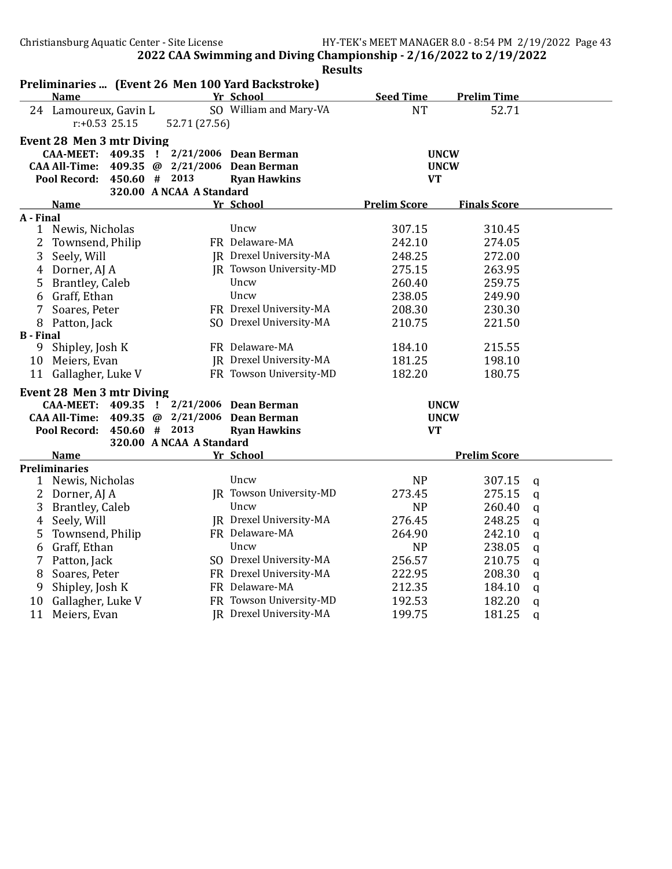|                  | Preliminaries  (Event 26 Men 100 Yard Backstroke) |                                |                         |                     |                     |              |
|------------------|---------------------------------------------------|--------------------------------|-------------------------|---------------------|---------------------|--------------|
|                  | <b>Name</b>                                       |                                | Yr School               | <b>Seed Time</b>    | <b>Prelim Time</b>  |              |
|                  | 24 Lamoureux, Gavin L<br>$r: +0.53$ 25.15         | 52.71 (27.56)                  | SO William and Mary-VA  | <b>NT</b>           | 52.71               |              |
|                  | <b>Event 28 Men 3 mtr Diving</b>                  |                                |                         |                     |                     |              |
|                  | <b>CAA-MEET:</b><br>409.35                        | $\mathbf{I}$                   | 2/21/2006 Dean Berman   |                     | <b>UNCW</b>         |              |
|                  | <b>CAA All-Time:</b>                              | 409.35 @ 2/21/2006             | <b>Dean Berman</b>      |                     | <b>UNCW</b>         |              |
|                  | Pool Record:                                      | 450.60 # 2013                  | <b>Ryan Hawkins</b>     | <b>VT</b>           |                     |              |
|                  |                                                   | 320.00 A NCAA A Standard       |                         |                     |                     |              |
|                  | <b>Name</b>                                       |                                | Yr School               | <b>Prelim Score</b> | <b>Finals Score</b> |              |
| A - Final        |                                                   |                                |                         |                     |                     |              |
|                  | 1 Newis, Nicholas                                 |                                | Uncw                    | 307.15              | 310.45              |              |
| 2                | Townsend, Philip                                  |                                | FR Delaware-MA          | 242.10              | 274.05              |              |
| 3                | Seely, Will                                       |                                | JR Drexel University-MA | 248.25              | 272.00              |              |
| 4                | Dorner, AJ A                                      |                                | JR Towson University-MD | 275.15              | 263.95              |              |
| 5                | Brantley, Caleb                                   |                                | Uncw                    | 260.40              | 259.75              |              |
| 6                | Graff, Ethan                                      |                                | Uncw                    | 238.05              | 249.90              |              |
| 7                | Soares, Peter                                     |                                | FR Drexel University-MA | 208.30              | 230.30              |              |
|                  | 8 Patton, Jack                                    |                                | SO Drexel University-MA | 210.75              | 221.50              |              |
| <b>B</b> - Final |                                                   |                                |                         |                     |                     |              |
| 9                | Shipley, Josh K                                   |                                | FR Delaware-MA          | 184.10              | 215.55              |              |
| 10               | Meiers, Evan                                      |                                | JR Drexel University-MA | 181.25              | 198.10              |              |
|                  | 11 Gallagher, Luke V                              |                                | FR Towson University-MD | 182.20              | 180.75              |              |
|                  | <b>Event 28 Men 3 mtr Diving</b>                  |                                |                         |                     |                     |              |
|                  | <b>CAA-MEET:</b><br>409.35                        | $\mathbf{I}$                   | 2/21/2006 Dean Berman   |                     | <b>UNCW</b>         |              |
|                  | <b>CAA All-Time:</b>                              | 409.35 @ 2/21/2006 Dean Berman |                         |                     | <b>UNCW</b>         |              |
|                  | Pool Record:                                      | 450.60 # 2013                  | <b>Ryan Hawkins</b>     | <b>VT</b>           |                     |              |
|                  |                                                   | 320.00 A NCAA A Standard       |                         |                     |                     |              |
|                  | <b>Name</b>                                       |                                | Yr School               |                     | <b>Prelim Score</b> |              |
|                  | <b>Preliminaries</b>                              |                                |                         |                     |                     |              |
|                  | 1 Newis, Nicholas                                 |                                | Uncw                    | <b>NP</b>           | 307.15              | $\mathbf q$  |
| 2                | Dorner, AJ A                                      |                                | JR Towson University-MD | 273.45              | 275.15              | $\mathbf{q}$ |
| 3                | <b>Brantley, Caleb</b>                            |                                | Uncw                    | <b>NP</b>           | 260.40              | q            |
| 4                | Seely, Will                                       |                                | JR Drexel University-MA | 276.45              | 248.25              | $\alpha$     |
| 5                | Townsend, Philip                                  |                                | FR Delaware-MA          | 264.90              | 242.10              | $\alpha$     |
| 6                | Graff, Ethan                                      |                                | Uncw                    | <b>NP</b>           | 238.05              | $\mathbf q$  |
| 7                | Patton, Jack                                      |                                | SO Drexel University-MA | 256.57              | 210.75              | $\mathsf{q}$ |
| 8                | Soares, Peter                                     |                                | FR Drexel University-MA | 222.95              | 208.30              | q            |
| 9                | Shipley, Josh K                                   |                                | FR Delaware-MA          | 212.35              | 184.10              | q            |
| 10               | Gallagher, Luke V                                 |                                | FR Towson University-MD | 192.53              | 182.20              | q            |
| 11               | Meiers, Evan                                      |                                | IR Drexel University-MA | 199.75              | 181.25              | $\mathbf q$  |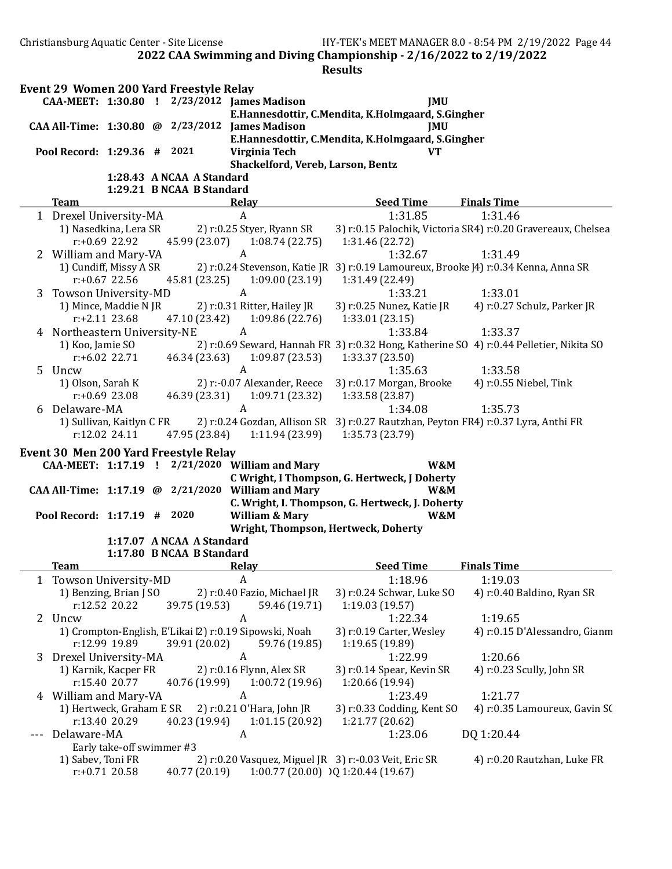2022 CAA Swimming and Diving Championship - 2/16/2022 to 2/19/2022 **Results** Event 29 Women 200 Yard Freestyle Relay CAA-MEET: 1:30.80 ! 2/23/2012 James Madison JMU E.Hannesdottir, C.Mendita, K.Holmgaard, S.Gingher CAA All-Time: 1:30.80 @ 2/23/2012 James Madison JMU E.Hannesdottir, C.Mendita, K.Holmgaard, S.Gingher Pool Record: 1:29.36 # 2021 Virginia Tech VT Shackelford, Vereb, Larson, Bentz 1:28.43 A NCAA A Standard 1:29.21 B NCAA B Standard Team Relay Relay Seed Time Finals Time 1 Drexel University-MA A 1:31.85 1:31.46 1) Nasedkina, Lera SR 2) r:0.25 Styer, Ryann SR 3) r:0.15 Palochik, Victoria SR4) r:0.20 Gravereaux, Chelsea r:+0.69 22.92 45.99 (23.07) 1:08.74 (22.75) 1:31.46 (22.72) 2 William and Mary-VA  $A$  A 1:32.67 1:31.49 1) Cundiff, Missy A SR 2) r:0.24 Stevenson, Katie JR 3) r:0.19 Lamoureux, Brooke [4] r:0.34 Kenna, Anna SR r:+0.67 22.56 45.81 (23.25) 1:09.00 (23.19) 1:31.49 (22.49) 3 Towson University-MD <br>1:33.01 1:33.01 1) Mince, Maddie N JR 2) r:0.31 Ritter, Hailey JR 3) r:0.25 Nunez, Katie JR 4) r:0.27 S 3) r:0.25 Nunez, Katie JR 3) r:0.27 Schulz, Parker JR r:+2.11 23.68 47.10 (23.42) 1:09.86 (22.76) 1:33.01 (23.15) 4 Northeastern University-NE A 1:33.84 1:33.37 1) Koo, Jamie SO 2) r:0.69 Seward, Hannah FR 3) r:0.32 Hong, Katherine SO 4) r:0.44 Pelletier, Nikita SO r:+6.02 22.71 46.34 (23.63) 1:09.87 (23.53) 1:33.37 (23.50) 5 Uncw A 1:35.63 1:33.58 1) Olson, Sarah K 2) r:-0.07 Alexander, Reece 3) r:0.17 Morgan, Brooke 4) r:0.55 Niebel, Tink r:+0.69 23.08 46.39 (23.31) 1:09.71 (23.32) 1:33.58 (23.87) 6 Delaware-MA 1:35.73<br>1 Sullivan, Kaitlyn C FR 2) r:0.24 Gozdan, Allison SR 3) r:0.27 Rautzhan, Peyton FR4) r:0.37 L 2) r:0.24 Gozdan, Allison SR 3) r:0.27 Rautzhan, Peyton FR4) r:0.37 Lyra, Anthi FR r:12.02 24.11 47.95 (23.84) 1:11.94 (23.99) 1:35.73 (23.79) Event 30 Men 200 Yard Freestyle Relay CAA-MEET: 1:17.19 ! 2/21/2020 William and Mary W&M C Wright, I Thompson, G. Hertweck, J Doherty CAA All-Time: 1:17.19 @ 2/21/2020 William and Mary W&M C. Wright, I. Thompson, G. Hertweck, J. Doherty Pool Record: 1:17.19 # 2020 William & Mary W&M Wright, Thompson, Hertweck, Doherty 1:17.07 A NCAA A Standard 1:17.80 B NCAA B Standard Team **The Communist Communist Communist Communist Communist Communist Communist Communist Communist Communist Communist Communist Communist Communist Communist Communist Communist Communist Communist Communist Communist Co** 1 Towson University-MD A 1:18.96 1:19.03 1) Benzing, Brian J SO 2) r:0.40 Fazio, Michael JR 3) r:0.24 Schwar, Luke SO 4) r:0.40 Baldino, Ryan SR r:12.52 20.22 39.75 (19.53) 59.46 (19.71) 1:19.03 (19.57) 2 Uncw A 1:22.34 1:19.65 1) Crompton-English, E'Likai |2) r:0.19 Sipowski, Noah 3) r:0.19 Carter, Wesley 4) r:0.15 D'Alessandro, Gianm r:12.99 19.89 39.91 (20.02) 59.76 (19.85) 1:19.65 (19.89) 3 Drexel University-MA A 1:22.99 1:20.66 1) Karnik, Kacper FR 2) r:0.16 Flynn, Alex SR 3) r:0.14 Spear, Kevin SR 4) r:0.23 Scully, John SR r:15.40 20.77 40.76 (19.99) 1:00.72 (19.96) 1:20.66 (19.94) 4 William and Mary-VA  $A$   $A$   $A$   $1:23.49$   $1:21.77$ 1) Hertweck, Graham E SR 2) r:0.21 O'Hara, John JR 3) r:0.33 Codding, Kent SO 4) r:0.35 Lamoureux, Gavin SO r:13.40 20.29 40.23 (19.94) 1:01.15 (20.92) 1:21.77 (20.62) --- Delaware-MA A A 1:23.06 DQ 1:20.44 Early take-off swimmer #3 1) Sabev, Toni FR 2) r:0.20 Vasquez, Miguel JR 3) r:-0.03 Veit, Eric SR 4) r:0.20 Rautzhan, Luke FR r:+0.71 20.58 40.77 (20.19) 1:00.77 (20.00) DQ 1:20.44 (19.67)

Christiansburg Aquatic Center - Site License HY-TEK's MEET MANAGER 8.0 - 8:54 PM 2/19/2022 Page 44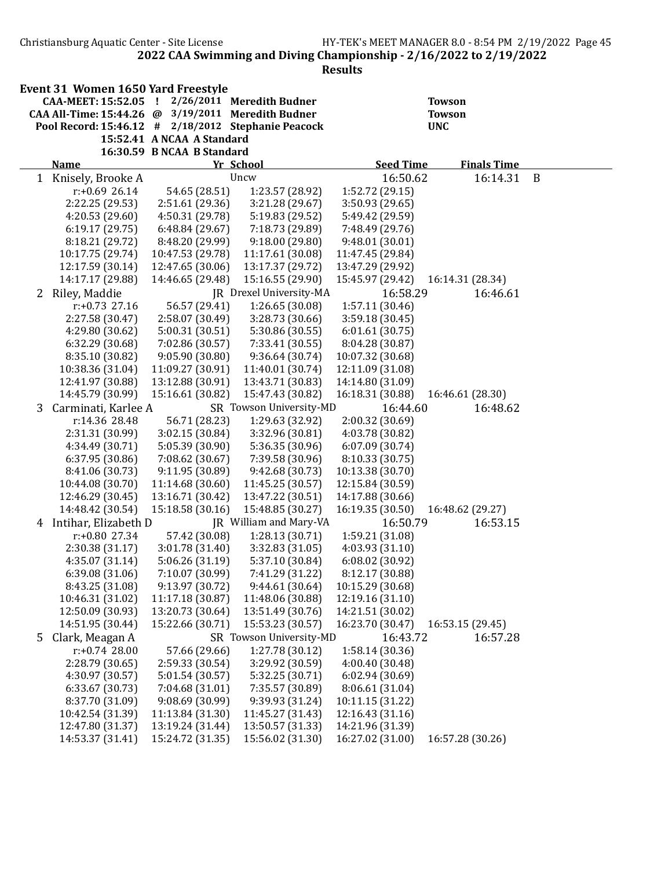Christiansburg Aquatic Center - Site License HY-TEK's MEET MANAGER 8.0 - 8:54 PM 2/19/2022 Page 45

2022 CAA Swimming and Diving Championship - 2/16/2022 to 2/19/2022

|   | <b>Event 31 Women 1650 Yard Freestyle</b>                                  |                                     |                                     |                                      |                                |   |
|---|----------------------------------------------------------------------------|-------------------------------------|-------------------------------------|--------------------------------------|--------------------------------|---|
|   | CAA-MEET: 15:52.05 !<br>CAA All-Time: 15:44.26 @ 3/19/2011 Meredith Budner |                                     | 2/26/2011 Meredith Budner           |                                      | <b>Towson</b><br><b>Towson</b> |   |
|   | Pool Record: 15:46.12 # 2/18/2012 Stephanie Peacock                        |                                     |                                     |                                      | <b>UNC</b>                     |   |
|   |                                                                            | 15:52.41 A NCAA A Standard          |                                     |                                      |                                |   |
|   |                                                                            | 16:30.59 B NCAA B Standard          |                                     |                                      |                                |   |
|   | <b>Name</b>                                                                |                                     | Yr School                           | <b>Seed Time</b>                     | <b>Finals Time</b>             |   |
| 1 | Knisely, Brooke A                                                          |                                     | Uncw                                | 16:50.62                             | 16:14.31                       | B |
|   | $r: +0.6926.14$                                                            | 54.65 (28.51)                       | 1:23.57 (28.92)                     | 1:52.72 (29.15)                      |                                |   |
|   | 2:22.25 (29.53)                                                            | 2:51.61 (29.36)                     | 3:21.28 (29.67)                     | 3:50.93 (29.65)                      |                                |   |
|   | 4:20.53 (29.60)                                                            | 4:50.31 (29.78)                     | 5:19.83 (29.52)                     | 5:49.42 (29.59)                      |                                |   |
|   | 6:19.17(29.75)                                                             | 6:48.84 (29.67)                     | 7:18.73 (29.89)                     | 7:48.49 (29.76)                      |                                |   |
|   | 8:18.21 (29.72)                                                            | 8:48.20 (29.99)                     | 9:18.00(29.80)                      | 9:48.01 (30.01)                      |                                |   |
|   | 10:17.75 (29.74)                                                           | 10:47.53 (29.78)                    | 11:17.61 (30.08)                    | 11:47.45 (29.84)                     |                                |   |
|   | 12:17.59 (30.14)                                                           | 12:47.65 (30.06)                    | 13:17.37 (29.72)                    | 13:47.29 (29.92)                     |                                |   |
|   | 14:17.17 (29.88)                                                           | 14:46.65 (29.48)                    | 15:16.55 (29.90)                    | 15:45.97 (29.42)                     | 16:14.31 (28.34)               |   |
|   | 2 Riley, Maddie                                                            |                                     | JR Drexel University-MA             | 16:58.29                             | 16:46.61                       |   |
|   | $r: +0.73$ 27.16                                                           | 56.57 (29.41)                       | 1:26.65(30.08)                      | 1:57.11 (30.46)                      |                                |   |
|   | 2:27.58 (30.47)                                                            | 2:58.07 (30.49)                     | 3:28.73 (30.66)                     | 3:59.18 (30.45)                      |                                |   |
|   | 4:29.80 (30.62)                                                            | 5:00.31 (30.51)                     | 5:30.86 (30.55)                     | 6:01.61(30.75)                       |                                |   |
|   | 6:32.29 (30.68)                                                            | 7:02.86 (30.57)                     | 7:33.41 (30.55)                     | 8:04.28 (30.87)                      |                                |   |
|   | 8:35.10 (30.82)                                                            | 9:05.90 (30.80)                     | 9:36.64 (30.74)                     | 10:07.32 (30.68)                     |                                |   |
|   | 10:38.36 (31.04)                                                           | 11:09.27 (30.91)                    | 11:40.01 (30.74)                    | 12:11.09 (31.08)                     |                                |   |
|   | 12:41.97 (30.88)                                                           | 13:12.88 (30.91)                    | 13:43.71 (30.83)                    | 14:14.80 (31.09)                     |                                |   |
|   | 14:45.79 (30.99)                                                           | 15:16.61 (30.82)                    | 15:47.43 (30.82)                    | 16:18.31 (30.88)                     | 16:46.61 (28.30)               |   |
| 3 | Carminati, Karlee A                                                        |                                     | SR Towson University-MD             | 16:44.60                             | 16:48.62                       |   |
|   | r:14.36 28.48                                                              | 56.71 (28.23)                       | 1:29.63 (32.92)                     | 2:00.32 (30.69)                      |                                |   |
|   | 2:31.31 (30.99)                                                            | 3:02.15 (30.84)                     | 3:32.96 (30.81)                     | 4:03.78 (30.82)                      |                                |   |
|   | 4:34.49 (30.71)                                                            | 5:05.39 (30.90)                     | 5:36.35 (30.96)                     | 6:07.09 (30.74)                      |                                |   |
|   | 6:37.95 (30.86)                                                            | 7:08.62 (30.67)                     | 7:39.58 (30.96)                     | 8:10.33 (30.75)                      |                                |   |
|   | 8:41.06 (30.73)<br>10:44.08 (30.70)                                        | 9:11.95 (30.89)<br>11:14.68 (30.60) | 9:42.68 (30.73)<br>11:45.25 (30.57) | 10:13.38 (30.70)<br>12:15.84 (30.59) |                                |   |
|   | 12:46.29 (30.45)                                                           | 13:16.71 (30.42)                    | 13:47.22 (30.51)                    | 14:17.88 (30.66)                     |                                |   |
|   | 14:48.42 (30.54)                                                           | 15:18.58 (30.16)                    | 15:48.85 (30.27)                    | 16:19.35 (30.50)                     | 16:48.62 (29.27)               |   |
| 4 | Intihar, Elizabeth D                                                       |                                     | JR William and Mary-VA              | 16:50.79                             | 16:53.15                       |   |
|   | $r: +0.80$ 27.34                                                           | 57.42 (30.08)                       | 1:28.13(30.71)                      | 1:59.21 (31.08)                      |                                |   |
|   | 2:30.38 (31.17)                                                            | 3:01.78 (31.40)                     | 3:32.83 (31.05)                     | 4:03.93 (31.10)                      |                                |   |
|   | 4:35.07 (31.14)                                                            | 5:06.26 (31.19)                     | 5:37.10 (30.84)                     | 6:08.02 (30.92)                      |                                |   |
|   | 6:39.08 (31.06)                                                            | 7:10.07 (30.99)                     | 7:41.29 (31.22)                     | 8:12.17 (30.88)                      |                                |   |
|   | 8:43.25 (31.08)                                                            | 9:13.97 (30.72)                     | 9:44.61 (30.64)                     | 10:15.29 (30.68)                     |                                |   |
|   | 10:46.31 (31.02)                                                           | 11:17.18 (30.87)                    | 11:48.06 (30.88)                    | 12:19.16 (31.10)                     |                                |   |
|   | 12:50.09 (30.93)                                                           | 13:20.73 (30.64)                    | 13:51.49 (30.76)                    | 14:21.51 (30.02)                     |                                |   |
|   | 14:51.95 (30.44)                                                           | 15:22.66 (30.71)                    | 15:53.23 (30.57)                    | 16:23.70 (30.47)                     | 16:53.15 (29.45)               |   |
| 5 | Clark, Meagan A                                                            |                                     | SR Towson University-MD             | 16:43.72                             | 16:57.28                       |   |
|   | $r: +0.74$ 28.00                                                           | 57.66 (29.66)                       | 1:27.78 (30.12)                     | 1:58.14 (30.36)                      |                                |   |
|   | 2:28.79 (30.65)                                                            | 2:59.33 (30.54)                     | 3:29.92 (30.59)                     | 4:00.40 (30.48)                      |                                |   |
|   | 4:30.97 (30.57)                                                            | 5:01.54 (30.57)                     | 5:32.25 (30.71)                     | 6:02.94(30.69)                       |                                |   |
|   | 6:33.67 (30.73)                                                            | 7:04.68 (31.01)                     | 7:35.57 (30.89)                     | 8:06.61 (31.04)                      |                                |   |
|   | 8:37.70 (31.09)                                                            | 9:08.69 (30.99)                     | 9:39.93 (31.24)                     | 10:11.15 (31.22)                     |                                |   |
|   | 10:42.54 (31.39)                                                           | 11:13.84 (31.30)                    | 11:45.27 (31.43)                    | 12:16.43 (31.16)                     |                                |   |
|   | 12:47.80 (31.37)                                                           | 13:19.24 (31.44)                    | 13:50.57 (31.33)                    | 14:21.96 (31.39)                     |                                |   |
|   | 14:53.37 (31.41)                                                           | 15:24.72 (31.35)                    | 15:56.02 (31.30)                    | 16:27.02 (31.00)                     | 16:57.28 (30.26)               |   |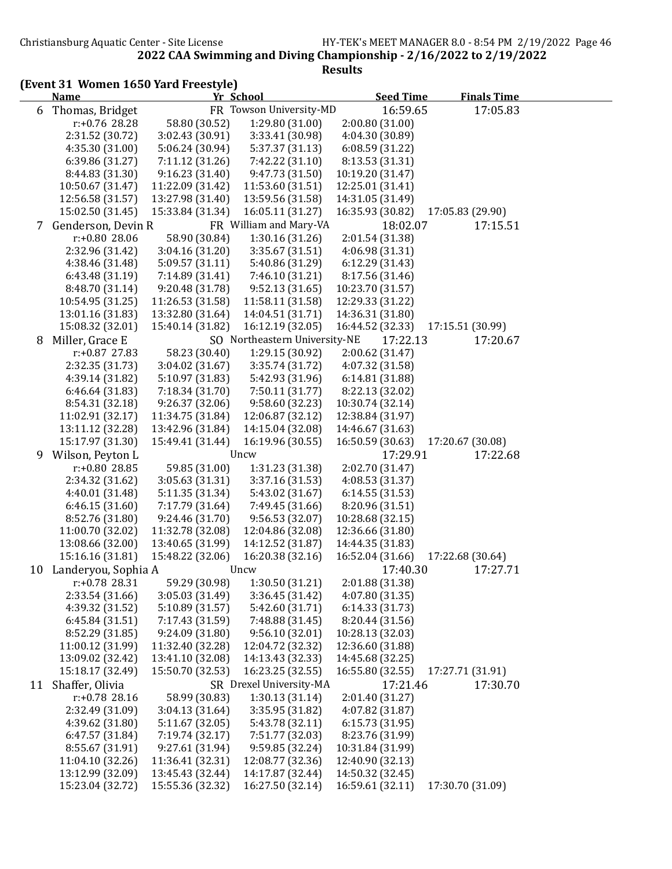# (Event 31 Women 1650 Yard Freestyle)

|    | <b>Name</b>         |                  | Yr School                     | <b>Seed Time</b>                     | <b>Finals Time</b> |  |
|----|---------------------|------------------|-------------------------------|--------------------------------------|--------------------|--|
| 6  | Thomas, Bridget     |                  | FR Towson University-MD       | 16:59.65                             | 17:05.83           |  |
|    | r:+0.76 28.28       | 58.80 (30.52)    | 1:29.80 (31.00)               | 2:00.80(31.00)                       |                    |  |
|    | 2:31.52 (30.72)     | 3:02.43 (30.91)  | 3:33.41 (30.98)               | 4:04.30 (30.89)                      |                    |  |
|    | 4:35.30 (31.00)     | 5:06.24 (30.94)  | 5:37.37 (31.13)               | 6:08.59 (31.22)                      |                    |  |
|    | 6:39.86 (31.27)     | 7:11.12 (31.26)  | 7:42.22 (31.10)               | 8:13.53 (31.31)                      |                    |  |
|    | 8:44.83 (31.30)     | 9:16.23(31.40)   | 9:47.73 (31.50)               | 10:19.20 (31.47)                     |                    |  |
|    | 10:50.67 (31.47)    | 11:22.09 (31.42) | 11:53.60 (31.51)              | 12:25.01 (31.41)                     |                    |  |
|    | 12:56.58 (31.57)    | 13:27.98 (31.40) | 13:59.56 (31.58)              | 14:31.05 (31.49)                     |                    |  |
|    | 15:02.50 (31.45)    | 15:33.84 (31.34) | 16:05.11 (31.27)              | 16:35.93 (30.82)                     | 17:05.83 (29.90)   |  |
| 7  | Genderson, Devin R  |                  | FR William and Mary-VA        | 18:02.07                             | 17:15.51           |  |
|    | r:+0.80 28.06       | 58.90 (30.84)    | 1:30.16(31.26)                | 2:01.54 (31.38)                      |                    |  |
|    | 2:32.96 (31.42)     | 3:04.16 (31.20)  | 3:35.67 (31.51)               | 4:06.98 (31.31)                      |                    |  |
|    | 4:38.46 (31.48)     | 5:09.57 (31.11)  | 5:40.86 (31.29)               | 6:12.29 (31.43)                      |                    |  |
|    | 6:43.48 (31.19)     | 7:14.89 (31.41)  | 7:46.10 (31.21)               | 8:17.56 (31.46)                      |                    |  |
|    | 8:48.70 (31.14)     | 9:20.48 (31.78)  | 9:52.13(31.65)                | 10:23.70 (31.57)                     |                    |  |
|    | 10:54.95 (31.25)    | 11:26.53 (31.58) | 11:58.11 (31.58)              | 12:29.33 (31.22)                     |                    |  |
|    | 13:01.16 (31.83)    | 13:32.80 (31.64) | 14:04.51 (31.71)              | 14:36.31 (31.80)                     |                    |  |
|    | 15:08.32 (32.01)    | 15:40.14 (31.82) | 16:12.19 (32.05)              | 16:44.52 (32.33)                     | 17:15.51 (30.99)   |  |
| 8  | Miller, Grace E     |                  | SO Northeastern University-NE | 17:22.13                             | 17:20.67           |  |
|    | r:+0.87 27.83       | 58.23 (30.40)    | 1:29.15 (30.92)               | 2:00.62 (31.47)                      |                    |  |
|    | 2:32.35 (31.73)     | 3:04.02 (31.67)  | 3:35.74 (31.72)               | 4:07.32 (31.58)                      |                    |  |
|    | 4:39.14 (31.82)     | 5:10.97 (31.83)  | 5:42.93 (31.96)               | 6:14.81 (31.88)                      |                    |  |
|    | 6:46.64 (31.83)     | 7:18.34 (31.70)  | 7:50.11 (31.77)               | 8:22.13 (32.02)                      |                    |  |
|    | 8:54.31 (32.18)     |                  | 9:58.60 (32.23)               | 10:30.74 (32.14)                     |                    |  |
|    |                     | 9:26.37 (32.06)  |                               |                                      |                    |  |
|    | 11:02.91 (32.17)    | 11:34.75 (31.84) | 12:06.87 (32.12)              | 12:38.84 (31.97)<br>14:46.67 (31.63) |                    |  |
|    | 13:11.12 (32.28)    | 13:42.96 (31.84) | 14:15.04 (32.08)              |                                      |                    |  |
|    | 15:17.97 (31.30)    | 15:49.41 (31.44) | 16:19.96 (30.55)              | 16:50.59 (30.63)                     | 17:20.67 (30.08)   |  |
| 9  | Wilson, Peyton L    |                  | Uncw                          | 17:29.91                             | 17:22.68           |  |
|    | r:+0.80 28.85       | 59.85 (31.00)    | 1:31.23 (31.38)               | 2:02.70 (31.47)                      |                    |  |
|    | 2:34.32 (31.62)     | 3:05.63 (31.31)  | 3:37.16 (31.53)               | 4:08.53 (31.37)                      |                    |  |
|    | 4:40.01 (31.48)     | 5:11.35 (31.34)  | 5:43.02 (31.67)               | 6:14.55 (31.53)                      |                    |  |
|    | 6:46.15(31.60)      | 7:17.79 (31.64)  | 7:49.45 (31.66)               | 8:20.96 (31.51)                      |                    |  |
|    | 8:52.76 (31.80)     | 9:24.46 (31.70)  | 9:56.53 (32.07)               | 10:28.68 (32.15)                     |                    |  |
|    | 11:00.70 (32.02)    | 11:32.78 (32.08) | 12:04.86 (32.08)              | 12:36.66 (31.80)                     |                    |  |
|    | 13:08.66 (32.00)    | 13:40.65 (31.99) | 14:12.52 (31.87)              | 14:44.35 (31.83)                     |                    |  |
|    | 15:16.16 (31.81)    | 15:48.22 (32.06) | 16:20.38 (32.16)              | 16:52.04 (31.66)                     | 17:22.68 (30.64)   |  |
| 10 | Landeryou, Sophia A |                  | Uncw                          | 17:40.30                             | 17:27.71           |  |
|    | r:+0.78 28.31       | 59.29 (30.98)    | 1:30.50 (31.21)               | 2:01.88 (31.38)                      |                    |  |
|    | 2:33.54 (31.66)     | 3:05.03 (31.49)  | 3:36.45 (31.42)               | 4:07.80 (31.35)                      |                    |  |
|    | 4:39.32 (31.52)     | 5:10.89 (31.57)  | 5:42.60 (31.71)               | 6:14.33 (31.73)                      |                    |  |
|    | 6:45.84(31.51)      | 7:17.43 (31.59)  | 7:48.88 (31.45)               | 8:20.44 (31.56)                      |                    |  |
|    | 8:52.29 (31.85)     | 9:24.09 (31.80)  | 9:56.10(32.01)                | 10:28.13 (32.03)                     |                    |  |
|    | 11:00.12 (31.99)    | 11:32.40 (32.28) | 12:04.72 (32.32)              | 12:36.60 (31.88)                     |                    |  |
|    | 13:09.02 (32.42)    | 13:41.10 (32.08) | 14:13.43 (32.33)              | 14:45.68 (32.25)                     |                    |  |
|    | 15:18.17 (32.49)    | 15:50.70 (32.53) | 16:23.25 (32.55)              | 16:55.80 (32.55)                     | 17:27.71 (31.91)   |  |
| 11 | Shaffer, Olivia     |                  | SR Drexel University-MA       | 17:21.46                             | 17:30.70           |  |
|    | $r: +0.78$ 28.16    | 58.99 (30.83)    | 1:30.13(31.14)                | 2:01.40 (31.27)                      |                    |  |
|    | 2:32.49 (31.09)     | 3:04.13 (31.64)  | 3:35.95 (31.82)               | 4:07.82 (31.87)                      |                    |  |
|    | 4:39.62 (31.80)     | 5:11.67(32.05)   | 5:43.78 (32.11)               | 6:15.73 (31.95)                      |                    |  |
|    | 6:47.57 (31.84)     | 7:19.74 (32.17)  | 7:51.77 (32.03)               | 8:23.76 (31.99)                      |                    |  |
|    | 8:55.67 (31.91)     | 9:27.61 (31.94)  | 9:59.85 (32.24)               | 10:31.84 (31.99)                     |                    |  |
|    | 11:04.10 (32.26)    | 11:36.41 (32.31) | 12:08.77 (32.36)              | 12:40.90 (32.13)                     |                    |  |
|    | 13:12.99 (32.09)    | 13:45.43 (32.44) | 14:17.87 (32.44)              | 14:50.32 (32.45)                     |                    |  |
|    | 15:23.04 (32.72)    | 15:55.36 (32.32) | 16:27.50 (32.14)              | 16:59.61 (32.11)                     | 17:30.70 (31.09)   |  |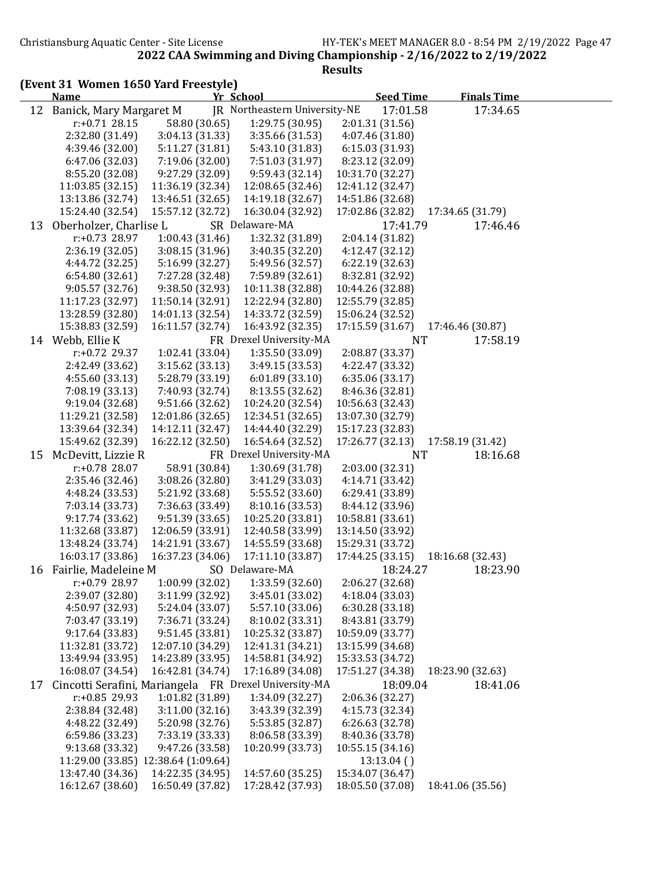(Event 31 Women 1650 Yard Freestyle)

|    | <b>Name</b>             |                                     | Yr School                                             | <b>Seed Time</b> | <b>Finals Time</b> |  |
|----|-------------------------|-------------------------------------|-------------------------------------------------------|------------------|--------------------|--|
| 12 | Banick, Mary Margaret M |                                     | JR Northeastern University-NE                         | 17:01.58         | 17:34.65           |  |
|    | $r: +0.71$ 28.15        | 58.80 (30.65)                       | 1:29.75(30.95)                                        | 2:01.31 (31.56)  |                    |  |
|    | 2:32.80 (31.49)         | 3:04.13 (31.33)                     | 3:35.66 (31.53)                                       | 4:07.46 (31.80)  |                    |  |
|    | 4:39.46 (32.00)         | 5:11.27 (31.81)                     | 5:43.10 (31.83)                                       | 6:15.03 (31.93)  |                    |  |
|    | 6:47.06 (32.03)         | 7:19.06 (32.00)                     | 7:51.03 (31.97)                                       | 8:23.12 (32.09)  |                    |  |
|    | 8:55.20 (32.08)         | 9:27.29 (32.09)                     | 9:59.43(32.14)                                        | 10:31.70 (32.27) |                    |  |
|    | 11:03.85 (32.15)        | 11:36.19 (32.34)                    | 12:08.65 (32.46)                                      | 12:41.12 (32.47) |                    |  |
|    | 13:13.86 (32.74)        | 13:46.51 (32.65)                    | 14:19.18 (32.67)                                      | 14:51.86 (32.68) |                    |  |
|    | 15:24.40 (32.54)        | 15:57.12 (32.72)                    | 16:30.04 (32.92)                                      | 17:02.86 (32.82) | 17:34.65 (31.79)   |  |
| 13 | Oberholzer, Charlise L  |                                     | SR Delaware-MA                                        | 17:41.79         | 17:46.46           |  |
|    | r:+0.73 28.97           | 1:00.43(31.46)                      | 1:32.32 (31.89)                                       | 2:04.14 (31.82)  |                    |  |
|    | 2:36.19 (32.05)         | 3:08.15 (31.96)                     | 3:40.35 (32.20)                                       | 4:12.47 (32.12)  |                    |  |
|    | 4:44.72 (32.25)         | 5:16.99 (32.27)                     | 5:49.56 (32.57)                                       | 6:22.19 (32.63)  |                    |  |
|    | 6:54.80(32.61)          | 7:27.28 (32.48)                     | 7:59.89 (32.61)                                       | 8:32.81 (32.92)  |                    |  |
|    | 9:05.57 (32.76)         | 9:38.50 (32.93)                     | 10:11.38 (32.88)                                      | 10:44.26 (32.88) |                    |  |
|    | 11:17.23 (32.97)        | 11:50.14 (32.91)                    | 12:22.94 (32.80)                                      | 12:55.79 (32.85) |                    |  |
|    | 13:28.59 (32.80)        | 14:01.13 (32.54)                    | 14:33.72 (32.59)                                      | 15:06.24 (32.52) |                    |  |
|    | 15:38.83 (32.59)        | 16:11.57 (32.74)                    | 16:43.92 (32.35)                                      | 17:15.59 (31.67) | 17:46.46 (30.87)   |  |
|    | 14 Webb, Ellie K        |                                     | FR Drexel University-MA                               | <b>NT</b>        | 17:58.19           |  |
|    | r:+0.72 29.37           | 1:02.41 (33.04)                     | 1:35.50 (33.09)                                       | 2:08.87 (33.37)  |                    |  |
|    | 2:42.49 (33.62)         | 3:15.62(33.13)                      | 3:49.15 (33.53)                                       | 4:22.47 (33.32)  |                    |  |
|    | 4:55.60 (33.13)         | 5:28.79 (33.19)                     | 6:01.89(33.10)                                        | 6:35.06 (33.17)  |                    |  |
|    | 7:08.19 (33.13)         | 7:40.93 (32.74)                     | 8:13.55 (32.62)                                       | 8:46.36 (32.81)  |                    |  |
|    | 9:19.04(32.68)          | 9:51.66(32.62)                      | 10:24.20 (32.54)                                      | 10:56.63 (32.43) |                    |  |
|    | 11:29.21 (32.58)        | 12:01.86 (32.65)                    | 12:34.51 (32.65)                                      | 13:07.30 (32.79) |                    |  |
|    | 13:39.64 (32.34)        | 14:12.11 (32.47)                    | 14:44.40 (32.29)                                      | 15:17.23 (32.83) |                    |  |
|    | 15:49.62 (32.39)        | 16:22.12 (32.50)                    | 16:54.64 (32.52)                                      | 17:26.77 (32.13) | 17:58.19 (31.42)   |  |
| 15 | McDevitt, Lizzie R      |                                     | FR Drexel University-MA                               | <b>NT</b>        | 18:16.68           |  |
|    | r:+0.78 28.07           | 58.91 (30.84)                       | 1:30.69 (31.78)                                       | 2:03.00 (32.31)  |                    |  |
|    | 2:35.46 (32.46)         | 3:08.26 (32.80)                     | 3:41.29 (33.03)                                       | 4:14.71 (33.42)  |                    |  |
|    | 4:48.24 (33.53)         | 5:21.92 (33.68)                     | 5:55.52 (33.60)                                       | 6:29.41 (33.89)  |                    |  |
|    | 7:03.14 (33.73)         | 7:36.63 (33.49)                     | 8:10.16 (33.53)                                       | 8:44.12 (33.96)  |                    |  |
|    | 9:17.74 (33.62)         | 9:51.39 (33.65)                     | 10:25.20 (33.81)                                      | 10:58.81 (33.61) |                    |  |
|    | 11:32.68 (33.87)        | 12:06.59 (33.91)                    | 12:40.58 (33.99)                                      | 13:14.50 (33.92) |                    |  |
|    | 13:48.24 (33.74)        | 14:21.91 (33.67)                    | 14:55.59 (33.68)                                      | 15:29.31 (33.72) |                    |  |
|    | 16:03.17 (33.86)        | 16:37.23 (34.06)                    | 17:11.10 (33.87)                                      | 17:44.25 (33.15) | 18:16.68 (32.43)   |  |
| 16 | Fairlie, Madeleine M    |                                     | SO Delaware-MA                                        | 18:24.27         | 18:23.90           |  |
|    | $r: +0.79$ 28.97        | 1:00.99 (32.02)                     | 1:33.59 (32.60)                                       | 2:06.27 (32.68)  |                    |  |
|    | 2:39.07 (32.80)         | 3:11.99 (32.92)                     | 3:45.01 (33.02)                                       | 4:18.04 (33.03)  |                    |  |
|    | 4:50.97 (32.93)         | 5:24.04 (33.07)                     | 5:57.10 (33.06)                                       | 6:30.28(33.18)   |                    |  |
|    | 7:03.47 (33.19)         | 7:36.71 (33.24)                     | 8:10.02 (33.31)                                       | 8:43.81 (33.79)  |                    |  |
|    | 9:17.64(33.83)          | 9:51.45 (33.81)                     | 10:25.32 (33.87)                                      | 10:59.09 (33.77) |                    |  |
|    | 11:32.81 (33.72)        | 12:07.10 (34.29)                    | 12:41.31 (34.21)                                      | 13:15.99 (34.68) |                    |  |
|    | 13:49.94 (33.95)        | 14:23.89 (33.95)                    | 14:58.81 (34.92)                                      | 15:33.53 (34.72) |                    |  |
|    | 16:08.07 (34.54)        | 16:42.81 (34.74)                    | 17:16.89 (34.08)                                      | 17:51.27 (34.38) | 18:23.90 (32.63)   |  |
| 17 |                         |                                     | Cincotti Serafini, Mariangela FR Drexel University-MA | 18:09.04         | 18:41.06           |  |
|    | r:+0.85 29.93           | 1:01.82 (31.89)                     | 1:34.09 (32.27)                                       | 2:06.36 (32.27)  |                    |  |
|    | 2:38.84 (32.48)         | 3:11.00(32.16)                      | 3:43.39 (32.39)                                       | 4:15.73 (32.34)  |                    |  |
|    | 4:48.22 (32.49)         | 5:20.98 (32.76)                     | 5:53.85 (32.87)                                       | 6:26.63 (32.78)  |                    |  |
|    | 6:59.86 (33.23)         | 7:33.19 (33.33)                     | 8:06.58 (33.39)                                       | 8:40.36 (33.78)  |                    |  |
|    | 9:13.68 (33.32)         | 9:47.26 (33.58)                     | 10:20.99 (33.73)                                      | 10:55.15 (34.16) |                    |  |
|    |                         | 11:29.00 (33.85) 12:38.64 (1:09.64) |                                                       | 13:13.04()       |                    |  |
|    | 13:47.40 (34.36)        | 14:22.35 (34.95)                    | 14:57.60 (35.25)                                      | 15:34.07 (36.47) |                    |  |
|    | 16:12.67 (38.60)        | 16:50.49 (37.82)                    | 17:28.42 (37.93)                                      | 18:05.50 (37.08) | 18:41.06 (35.56)   |  |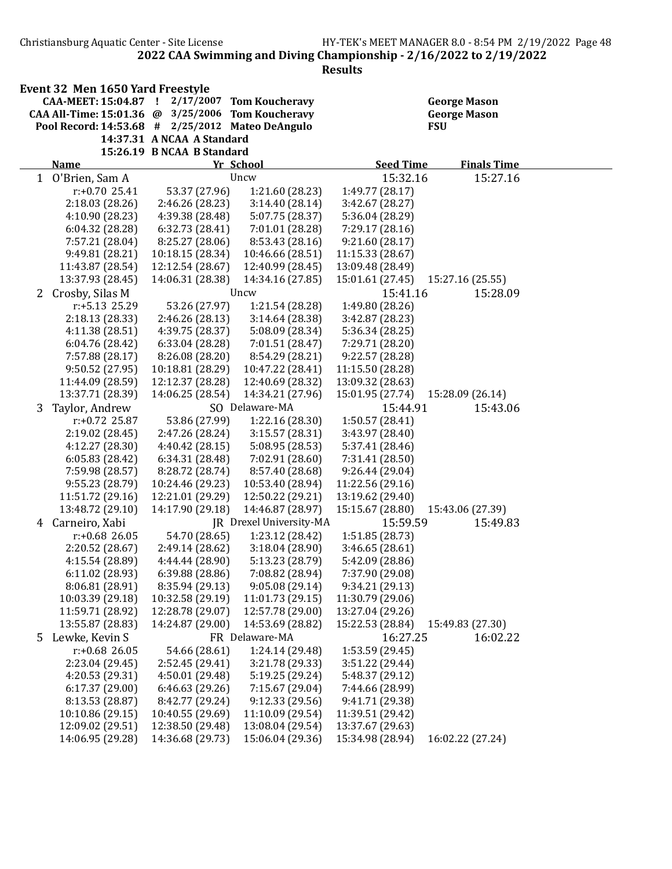Results

| Event 32 Men 1650 Yard Freestyle                      |                            |      |
|-------------------------------------------------------|----------------------------|------|
| CAA-MEET: 15:04.87 ! 2/17/2007 Tom Koucheravy         |                            | Geoi |
| CAA All-Time: $15:01.36$ @ $3/25/2006$ Tom Koucheravy |                            | Geor |
| Pool Record: $14:53.68$ # $2/25/2012$ Mateo DeAngulo  |                            | FSU  |
|                                                       | 14:37.31 A NCAA A Standard |      |
|                                                       | 15:26.19 B NCAA B Standard |      |

CAA-MEET: 15:04.87 ! 2/17/2007 Tom Koucheravy George Mason George Mason<br>FSU

|              | <b>Name</b>       |                  | Yr School               | <b>Seed Time</b> | <b>Finals Time</b> |  |
|--------------|-------------------|------------------|-------------------------|------------------|--------------------|--|
| $\mathbf{1}$ | O'Brien, Sam A    |                  | Uncw                    | 15:32.16         | 15:27.16           |  |
|              | $r: +0.70$ 25.41  | 53.37 (27.96)    | 1:21.60 (28.23)         | 1:49.77 (28.17)  |                    |  |
|              | 2:18.03 (28.26)   | 2:46.26 (28.23)  | 3:14.40(28.14)          | 3:42.67 (28.27)  |                    |  |
|              | 4:10.90 (28.23)   | 4:39.38 (28.48)  | 5:07.75 (28.37)         | 5:36.04 (28.29)  |                    |  |
|              | 6:04.32(28.28)    | 6:32.73 (28.41)  | 7:01.01 (28.28)         | 7:29.17 (28.16)  |                    |  |
|              | 7:57.21 (28.04)   | 8:25.27 (28.06)  | 8:53.43 (28.16)         | 9:21.60(28.17)   |                    |  |
|              | 9:49.81 (28.21)   | 10:18.15 (28.34) | 10:46.66 (28.51)        | 11:15.33 (28.67) |                    |  |
|              | 11:43.87 (28.54)  | 12:12.54 (28.67) | 12:40.99 (28.45)        | 13:09.48 (28.49) |                    |  |
|              | 13:37.93 (28.45)  | 14:06.31 (28.38) | 14:34.16 (27.85)        | 15:01.61 (27.45) | 15:27.16 (25.55)   |  |
|              | 2 Crosby, Silas M |                  | Uncw                    | 15:41.16         | 15:28.09           |  |
|              | r:+5.13 25.29     | 53.26 (27.97)    | 1:21.54 (28.28)         | 1:49.80 (28.26)  |                    |  |
|              | 2:18.13 (28.33)   | 2:46.26 (28.13)  | 3:14.64 (28.38)         | 3:42.87 (28.23)  |                    |  |
|              | 4:11.38 (28.51)   | 4:39.75 (28.37)  | 5:08.09 (28.34)         | 5:36.34 (28.25)  |                    |  |
|              | 6:04.76 (28.42)   | 6:33.04 (28.28)  | 7:01.51 (28.47)         | 7:29.71 (28.20)  |                    |  |
|              | 7:57.88 (28.17)   | 8:26.08 (28.20)  | 8:54.29 (28.21)         | 9:22.57 (28.28)  |                    |  |
|              | 9:50.52 (27.95)   | 10:18.81 (28.29) | 10:47.22 (28.41)        | 11:15.50 (28.28) |                    |  |
|              | 11:44.09 (28.59)  | 12:12.37 (28.28) | 12:40.69 (28.32)        | 13:09.32 (28.63) |                    |  |
|              | 13:37.71 (28.39)  | 14:06.25 (28.54) | 14:34.21 (27.96)        | 15:01.95 (27.74) | 15:28.09 (26.14)   |  |
| 3            | Taylor, Andrew    |                  | SO Delaware-MA          | 15:44.91         | 15:43.06           |  |
|              | $r: +0.72$ 25.87  | 53.86 (27.99)    | 1:22.16 (28.30)         | 1:50.57 (28.41)  |                    |  |
|              | 2:19.02 (28.45)   | 2:47.26 (28.24)  | 3:15.57(28.31)          | 3:43.97 (28.40)  |                    |  |
|              | 4:12.27 (28.30)   | 4:40.42 (28.15)  | 5:08.95 (28.53)         | 5:37.41 (28.46)  |                    |  |
|              | 6:05.83(28.42)    | 6:34.31 (28.48)  | 7:02.91 (28.60)         | 7:31.41 (28.50)  |                    |  |
|              | 7:59.98 (28.57)   | 8:28.72 (28.74)  | 8:57.40 (28.68)         | 9:26.44 (29.04)  |                    |  |
|              | 9:55.23 (28.79)   | 10:24.46 (29.23) | 10:53.40 (28.94)        | 11:22.56 (29.16) |                    |  |
|              | 11:51.72 (29.16)  | 12:21.01 (29.29) | 12:50.22 (29.21)        | 13:19.62 (29.40) |                    |  |
|              | 13:48.72 (29.10)  | 14:17.90 (29.18) | 14:46.87 (28.97)        | 15:15.67 (28.80) | 15:43.06 (27.39)   |  |
| 4            | Carneiro, Xabi    |                  | JR Drexel University-MA | 15:59.59         | 15:49.83           |  |
|              | $r: +0.68$ 26.05  | 54.70 (28.65)    | 1:23.12 (28.42)         | 1:51.85 (28.73)  |                    |  |
|              | 2:20.52 (28.67)   | 2:49.14 (28.62)  | 3:18.04(28.90)          | 3:46.65 (28.61)  |                    |  |
|              | 4:15.54 (28.89)   | 4:44.44 (28.90)  | 5:13.23 (28.79)         | 5:42.09 (28.86)  |                    |  |
|              | 6:11.02 (28.93)   | 6:39.88(28.86)   | 7:08.82 (28.94)         | 7:37.90 (29.08)  |                    |  |
|              | 8:06.81 (28.91)   | 8:35.94 (29.13)  | 9:05.08(29.14)          | 9:34.21 (29.13)  |                    |  |
|              | 10:03.39 (29.18)  | 10:32.58 (29.19) | 11:01.73 (29.15)        | 11:30.79 (29.06) |                    |  |
|              | 11:59.71 (28.92)  | 12:28.78 (29.07) | 12:57.78 (29.00)        | 13:27.04 (29.26) |                    |  |
|              | 13:55.87 (28.83)  | 14:24.87 (29.00) | 14:53.69 (28.82)        | 15:22.53 (28.84) | 15:49.83 (27.30)   |  |
|              | 5 Lewke, Kevin S  |                  | FR Delaware-MA          | 16:27.25         | 16:02.22           |  |
|              | r:+0.68 26.05     | 54.66 (28.61)    | 1:24.14 (29.48)         | 1:53.59 (29.45)  |                    |  |
|              | 2:23.04 (29.45)   | 2:52.45 (29.41)  | 3:21.78 (29.33)         | 3:51.22 (29.44)  |                    |  |
|              | 4:20.53 (29.31)   | 4:50.01 (29.48)  | 5:19.25 (29.24)         | 5:48.37 (29.12)  |                    |  |
|              | 6:17.37(29.00)    | 6:46.63 (29.26)  | 7:15.67 (29.04)         | 7:44.66 (28.99)  |                    |  |
|              | 8:13.53 (28.87)   | 8:42.77 (29.24)  | 9:12.33 (29.56)         | 9:41.71 (29.38)  |                    |  |
|              | 10:10.86 (29.15)  | 10:40.55 (29.69) | 11:10.09 (29.54)        | 11:39.51 (29.42) |                    |  |
|              | 12:09.02 (29.51)  | 12:38.50 (29.48) | 13:08.04 (29.54)        | 13:37.67 (29.63) |                    |  |
|              | 14:06.95 (29.28)  | 14:36.68 (29.73) | 15:06.04 (29.36)        | 15:34.98 (28.94) | 16:02.22 (27.24)   |  |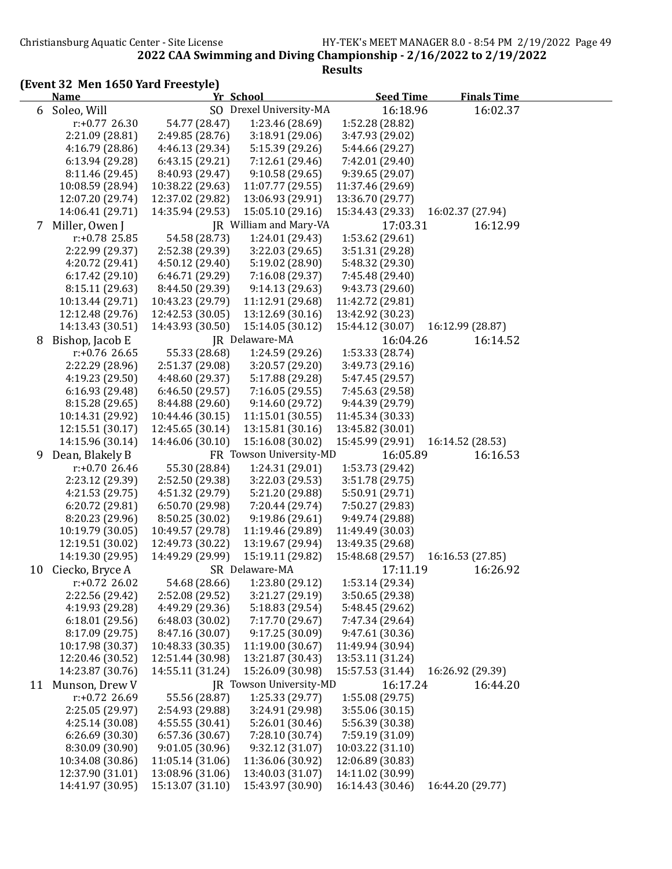#### (Event 32 Men 1650 Yard Freestyle)

|    | <b>Name</b>      |                  | Yr School               | <b>Seed Time</b> | <b>Finals Time</b> |  |
|----|------------------|------------------|-------------------------|------------------|--------------------|--|
|    | 6 Soleo, Will    |                  | SO Drexel University-MA | 16:18.96         | 16:02.37           |  |
|    | $r: +0.77$ 26.30 | 54.77 (28.47)    | 1:23.46 (28.69)         | 1:52.28 (28.82)  |                    |  |
|    | 2:21.09 (28.81)  | 2:49.85 (28.76)  | 3:18.91 (29.06)         | 3:47.93 (29.02)  |                    |  |
|    | 4:16.79 (28.86)  | 4:46.13 (29.34)  | 5:15.39 (29.26)         | 5:44.66 (29.27)  |                    |  |
|    | 6:13.94 (29.28)  | 6:43.15(29.21)   | 7:12.61 (29.46)         | 7:42.01 (29.40)  |                    |  |
|    | 8:11.46 (29.45)  | 8:40.93 (29.47)  | 9:10.58(29.65)          | 9:39.65 (29.07)  |                    |  |
|    | 10:08.59 (28.94) | 10:38.22 (29.63) | 11:07.77 (29.55)        | 11:37.46 (29.69) |                    |  |
|    | 12:07.20 (29.74) | 12:37.02 (29.82) | 13:06.93 (29.91)        | 13:36.70 (29.77) |                    |  |
|    | 14:06.41 (29.71) | 14:35.94 (29.53) | 15:05.10 (29.16)        | 15:34.43 (29.33) | 16:02.37 (27.94)   |  |
| 7  | Miller, Owen J   |                  | JR William and Mary-VA  | 17:03.31         | 16:12.99           |  |
|    | r:+0.78 25.85    | 54.58 (28.73)    | 1:24.01 (29.43)         | 1:53.62 (29.61)  |                    |  |
|    | 2:22.99 (29.37)  | 2:52.38 (29.39)  | 3:22.03 (29.65)         | 3:51.31 (29.28)  |                    |  |
|    | 4:20.72 (29.41)  | 4:50.12 (29.40)  | 5:19.02 (28.90)         | 5:48.32 (29.30)  |                    |  |
|    | 6:17.42 (29.10)  | 6:46.71 (29.29)  | 7:16.08 (29.37)         | 7:45.48 (29.40)  |                    |  |
|    | 8:15.11 (29.63)  | 8:44.50 (29.39)  | 9:14.13(29.63)          | 9:43.73 (29.60)  |                    |  |
|    | 10:13.44 (29.71) | 10:43.23 (29.79) | 11:12.91 (29.68)        | 11:42.72 (29.81) |                    |  |
|    | 12:12.48 (29.76) | 12:42.53 (30.05) | 13:12.69 (30.16)        | 13:42.92 (30.23) |                    |  |
|    | 14:13.43 (30.51) | 14:43.93 (30.50) | 15:14.05 (30.12)        | 15:44.12 (30.07) | 16:12.99 (28.87)   |  |
| 8  | Bishop, Jacob E  |                  | JR Delaware-MA          | 16:04.26         | 16:14.52           |  |
|    | $r: +0.76$ 26.65 | 55.33 (28.68)    | 1:24.59 (29.26)         | 1:53.33 (28.74)  |                    |  |
|    | 2:22.29 (28.96)  | 2:51.37 (29.08)  | 3:20.57 (29.20)         | 3:49.73 (29.16)  |                    |  |
|    | 4:19.23 (29.50)  | 4:48.60 (29.37)  | 5:17.88 (29.28)         | 5:47.45 (29.57)  |                    |  |
|    | 6:16.93(29.48)   | 6:46.50 (29.57)  | 7:16.05 (29.55)         | 7:45.63 (29.58)  |                    |  |
|    | 8:15.28 (29.65)  | 8:44.88 (29.60)  | 9:14.60 (29.72)         | 9:44.39 (29.79)  |                    |  |
|    | 10:14.31 (29.92) | 10:44.46 (30.15) | 11:15.01 (30.55)        | 11:45.34 (30.33) |                    |  |
|    | 12:15.51 (30.17) | 12:45.65 (30.14) | 13:15.81 (30.16)        | 13:45.82 (30.01) |                    |  |
|    | 14:15.96 (30.14) | 14:46.06 (30.10) | 15:16.08 (30.02)        | 15:45.99 (29.91) | 16:14.52 (28.53)   |  |
| 9  | Dean, Blakely B  |                  | FR Towson University-MD | 16:05.89         | 16:16.53           |  |
|    | $r: +0.7026.46$  | 55.30 (28.84)    | 1:24.31 (29.01)         | 1:53.73 (29.42)  |                    |  |
|    | 2:23.12 (29.39)  | 2:52.50 (29.38)  | 3:22.03 (29.53)         | 3:51.78 (29.75)  |                    |  |
|    | 4:21.53 (29.75)  | 4:51.32 (29.79)  | 5:21.20 (29.88)         | 5:50.91 (29.71)  |                    |  |
|    | 6:20.72 (29.81)  | 6:50.70 (29.98)  | 7:20.44 (29.74)         | 7:50.27 (29.83)  |                    |  |
|    | 8:20.23 (29.96)  | 8:50.25 (30.02)  | 9:19.86(29.61)          | 9:49.74 (29.88)  |                    |  |
|    | 10:19.79 (30.05) | 10:49.57 (29.78) | 11:19.46 (29.89)        | 11:49.49 (30.03) |                    |  |
|    | 12:19.51 (30.02) | 12:49.73 (30.22) | 13:19.67 (29.94)        | 13:49.35 (29.68) |                    |  |
|    | 14:19.30 (29.95) | 14:49.29 (29.99) | 15:19.11 (29.82)        | 15:48.68 (29.57) | 16:16.53 (27.85)   |  |
| 10 | Ciecko, Bryce A  |                  | SR Delaware-MA          | 17:11.19         | 16:26.92           |  |
|    | $r: +0.72$ 26.02 | 54.68 (28.66)    | 1:23.80 (29.12)         | 1:53.14 (29.34)  |                    |  |
|    | 2:22.56 (29.42)  | 2:52.08 (29.52)  | 3:21.27 (29.19)         | 3:50.65 (29.38)  |                    |  |
|    | 4:19.93 (29.28)  | 4:49.29 (29.36)  | 5:18.83 (29.54)         | 5:48.45 (29.62)  |                    |  |
|    | 6:18.01 (29.56)  | 6:48.03 (30.02)  | 7:17.70 (29.67)         | 7:47.34 (29.64)  |                    |  |
|    | 8:17.09 (29.75)  | 8:47.16 (30.07)  | 9:17.25 (30.09)         | 9:47.61 (30.36)  |                    |  |
|    | 10:17.98 (30.37) | 10:48.33 (30.35) | 11:19.00 (30.67)        | 11:49.94 (30.94) |                    |  |
|    | 12:20.46 (30.52) | 12:51.44 (30.98) | 13:21.87 (30.43)        | 13:53.11 (31.24) |                    |  |
|    | 14:23.87 (30.76) | 14:55.11 (31.24) | 15:26.09 (30.98)        | 15:57.53 (31.44) | 16:26.92 (29.39)   |  |
| 11 | Munson, Drew V   |                  | JR Towson University-MD | 16:17.24         | 16:44.20           |  |
|    | $r: +0.72$ 26.69 | 55.56 (28.87)    | 1:25.33 (29.77)         | 1:55.08 (29.75)  |                    |  |
|    | 2:25.05 (29.97)  | 2:54.93 (29.88)  | 3:24.91 (29.98)         | 3:55.06 (30.15)  |                    |  |
|    | 4:25.14 (30.08)  | 4:55.55(30.41)   | 5:26.01(30.46)          | 5:56.39 (30.38)  |                    |  |
|    | 6:26.69(30.30)   | 6:57.36 (30.67)  | 7:28.10 (30.74)         | 7:59.19 (31.09)  |                    |  |
|    | 8:30.09 (30.90)  | 9:01.05(30.96)   | 9:32.12 (31.07)         | 10:03.22 (31.10) |                    |  |
|    | 10:34.08 (30.86) | 11:05.14 (31.06) | 11:36.06 (30.92)        | 12:06.89 (30.83) |                    |  |
|    | 12:37.90 (31.01) | 13:08.96 (31.06) | 13:40.03 (31.07)        | 14:11.02 (30.99) |                    |  |
|    | 14:41.97 (30.95) | 15:13.07 (31.10) | 15:43.97 (30.90)        | 16:14.43 (30.46) | 16:44.20 (29.77)   |  |
|    |                  |                  |                         |                  |                    |  |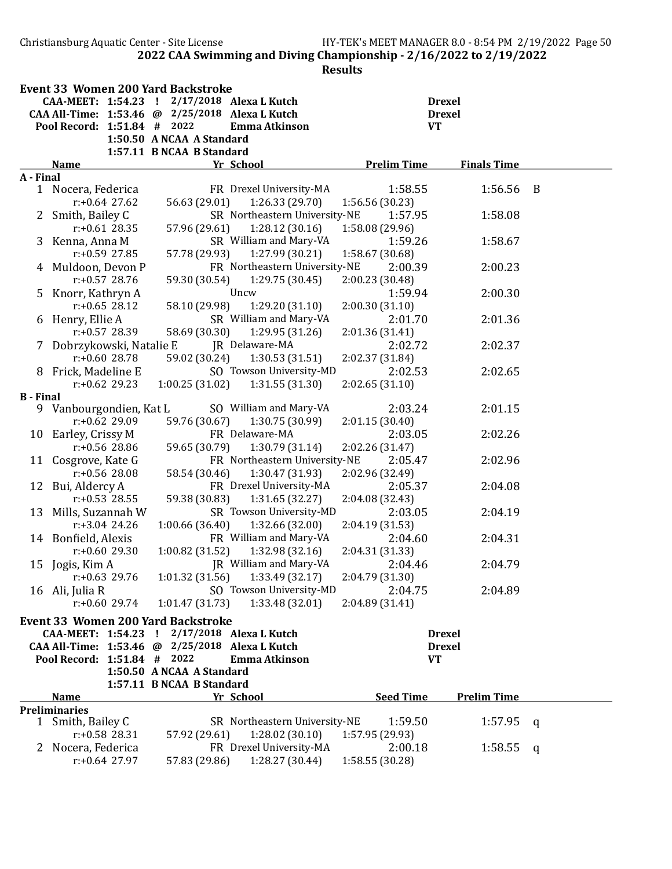Christiansburg Aquatic Center - Site License HY-TEK's MEET MANAGER 8.0 - 8:54 PM 2/19/2022 Page 50 2022 CAA Swimming and Diving Championship - 2/16/2022 to 2/19/2022

|                  |                             | <b>Event 33 Women 200 Yard Backstroke</b> |                                                 |                 |                    |                    |     |
|------------------|-----------------------------|-------------------------------------------|-------------------------------------------------|-----------------|--------------------|--------------------|-----|
|                  |                             |                                           | CAA-MEET: 1:54.23 ! 2/17/2018 Alexa L Kutch     |                 |                    | <b>Drexel</b>      |     |
|                  |                             |                                           | CAA All-Time: 1:53.46 @ 2/25/2018 Alexa L Kutch |                 |                    | <b>Drexel</b>      |     |
|                  | Pool Record: 1:51.84 # 2022 |                                           | Emma Atkinson                                   |                 |                    | <b>VT</b>          |     |
|                  |                             | 1:50.50 A NCAA A Standard                 |                                                 |                 |                    |                    |     |
|                  |                             | 1:57.11 B NCAA B Standard                 |                                                 |                 |                    |                    |     |
|                  | <b>Name</b>                 |                                           | Yr School                                       |                 | <b>Prelim Time</b> | <b>Finals Time</b> |     |
| A - Final        |                             |                                           |                                                 |                 |                    |                    |     |
|                  | 1 Nocera, Federica          |                                           | FR Drexel University-MA                         |                 | 1:58.55            | 1:56.56            | - B |
|                  | $r: +0.64$ 27.62            | 56.63 (29.01)                             | 1:26.33(29.70)                                  | 1:56.56 (30.23) |                    |                    |     |
|                  | 2 Smith, Bailey C           |                                           | SR Northeastern University-NE                   |                 | 1:57.95            | 1:58.08            |     |
|                  | $r: +0.61$ 28.35            | 57.96 (29.61)                             | 1:28.12(30.16)                                  | 1:58.08 (29.96) |                    |                    |     |
|                  | 3 Kenna, Anna M             |                                           | SR William and Mary-VA                          |                 | 1:59.26            | 1:58.67            |     |
|                  | $r: +0.59$ 27.85            | 57.78 (29.93)                             | 1:27.99 (30.21)                                 | 1:58.67 (30.68) |                    |                    |     |
|                  | 4 Muldoon, Devon P          |                                           | FR Northeastern University-NE                   |                 | 2:00.39            | 2:00.23            |     |
|                  | $r: +0.57$ 28.76            | 59.30 (30.54)                             | 1:29.75(30.45)                                  | 2:00.23 (30.48) |                    |                    |     |
| 5                | Knorr, Kathryn A            |                                           | Uncw                                            |                 | 1:59.94            | 2:00.30            |     |
|                  | $r: +0.65$ 28.12            | 58.10 (29.98)                             | 1:29.20(31.10)                                  | 2:00.30(31.10)  |                    |                    |     |
|                  | 6 Henry, Ellie A            |                                           | SR William and Mary-VA                          |                 | 2:01.70            | 2:01.36            |     |
|                  | r:+0.57 28.39               | 58.69 (30.30)                             | 1:29.95 (31.26)                                 | 2:01.36 (31.41) |                    |                    |     |
|                  | 7 Dobrzykowski, Natalie E   |                                           | JR Delaware-MA                                  |                 | 2:02.72            | 2:02.37            |     |
|                  | $r: +0.60$ 28.78            | 59.02 (30.24)                             | 1:30.53(31.51)                                  | 2:02.37 (31.84) |                    |                    |     |
|                  | 8 Frick, Madeline E         |                                           | SO Towson University-MD                         |                 | 2:02.53            | 2:02.65            |     |
|                  | $r: +0.62$ 29.23            | 1:00.25(31.02)                            | 1:31.55(31.30)                                  | 2:02.65(31.10)  |                    |                    |     |
| <b>B</b> - Final |                             |                                           |                                                 |                 |                    |                    |     |
| 9.               | Vanbourgondien, Kat L       |                                           | SO William and Mary-VA                          |                 | 2:03.24            | 2:01.15            |     |
|                  | $r: +0.62$ 29.09            | 59.76 (30.67)                             | 1:30.75(30.99)                                  | 2:01.15 (30.40) |                    |                    |     |
| 10               | Earley, Crissy M            |                                           | FR Delaware-MA                                  |                 | 2:03.05            | 2:02.26            |     |
|                  | $r: +0.56$ 28.86            | 59.65 (30.79)                             | 1:30.79 (31.14)                                 | 2:02.26 (31.47) |                    |                    |     |
| 11               | Cosgrove, Kate G            |                                           | FR Northeastern University-NE                   |                 | 2:05.47            | 2:02.96            |     |
|                  | $r: +0.56$ 28.08            | 58.54 (30.46)                             | 1:30.47 (31.93)                                 | 2:02.96 (32.49) |                    |                    |     |
| 12               | Bui, Aldercy A              |                                           | FR Drexel University-MA                         |                 | 2:05.37            | 2:04.08            |     |
|                  | $r: +0.53$ 28.55            | 59.38 (30.83)                             | 1:31.65 (32.27)                                 | 2:04.08 (32.43) |                    |                    |     |
| 13               | Mills, Suzannah W           |                                           | SR Towson University-MD                         |                 | 2:03.05            | 2:04.19            |     |
|                  | $r: +3.04$ 24.26            | 1:00.66(36.40)                            |                                                 |                 |                    |                    |     |
|                  |                             |                                           | 1:32.66 (32.00)                                 | 2:04.19 (31.53) |                    |                    |     |
|                  | 14 Bonfield, Alexis         |                                           | FR William and Mary-VA                          |                 | 2:04.60            | 2:04.31            |     |
|                  | $r: +0.6029.30$             | 1:00.82(31.52)                            | 1:32.98(32.16)                                  | 2:04.31 (31.33) |                    |                    |     |
|                  | 15 Jogis, Kim A             |                                           | JR William and Mary-VA                          |                 | 2:04.46            | 2:04.79            |     |
|                  | $r: +0.63$ 29.76            |                                           | $1:01.32$ (31.56) $1:33.49$ (32.17)             | 2:04.79 (31.30) |                    |                    |     |
|                  | 16 Ali, Julia R             |                                           | SO Towson University-MD                         |                 | 2:04.75            | 2:04.89            |     |
|                  | $r: +0.60$ 29.74            | 1:01.47 (31.73)                           | 1:33.48 (32.01)                                 | 2:04.89 (31.41) |                    |                    |     |
|                  |                             | <b>Event 33 Women 200 Yard Backstroke</b> |                                                 |                 |                    |                    |     |
|                  |                             |                                           | CAA-MEET: 1:54.23 ! 2/17/2018 Alexa L Kutch     |                 |                    | <b>Drexel</b>      |     |
|                  |                             |                                           | CAA All-Time: 1:53.46 @ 2/25/2018 Alexa L Kutch |                 |                    | <b>Drexel</b>      |     |
|                  | Pool Record: 1:51.84 # 2022 |                                           | <b>Emma Atkinson</b>                            |                 |                    | <b>VT</b>          |     |
|                  |                             | 1:50.50 A NCAA A Standard                 |                                                 |                 |                    |                    |     |
|                  |                             | 1:57.11 B NCAA B Standard                 |                                                 |                 |                    |                    |     |
|                  | <b>Name</b>                 |                                           | Yr School                                       |                 | <b>Seed Time</b>   | <b>Prelim Time</b> |     |
|                  | <b>Preliminaries</b>        |                                           |                                                 |                 |                    |                    |     |
|                  | 1 Smith, Bailey C           |                                           | SR Northeastern University-NE                   |                 | 1:59.50            | 1:57.95            | q   |
|                  | $r: +0.58$ 28.31            | 57.92 (29.61)                             | 1:28.02(30.10)                                  | 1:57.95 (29.93) |                    |                    |     |
|                  | 2 Nocera, Federica          |                                           | FR Drexel University-MA                         |                 | 2:00.18            | 1:58.55            | q   |
|                  | $r: +0.64$ 27.97            | 57.83 (29.86)                             | 1:28.27 (30.44)                                 | 1:58.55 (30.28) |                    |                    |     |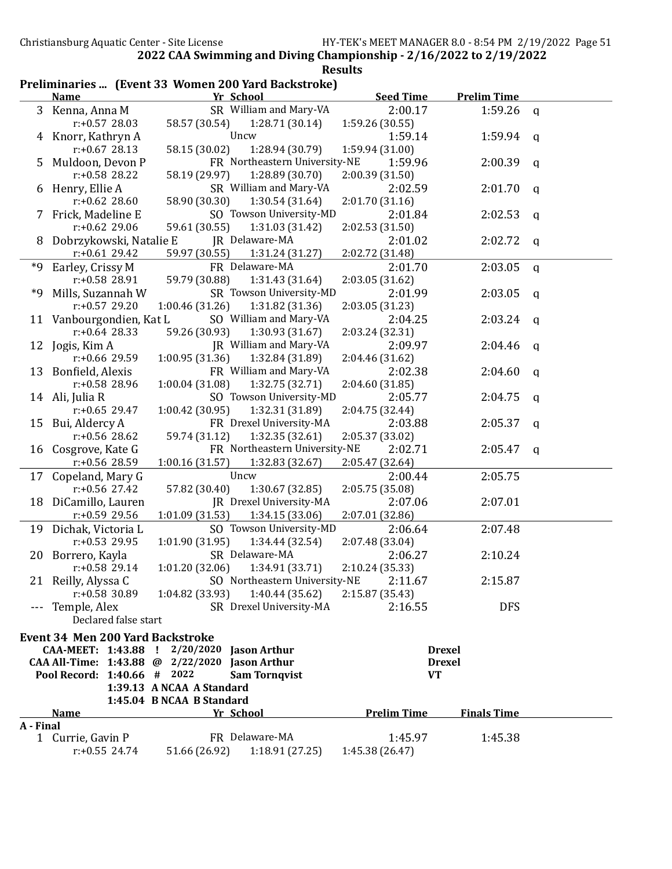|                                                     |  |  | <b>Results</b> |
|-----------------------------------------------------|--|--|----------------|
| Preliminaries  (Event 33 Women 200 Yard Backstroke) |  |  |                |

|           | <b>Name</b>                             | Yr School                                                         | <b>Seed Time</b>   | <b>Prelim Time</b> |   |
|-----------|-----------------------------------------|-------------------------------------------------------------------|--------------------|--------------------|---|
|           | 3 Kenna, Anna M                         | SR William and Mary-VA                                            | 2:00.17            | 1:59.26            | q |
|           | $r: +0.57$ 28.03                        | 1:28.71(30.14)<br>58.57 (30.54)                                   | 1:59.26 (30.55)    |                    |   |
|           | Knorr, Kathryn A                        | Uncw                                                              | 1:59.14            | 1:59.94            | q |
|           | $r: +0.67$ 28.13                        | 1:28.94 (30.79)<br>58.15 (30.02)                                  | 1:59.94 (31.00)    |                    |   |
| 5         | Muldoon, Devon P                        | FR Northeastern University-NE                                     | 1:59.96            | 2:00.39            | q |
|           | $r: +0.58$ 28.22                        | 1:28.89 (30.70)<br>58.19 (29.97)                                  | 2:00.39 (31.50)    |                    |   |
| 6         | Henry, Ellie A                          | SR William and Mary-VA                                            | 2:02.59            | 2:01.70            | q |
|           | $r: +0.62$ 28.60                        | 58.90 (30.30)<br>1:30.54 (31.64)                                  | 2:01.70 (31.16)    |                    |   |
| 7         | Frick, Madeline E                       | SO Towson University-MD                                           | 2:01.84            | 2:02.53            | q |
|           | $r: +0.62$ 29.06                        | 59.61 (30.55)<br>1:31.03 (31.42)                                  | 2:02.53 (31.50)    |                    |   |
| 8         | Dobrzykowski, Natalie E                 | JR Delaware-MA                                                    | 2:01.02            | 2:02.72            | q |
|           | $r: +0.61$ 29.42                        | 59.97 (30.55)<br>1:31.24 (31.27)                                  | 2:02.72 (31.48)    |                    |   |
| *9        | Earley, Crissy M                        | FR Delaware-MA                                                    | 2:01.70            | 2:03.05            | q |
|           | r:+0.58 28.91                           | 59.79 (30.88)<br>1:31.43 (31.64)                                  | 2:03.05 (31.62)    |                    |   |
| *9        | Mills, Suzannah W                       | SR Towson University-MD                                           | 2:01.99            | 2:03.05            | q |
|           | $r: +0.57$ 29.20                        | 1:00.46 (31.26)<br>1:31.82 (31.36)                                | 2:03.05 (31.23)    |                    |   |
|           | 11 Vanbourgondien, Kat L                | SO William and Mary-VA                                            | 2:04.25            | 2:03.24            | q |
|           | $r: +0.64$ 28.33                        | 59.26 (30.93)<br>1:30.93(31.67)                                   | 2:03.24 (32.31)    |                    |   |
| 12        | Jogis, Kim A                            | JR William and Mary-VA                                            | 2:09.97            | 2:04.46            |   |
|           | r:+0.66 29.59                           | 1:00.95 (31.36)<br>1:32.84 (31.89)                                | 2:04.46 (31.62)    |                    | q |
|           | 13 Bonfield, Alexis                     | FR William and Mary-VA                                            | 2:02.38            | 2:04.60            |   |
|           | r:+0.58 28.96                           | 1:00.04(31.08)<br>1:32.75 (32.71)                                 | 2:04.60 (31.85)    |                    | q |
|           | 14 Ali, Julia R                         | SO Towson University-MD                                           | 2:05.77            | 2:04.75            |   |
|           | $r: +0.65$ 29.47                        | 1:00.42 (30.95)<br>1:32.31 (31.89)                                | 2:04.75 (32.44)    |                    | q |
|           |                                         | FR Drexel University-MA                                           | 2:03.88            |                    |   |
|           | 15 Bui, Aldercy A<br>r:+0.56 28.62      |                                                                   |                    | 2:05.37            | q |
|           |                                         | 59.74 (31.12)<br>1:32.35 (32.61)<br>FR Northeastern University-NE | 2:05.37 (33.02)    |                    |   |
| 16        | Cosgrove, Kate G                        |                                                                   | 2:02.71            | 2:05.47            | q |
|           | $r: +0.56$ 28.59                        | 1:00.16(31.57)<br>1:32.83 (32.67)                                 | 2:05.47 (32.64)    |                    |   |
| 17        | Copeland, Mary G                        | Uncw                                                              | 2:00.44            | 2:05.75            |   |
|           | r:+0.56 27.42                           | 57.82 (30.40)<br>1:30.67 (32.85)                                  | 2:05.75 (35.08)    |                    |   |
|           | 18 DiCamillo, Lauren                    | JR Drexel University-MA                                           | 2:07.06            | 2:07.01            |   |
|           | $r: +0.59$ 29.56                        | 1:01.09 (31.53)<br>1:34.15 (33.06)                                | 2:07.01 (32.86)    |                    |   |
| 19        | Dichak, Victoria L                      | SO Towson University-MD                                           | 2:06.64            | 2:07.48            |   |
|           | $r: +0.53$ 29.95                        | 1:01.90 (31.95)<br>1:34.44 (32.54)                                | 2:07.48 (33.04)    |                    |   |
|           | 20 Borrero, Kayla                       | SR Delaware-MA                                                    | 2:06.27            | 2:10.24            |   |
|           | $r: +0.58$ 29.14                        | 1:01.20(32.06)<br>1:34.91 (33.71)                                 | 2:10.24 (35.33)    |                    |   |
|           | 21 Reilly, Alyssa C                     | SO Northeastern University-NE 2:11.67                             |                    | 2:15.87            |   |
|           | $r: +0.58$ 30.89                        | 1:04.82 (33.93) 1:40.44 (35.62) 2:15.87 (35.43)                   |                    |                    |   |
|           | --- Temple, Alex                        | SR Drexel University-MA                                           | 2:16.55            | <b>DFS</b>         |   |
|           | Declared false start                    |                                                                   |                    |                    |   |
|           | <b>Event 34 Men 200 Yard Backstroke</b> |                                                                   |                    |                    |   |
|           |                                         | CAA-MEET: 1:43.88 ! 2/20/2020 Jason Arthur                        |                    | <b>Drexel</b>      |   |
|           |                                         | CAA All-Time: 1:43.88 @ 2/22/2020 Jason Arthur                    |                    | <b>Drexel</b>      |   |
|           | Pool Record: 1:40.66 # 2022             | <b>Sam Tornqvist</b>                                              | <b>VT</b>          |                    |   |
|           |                                         | 1:39.13 A NCAA A Standard                                         |                    |                    |   |
|           |                                         | 1:45.04 B NCAA B Standard                                         |                    |                    |   |
|           | <b>Name</b>                             | Yr School                                                         | <b>Prelim Time</b> | <b>Finals Time</b> |   |
| A - Final |                                         |                                                                   |                    |                    |   |
|           | 1 Currie, Gavin P                       | FR Delaware-MA                                                    | 1:45.97            | 1:45.38            |   |
|           | $r: +0.55$ 24.74                        | 1:18.91(27.25)<br>51.66 (26.92)                                   | 1:45.38 (26.47)    |                    |   |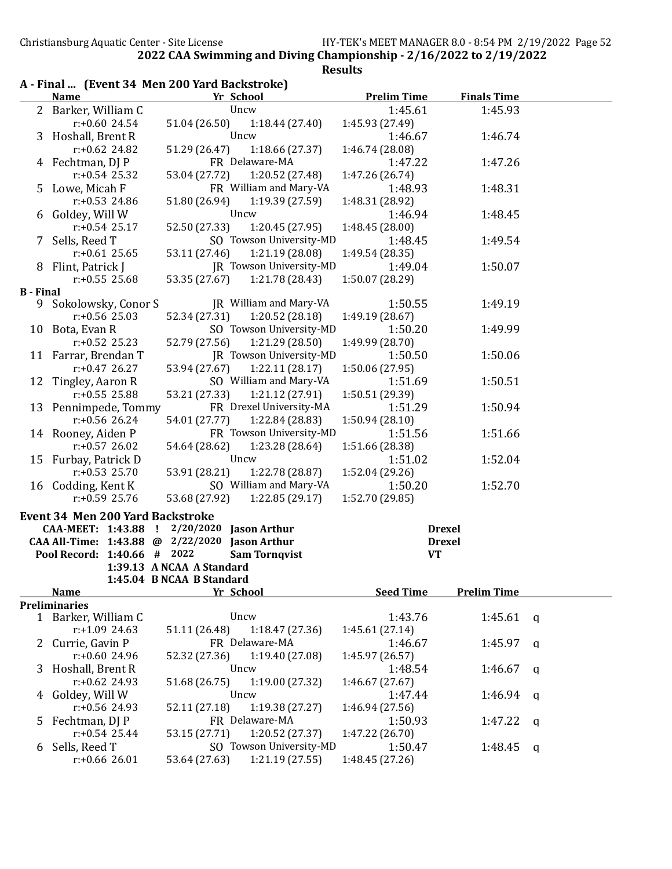|                  |                                         | A - Final  (Event 34 Men 200 Yard Backstroke)                                                |                    |                    |              |
|------------------|-----------------------------------------|----------------------------------------------------------------------------------------------|--------------------|--------------------|--------------|
|                  | <b>Name</b>                             | Yr School                                                                                    | <b>Prelim Time</b> | <b>Finals Time</b> |              |
|                  | 2 Barker, William C                     | Uncw                                                                                         | 1:45.61            | 1:45.93            |              |
|                  | $r: +0.60$ 24.54                        | 51.04 (26.50)<br>1:18.44 (27.40)                                                             | 1:45.93 (27.49)    |                    |              |
| 3                | Hoshall, Brent R                        | Uncw                                                                                         | 1:46.67            | 1:46.74            |              |
|                  | $r: +0.62$ 24.82                        | 51.29 (26.47)<br>1:18.66(27.37)                                                              | 1:46.74 (28.08)    |                    |              |
|                  | 4 Fechtman, DJ P                        | FR Delaware-MA                                                                               | 1:47.22            | 1:47.26            |              |
|                  | $r: +0.54$ 25.32                        | 53.04 (27.72)<br>1:20.52 (27.48)                                                             | 1:47.26 (26.74)    |                    |              |
| 5.               | Lowe, Micah F                           | FR William and Mary-VA                                                                       | 1:48.93            | 1:48.31            |              |
|                  | $r: +0.53$ 24.86                        | 1:19.39(27.59)<br>51.80 (26.94)                                                              | 1:48.31 (28.92)    |                    |              |
| 6                | Goldey, Will W                          | Uncw                                                                                         | 1:46.94            | 1:48.45            |              |
|                  | $r: +0.54$ 25.17                        | 52.50 (27.33)<br>1:20.45 (27.95)                                                             | 1:48.45 (28.00)    |                    |              |
| 7                | Sells, Reed T                           | SO Towson University-MD                                                                      | 1:48.45            | 1:49.54            |              |
|                  | $r: +0.61$ 25.65                        | 1:21.19 (28.08)<br>53.11 (27.46)                                                             | 1:49.54 (28.35)    |                    |              |
| 8                | Flint, Patrick J                        | JR Towson University-MD                                                                      | 1:49.04            | 1:50.07            |              |
|                  | $r: +0.55$ 25.68                        | 1:21.78 (28.43)<br>53.35 (27.67)                                                             | 1:50.07 (28.29)    |                    |              |
| <b>B</b> - Final |                                         |                                                                                              |                    |                    |              |
|                  | 9 Sokolowsky, Conor S                   | JR William and Mary-VA                                                                       | 1:50.55            | 1:49.19            |              |
|                  | $r: +0.56$ 25.03                        | 52.34 (27.31)<br>1:20.52 (28.18)                                                             | 1:49.19 (28.67)    |                    |              |
|                  | 10 Bota, Evan R                         | SO Towson University-MD                                                                      | 1:50.20            | 1:49.99            |              |
|                  | $r: +0.52$ 25.23                        | 52.79 (27.56)<br>1:21.29 (28.50)                                                             | 1:49.99 (28.70)    |                    |              |
|                  | 11 Farrar, Brendan T                    | JR Towson University-MD                                                                      | 1:50.50            | 1:50.06            |              |
|                  | $r: +0.47$ 26.27                        | 53.94 (27.67)<br>1:22.11(28.17)                                                              | 1:50.06 (27.95)    |                    |              |
|                  | 12 Tingley, Aaron R                     | SO William and Mary-VA                                                                       | 1:51.69            | 1:50.51            |              |
|                  | $r: +0.55$ 25.88                        | 53.21 (27.33)<br>1:21.12 (27.91)                                                             | 1:50.51 (29.39)    |                    |              |
|                  | 13 Pennimpede, Tommy                    | FR Drexel University-MA                                                                      | 1:51.29            | 1:50.94            |              |
|                  | $r: +0.56$ 26.24                        | 54.01 (27.77)<br>1:22.84 (28.83)                                                             | 1:50.94(28.10)     |                    |              |
|                  | 14 Rooney, Aiden P                      | FR Towson University-MD                                                                      | 1:51.56            | 1:51.66            |              |
|                  | $r: +0.57$ 26.02                        | 1:23.28 (28.64)<br>54.64 (28.62)                                                             | 1:51.66 (28.38)    |                    |              |
|                  | 15 Furbay, Patrick D                    | Uncw                                                                                         | 1:51.02            | 1:52.04            |              |
|                  | $r: +0.53$ 25.70                        | 53.91 (28.21)<br>1:22.78 (28.87)                                                             | 1:52.04 (29.26)    |                    |              |
|                  | 16 Codding, Kent K                      | SO William and Mary-VA                                                                       | 1:50.20            | 1:52.70            |              |
|                  | $r: +0.59$ 25.76                        | 53.68 (27.92)<br>1:22.85(29.17)                                                              | 1:52.70 (29.85)    |                    |              |
|                  |                                         |                                                                                              |                    |                    |              |
|                  | <b>Event 34 Men 200 Yard Backstroke</b> |                                                                                              |                    |                    |              |
|                  |                                         | CAA-MEET: 1:43.88 ! 2/20/2020 Jason Arthur<br>CAA All-Time: 1:43.88 @ 2/22/2020 Jason Arthur |                    | <b>Drexel</b>      |              |
|                  | Pool Record: 1:40.66 # 2022             | <b>Sam Tornqvist</b>                                                                         | <b>VT</b>          | <b>Drexel</b>      |              |
|                  |                                         | 1:39.13 A NCAA A Standard                                                                    |                    |                    |              |
|                  |                                         | 1:45.04 B NCAA B Standard                                                                    |                    |                    |              |
|                  | <b>Name</b>                             | Yr School                                                                                    | <b>Seed Time</b>   | <b>Prelim Time</b> |              |
|                  | <b>Preliminaries</b>                    |                                                                                              |                    |                    |              |
|                  | 1 Barker, William C                     | Uncw                                                                                         | 1:43.76            | 1:45.61            | $\mathbf{q}$ |
|                  | $r: +1.092463$                          | 51.11 (26.48)<br>1:18.47(27.36)                                                              | 1:45.61(27.14)     |                    |              |
| $\mathbf{Z}$     | Currie, Gavin P                         | FR Delaware-MA                                                                               | 1:46.67            | 1:45.97            |              |
|                  | r:+0.60 24.96                           | 1:19.40 (27.08)                                                                              |                    |                    | a            |
|                  |                                         | 52.32 (27.36)<br>Uncw                                                                        | 1:45.97 (26.57)    |                    |              |
| 3                | Hoshall, Brent R                        |                                                                                              | 1:48.54            | 1:46.67            | a            |
|                  | $r: +0.62$ 24.93                        | 51.68 (26.75)<br>1:19.00 (27.32)                                                             | 1:46.67 (27.67)    |                    |              |
| 4                | Goldey, Will W                          | Uncw                                                                                         | 1:47.44            | 1:46.94            | a            |
|                  | r:+0.56 24.93                           | 52.11 (27.18)<br>1:19.38(27.27)                                                              | 1:46.94 (27.56)    |                    |              |
| 5                | Fechtman, DJ P                          | FR Delaware-MA                                                                               | 1:50.93            | 1:47.22            | a            |
|                  | $r: +0.54$ 25.44                        | 1:20.52 (27.37)<br>53.15 (27.71)                                                             | 1:47.22 (26.70)    |                    |              |
| 6                | Sells, Reed T                           | SO Towson University-MD                                                                      | 1:50.47            | 1:48.45            | a            |
|                  | $r: +0.66$ 26.01                        | 53.64 (27.63)<br>1:21.19 (27.55)                                                             | 1:48.45 (27.26)    |                    |              |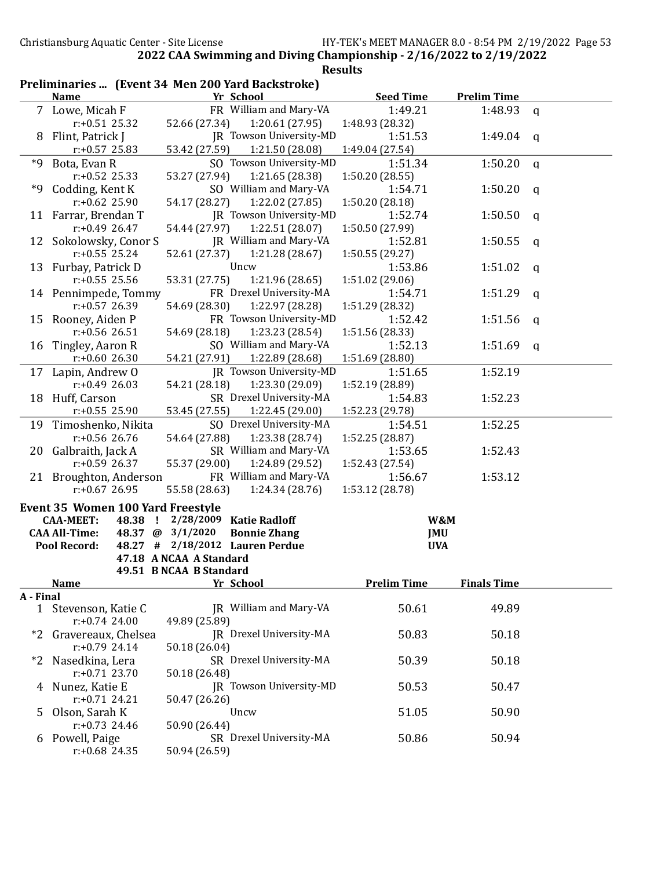|           | Preliminaries  (Event 34 Men 200 Yard Backstroke) |                         |                         |                    |                    |             |
|-----------|---------------------------------------------------|-------------------------|-------------------------|--------------------|--------------------|-------------|
|           | <b>Name</b>                                       |                         | Yr School               | <b>Seed Time</b>   | <b>Prelim Time</b> |             |
|           | Lowe, Micah F                                     |                         | FR William and Mary-VA  | 1:49.21            | 1:48.93            | $\mathbf q$ |
|           | $r: +0.51$ 25.32                                  | 52.66 (27.34)           | 1:20.61 (27.95)         | 1:48.93 (28.32)    |                    |             |
| 8         | Flint, Patrick J                                  |                         | JR Towson University-MD | 1:51.53            | 1:49.04            | q           |
|           | $r: +0.57$ 25.83                                  | 53.42 (27.59)           | 1:21.50 (28.08)         | 1:49.04 (27.54)    |                    |             |
| *9        | Bota, Evan R                                      |                         | SO Towson University-MD | 1:51.34            | 1:50.20            | $\mathbf q$ |
|           | $r: +0.52$ 25.33                                  | 53.27 (27.94)           | 1:21.65 (28.38)         | 1:50.20(28.55)     |                    |             |
| *9        | Codding, Kent K                                   |                         | SO William and Mary-VA  | 1:54.71            | 1:50.20            | $\mathbf q$ |
|           | $r: +0.62$ 25.90                                  | 54.17 (28.27)           | 1:22.02 (27.85)         | 1:50.20(28.18)     |                    |             |
|           | 11 Farrar, Brendan T                              |                         | JR Towson University-MD | 1:52.74            | 1:50.50            | q           |
|           | $r: +0.49$ 26.47                                  | 54.44 (27.97)           | 1:22.51 (28.07)         | 1:50.50 (27.99)    |                    |             |
| 12        | Sokolowsky, Conor S                               |                         | JR William and Mary-VA  | 1:52.81            | 1:50.55            | q           |
|           | $r: +0.55$ 25.24                                  | 52.61 (27.37)           | 1:21.28 (28.67)         | 1:50.55(29.27)     |                    |             |
| 13        | Furbay, Patrick D                                 |                         | Uncw                    | 1:53.86            | 1:51.02            | a           |
|           | $r: +0.55$ 25.56                                  | 53.31 (27.75)           | 1:21.96 (28.65)         | 1:51.02 (29.06)    |                    |             |
|           | 14 Pennimpede, Tommy                              |                         | FR Drexel University-MA | 1:54.71            | 1:51.29            | a           |
|           | $r: +0.57$ 26.39                                  | 54.69 (28.30)           | 1:22.97 (28.28)         | 1:51.29 (28.32)    |                    |             |
| 15        | Rooney, Aiden P                                   |                         | FR Towson University-MD | 1:52.42            | 1:51.56            | q           |
|           | $r: +0.56$ 26.51                                  | 54.69 (28.18)           | 1:23.23 (28.54)         | 1:51.56 (28.33)    |                    |             |
| 16        | Tingley, Aaron R                                  |                         | SO William and Mary-VA  | 1:52.13            | 1:51.69            | q           |
|           | $r: +0.6026.30$                                   | 54.21 (27.91)           | 1:22.89 (28.68)         | 1:51.69 (28.80)    |                    |             |
| 17        | Lapin, Andrew O                                   |                         | JR Towson University-MD | 1:51.65            | 1:52.19            |             |
|           | $r: +0.49$ 26.03                                  | 54.21 (28.18)           | 1:23.30 (29.09)         | 1:52.19 (28.89)    |                    |             |
| 18        | Huff, Carson                                      |                         | SR Drexel University-MA | 1:54.83            | 1:52.23            |             |
|           | $r: +0.55$ 25.90                                  | 53.45 (27.55)           | 1:22.45 (29.00)         | 1:52.23 (29.78)    |                    |             |
| 19        | Timoshenko, Nikita                                |                         | SO Drexel University-MA | 1:54.51            | 1:52.25            |             |
|           | $r: +0.56$ 26.76                                  | 54.64 (27.88)           | 1:23.38 (28.74)         | 1:52.25 (28.87)    |                    |             |
| 20        | Galbraith, Jack A                                 |                         | SR William and Mary-VA  | 1:53.65            | 1:52.43            |             |
|           | $r: +0.59$ 26.37                                  | 55.37 (29.00)           | 1:24.89 (29.52)         | 1:52.43 (27.54)    |                    |             |
|           | 21 Broughton, Anderson                            |                         | FR William and Mary-VA  | 1:56.67            | 1:53.12            |             |
|           | $r: +0.67$ 26.95                                  | 55.58 (28.63)           | 1:24.34 (28.76)         | 1:53.12 (28.78)    |                    |             |
|           | <b>Event 35 Women 100 Yard Freestyle</b>          |                         |                         |                    |                    |             |
|           | <b>CAA-MEET:</b><br>48.38 !                       |                         | 2/28/2009 Katie Radloff |                    | W&M                |             |
|           | <b>CAA All-Time:</b><br>48.37 @                   | 3/1/2020                | <b>Bonnie Zhang</b>     |                    | <b>JMU</b>         |             |
|           | Pool Record:<br>48.27<br>#                        |                         | 2/18/2012 Lauren Perdue |                    | <b>UVA</b>         |             |
|           |                                                   | 47.18 A NCAA A Standard |                         |                    |                    |             |
|           | <b>Name</b>                                       | 49.51 B NCAA B Standard | Yr School               | <b>Prelim Time</b> | <b>Finals Time</b> |             |
| A - Final |                                                   |                         |                         |                    |                    |             |
|           | 1 Stevenson, Katie C                              |                         | JR William and Mary-VA  | 50.61              | 49.89              |             |
|           | $r: +0.74$ 24.00                                  | 49.89 (25.89)           |                         |                    |                    |             |
|           | *2 Gravereaux, Chelsea                            |                         | JR Drexel University-MA | 50.83              | 50.18              |             |
|           | $r: +0.79$ 24.14                                  | 50.18 (26.04)           |                         |                    |                    |             |
|           | *2 Nasedkina, Lera                                |                         | SR Drexel University-MA | 50.39              | 50.18              |             |
|           | $r: +0.71$ 23.70                                  | 50.18 (26.48)           |                         |                    |                    |             |
|           | 4 Nunez, Katie E                                  |                         | JR Towson University-MD | 50.53              | 50.47              |             |
|           | $r: +0.71$ 24.21                                  | 50.47 (26.26)           |                         |                    |                    |             |
| 5.        | Olson, Sarah K                                    |                         | Uncw                    | 51.05              | 50.90              |             |
|           | $r: +0.73$ 24.46                                  | 50.90 (26.44)           |                         |                    |                    |             |
|           | 6 Powell, Paige                                   |                         | SR Drexel University-MA | 50.86              | 50.94              |             |
|           | r:+0.68 24.35                                     | 50.94 (26.59)           |                         |                    |                    |             |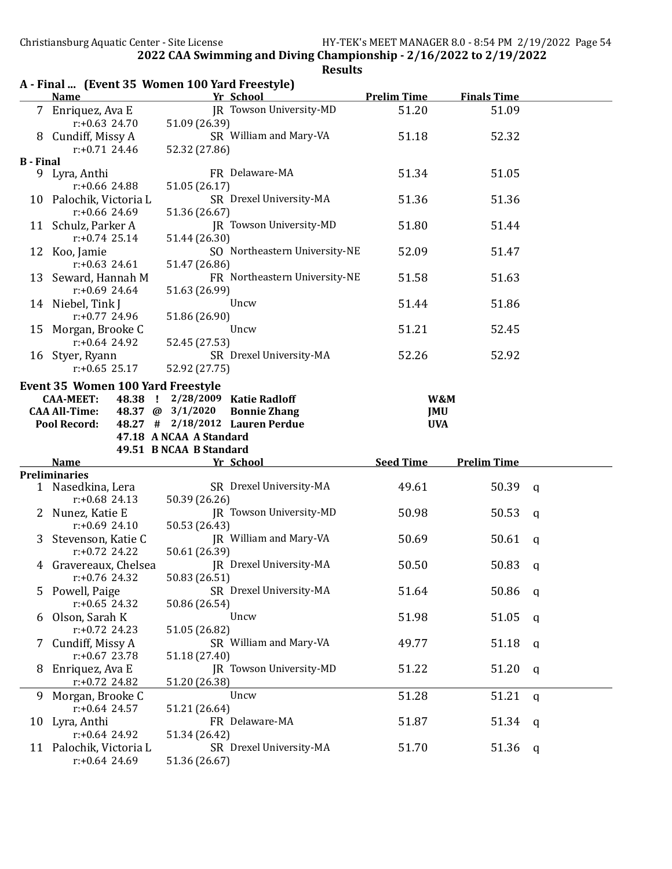|                  |                                                                 | A - Final  (Event 35 Women 100 Yard Freestyle)            |                    |                    |              |
|------------------|-----------------------------------------------------------------|-----------------------------------------------------------|--------------------|--------------------|--------------|
|                  | <b>Name</b>                                                     | Yr School                                                 | <b>Prelim Time</b> | <b>Finals Time</b> |              |
|                  | 7 Enriquez, Ava E<br>$r: +0.63$ 24.70                           | JR Towson University-MD<br>51.09 (26.39)                  | 51.20              | 51.09              |              |
|                  | 8 Cundiff, Missy A<br>$r: +0.71$ 24.46                          | SR William and Mary-VA<br>52.32 (27.86)                   | 51.18              | 52.32              |              |
|                  |                                                                 |                                                           |                    |                    |              |
| <b>B</b> - Final | 9 Lyra, Anthi<br>$r: +0.66$ 24.88                               | FR Delaware-MA<br>51.05 (26.17)                           | 51.34              | 51.05              |              |
|                  | 10 Palochik, Victoria L<br>$r: +0.66$ 24.69                     | SR Drexel University-MA<br>51.36 (26.67)                  | 51.36              | 51.36              |              |
|                  | 11 Schulz, Parker A<br>$r: +0.74$ 25.14                         | JR Towson University-MD                                   | 51.80              | 51.44              |              |
|                  | 12 Koo, Jamie                                                   | 51.44 (26.30)<br>SO Northeastern University-NE            | 52.09              | 51.47              |              |
|                  | $r: +0.63$ 24.61<br>13 Seward, Hannah M                         | 51.47 (26.86)<br>FR Northeastern University-NE            | 51.58              | 51.63              |              |
|                  | $r: +0.69$ 24.64<br>14 Niebel, Tink J                           | 51.63 (26.99)<br>Uncw                                     | 51.44              | 51.86              |              |
| 15               | $r: +0.77$ 24.96<br>Morgan, Brooke C                            | 51.86 (26.90)<br>Uncw                                     | 51.21              | 52.45              |              |
|                  | $r: +0.64$ 24.92<br>16 Styer, Ryann                             | 52.45 (27.53)<br>SR Drexel University-MA                  | 52.26              | 52.92              |              |
|                  | $r: +0.65$ 25.17                                                | 52.92 (27.75)                                             |                    |                    |              |
|                  | Event 35 Women 100 Yard Freestyle                               |                                                           |                    |                    |              |
|                  | 48.38 !<br><b>CAA-MEET:</b>                                     | 2/28/2009 Katie Radloff                                   | W&M                |                    |              |
|                  | <b>CAA All-Time:</b>                                            | 48.37 @ 3/1/2020<br><b>Bonnie Zhang</b>                   | <b>JMU</b>         |                    |              |
|                  | <b>Pool Record:</b>                                             | 48.27 # 2/18/2012 Lauren Perdue                           | <b>UVA</b>         |                    |              |
|                  |                                                                 | 47.18 A NCAA A Standard                                   |                    |                    |              |
|                  |                                                                 | 49.51 B NCAA B Standard                                   |                    |                    |              |
|                  | Name                                                            | Yr School                                                 | <b>Seed Time</b>   | <b>Prelim Time</b> |              |
|                  | <b>Preliminaries</b>                                            |                                                           |                    |                    |              |
|                  | 1 Nasedkina, Lera<br>$r: +0.68$ 24.13                           | SR Drexel University-MA<br>50.39 (26.26)                  | 49.61              | 50.39              | $\mathbf{q}$ |
|                  | 2 Nunez, Katie E<br>$r: +0.69$ 24.10                            | JR Towson University-MD<br>50.53 (26.43)                  | 50.98              | 50.53              | a            |
|                  | 3 Stevenson, Katie C                                            | JR William and Mary-VA                                    |                    |                    |              |
|                  |                                                                 |                                                           | 50.69              | 50.61              | q            |
|                  | $r: +0.72$ 24.22<br>4 Gravereaux, Chelsea                       | 50.61 (26.39)<br>JR Drexel University-MA                  | 50.50              | $50.83$ q          |              |
| 5.               | $r: +0.76$ 24.32<br>Powell, Paige                               | 50.83 (26.51)<br>SR Drexel University-MA                  | 51.64              | 50.86              | q            |
| b                | $r: +0.65$ 24.32<br>Olson, Sarah K                              | 50.86 (26.54)<br>Uncw                                     | 51.98              | 51.05              | q            |
| 7                | $r: +0.72$ 24.23<br>Cundiff, Missy A                            | 51.05 (26.82)<br>SR William and Mary-VA                   | 49.77              | 51.18              | q            |
| 8                | $r: +0.67$ 23.78<br>Enriquez, Ava E                             | 51.18 (27.40)<br>JR Towson University-MD                  | 51.22              | 51.20              | q            |
| 9                | $r: +0.72$ 24.82<br>Morgan, Brooke C                            | 51.20 (26.38)<br>Uncw                                     | 51.28              | 51.21              | q            |
| 10               | $r: +0.64$ 24.57<br>Lyra, Anthi                                 | 51.21 (26.64)<br>FR Delaware-MA                           | 51.87              | 51.34              | q            |
|                  | $r: +0.64$ 24.92<br>11 Palochik, Victoria L<br>$r: +0.64$ 24.69 | 51.34 (26.42)<br>SR Drexel University-MA<br>51.36 (26.67) | 51.70              | 51.36              | q            |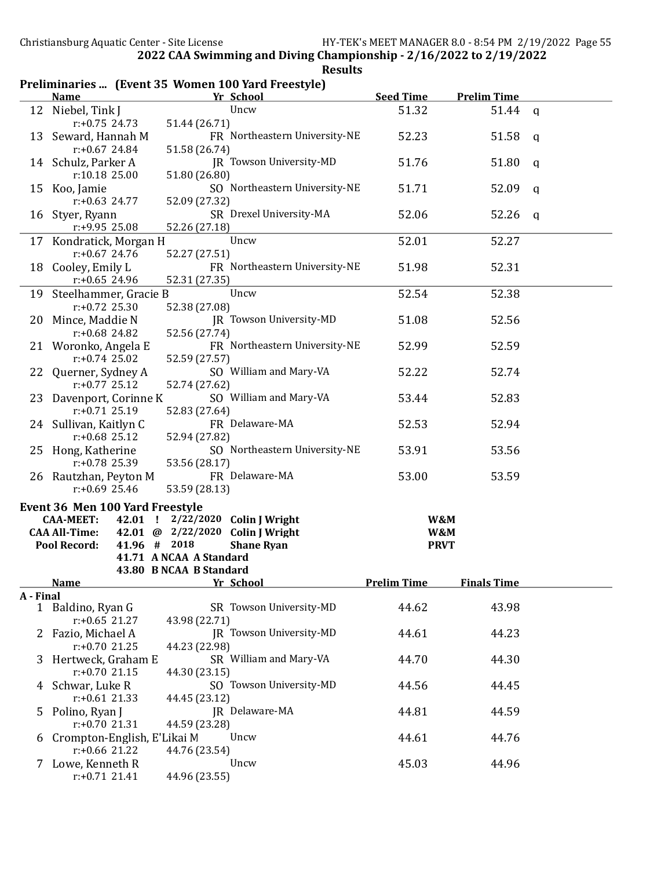#### Preliminaries ... (Event 35 Women 100 Yard Freestyle)

|              | <b>Name</b>                            |                         | Yr School                        | <b>Seed Time</b>   | <b>Prelim Time</b> |   |
|--------------|----------------------------------------|-------------------------|----------------------------------|--------------------|--------------------|---|
|              | 12 Niebel, Tink J                      |                         | Uncw                             | 51.32              | 51.44              | q |
|              | $r: +0.75$ 24.73                       | 51.44 (26.71)           |                                  |                    |                    |   |
|              | 13 Seward, Hannah M                    |                         | FR Northeastern University-NE    | 52.23              | 51.58              | q |
|              | $r: +0.67$ 24.84                       | 51.58 (26.74)           |                                  |                    |                    |   |
|              | 14 Schulz, Parker A                    |                         | JR Towson University-MD          | 51.76              | 51.80              | a |
|              | r:10.18 25.00                          | 51.80 (26.80)           |                                  |                    |                    |   |
|              | 15 Koo, Jamie                          |                         | SO Northeastern University-NE    | 51.71              | 52.09              | q |
|              | $r: +0.63$ 24.77                       | 52.09 (27.32)           |                                  |                    |                    |   |
|              | 16 Styer, Ryann                        |                         | SR Drexel University-MA          | 52.06              | 52.26              | q |
|              | r:+9.95 25.08                          | 52.26 (27.18)           |                                  |                    |                    |   |
| 17           | Kondratick, Morgan H                   |                         | Uncw                             | 52.01              | 52.27              |   |
|              | $r: +0.67$ 24.76                       | 52.27 (27.51)           |                                  |                    |                    |   |
|              | 18 Cooley, Emily L                     |                         | FR Northeastern University-NE    | 51.98              | 52.31              |   |
|              | $r: +0.65$ 24.96                       | 52.31 (27.35)           |                                  |                    |                    |   |
| 19           | Steelhammer, Gracie B                  |                         | Uncw                             | 52.54              | 52.38              |   |
|              | $r: +0.72$ 25.30                       | 52.38 (27.08)           |                                  |                    |                    |   |
| 20           | Mince, Maddie N                        |                         | JR Towson University-MD          | 51.08              | 52.56              |   |
|              | $r: +0.68$ 24.82                       | 52.56 (27.74)           |                                  |                    |                    |   |
|              | 21 Woronko, Angela E                   |                         | FR Northeastern University-NE    | 52.99              | 52.59              |   |
|              | $r: +0.74$ 25.02                       | 52.59 (27.57)           |                                  |                    |                    |   |
| 22.          | Querner, Sydney A                      |                         | SO William and Mary-VA           | 52.22              | 52.74              |   |
|              | $r: +0.77$ 25.12                       | 52.74 (27.62)           |                                  |                    |                    |   |
| 23           | Davenport, Corinne K                   |                         | SO William and Mary-VA           | 53.44              | 52.83              |   |
|              | $r: +0.71$ 25.19                       | 52.83 (27.64)           |                                  |                    |                    |   |
|              | 24 Sullivan, Kaitlyn C                 |                         | FR Delaware-MA                   | 52.53              | 52.94              |   |
|              | $r: +0.68$ 25.12                       | 52.94 (27.82)           |                                  |                    |                    |   |
|              | 25 Hong, Katherine                     |                         | SO Northeastern University-NE    | 53.91              | 53.56              |   |
|              | r:+0.78 25.39                          | 53.56 (28.17)           |                                  |                    |                    |   |
|              | 26 Rautzhan, Peyton M                  |                         | FR Delaware-MA                   | 53.00              | 53.59              |   |
|              | $r: +0.69$ 25.46                       | 53.59 (28.13)           |                                  |                    |                    |   |
|              |                                        |                         |                                  |                    |                    |   |
|              | <b>Event 36 Men 100 Yard Freestyle</b> |                         |                                  |                    |                    |   |
|              | <b>CAA-MEET:</b>                       |                         | 42.01 ! 2/22/2020 Colin J Wright | W&M                |                    |   |
|              | <b>CAA All-Time:</b>                   |                         | 42.01 @ 2/22/2020 Colin J Wright | W&M                |                    |   |
|              | 41.96 # 2018<br>Pool Record:           |                         | <b>Shane Ryan</b>                | <b>PRVT</b>        |                    |   |
|              |                                        | 41.71 A NCAA A Standard |                                  |                    |                    |   |
|              |                                        | 43.80 B NCAA B Standard |                                  | <b>Prelim Time</b> |                    |   |
|              | <b>Name</b>                            |                         | <b>Yr School</b>                 |                    | <b>Finals Time</b> |   |
| A - Final    | 1 Baldino, Ryan G                      |                         | SR Towson University-MD          | 44.62              | 43.98              |   |
|              | $r: +0.65$ 21.27                       | 43.98 (22.71)           |                                  |                    |                    |   |
| $\mathbf{Z}$ | Fazio, Michael A                       |                         | <b>IR</b> Towson University-MD   | 44.61              | 44.23              |   |
|              | $r: +0.70$ 21.25                       | 44.23 (22.98)           |                                  |                    |                    |   |
| 3            | Hertweck, Graham E                     |                         | SR William and Mary-VA           | 44.70              | 44.30              |   |
|              | $r: +0.70$ 21.15                       | 44.30 (23.15)           |                                  |                    |                    |   |
|              | Schwar, Luke R                         |                         | SO Towson University-MD          | 44.56              | 44.45              |   |
| 4            | $r: +0.61$ 21.33                       | 44.45 (23.12)           |                                  |                    |                    |   |
|              |                                        |                         | JR Delaware-MA                   | 44.81              |                    |   |
| 5            | Polino, Ryan J<br>$r: +0.70$ 21.31     | 44.59 (23.28)           |                                  |                    | 44.59              |   |
|              | Crompton-English, E'Likai M            |                         | Uncw                             | 44.61              | 44.76              |   |
| 6            | $r: +0.66$ 21.22                       | 44.76 (23.54)           |                                  |                    |                    |   |
|              | 7 Lowe, Kenneth R                      |                         | Uncw                             | 45.03              | 44.96              |   |
|              | $r: +0.71$ 21.41                       | 44.96 (23.55)           |                                  |                    |                    |   |
|              |                                        |                         |                                  |                    |                    |   |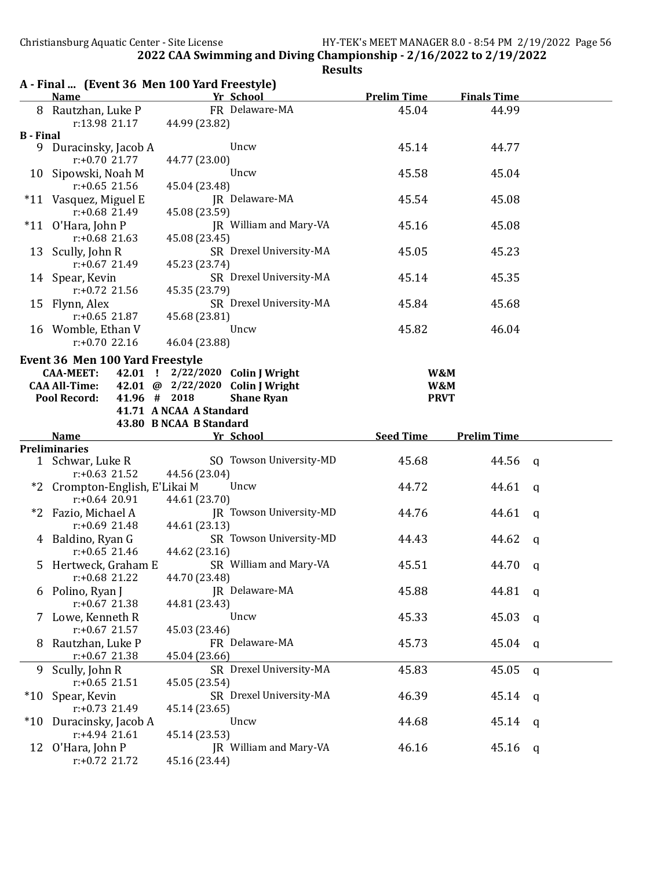A - Final ... (Event 36 Men 100 Yard Freestyle) Name **Yr School** Prelim Time Finals Time 8 Rautzhan, Luke P FR Delaware-MA 45.04 44.99 r:13.98 21.17 44.99 (23.82) B - Final 9 Duracinsky, Jacob A Uncw 45.14 44.77 r:+0.70 21.77 44.77 (23.00) 10 Sipowski, Noah M Uncw 45.58 45.04 r:+0.65 21.56 45.04 (23.48) \*11 Vasquez, Miguel E  $\begin{array}{ccc} \text{JR} & \text{Delaware-MA} \\ \text{r:} +0.68 & 21.49 & 45.08 \\ \text{A) } & \text{A} \end{array}$  45.08 45.08 (23.59) \*11 O'Hara, John P JR William and Mary-VA 45.16 45.08 r:+0.68 21.63 45.08 (23.45) 13 Scully, John R SR Drexel University-MA 45.05 45.23 r:+0.67 21.49 45.23 (23.74) 14 Spear, Kevin SR Drexel University-MA 45.14 45.35<br>  $r: +0.72$  21.56 45.35 (23.79) 45.35 (23.79) 15 Flynn, Alex SR Drexel University-MA 45.84 45.68 r:+0.65 21.87 45.68 (23.81) 16 Womble, Ethan V Uncw 15.82 46.04 r:+0.70 22.16 46.04 (23.88) Event 36 Men 100 Yard Freestyle CAA-MEET: 42.01 ! 2/22/2020 Colin J Wright W&M CAA All-Time: 42.01 @ 2/22/2020 Colin J Wright W&M Pool Record: 41.96 # 2018 Shane Ryan Shane I Shane PRVT 41.71 A NCAA A Standard 43.80 B NCAA B Standard Name The School Seed Time Prelim Time Preliminaries 1 Schwar, Luke R SO Towson University-MD 45.68 44.56 q r:+0.63 21.52 44.56 (23.04) \*2 Crompton-English, E'Likai M Uncw 44.72 44.61 q r:+0.64 20.91 44.61 (23.70) \*2 Fazio, Michael A  $\begin{array}{ccc} \text{{\small IR}} \text{ Towson University-MD} \ \text{{\small It}} \text{r}:+0.69\text{ 21.48} \end{array}$  44.61 (23.13) r:+0.69 21.48 4 Baldino, Ryan G SR Towson University-MD 44.43 44.62 q r:+0.65 21.46 44.62 (23.16) 5 Hertweck, Graham E SR William and Mary-VA 45.51 44.70 q r:+0.68 21.22 44.70 (23.48) 6 Polino, Ryan J M JR Delaware-MA 45.88 44.81 q r:+0.67 21.38 44.81 (23.43) 7 Lowe, Kenneth R **Uncw** Uncw 45.33 45.03 q r:+0.67 21.57 45.03 (23.46) 8 Rautzhan, Luke P FR Delaware-MA 45.73 45.04 q r:+0.67 21.38 45.04 (23.66) 9 Scully, John R SR Drexel University-MA 45.83 45.05 q r:+0.65 21.51 45.05 (23.54) \*10 Spear, Kevin SR Drexel University-MA 46.39 45.14 q r:+0.73 21.49 45.14 (23.65) \*10 Duracinsky, Jacob A Uncw 44.68 45.14 q r:+4.94 21.61 45.14 (23.53) 12 O'Hara, John P JR William and Mary-VA 46.16 45.16 q r:+0.72 21.72 45.16 (23.44)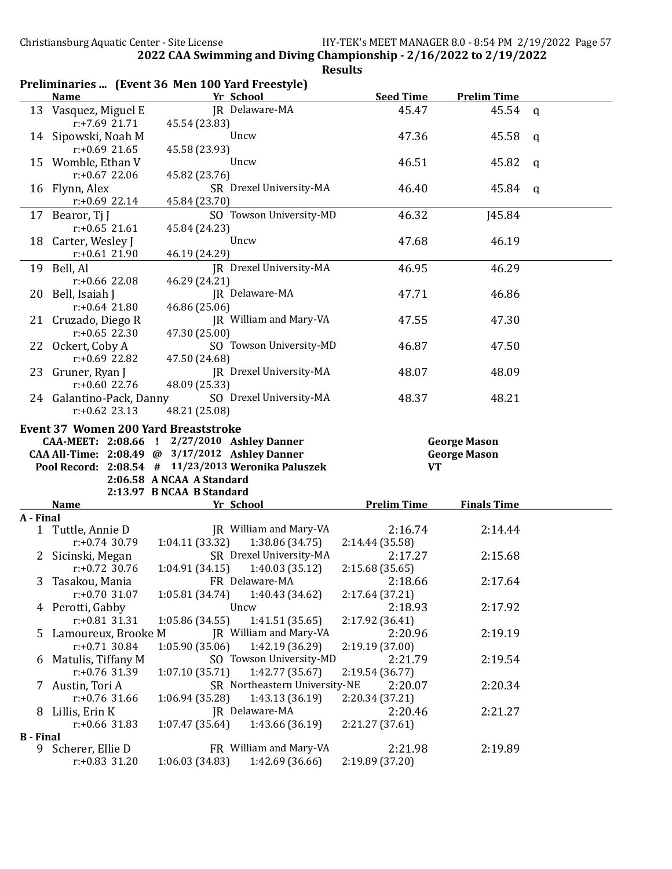|                       | Preliminaries  (Event 36 Men 100 Yard Freestyle)                                                       |                                             |                                   |                    |                     |   |
|-----------------------|--------------------------------------------------------------------------------------------------------|---------------------------------------------|-----------------------------------|--------------------|---------------------|---|
|                       | <b>Name</b>                                                                                            |                                             | Yr School                         | <b>Seed Time</b>   | <b>Prelim Time</b>  |   |
|                       | 13 Vasquez, Miguel E<br>$r+7.69$ 21.71                                                                 | 45.54 (23.83)                               | JR Delaware-MA                    | 45.47              | 45.54               | q |
|                       | 14 Sipowski, Noah M<br>$r: +0.69$ 21.65                                                                | 45.58 (23.93)                               | Uncw                              | 47.36              | 45.58               | q |
|                       | 15 Womble, Ethan V                                                                                     |                                             | Uncw                              | 46.51              | 45.82               | a |
|                       | $r: +0.67$ 22.06<br>16 Flynn, Alex                                                                     | 45.82 (23.76)                               | SR Drexel University-MA           | 46.40              | 45.84               | q |
|                       | $r: +0.69$ 22.14<br>17 Bearor, Tj J                                                                    | 45.84 (23.70)                               | SO Towson University-MD           | 46.32              | <b>J45.84</b>       |   |
|                       | $r: +0.65$ 21.61<br>18 Carter, Wesley J                                                                | 45.84 (24.23)                               | Uncw                              | 47.68              | 46.19               |   |
|                       | $r: +0.61$ 21.90<br>19 Bell, Al                                                                        | 46.19 (24.29)                               | JR Drexel University-MA           | 46.95              | 46.29               |   |
|                       | $r: +0.66$ 22.08<br>20 Bell, Isaiah J                                                                  | 46.29 (24.21)                               | JR Delaware-MA                    | 47.71              | 46.86               |   |
|                       | $r: +0.64$ 21.80<br>21 Cruzado, Diego R                                                                | 46.86 (25.06)                               | JR William and Mary-VA            | 47.55              | 47.30               |   |
|                       | $r: +0.65$ 22.30<br>22 Ockert, Coby A                                                                  | 47.30 (25.00)                               | SO Towson University-MD           | 46.87              | 47.50               |   |
|                       | $r: +0.69$ 22.82<br>23 Gruner, Ryan J                                                                  | 47.50 (24.68)                               | JR Drexel University-MA           | 48.07              | 48.09               |   |
|                       | $r: +0.60$ 22.76<br>24 Galantino-Pack, Danny<br>$r: +0.62$ 23.13                                       | 48.09 (25.33)<br>48.21 (25.08)              | SO Drexel University-MA           | 48.37              | 48.21               |   |
|                       | <b>Event 37 Women 200 Yard Breaststroke</b>                                                            |                                             |                                   |                    |                     |   |
|                       |                                                                                                        |                                             |                                   |                    |                     |   |
|                       |                                                                                                        |                                             |                                   |                    |                     |   |
|                       |                                                                                                        | CAA-MEET: 2:08.66 ! 2/27/2010 Ashley Danner |                                   |                    | <b>George Mason</b> |   |
|                       | CAA All-Time: 2:08.49 @ 3/17/2012 Ashley Danner<br>Pool Record: 2:08.54 # 11/23/2013 Weronika Paluszek |                                             |                                   | <b>VT</b>          | <b>George Mason</b> |   |
|                       |                                                                                                        | 2:06.58 A NCAA A Standard                   |                                   |                    |                     |   |
|                       |                                                                                                        | 2:13.97 B NCAA B Standard                   |                                   |                    |                     |   |
|                       | <b>Name</b>                                                                                            |                                             | Yr School                         | <b>Prelim Time</b> | <b>Finals Time</b>  |   |
| A - Final             |                                                                                                        |                                             |                                   |                    |                     |   |
| $\mathbf{1}$          | Tuttle, Annie D                                                                                        |                                             | JR William and Mary-VA            | 2:16.74            | 2:14.44             |   |
|                       | $r: +0.74$ 30.79                                                                                       | 1:04.11(33.32)                              | 1:38.86(34.75)                    | 2:14.44 (35.58)    |                     |   |
|                       | 2 Sicinski, Megan                                                                                      |                                             | SR Drexel University-MA           | 2:17.27            | 2:15.68             |   |
|                       | $r: +0.72$ 30.76                                                                                       |                                             | $1:04.91(34.15)$ $1:40.03(35.12)$ | 2:15.68 (35.65)    |                     |   |
| 3.                    | Tasakou, Mania                                                                                         |                                             | FR Delaware-MA                    | 2:18.66            | 2:17.64             |   |
|                       | $r: +0.70$ 31.07                                                                                       | 1:05.81(34.74)                              | 1:40.43 (34.62)                   | 2:17.64 (37.21)    |                     |   |
|                       | 4 Perotti, Gabby                                                                                       |                                             | Uncw                              | 2:18.93            | 2:17.92             |   |
|                       | $r: +0.81$ 31.31                                                                                       | 1:05.86 (34.55)                             | 1:41.51 (35.65)                   | 2:17.92 (36.41)    |                     |   |
| 5                     | Lamoureux, Brooke M                                                                                    |                                             | JR William and Mary-VA            | 2:20.96            | 2:19.19             |   |
|                       | $r: +0.71$ 30.84                                                                                       | 1:05.90(35.06)                              | 1:42.19 (36.29)                   | 2:19.19 (37.00)    |                     |   |
| 6                     | Matulis, Tiffany M                                                                                     |                                             | SO Towson University-MD           | 2:21.79            | 2:19.54             |   |
|                       | r:+0.76 31.39                                                                                          | 1:07.10 (35.71)                             | 1:42.77 (35.67)                   | 2:19.54 (36.77)    |                     |   |
| 7.                    | Austin, Tori A                                                                                         |                                             | SR Northeastern University-NE     | 2:20.07            | 2:20.34             |   |
|                       | $r: +0.76$ 31.66                                                                                       | 1:06.94 (35.28)                             | 1:43.13 (36.19)                   | 2:20.34 (37.21)    |                     |   |
|                       | 8 Lillis, Erin K                                                                                       |                                             | JR Delaware-MA                    | 2:20.46            | 2:21.27             |   |
|                       | $r: +0.66$ 31.83                                                                                       | 1:07.47 (35.64)                             | 1:43.66 (36.19)                   | 2:21.27 (37.61)    |                     |   |
| <b>B</b> - Final<br>9 | Scherer, Ellie D                                                                                       |                                             | FR William and Mary-VA            | 2:21.98            | 2:19.89             |   |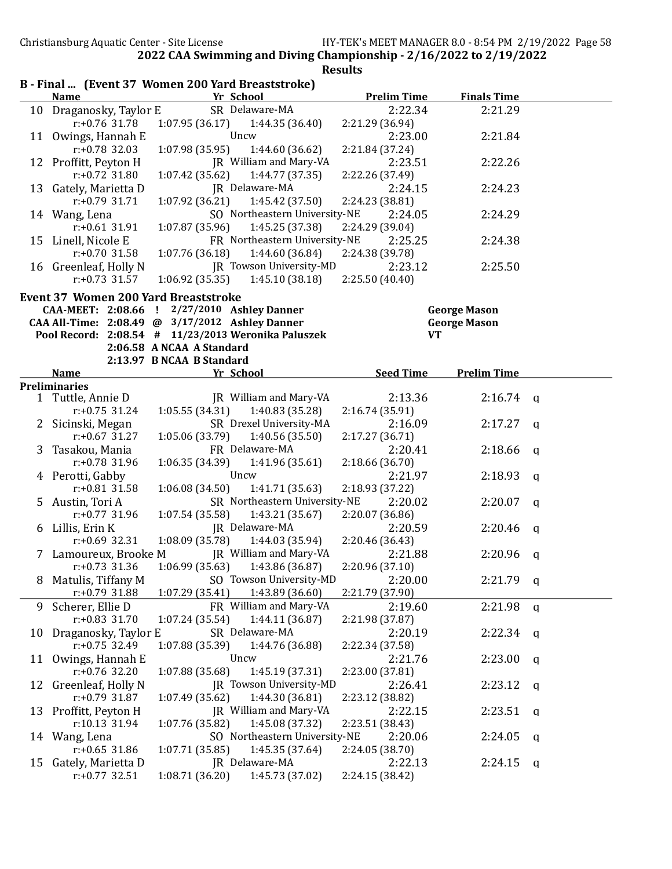|    |                                             | B - Final  (Event 37 Women 200 Yard Breaststroke)   |                    |                     |          |
|----|---------------------------------------------|-----------------------------------------------------|--------------------|---------------------|----------|
|    | <b>Name</b>                                 | Yr School                                           | <b>Prelim Time</b> | <b>Finals Time</b>  |          |
|    | 10 Draganosky, Taylor E                     | SR Delaware-MA                                      | 2:22.34            | 2:21.29             |          |
|    | $r: +0.76$ 31.78                            | 1:07.95 (36.17)<br>1:44.35 (36.40)                  | 2:21.29 (36.94)    |                     |          |
|    | 11 Owings, Hannah E                         | Uncw                                                | 2:23.00            | 2:21.84             |          |
|    | $r: +0.78$ 32.03                            | 1:07.98(35.95)<br>1:44.60 (36.62)                   | 2:21.84 (37.24)    |                     |          |
|    | 12 Proffitt, Peyton H                       | JR William and Mary-VA                              | 2:23.51            | 2:22.26             |          |
|    | $r: +0.72$ 31.80                            | 1:07.42(35.62)<br>1:44.77 (37.35)                   | 2:22.26 (37.49)    |                     |          |
|    | 13 Gately, Marietta D                       | JR Delaware-MA                                      | 2:24.15            | 2:24.23             |          |
|    | $r: +0.79$ 31.71                            | 1:07.92(36.21)<br>1:45.42 (37.50)                   | 2:24.23 (38.81)    |                     |          |
|    | 14 Wang, Lena                               | SO Northeastern University-NE                       | 2:24.05            | 2:24.29             |          |
|    | $r: +0.61$ 31.91                            | 1:45.25 (37.38)<br>1:07.87(35.96)                   | 2:24.29 (39.04)    |                     |          |
|    | 15 Linell, Nicole E                         | FR Northeastern University-NE                       | 2:25.25            | 2:24.38             |          |
|    | $r: +0.70$ 31.58                            | 1:07.76(36.18)<br>1:44.60(36.84)                    | 2:24.38 (39.78)    |                     |          |
|    | 16 Greenleaf, Holly N                       | JR Towson University-MD                             | 2:23.12            | 2:25.50             |          |
|    | $r: +0.73$ 31.57                            | 1:06.92(35.35)<br>1:45.10(38.18)                    | 2:25.50(40.40)     |                     |          |
|    | <b>Event 37 Women 200 Yard Breaststroke</b> |                                                     |                    |                     |          |
|    |                                             | CAA-MEET: 2:08.66 ! 2/27/2010 Ashley Danner         |                    | <b>George Mason</b> |          |
|    |                                             | CAA All-Time: 2:08.49 @ 3/17/2012 Ashley Danner     |                    | <b>George Mason</b> |          |
|    |                                             | Pool Record: 2:08.54 # 11/23/2013 Weronika Paluszek |                    |                     |          |
|    |                                             | 2:06.58 A NCAA A Standard                           | <b>VT</b>          |                     |          |
|    |                                             | 2:13.97 B NCAA B Standard                           |                    |                     |          |
|    |                                             | Yr School                                           |                    | <b>Prelim Time</b>  |          |
|    | <b>Name</b><br><b>Preliminaries</b>         |                                                     | <b>Seed Time</b>   |                     |          |
|    | 1 Tuttle, Annie D                           | JR William and Mary-VA                              | 2:13.36            | 2:16.74             |          |
|    | $r: +0.75$ 31.24                            | 1:40.83(35.28)                                      |                    |                     | q        |
|    |                                             | 1:05.55(34.31)                                      | 2:16.74 (35.91)    |                     |          |
|    | 2 Sicinski, Megan                           | SR Drexel University-MA                             | 2:16.09            | 2:17.27             | q        |
|    | $r: +0.67$ 31.27                            | 1:05.06(33.79)<br>1:40.56(35.50)                    | 2:17.27 (36.71)    |                     |          |
|    | 3 Tasakou, Mania                            | FR Delaware-MA                                      | 2:20.41            | 2:18.66             | q        |
|    | $r: +0.78$ 31.96                            | 1:06.35(34.39)<br>1:41.96 (35.61)                   | 2:18.66 (36.70)    |                     |          |
|    | 4 Perotti, Gabby                            | Uncw                                                | 2:21.97            | 2:18.93             | a        |
|    | $r: +0.81$ 31.58                            | 1:41.71 (35.63)<br>1:06.08(34.50)                   | 2:18.93 (37.22)    |                     |          |
|    | 5 Austin, Tori A                            | SR Northeastern University-NE                       | 2:20.02            | 2:20.07             | a        |
|    | $r: +0.77$ 31.96                            | 1:07.54 (35.58)<br>1:43.21(35.67)                   | 2:20.07 (36.86)    |                     |          |
|    | 6 Lillis, Erin K                            | JR Delaware-MA                                      | 2:20.59            | 2:20.46             | q        |
|    | $r: +0.69$ 32.31                            | 1:08.09(35.78)<br>1:44.03 (35.94)                   | 2:20.46 (36.43)    |                     |          |
|    | 7 Lamoureux, Brooke M                       | JR William and Mary-VA                              | 2:21.88            | 2:20.96             | q        |
|    | $r: +0.73$ 31.36                            | 1:06.99 (35.63)<br>1:43.86 (36.87)                  | 2:20.96 (37.10)    |                     |          |
| 8  | Matulis, Tiffany M                          | SO Towson University-MD                             | 2:20.00            | 2:21.79             | q        |
|    | $r: +0.79$ 31.88                            | 1:43.89 (36.60)<br>1:07.29 (35.41)                  | 2:21.79 (37.90)    |                     |          |
| 9  | Scherer, Ellie D                            | FR William and Mary-VA                              | 2:19.60            | 2:21.98             | q        |
|    | $r: +0.83$ 31.70                            | 1:44.11 (36.87)<br>1:07.24(35.54)                   | 2:21.98 (37.87)    |                     |          |
| 10 | Draganosky, Taylor E                        | SR Delaware-MA                                      | 2:20.19            | 2:22.34             | <b>a</b> |
|    | $r: +0.75$ 32.49                            | 1:07.88 (35.39)<br>1:44.76 (36.88)                  | 2:22.34 (37.58)    |                     |          |
| 11 | Owings, Hannah E                            | Uncw                                                | 2:21.76            | 2:23.00             | q        |
|    | $r: +0.76$ 32.20                            | 1:07.88 (35.68)<br>1:45.19 (37.31)                  | 2:23.00 (37.81)    |                     |          |
| 12 | Greenleaf, Holly N                          | JR Towson University-MD                             | 2:26.41            | 2:23.12             |          |
|    | $r: +0.79$ 31.87                            | 1:07.49 (35.62)<br>1:44.30 (36.81)                  | 2:23.12 (38.82)    |                     | q        |
|    |                                             | JR William and Mary-VA                              |                    |                     |          |
|    | 13 Proffitt, Peyton H                       | 1:07.76 (35.82)                                     | 2:22.15            | 2:23.51             | q        |
|    | r:10.13 31.94                               | 1:45.08 (37.32)                                     | 2:23.51 (38.43)    |                     |          |
|    | 14 Wang, Lena                               | SO Northeastern University-NE                       | 2:20.06            | 2:24.05             | q        |
|    | $r: +0.65$ 31.86                            | 1:45.35 (37.64)<br>1:07.71 (35.85)                  | 2:24.05 (38.70)    |                     |          |
| 15 | Gately, Marietta D                          | JR Delaware-MA                                      | 2:22.13            | 2:24.15             | q        |
|    | $r: +0.77$ 32.51                            | 1:08.71 (36.20)<br>1:45.73 (37.02)                  | 2:24.15 (38.42)    |                     |          |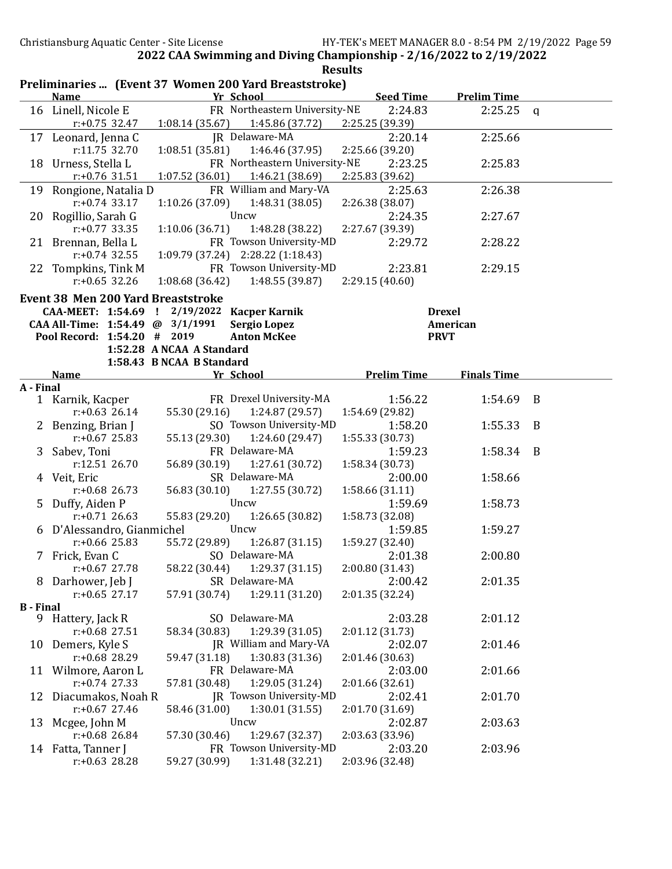|                  |                                           |                                                                    | <b>Results</b>             |                    |              |
|------------------|-------------------------------------------|--------------------------------------------------------------------|----------------------------|--------------------|--------------|
|                  | <b>Name</b>                               | Preliminaries  (Event 37 Women 200 Yard Breaststroke)<br>Yr School | <b>Seed Time</b>           | <b>Prelim Time</b> |              |
|                  | 16 Linell, Nicole E                       | FR Northeastern University-NE                                      | 2:24.83                    | 2:25.25            | $\mathsf{q}$ |
|                  | $r: +0.75$ 32.47                          | 1:08.14(35.67)<br>1:45.86 (37.72)                                  | 2:25.25 (39.39)            |                    |              |
|                  | 17 Leonard, Jenna C                       | JR Delaware-MA                                                     | 2:20.14                    | 2:25.66            |              |
|                  | r:11.75 32.70                             | 1:08.51 (35.81)<br>1:46.46 (37.95)                                 | 2:25.66 (39.20)            |                    |              |
|                  | 18 Urness, Stella L                       | FR Northeastern University-NE                                      | 2:23.25                    | 2:25.83            |              |
|                  | $r: +0.76$ 31.51                          | 1:07.52 (36.01)<br>1:46.21 (38.69)                                 | 2:25.83 (39.62)            |                    |              |
|                  | 19 Rongione, Natalia D                    | FR William and Mary-VA                                             | 2:25.63                    | 2:26.38            |              |
|                  | $r: +0.74$ 33.17                          | 1:48.31(38.05)<br>1:10.26(37.09)                                   | 2:26.38 (38.07)            |                    |              |
|                  | 20 Rogillio, Sarah G                      | Uncw                                                               | 2:24.35                    | 2:27.67            |              |
|                  | $r: +0.77$ 33.35                          | 1:10.06(36.71)<br>1:48.28 (38.22)                                  | 2:27.67 (39.39)            |                    |              |
|                  | 21 Brennan, Bella L                       | FR Towson University-MD                                            | 2:29.72                    | 2:28.22            |              |
|                  | $r: +0.74$ 32.55                          | 1:09.79 (37.24) 2:28.22 (1:18.43)                                  |                            |                    |              |
|                  | 22 Tompkins, Tink M                       | FR Towson University-MD                                            | 2:23.81                    | 2:29.15            |              |
|                  | $r: +0.65$ 32.26                          | 1:48.55 (39.87)<br>1:08.68(36.42)                                  | 2:29.15(40.60)             |                    |              |
|                  | <b>Event 38 Men 200 Yard Breaststroke</b> |                                                                    |                            |                    |              |
|                  |                                           | CAA-MEET: 1:54.69 ! 2/19/2022 Kacper Karnik                        |                            | <b>Drexel</b>      |              |
|                  | CAA All-Time: 1:54.49 @ 3/1/1991          | <b>Sergio Lopez</b>                                                |                            | American           |              |
|                  | Pool Record: 1:54.20 # 2019               | <b>Anton McKee</b>                                                 |                            | <b>PRVT</b>        |              |
|                  |                                           | 1:52.28 A NCAA A Standard                                          |                            |                    |              |
|                  |                                           | 1:58.43 B NCAA B Standard                                          |                            |                    |              |
|                  | <b>Name</b>                               | Yr School                                                          | <b>Prelim Time</b>         | <b>Finals Time</b> |              |
| A - Final        |                                           |                                                                    |                            |                    |              |
|                  | 1 Karnik, Kacper                          | FR Drexel University-MA                                            | 1:56.22                    | 1:54.69            | B            |
|                  | $r: +0.63$ 26.14                          | 55.30 (29.16)<br>1:24.87 (29.57)                                   | 1:54.69 (29.82)            |                    |              |
|                  | 2 Benzing, Brian J                        | SO Towson University-MD                                            | 1:58.20                    | 1:55.33            | B            |
|                  | $r: +0.67$ 25.83                          | 55.13 (29.30)<br>1:24.60 (29.47)                                   | 1:55.33 (30.73)            |                    |              |
| 3                | Sabev, Toni                               | FR Delaware-MA                                                     | 1:59.23                    | 1:58.34            | B            |
|                  | r:12.51 26.70                             | 56.89 (30.19)<br>1:27.61 (30.72)<br>SR Delaware-MA                 | 1:58.34 (30.73)            |                    |              |
|                  | 4 Veit, Eric                              |                                                                    | 2:00.00                    | 1:58.66            |              |
|                  | $r$ :+0.68 26.73                          | 1:27.55(30.72)<br>56.83 (30.10)<br>Uncw                            | 1:58.66 (31.11)            |                    |              |
|                  | 5 Duffy, Aiden P<br>$r: +0.71$ 26.63      | 55.83 (29.20)                                                      | 1:59.69                    | 1:58.73            |              |
|                  | 6 D'Alessandro, Gianmichel                | 1:26.65 (30.82)<br>Uncw                                            | 1:58.73 (32.08)<br>1:59.85 | 1:59.27            |              |
|                  | $r: +0.66$ 25.83                          | 55.72 (29.89)<br>1:26.87(31.15)                                    | 1:59.27 (32.40)            |                    |              |
|                  | 7 Frick, Evan C                           | SO Delaware-MA                                                     | 2:01.38                    | 2:00.80            |              |
|                  | $r: +0.67$ 27.78                          | 1:29.37(31.15)<br>58.22 (30.44)                                    | 2:00.80 (31.43)            |                    |              |
|                  | 8 Darhower, Jeb J                         | SR Delaware-MA                                                     | 2:00.42                    | 2:01.35            |              |
|                  | $r: +0.65$ 27.17                          | 57.91 (30.74)<br>1:29.11 (31.20)                                   | 2:01.35 (32.24)            |                    |              |
| <b>B</b> - Final |                                           |                                                                    |                            |                    |              |
|                  | 9 Hattery, Jack R                         | SO Delaware-MA                                                     | 2:03.28                    | 2:01.12            |              |
|                  | $r: +0.68$ 27.51                          | 1:29.39 (31.05)<br>58.34 (30.83)                                   | 2:01.12 (31.73)            |                    |              |
|                  | 10 Demers, Kyle S                         | JR William and Mary-VA                                             | 2:02.07                    | 2:01.46            |              |
|                  | $r: +0.68$ 28.29                          | 1:30.83 (31.36)<br>59.47 (31.18)                                   | 2:01.46 (30.63)            |                    |              |
|                  | 11 Wilmore, Aaron L                       | FR Delaware-MA                                                     | 2:03.00                    | 2:01.66            |              |
|                  | $r: +0.74$ 27.33                          | 1:29.05 (31.24)<br>57.81 (30.48)                                   | 2:01.66 (32.61)            |                    |              |
| 12               | Diacumakos, Noah R                        | JR Towson University-MD                                            | 2:02.41                    | 2:01.70            |              |
|                  | $r: +0.67$ 27.46                          | 1:30.01 (31.55)<br>58.46 (31.00)                                   | 2:01.70 (31.69)            |                    |              |
| 13               | Mcgee, John M                             | Uncw                                                               | 2:02.87                    | 2:03.63            |              |
|                  | $r: +0.68$ 26.84                          | 1:29.67 (32.37)<br>57.30 (30.46)                                   | 2:03.63 (33.96)            |                    |              |
|                  | 14 Fatta, Tanner J                        | FR Towson University-MD                                            | 2:03.20                    | 2:03.96            |              |
|                  | $r: +0.63$ 28.28                          | 1:31.48 (32.21)<br>59.27 (30.99)                                   | 2:03.96 (32.48)            |                    |              |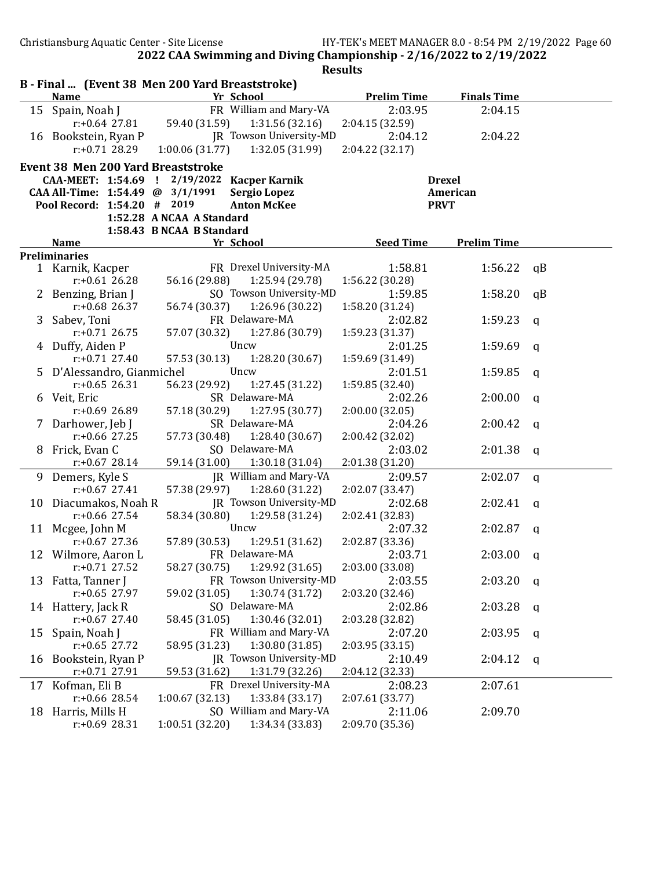|    |                                           | B - Final  (Event 38 Men 200 Yard Breaststroke) |                    |                    |              |
|----|-------------------------------------------|-------------------------------------------------|--------------------|--------------------|--------------|
|    | <b>Name</b>                               | Yr School                                       | <b>Prelim Time</b> | <b>Finals Time</b> |              |
|    | 15 Spain, Noah J                          | FR William and Mary-VA                          | 2:03.95            | 2:04.15            |              |
|    | r:+0.64 27.81                             | 59.40 (31.59)<br>1:31.56(32.16)                 | 2:04.15 (32.59)    |                    |              |
|    | 16 Bookstein, Ryan P                      | IR Towson University-MD                         | 2:04.12            | 2:04.22            |              |
|    | $r: +0.71$ 28.29                          | 1:00.06(31.77)<br>1:32.05 (31.99)               | 2:04.22 (32.17)    |                    |              |
|    | <b>Event 38 Men 200 Yard Breaststroke</b> |                                                 |                    |                    |              |
|    |                                           | CAA-MEET: 1:54.69 ! 2/19/2022 Kacper Karnik     |                    | <b>Drexel</b>      |              |
|    | CAA All-Time: 1:54.49 @ 3/1/1991          | <b>Sergio Lopez</b>                             |                    | American           |              |
|    | Pool Record: 1:54.20 # 2019               | <b>Anton McKee</b>                              |                    | <b>PRVT</b>        |              |
|    |                                           | 1:52.28 A NCAA A Standard                       |                    |                    |              |
|    |                                           | 1:58.43 B NCAA B Standard                       |                    |                    |              |
|    | <b>Name</b>                               | Yr School                                       | <b>Seed Time</b>   | <b>Prelim Time</b> |              |
|    | <b>Preliminaries</b>                      |                                                 |                    |                    |              |
|    | 1 Karnik, Kacper                          | FR Drexel University-MA                         | 1:58.81            | 1:56.22            | qB           |
|    | $r: +0.61$ 26.28                          | 56.16 (29.88)<br>1:25.94 (29.78)                | 1:56.22 (30.28)    |                    |              |
|    | 2 Benzing, Brian J                        | SO Towson University-MD                         | 1:59.85            | 1:58.20            | qB           |
|    | $r: +0.68$ 26.37                          | 56.74 (30.37)<br>1:26.96(30.22)                 | 1:58.20 (31.24)    |                    |              |
|    | 3 Sabev, Toni                             | FR Delaware-MA                                  | 2:02.82            | 1:59.23            | $\mathsf{q}$ |
|    | $r: +0.71$ 26.75                          | 57.07 (30.32)<br>1:27.86 (30.79)                | 1:59.23 (31.37)    |                    |              |
|    | 4 Duffy, Aiden P                          | Uncw                                            | 2:01.25            | 1:59.69            | $\mathsf{q}$ |
|    | $r: +0.71$ 27.40                          | 57.53 (30.13)<br>1:28.20 (30.67)                | 1:59.69 (31.49)    |                    |              |
|    | 5 D'Alessandro, Gianmichel                | Uncw                                            | 2:01.51            | 1:59.85            | $\mathsf{q}$ |
|    | $r: +0.65$ 26.31                          | 56.23 (29.92)<br>1:27.45 (31.22)                | 1:59.85 (32.40)    |                    |              |
|    | 6 Veit, Eric                              | SR Delaware-MA                                  | 2:02.26            | 2:00.00            | $\mathsf{q}$ |
|    | $r: +0.69$ 26.89                          | 57.18 (30.29)<br>1:27.95 (30.77)                | 2:00.00(32.05)     |                    |              |
|    | 7 Darhower, Jeb J                         | SR Delaware-MA                                  | 2:04.26            | 2:00.42            | a            |
|    | $r: +0.66$ 27.25                          | 57.73 (30.48)<br>1:28.40(30.67)                 | 2:00.42 (32.02)    |                    |              |
|    | 8 Frick, Evan C                           | SO Delaware-MA                                  | 2:03.02            | 2:01.38            | q            |
|    | $r: +0.67$ 28.14                          | 59.14 (31.00)<br>1:30.18 (31.04)                | 2:01.38 (31.20)    |                    |              |
|    | 9 Demers, Kyle S                          | JR William and Mary-VA                          | 2:09.57            | 2:02.07            | $\mathsf{q}$ |
|    | $r: +0.67$ 27.41                          | 57.38 (29.97)<br>1:28.60 (31.22)                | 2:02.07 (33.47)    |                    |              |
|    | 10 Diacumakos, Noah R                     | JR Towson University-MD                         | 2:02.68            | 2:02.41            | a            |
|    | $r: +0.66$ 27.54                          | 58.34 (30.80)<br>1:29.58(31.24)                 | 2:02.41 (32.83)    |                    |              |
|    | 11 Mcgee, John M                          | Uncw                                            | 2:07.32            | 2:02.87            | $\mathsf{q}$ |
|    | $r: +0.67$ 27.36                          | 57.89 (30.53)<br>1:29.51 (31.62)                | 2:02.87 (33.36)    |                    |              |
|    | 12 Wilmore, Aaron L                       | FR Delaware-MA                                  | 2:03.71            | 2:03.00            | q            |
|    | $r: +0.71$ 27.52                          | 58.27 (30.75)<br>1:29.92(31.65)                 | 2:03.00 (33.08)    |                    |              |
|    | 13 Fatta, Tanner J                        | FR Towson University-MD                         | 2:03.55            | 2:03.20            | q            |
|    | $r: +0.65$ 27.97                          | 59.02 (31.05)<br>1:30.74 (31.72)                | 2:03.20 (32.46)    |                    |              |
|    | 14 Hattery, Jack R                        | SO Delaware-MA                                  | 2:02.86            | 2:03.28            | q            |
|    | $r: +0.67$ 27.40                          | 1:30.46 (32.01)<br>58.45 (31.05)                | 2:03.28 (32.82)    |                    |              |
| 15 | Spain, Noah J                             | FR William and Mary-VA                          | 2:07.20            | 2:03.95            | a            |
|    | $r: +0.65$ 27.72                          | 1:30.80 (31.85)<br>58.95 (31.23)                | 2:03.95 (33.15)    |                    |              |
| 16 | Bookstein, Ryan P                         | JR Towson University-MD                         | 2:10.49            | 2:04.12            | a            |
|    | $r: +0.71$ 27.91                          | 59.53 (31.62)<br>1:31.79 (32.26)                | 2:04.12 (32.33)    |                    |              |
| 17 | Kofman, Eli B                             | FR Drexel University-MA                         | 2:08.23            | 2:07.61            |              |
|    | r:+0.66 28.54                             | 1:33.84 (33.17)<br>1:00.67(32.13)               | 2:07.61 (33.77)    |                    |              |
| 18 | Harris, Mills H                           | SO William and Mary-VA                          | 2:11.06            | 2:09.70            |              |
|    | $r: +0.69$ 28.31                          | 1:00.51 (32.20)<br>1:34.34 (33.83)              | 2:09.70 (35.36)    |                    |              |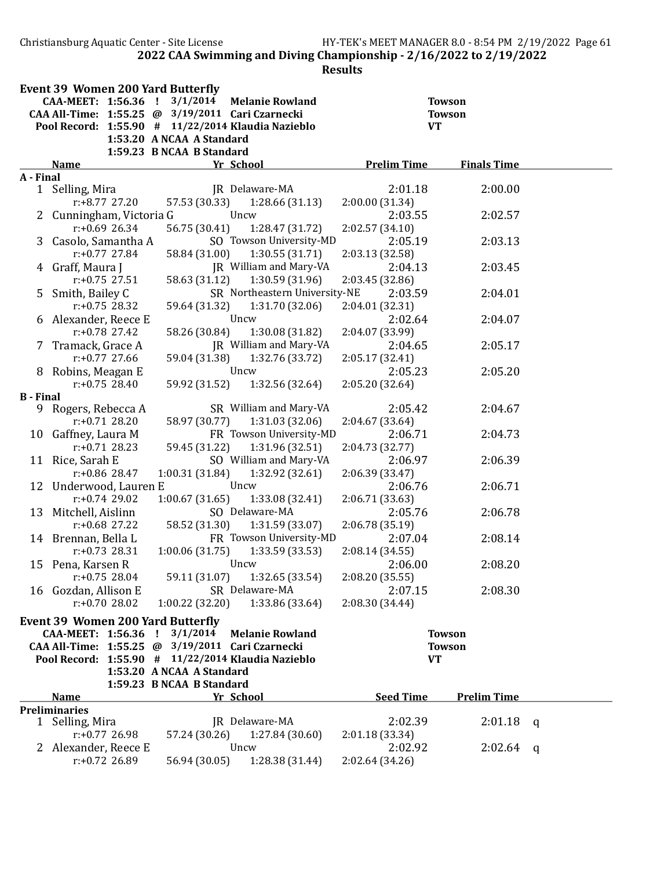Christiansburg Aquatic Center - Site License HY-TEK's MEET MANAGER 8.0 - 8:54 PM 2/19/2022 Page 61 2022 CAA Swimming and Diving Championship - 2/16/2022 to 2/19/2022

|                  | <b>Event 39 Women 200 Yard Butterfly</b>           |                           |                               |                    |                    |   |
|------------------|----------------------------------------------------|---------------------------|-------------------------------|--------------------|--------------------|---|
|                  | CAA-MEET: 1:56.36 ! 3/1/2014                       |                           | <b>Melanie Rowland</b>        |                    | <b>Towson</b>      |   |
|                  | CAA All-Time: 1:55.25 @ 3/19/2011 Cari Czarnecki   |                           |                               |                    | <b>Towson</b>      |   |
|                  | Pool Record: 1:55.90 # 11/22/2014 Klaudia Nazieblo |                           |                               | <b>VT</b>          |                    |   |
|                  |                                                    | 1:53.20 A NCAA A Standard |                               |                    |                    |   |
|                  | <b>Name</b>                                        | 1:59.23 B NCAA B Standard | Yr School                     | <b>Prelim Time</b> | <b>Finals Time</b> |   |
| A - Final        |                                                    |                           |                               |                    |                    |   |
|                  | 1 Selling, Mira                                    |                           | JR Delaware-MA                | 2:01.18            | 2:00.00            |   |
|                  | $r: +8.77$ 27.20                                   | 57.53 (30.33)             | 1:28.66(31.13)                | 2:00.00 (31.34)    |                    |   |
|                  | 2 Cunningham, Victoria G                           |                           | Uncw                          | 2:03.55            | 2:02.57            |   |
|                  | $r: +0.69$ 26.34                                   | 56.75 (30.41)             | 1:28.47 (31.72)               | 2:02.57 (34.10)    |                    |   |
|                  | 3 Casolo, Samantha A                               |                           | SO Towson University-MD       | 2:05.19            | 2:03.13            |   |
|                  | $r: +0.77$ 27.84                                   | 58.84 (31.00)             | 1:30.55 (31.71)               | 2:03.13 (32.58)    |                    |   |
|                  | 4 Graff, Maura J                                   |                           | JR William and Mary-VA        | 2:04.13            | 2:03.45            |   |
|                  | $r: +0.75$ 27.51                                   | 58.63 (31.12)             | 1:30.59 (31.96)               | 2:03.45 (32.86)    |                    |   |
|                  | 5 Smith, Bailey C                                  |                           | SR Northeastern University-NE | 2:03.59            | 2:04.01            |   |
|                  | $r: +0.75$ 28.32                                   | 59.64 (31.32)             | 1:31.70(32.06)                | 2:04.01 (32.31)    |                    |   |
|                  | 6 Alexander, Reece E                               |                           | Uncw                          | 2:02.64            | 2:04.07            |   |
|                  | $r: +0.78$ 27.42                                   | 58.26 (30.84)             | 1:30.08 (31.82)               | 2:04.07 (33.99)    |                    |   |
|                  | 7 Tramack, Grace A                                 |                           | JR William and Mary-VA        | 2:04.65            | 2:05.17            |   |
|                  | $r: +0.77$ 27.66                                   | 59.04 (31.38)             | 1:32.76 (33.72)               | 2:05.17 (32.41)    |                    |   |
|                  | 8 Robins, Meagan E                                 |                           | Uncw                          | 2:05.23            | 2:05.20            |   |
|                  | $r: +0.75$ 28.40                                   |                           | 59.92 (31.52) 1:32.56 (32.64) | 2:05.20 (32.64)    |                    |   |
| <b>B</b> - Final |                                                    |                           |                               |                    |                    |   |
|                  | 9 Rogers, Rebecca A                                |                           | SR William and Mary-VA        | 2:05.42            | 2:04.67            |   |
|                  | $r: +0.71$ 28.20                                   | 58.97 (30.77)             | 1:31.03(32.06)                | 2:04.67 (33.64)    |                    |   |
|                  | 10 Gaffney, Laura M                                |                           | FR Towson University-MD       | 2:06.71            | 2:04.73            |   |
|                  | $r: +0.71$ 28.23                                   | 59.45 (31.22)             | 1:31.96 (32.51)               | 2:04.73 (32.77)    |                    |   |
|                  | 11 Rice, Sarah E                                   |                           | SO William and Mary-VA        | 2:06.97            | 2:06.39            |   |
|                  | $r$ :+0.86 28.47                                   | 1:00.31(31.84)            | 1:32.92(32.61)                | 2:06.39 (33.47)    |                    |   |
|                  | 12 Underwood, Lauren E                             |                           | Uncw                          | 2:06.76            | 2:06.71            |   |
|                  | $r: +0.74$ 29.02                                   | 1:00.67(31.65)            | 1:33.08 (32.41)               | 2:06.71 (33.63)    |                    |   |
|                  | 13 Mitchell, Aislinn                               |                           | SO Delaware-MA                | 2:05.76            | 2:06.78            |   |
|                  | $r$ :+0.68 27.22                                   | 58.52 (31.30)             | 1:31.59(33.07)                | 2:06.78 (35.19)    |                    |   |
|                  | 14 Brennan, Bella L                                |                           | FR Towson University-MD       | 2:07.04            | 2:08.14            |   |
|                  | $r: +0.73$ 28.31                                   | 1:00.06(31.75)            | 1:33.59(33.53)                | 2:08.14(34.55)     |                    |   |
|                  | 15 Pena, Karsen R                                  |                           | Uncw                          | 2:06.00            | 2:08.20            |   |
|                  | $r: +0.75$ 28.04                                   | 59.11 (31.07)             | 1:32.65 (33.54)               | 2:08.20 (35.55)    |                    |   |
|                  | 16 Gozdan, Allison E                               |                           | SR Delaware-MA                | 2:07.15            | 2:08.30            |   |
|                  | $r: +0.7028.02$                                    | 1:00.22(32.20)            | 1:33.86 (33.64)               | 2:08.30 (34.44)    |                    |   |
|                  | <b>Event 39 Women 200 Yard Butterfly</b>           |                           |                               |                    |                    |   |
|                  | CAA-MEET: 1:56.36 !                                | 3/1/2014                  | <b>Melanie Rowland</b>        |                    | <b>Towson</b>      |   |
|                  | CAA All-Time: 1:55.25 @ 3/19/2011 Cari Czarnecki   |                           |                               |                    | <b>Towson</b>      |   |
|                  | Pool Record: 1:55.90 # 11/22/2014 Klaudia Nazieblo |                           |                               | <b>VT</b>          |                    |   |
|                  |                                                    | 1:53.20 A NCAA A Standard |                               |                    |                    |   |
|                  |                                                    | 1:59.23 B NCAA B Standard |                               |                    |                    |   |
|                  | <b>Name</b>                                        |                           | Yr School                     | <b>Seed Time</b>   | <b>Prelim Time</b> |   |
|                  | <b>Preliminaries</b>                               |                           |                               |                    |                    |   |
|                  | 1 Selling, Mira                                    |                           | JR Delaware-MA                | 2:02.39            | 2:01.18            | q |
|                  | r:+0.77 26.98                                      | 57.24 (30.26)             | 1:27.84(30.60)                | 2:01.18 (33.34)    |                    |   |
|                  | 2 Alexander, Reece E                               |                           | Uncw                          | 2:02.92            | 2:02.64            | q |
|                  | $r: +0.72$ 26.89                                   | 56.94 (30.05)             | 1:28.38 (31.44)               | 2:02.64 (34.26)    |                    |   |
|                  |                                                    |                           |                               |                    |                    |   |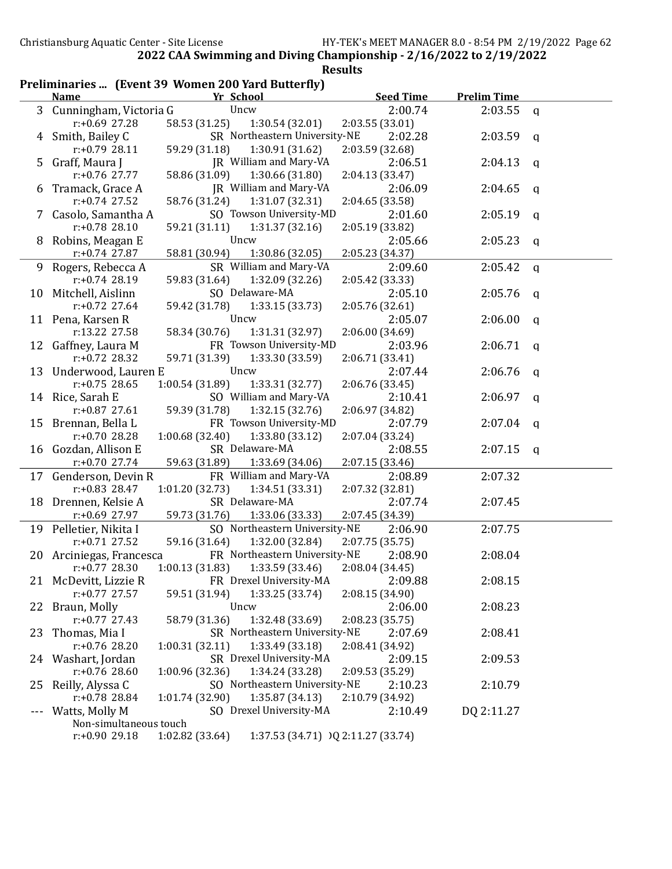|  |  | Preliminaries  (Event 39 Women 200 Yard Butterfly) |  |
|--|--|----------------------------------------------------|--|
|--|--|----------------------------------------------------|--|

|     | <b>Name</b>              | Yr School                                             | <b>Seed Time</b>           | <b>Prelim Time</b> |   |
|-----|--------------------------|-------------------------------------------------------|----------------------------|--------------------|---|
|     | 3 Cunningham, Victoria G | Uncw                                                  | 2:00.74                    | 2:03.55            | q |
|     | r:+0.69 27.28            | 58.53 (31.25)<br>1:30.54(32.01)                       | 2:03.55 (33.01)            |                    |   |
| 4   | Smith, Bailey C          | SR Northeastern University-NE                         | 2:02.28                    | 2:03.59            | q |
|     | $r: +0.79$ 28.11         | 1:30.91 (31.62)<br>59.29 (31.18)                      | 2:03.59 (32.68)            |                    |   |
| 5.  | Graff, Maura J           | JR William and Mary-VA                                | 2:06.51                    | 2:04.13            | q |
|     | r:+0.76 27.77            | 58.86 (31.09)<br>1:30.66 (31.80)                      | 2:04.13 (33.47)            |                    |   |
|     | Tramack, Grace A         | JR William and Mary-VA                                | 2:06.09                    | 2:04.65            | q |
|     | $r: +0.74$ 27.52         | 58.76 (31.24)<br>1:31.07 (32.31)                      | 2:04.65 (33.58)            |                    |   |
|     | 7 Casolo, Samantha A     | SO Towson University-MD                               | 2:01.60                    | 2:05.19            | q |
|     | $r: +0.78$ 28.10         | 59.21 (31.11)<br>1:31.37(32.16)                       | 2:05.19 (33.82)            |                    |   |
| 8   | Robins, Meagan E         | Uncw                                                  | 2:05.66                    | 2:05.23            |   |
|     | $r: +0.74$ 27.87         | 58.81 (30.94)<br>1:30.86 (32.05)                      | 2:05.23 (34.37)            |                    | q |
|     | 9 Rogers, Rebecca A      | SR William and Mary-VA                                | 2:09.60                    | 2:05.42            |   |
|     | $r: +0.74$ 28.19         | 1:32.09 (32.26)<br>59.83 (31.64)                      |                            |                    | q |
|     |                          | SO Delaware-MA                                        | 2:05.42 (33.33)<br>2:05.10 |                    |   |
|     | 10 Mitchell, Aislinn     |                                                       |                            | 2:05.76            | q |
|     | $r: +0.72$ 27.64         | 59.42 (31.78)<br>1:33.15 (33.73)                      | 2:05.76 (32.61)            |                    |   |
|     | 11 Pena, Karsen R        | Uncw                                                  | 2:05.07                    | 2:06.00            | q |
|     | r:13.22 27.58            | 58.34 (30.76)<br>1:31.31 (32.97)                      | 2:06.00 (34.69)            |                    |   |
|     | 12 Gaffney, Laura M      | FR Towson University-MD                               | 2:03.96                    | 2:06.71            | q |
|     | $r: +0.72$ 28.32         | 59.71 (31.39)<br>1:33.30 (33.59)                      | 2:06.71 (33.41)            |                    |   |
|     | 13 Underwood, Lauren E   | Uncw                                                  | 2:07.44                    | 2:06.76            | q |
|     | $r: +0.75$ 28.65         | 1:33.31 (32.77)<br>1:00.54(31.89)                     | 2:06.76 (33.45)            |                    |   |
|     | 14 Rice, Sarah E         | SO William and Mary-VA                                | 2:10.41                    | 2:06.97            | q |
|     | $r: +0.87$ 27.61         | 59.39 (31.78)<br>1:32.15 (32.76)                      | 2:06.97 (34.82)            |                    |   |
|     | 15 Brennan, Bella L      | FR Towson University-MD                               | 2:07.79                    | 2:07.04            | q |
|     | r:+0.70 28.28            | 1:33.80 (33.12)<br>1:00.68 (32.40)                    | 2:07.04 (33.24)            |                    |   |
|     | 16 Gozdan, Allison E     | SR Delaware-MA                                        | 2:08.55                    | 2:07.15            | q |
|     | $r: +0.70$ 27.74         | 59.63 (31.89)<br>1:33.69 (34.06)                      | 2:07.15 (33.46)            |                    |   |
|     | 17 Genderson, Devin R    | FR William and Mary-VA                                | 2:08.89                    | 2:07.32            |   |
|     | $r: +0.83$ 28.47         | 1:34.51 (33.31)<br>1:01.20(32.73)                     | 2:07.32 (32.81)            |                    |   |
|     | 18 Drennen, Kelsie A     | SR Delaware-MA                                        | 2:07.74                    | 2:07.45            |   |
|     | r:+0.69 27.97            | 1:33.06 (33.33)<br>59.73 (31.76)                      | 2:07.45 (34.39)            |                    |   |
|     | 19 Pelletier, Nikita I   | SO Northeastern University-NE                         | 2:06.90                    | 2:07.75            |   |
|     | $r: +0.71$ 27.52         | 59.16 (31.64)<br>1:32.00 (32.84)                      | 2:07.75 (35.75)            |                    |   |
|     | 20 Arciniegas, Francesca | FR Northeastern University-NE                         | 2:08.90                    | 2:08.04            |   |
|     | $r: +0.77$ 28.30         | 1:00.13(31.83)<br>1:33.59 (33.46)                     | 2:08.04 (34.45)            |                    |   |
|     | 21 McDevitt, Lizzie R    | FR Drexel University-MA                               | 2:09.88                    | 2:08.15            |   |
|     | $r: +0.77$ 27.57         | 1:33.25 (33.74)<br>59.51 (31.94)                      | 2:08.15 (34.90)            |                    |   |
| 22  | Braun, Molly             | Uncw                                                  | 2:06.00                    | 2:08.23            |   |
|     | $r: +0.77$ 27.43         | 1:32.48 (33.69)<br>58.79 (31.36)                      | 2:08.23 (35.75)            |                    |   |
| 23  | Thomas, Mia I            | SR Northeastern University-NE                         | 2:07.69                    | 2:08.41            |   |
|     | r:+0.76 28.20            | 1:33.49 (33.18)<br>1:00.31(32.11)                     | 2:08.41 (34.92)            |                    |   |
|     | 24 Washart, Jordan       | SR Drexel University-MA                               | 2:09.15                    | 2:09.53            |   |
|     | $r: +0.76$ 28.60         | 1:34.24 (33.28)<br>1:00.96 (32.36)                    | 2:09.53 (35.29)            |                    |   |
| 25  | Reilly, Alyssa C         | SO Northeastern University-NE                         | 2:10.23                    | 2:10.79            |   |
|     | r:+0.78 28.84            | 1:01.74 (32.90)<br>1:35.87(34.13)                     | 2:10.79 (34.92)            |                    |   |
| --- | Watts, Molly M           | SO Drexel University-MA                               | 2:10.49                    | DQ 2:11.27         |   |
|     | Non-simultaneous touch   |                                                       |                            |                    |   |
|     | $r: +0.90$ 29.18         | 1:02.82 (33.64)<br>1:37.53 (34.71) )Q 2:11.27 (33.74) |                            |                    |   |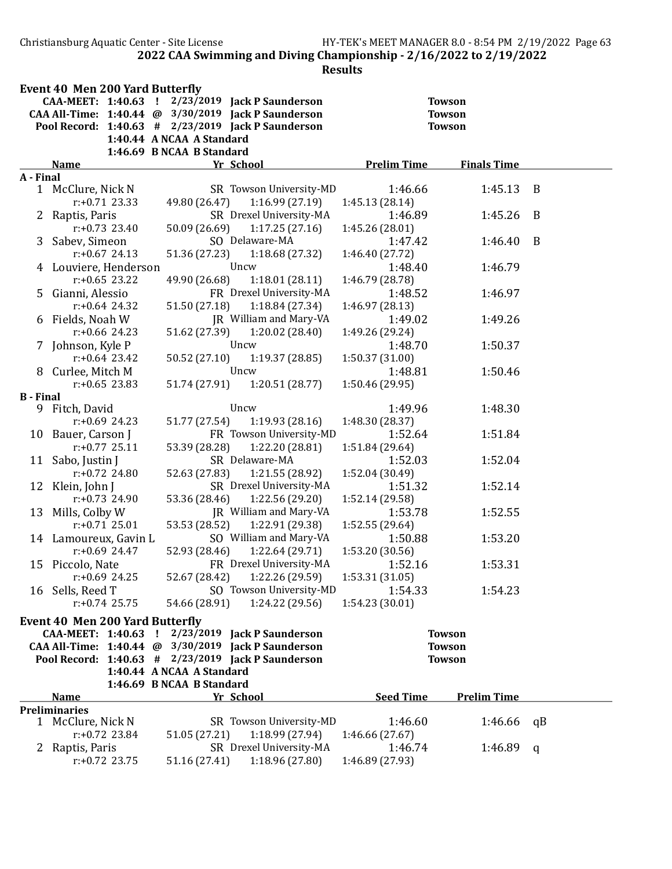Christiansburg Aquatic Center - Site License HY-TEK's MEET MANAGER 8.0 - 8:54 PM 2/19/2022 Page 63 2022 CAA Swimming and Diving Championship - 2/16/2022 to 2/19/2022

|                  | <b>Event 40 Men 200 Yard Butterfly</b> |                                                        |                    |                    |                |
|------------------|----------------------------------------|--------------------------------------------------------|--------------------|--------------------|----------------|
|                  |                                        | CAA-MEET: 1:40.63 ! 2/23/2019 Jack P Saunderson        |                    | <b>Towson</b>      |                |
|                  |                                        | CAA All-Time: 1:40.44 @ 3/30/2019 Jack P Saunderson    |                    | <b>Towson</b>      |                |
|                  |                                        | Pool Record: 1:40.63 # 2/23/2019 Jack P Saunderson     |                    | <b>Towson</b>      |                |
|                  |                                        | 1:40.44 A NCAA A Standard                              |                    |                    |                |
|                  |                                        | 1:46.69 B NCAA B Standard                              |                    |                    |                |
|                  | <b>Name</b>                            | Yr School                                              | <b>Prelim Time</b> | <b>Finals Time</b> |                |
| A - Final        | 1 McClure, Nick N                      | SR Towson University-MD                                | 1:46.66            | 1:45.13            | $\overline{B}$ |
|                  | $r: +0.71$ 23.33                       | 49.80 (26.47)<br>1:16.99(27.19)                        | 1:45.13 (28.14)    |                    |                |
|                  | 2 Raptis, Paris                        | SR Drexel University-MA                                | 1:46.89            | 1:45.26            | B              |
|                  | $r: +0.73$ 23.40                       | 1:17.25(27.16)<br>50.09 (26.69)                        | 1:45.26 (28.01)    |                    |                |
|                  | 3 Sabev, Simeon                        | SO Delaware-MA                                         | 1:47.42            | 1:46.40            | B              |
|                  | $r: +0.67$ 24.13                       | 51.36 (27.23)<br>1:18.68(27.32)                        | 1:46.40 (27.72)    |                    |                |
|                  | 4 Louviere, Henderson                  | Uncw                                                   | 1:48.40            | 1:46.79            |                |
|                  | $r: +0.65$ 23.22                       | 1:18.01(28.11)<br>49.90 (26.68)                        | 1:46.79 (28.78)    |                    |                |
|                  | 5 Gianni, Alessio                      | FR Drexel University-MA                                | 1:48.52            | 1:46.97            |                |
|                  | $r: +0.64$ 24.32                       | 51.50 (27.18)<br>1:18.84 (27.34)                       | 1:46.97 (28.13)    |                    |                |
|                  | 6 Fields, Noah W                       | JR William and Mary-VA                                 | 1:49.02            | 1:49.26            |                |
|                  | $r: +0.66$ 24.23                       | 51.62 (27.39)<br>1:20.02(28.40)                        | 1:49.26 (29.24)    |                    |                |
|                  | 7 Johnson, Kyle P                      | Uncw                                                   | 1:48.70            | 1:50.37            |                |
|                  | $r$ :+0.64 23.42                       | 1:19.37(28.85)<br>50.52 (27.10)                        | 1:50.37 (31.00)    |                    |                |
|                  | 8 Curlee, Mitch M                      | Uncw                                                   | 1:48.81            | 1:50.46            |                |
|                  | $r: +0.65$ 23.83                       | 51.74 (27.91) 1:20.51 (28.77)                          | 1:50.46 (29.95)    |                    |                |
| <b>B</b> - Final |                                        |                                                        |                    |                    |                |
|                  | 9 Fitch, David                         | Uncw                                                   | 1:49.96            | 1:48.30            |                |
|                  | $r: +0.69$ 24.23                       | 1:19.93(28.16)<br>51.77 (27.54)                        | 1:48.30 (28.37)    |                    |                |
|                  | 10 Bauer, Carson J                     | FR Towson University-MD                                | 1:52.64            | 1:51.84            |                |
|                  | $r: +0.77$ 25.11                       | 53.39 (28.28)<br>1:22.20 (28.81)                       | 1:51.84 (29.64)    |                    |                |
|                  | 11 Sabo, Justin J                      | SR Delaware-MA                                         | 1:52.03            | 1:52.04            |                |
|                  | $r: +0.72$ 24.80                       | 52.63 (27.83)<br>1:21.55(28.92)                        | 1:52.04 (30.49)    |                    |                |
|                  | 12 Klein, John J                       | SR Drexel University-MA                                | 1:51.32            | 1:52.14            |                |
|                  | $r: +0.73$ 24.90                       | 53.36 (28.46)<br>1:22.56 (29.20)                       | 1:52.14 (29.58)    |                    |                |
|                  | 13 Mills, Colby W                      | JR William and Mary-VA                                 | 1:53.78            | 1:52.55            |                |
|                  | $r: +0.7125.01$                        | 53.53 (28.52)<br>1:22.91 (29.38)                       | 1:52.55 (29.64)    |                    |                |
|                  | 14 Lamoureux, Gavin L                  | SO William and Mary-VA                                 | 1:50.88            | 1:53.20            |                |
|                  | $r: +0.69$ 24.47                       | 52.93 (28.46)<br>1:22.64 (29.71)                       | 1:53.20 (30.56)    |                    |                |
|                  | 15 Piccolo, Nate                       | FR Drexel University-MA                                | 1:52.16            | 1:53.31            |                |
|                  | r:+0.69 24.25                          | 52.67 (28.42)<br>1:22.26 (29.59)                       | 1:53.31 (31.05)    |                    |                |
|                  | 16 Sells, Reed T                       | SO Towson University-MD                                | 1:54.33            | 1:54.23            |                |
|                  | $r: +0.74$ 25.75                       | 54.66 (28.91)<br>1:24.22 (29.56)                       | 1:54.23 (30.01)    |                    |                |
|                  |                                        |                                                        |                    |                    |                |
|                  | <b>Event 40 Men 200 Yard Butterfly</b> | CAA-MEET: 1:40.63 ! 2/23/2019 Jack P Saunderson        |                    | <b>Towson</b>      |                |
|                  |                                        | CAA All-Time: 1:40.44 @ 3/30/2019 Jack P Saunderson    |                    | <b>Towson</b>      |                |
|                  |                                        | Pool Record: $1:40.63$ # $2/23/2019$ Jack P Saunderson |                    | <b>Towson</b>      |                |
|                  |                                        | 1:40.44 A NCAA A Standard                              |                    |                    |                |
|                  |                                        | 1:46.69 B NCAA B Standard                              |                    |                    |                |
|                  | <b>Name</b>                            | Yr School                                              | <b>Seed Time</b>   | <b>Prelim Time</b> |                |
|                  | <b>Preliminaries</b>                   |                                                        |                    |                    |                |
|                  | 1 McClure, Nick N                      | SR Towson University-MD                                | 1:46.60            | 1:46.66            | qB             |
|                  | $r: +0.72$ 23.84                       | 51.05 (27.21)<br>1:18.99 (27.94)                       | 1:46.66(27.67)     |                    |                |
|                  | 2 Raptis, Paris                        | SR Drexel University-MA                                | 1:46.74            | 1:46.89            | q              |
|                  | $r: +0.72$ 23.75                       | 1:18.96 (27.80)<br>51.16 (27.41)                       | 1:46.89 (27.93)    |                    |                |
|                  |                                        |                                                        |                    |                    |                |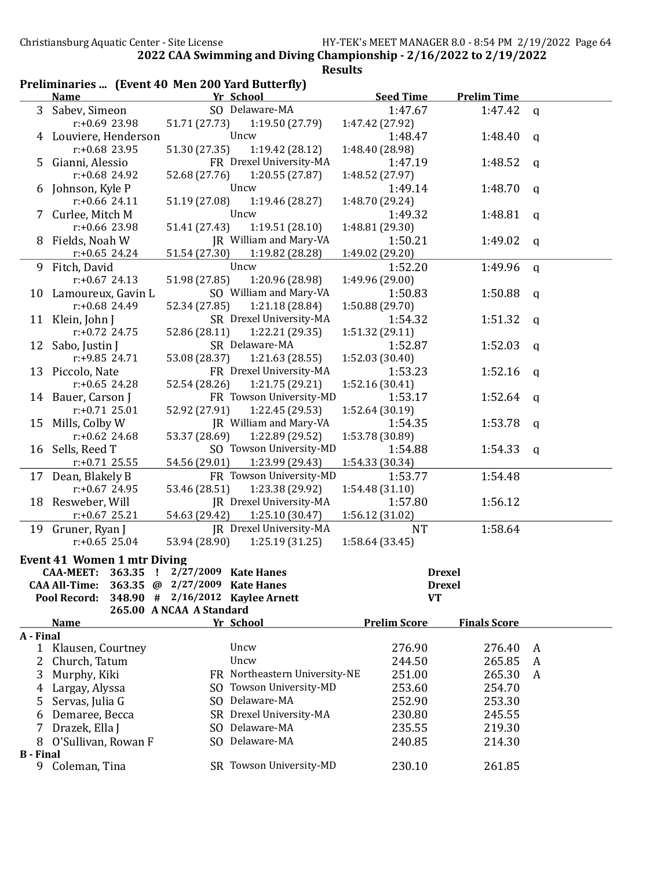| Preliminaries  (Event 40 Men 200 Yard Butterfly)<br>Yr School<br><b>Seed Time</b><br><b>Prelim Time</b><br><b>Name</b><br>3 Sabev, Simeon<br>SO Delaware-MA<br>1:47.67<br>1:47.42<br>$\mathbf{q}$<br>r:+0.69 23.98<br>51.71 (27.73)<br>1:19.50 (27.79)<br>1:47.42 (27.92)<br>Uncw<br>1:48.47<br>4 Louviere, Henderson<br>1:48.40<br>a<br>$r: +0.68$ 23.95<br>51.30 (27.35)<br>1:19.42 (28.12)<br>1:48.40 (28.98)<br>FR Drexel University-MA<br>5 Gianni, Alessio<br>1:47.19<br>1:48.52<br>a<br>r:+0.68 24.92<br>1:20.55(27.87)<br>52.68 (27.76)<br>1:48.52 (27.97)<br>Uncw<br>1:49.14<br>6 Johnson, Kyle P<br>1:48.70<br>q<br>$r: +0.66$ 24.11<br>51.19 (27.08)<br>1:19.46 (28.27)<br>1:48.70 (29.24)<br>Uncw<br>7 Curlee, Mitch M<br>1:49.32<br>1:48.81<br>q<br>r:+0.66 23.98<br>51.41 (27.43)<br>1:19.51(28.10)<br>1:48.81 (29.30)<br>JR William and Mary-VA<br>Fields, Noah W<br>1:50.21<br>1:49.02<br>8<br>a<br>51.54 (27.30)<br>1:19.82 (28.28)<br>$r: +0.65$ 24.24<br>1:49.02 (29.20)<br>Uncw<br>9 Fitch, David<br>1:52.20<br>1:49.96<br>q<br>51.98 (27.85)<br>1:20.96 (28.98)<br>$r: +0.67$ 24.13<br>1:49.96 (29.00)<br>SO William and Mary-VA<br>1:50.88<br>10 Lamoureux, Gavin L<br>1:50.83<br>a<br>1:21.18 (28.84)<br>$r: +0.68$ 24.49<br>52.34 (27.85)<br>1:50.88 (29.70)<br>SR Drexel University-MA<br>1:51.32<br>11 Klein, John J<br>1:54.32<br>a<br>r:+0.72 24.75<br>52.86 (28.11)<br>1:22.21 (29.35)<br>1:51.32 (29.11)<br>SR Delaware-MA<br>1:52.03<br>12 Sabo, Justin J<br>1:52.87<br>q<br>$r: +9.85$ 24.71<br>53.08 (28.37)<br>1:21.63(28.55)<br>1:52.03 (30.40)<br>FR Drexel University-MA<br>13 Piccolo, Nate<br>1:52.16<br>1:53.23<br>a<br>$r: +0.65$ 24.28<br>52.54 (28.26)<br>1:21.75 (29.21)<br>1:52.16 (30.41)<br>FR Towson University-MD<br>14 Bauer, Carson J<br>1:52.64<br>1:53.17<br>a<br>1:22.45 (29.53)<br>$r: +0.71$ 25.01<br>52.92 (27.91)<br>1:52.64 (30.19)<br>JR William and Mary-VA<br>Mills, Colby W<br>1:53.78<br>1:54.35<br>15<br>a<br>53.37 (28.69)<br>1:22.89 (29.52)<br>$r: +0.62$ 24.68<br>1:53.78 (30.89)<br>SO Towson University-MD<br>Sells, Reed T<br>1:54.88<br>1:54.33<br>16<br>q<br>54.56 (29.01)<br>1:23.99 (29.43)<br>1:54.33 (30.34)<br>$r$ :+0.71 25.55<br>17 Dean, Blakely B<br>FR Towson University-MD<br>1:54.48<br>1:53.77<br>53.46 (28.51)<br>1:23.38 (29.92)<br>$r: +0.67$ 24.95<br>1:54.48(31.10) |  |
|-----------------------------------------------------------------------------------------------------------------------------------------------------------------------------------------------------------------------------------------------------------------------------------------------------------------------------------------------------------------------------------------------------------------------------------------------------------------------------------------------------------------------------------------------------------------------------------------------------------------------------------------------------------------------------------------------------------------------------------------------------------------------------------------------------------------------------------------------------------------------------------------------------------------------------------------------------------------------------------------------------------------------------------------------------------------------------------------------------------------------------------------------------------------------------------------------------------------------------------------------------------------------------------------------------------------------------------------------------------------------------------------------------------------------------------------------------------------------------------------------------------------------------------------------------------------------------------------------------------------------------------------------------------------------------------------------------------------------------------------------------------------------------------------------------------------------------------------------------------------------------------------------------------------------------------------------------------------------------------------------------------------------------------------------------------------------------------------------------------------------------------------------------------------------------------------------------------------------------------------------------------------------------------------------------------------------------------------------------------------|--|
|                                                                                                                                                                                                                                                                                                                                                                                                                                                                                                                                                                                                                                                                                                                                                                                                                                                                                                                                                                                                                                                                                                                                                                                                                                                                                                                                                                                                                                                                                                                                                                                                                                                                                                                                                                                                                                                                                                                                                                                                                                                                                                                                                                                                                                                                                                                                                                 |  |
|                                                                                                                                                                                                                                                                                                                                                                                                                                                                                                                                                                                                                                                                                                                                                                                                                                                                                                                                                                                                                                                                                                                                                                                                                                                                                                                                                                                                                                                                                                                                                                                                                                                                                                                                                                                                                                                                                                                                                                                                                                                                                                                                                                                                                                                                                                                                                                 |  |
|                                                                                                                                                                                                                                                                                                                                                                                                                                                                                                                                                                                                                                                                                                                                                                                                                                                                                                                                                                                                                                                                                                                                                                                                                                                                                                                                                                                                                                                                                                                                                                                                                                                                                                                                                                                                                                                                                                                                                                                                                                                                                                                                                                                                                                                                                                                                                                 |  |
|                                                                                                                                                                                                                                                                                                                                                                                                                                                                                                                                                                                                                                                                                                                                                                                                                                                                                                                                                                                                                                                                                                                                                                                                                                                                                                                                                                                                                                                                                                                                                                                                                                                                                                                                                                                                                                                                                                                                                                                                                                                                                                                                                                                                                                                                                                                                                                 |  |
|                                                                                                                                                                                                                                                                                                                                                                                                                                                                                                                                                                                                                                                                                                                                                                                                                                                                                                                                                                                                                                                                                                                                                                                                                                                                                                                                                                                                                                                                                                                                                                                                                                                                                                                                                                                                                                                                                                                                                                                                                                                                                                                                                                                                                                                                                                                                                                 |  |
|                                                                                                                                                                                                                                                                                                                                                                                                                                                                                                                                                                                                                                                                                                                                                                                                                                                                                                                                                                                                                                                                                                                                                                                                                                                                                                                                                                                                                                                                                                                                                                                                                                                                                                                                                                                                                                                                                                                                                                                                                                                                                                                                                                                                                                                                                                                                                                 |  |
|                                                                                                                                                                                                                                                                                                                                                                                                                                                                                                                                                                                                                                                                                                                                                                                                                                                                                                                                                                                                                                                                                                                                                                                                                                                                                                                                                                                                                                                                                                                                                                                                                                                                                                                                                                                                                                                                                                                                                                                                                                                                                                                                                                                                                                                                                                                                                                 |  |
|                                                                                                                                                                                                                                                                                                                                                                                                                                                                                                                                                                                                                                                                                                                                                                                                                                                                                                                                                                                                                                                                                                                                                                                                                                                                                                                                                                                                                                                                                                                                                                                                                                                                                                                                                                                                                                                                                                                                                                                                                                                                                                                                                                                                                                                                                                                                                                 |  |
|                                                                                                                                                                                                                                                                                                                                                                                                                                                                                                                                                                                                                                                                                                                                                                                                                                                                                                                                                                                                                                                                                                                                                                                                                                                                                                                                                                                                                                                                                                                                                                                                                                                                                                                                                                                                                                                                                                                                                                                                                                                                                                                                                                                                                                                                                                                                                                 |  |
|                                                                                                                                                                                                                                                                                                                                                                                                                                                                                                                                                                                                                                                                                                                                                                                                                                                                                                                                                                                                                                                                                                                                                                                                                                                                                                                                                                                                                                                                                                                                                                                                                                                                                                                                                                                                                                                                                                                                                                                                                                                                                                                                                                                                                                                                                                                                                                 |  |
|                                                                                                                                                                                                                                                                                                                                                                                                                                                                                                                                                                                                                                                                                                                                                                                                                                                                                                                                                                                                                                                                                                                                                                                                                                                                                                                                                                                                                                                                                                                                                                                                                                                                                                                                                                                                                                                                                                                                                                                                                                                                                                                                                                                                                                                                                                                                                                 |  |
|                                                                                                                                                                                                                                                                                                                                                                                                                                                                                                                                                                                                                                                                                                                                                                                                                                                                                                                                                                                                                                                                                                                                                                                                                                                                                                                                                                                                                                                                                                                                                                                                                                                                                                                                                                                                                                                                                                                                                                                                                                                                                                                                                                                                                                                                                                                                                                 |  |
|                                                                                                                                                                                                                                                                                                                                                                                                                                                                                                                                                                                                                                                                                                                                                                                                                                                                                                                                                                                                                                                                                                                                                                                                                                                                                                                                                                                                                                                                                                                                                                                                                                                                                                                                                                                                                                                                                                                                                                                                                                                                                                                                                                                                                                                                                                                                                                 |  |
|                                                                                                                                                                                                                                                                                                                                                                                                                                                                                                                                                                                                                                                                                                                                                                                                                                                                                                                                                                                                                                                                                                                                                                                                                                                                                                                                                                                                                                                                                                                                                                                                                                                                                                                                                                                                                                                                                                                                                                                                                                                                                                                                                                                                                                                                                                                                                                 |  |
|                                                                                                                                                                                                                                                                                                                                                                                                                                                                                                                                                                                                                                                                                                                                                                                                                                                                                                                                                                                                                                                                                                                                                                                                                                                                                                                                                                                                                                                                                                                                                                                                                                                                                                                                                                                                                                                                                                                                                                                                                                                                                                                                                                                                                                                                                                                                                                 |  |
|                                                                                                                                                                                                                                                                                                                                                                                                                                                                                                                                                                                                                                                                                                                                                                                                                                                                                                                                                                                                                                                                                                                                                                                                                                                                                                                                                                                                                                                                                                                                                                                                                                                                                                                                                                                                                                                                                                                                                                                                                                                                                                                                                                                                                                                                                                                                                                 |  |
|                                                                                                                                                                                                                                                                                                                                                                                                                                                                                                                                                                                                                                                                                                                                                                                                                                                                                                                                                                                                                                                                                                                                                                                                                                                                                                                                                                                                                                                                                                                                                                                                                                                                                                                                                                                                                                                                                                                                                                                                                                                                                                                                                                                                                                                                                                                                                                 |  |
|                                                                                                                                                                                                                                                                                                                                                                                                                                                                                                                                                                                                                                                                                                                                                                                                                                                                                                                                                                                                                                                                                                                                                                                                                                                                                                                                                                                                                                                                                                                                                                                                                                                                                                                                                                                                                                                                                                                                                                                                                                                                                                                                                                                                                                                                                                                                                                 |  |
|                                                                                                                                                                                                                                                                                                                                                                                                                                                                                                                                                                                                                                                                                                                                                                                                                                                                                                                                                                                                                                                                                                                                                                                                                                                                                                                                                                                                                                                                                                                                                                                                                                                                                                                                                                                                                                                                                                                                                                                                                                                                                                                                                                                                                                                                                                                                                                 |  |
|                                                                                                                                                                                                                                                                                                                                                                                                                                                                                                                                                                                                                                                                                                                                                                                                                                                                                                                                                                                                                                                                                                                                                                                                                                                                                                                                                                                                                                                                                                                                                                                                                                                                                                                                                                                                                                                                                                                                                                                                                                                                                                                                                                                                                                                                                                                                                                 |  |
|                                                                                                                                                                                                                                                                                                                                                                                                                                                                                                                                                                                                                                                                                                                                                                                                                                                                                                                                                                                                                                                                                                                                                                                                                                                                                                                                                                                                                                                                                                                                                                                                                                                                                                                                                                                                                                                                                                                                                                                                                                                                                                                                                                                                                                                                                                                                                                 |  |
|                                                                                                                                                                                                                                                                                                                                                                                                                                                                                                                                                                                                                                                                                                                                                                                                                                                                                                                                                                                                                                                                                                                                                                                                                                                                                                                                                                                                                                                                                                                                                                                                                                                                                                                                                                                                                                                                                                                                                                                                                                                                                                                                                                                                                                                                                                                                                                 |  |
|                                                                                                                                                                                                                                                                                                                                                                                                                                                                                                                                                                                                                                                                                                                                                                                                                                                                                                                                                                                                                                                                                                                                                                                                                                                                                                                                                                                                                                                                                                                                                                                                                                                                                                                                                                                                                                                                                                                                                                                                                                                                                                                                                                                                                                                                                                                                                                 |  |
|                                                                                                                                                                                                                                                                                                                                                                                                                                                                                                                                                                                                                                                                                                                                                                                                                                                                                                                                                                                                                                                                                                                                                                                                                                                                                                                                                                                                                                                                                                                                                                                                                                                                                                                                                                                                                                                                                                                                                                                                                                                                                                                                                                                                                                                                                                                                                                 |  |
|                                                                                                                                                                                                                                                                                                                                                                                                                                                                                                                                                                                                                                                                                                                                                                                                                                                                                                                                                                                                                                                                                                                                                                                                                                                                                                                                                                                                                                                                                                                                                                                                                                                                                                                                                                                                                                                                                                                                                                                                                                                                                                                                                                                                                                                                                                                                                                 |  |
|                                                                                                                                                                                                                                                                                                                                                                                                                                                                                                                                                                                                                                                                                                                                                                                                                                                                                                                                                                                                                                                                                                                                                                                                                                                                                                                                                                                                                                                                                                                                                                                                                                                                                                                                                                                                                                                                                                                                                                                                                                                                                                                                                                                                                                                                                                                                                                 |  |
|                                                                                                                                                                                                                                                                                                                                                                                                                                                                                                                                                                                                                                                                                                                                                                                                                                                                                                                                                                                                                                                                                                                                                                                                                                                                                                                                                                                                                                                                                                                                                                                                                                                                                                                                                                                                                                                                                                                                                                                                                                                                                                                                                                                                                                                                                                                                                                 |  |
|                                                                                                                                                                                                                                                                                                                                                                                                                                                                                                                                                                                                                                                                                                                                                                                                                                                                                                                                                                                                                                                                                                                                                                                                                                                                                                                                                                                                                                                                                                                                                                                                                                                                                                                                                                                                                                                                                                                                                                                                                                                                                                                                                                                                                                                                                                                                                                 |  |
|                                                                                                                                                                                                                                                                                                                                                                                                                                                                                                                                                                                                                                                                                                                                                                                                                                                                                                                                                                                                                                                                                                                                                                                                                                                                                                                                                                                                                                                                                                                                                                                                                                                                                                                                                                                                                                                                                                                                                                                                                                                                                                                                                                                                                                                                                                                                                                 |  |
|                                                                                                                                                                                                                                                                                                                                                                                                                                                                                                                                                                                                                                                                                                                                                                                                                                                                                                                                                                                                                                                                                                                                                                                                                                                                                                                                                                                                                                                                                                                                                                                                                                                                                                                                                                                                                                                                                                                                                                                                                                                                                                                                                                                                                                                                                                                                                                 |  |
|                                                                                                                                                                                                                                                                                                                                                                                                                                                                                                                                                                                                                                                                                                                                                                                                                                                                                                                                                                                                                                                                                                                                                                                                                                                                                                                                                                                                                                                                                                                                                                                                                                                                                                                                                                                                                                                                                                                                                                                                                                                                                                                                                                                                                                                                                                                                                                 |  |
| JR Drexel University-MA<br>18 Resweber, Will<br>1:56.12<br>1:57.80                                                                                                                                                                                                                                                                                                                                                                                                                                                                                                                                                                                                                                                                                                                                                                                                                                                                                                                                                                                                                                                                                                                                                                                                                                                                                                                                                                                                                                                                                                                                                                                                                                                                                                                                                                                                                                                                                                                                                                                                                                                                                                                                                                                                                                                                                              |  |
| $r: +0.67$ 25.21<br>54.63 (29.42)<br>1:25.10 (30.47)<br>1:56.12 (31.02)                                                                                                                                                                                                                                                                                                                                                                                                                                                                                                                                                                                                                                                                                                                                                                                                                                                                                                                                                                                                                                                                                                                                                                                                                                                                                                                                                                                                                                                                                                                                                                                                                                                                                                                                                                                                                                                                                                                                                                                                                                                                                                                                                                                                                                                                                         |  |
| IR Drexel University-MA<br><b>NT</b><br>1:58.64<br>Gruner, Ryan J<br>19                                                                                                                                                                                                                                                                                                                                                                                                                                                                                                                                                                                                                                                                                                                                                                                                                                                                                                                                                                                                                                                                                                                                                                                                                                                                                                                                                                                                                                                                                                                                                                                                                                                                                                                                                                                                                                                                                                                                                                                                                                                                                                                                                                                                                                                                                         |  |
| 53.94 (28.90)<br>1:25.19 (31.25)<br>$r: +0.65$ 25.04<br>1:58.64 (33.45)                                                                                                                                                                                                                                                                                                                                                                                                                                                                                                                                                                                                                                                                                                                                                                                                                                                                                                                                                                                                                                                                                                                                                                                                                                                                                                                                                                                                                                                                                                                                                                                                                                                                                                                                                                                                                                                                                                                                                                                                                                                                                                                                                                                                                                                                                         |  |
|                                                                                                                                                                                                                                                                                                                                                                                                                                                                                                                                                                                                                                                                                                                                                                                                                                                                                                                                                                                                                                                                                                                                                                                                                                                                                                                                                                                                                                                                                                                                                                                                                                                                                                                                                                                                                                                                                                                                                                                                                                                                                                                                                                                                                                                                                                                                                                 |  |
| <b>Event 41 Women 1 mtr Diving</b>                                                                                                                                                                                                                                                                                                                                                                                                                                                                                                                                                                                                                                                                                                                                                                                                                                                                                                                                                                                                                                                                                                                                                                                                                                                                                                                                                                                                                                                                                                                                                                                                                                                                                                                                                                                                                                                                                                                                                                                                                                                                                                                                                                                                                                                                                                                              |  |
| 363.35 ! 2/27/2009 Kate Hanes<br><b>Drexel</b><br><b>CAA-MEET:</b><br>363.35 @ 2/27/2009 Kate Hanes                                                                                                                                                                                                                                                                                                                                                                                                                                                                                                                                                                                                                                                                                                                                                                                                                                                                                                                                                                                                                                                                                                                                                                                                                                                                                                                                                                                                                                                                                                                                                                                                                                                                                                                                                                                                                                                                                                                                                                                                                                                                                                                                                                                                                                                             |  |
| <b>CAA All-Time:</b><br><b>Drexel</b><br>348.90 # 2/16/2012 Kaylee Arnett<br><b>VT</b>                                                                                                                                                                                                                                                                                                                                                                                                                                                                                                                                                                                                                                                                                                                                                                                                                                                                                                                                                                                                                                                                                                                                                                                                                                                                                                                                                                                                                                                                                                                                                                                                                                                                                                                                                                                                                                                                                                                                                                                                                                                                                                                                                                                                                                                                          |  |
| Pool Record:<br>265.00 A NCAA A Standard                                                                                                                                                                                                                                                                                                                                                                                                                                                                                                                                                                                                                                                                                                                                                                                                                                                                                                                                                                                                                                                                                                                                                                                                                                                                                                                                                                                                                                                                                                                                                                                                                                                                                                                                                                                                                                                                                                                                                                                                                                                                                                                                                                                                                                                                                                                        |  |
| Yr School<br><b>Prelim Score</b><br><b>Finals Score</b><br><b>Name</b>                                                                                                                                                                                                                                                                                                                                                                                                                                                                                                                                                                                                                                                                                                                                                                                                                                                                                                                                                                                                                                                                                                                                                                                                                                                                                                                                                                                                                                                                                                                                                                                                                                                                                                                                                                                                                                                                                                                                                                                                                                                                                                                                                                                                                                                                                          |  |
| A - Final                                                                                                                                                                                                                                                                                                                                                                                                                                                                                                                                                                                                                                                                                                                                                                                                                                                                                                                                                                                                                                                                                                                                                                                                                                                                                                                                                                                                                                                                                                                                                                                                                                                                                                                                                                                                                                                                                                                                                                                                                                                                                                                                                                                                                                                                                                                                                       |  |
| Uncw<br>1 Klausen, Courtney<br>276.90<br>276.40<br>A                                                                                                                                                                                                                                                                                                                                                                                                                                                                                                                                                                                                                                                                                                                                                                                                                                                                                                                                                                                                                                                                                                                                                                                                                                                                                                                                                                                                                                                                                                                                                                                                                                                                                                                                                                                                                                                                                                                                                                                                                                                                                                                                                                                                                                                                                                            |  |
| Uncw<br>Church, Tatum<br>265.85<br>2<br>244.50<br>A                                                                                                                                                                                                                                                                                                                                                                                                                                                                                                                                                                                                                                                                                                                                                                                                                                                                                                                                                                                                                                                                                                                                                                                                                                                                                                                                                                                                                                                                                                                                                                                                                                                                                                                                                                                                                                                                                                                                                                                                                                                                                                                                                                                                                                                                                                             |  |
| Murphy, Kiki<br>FR Northeastern University-NE<br>3<br>251.00<br>265.30<br>A                                                                                                                                                                                                                                                                                                                                                                                                                                                                                                                                                                                                                                                                                                                                                                                                                                                                                                                                                                                                                                                                                                                                                                                                                                                                                                                                                                                                                                                                                                                                                                                                                                                                                                                                                                                                                                                                                                                                                                                                                                                                                                                                                                                                                                                                                     |  |
| SO Towson University-MD<br>Largay, Alyssa<br>254.70<br>253.60<br>4                                                                                                                                                                                                                                                                                                                                                                                                                                                                                                                                                                                                                                                                                                                                                                                                                                                                                                                                                                                                                                                                                                                                                                                                                                                                                                                                                                                                                                                                                                                                                                                                                                                                                                                                                                                                                                                                                                                                                                                                                                                                                                                                                                                                                                                                                              |  |
| SO Delaware-MA<br>Servas, Julia G<br>252.90<br>253.30<br>5                                                                                                                                                                                                                                                                                                                                                                                                                                                                                                                                                                                                                                                                                                                                                                                                                                                                                                                                                                                                                                                                                                                                                                                                                                                                                                                                                                                                                                                                                                                                                                                                                                                                                                                                                                                                                                                                                                                                                                                                                                                                                                                                                                                                                                                                                                      |  |
| SR Drexel University-MA                                                                                                                                                                                                                                                                                                                                                                                                                                                                                                                                                                                                                                                                                                                                                                                                                                                                                                                                                                                                                                                                                                                                                                                                                                                                                                                                                                                                                                                                                                                                                                                                                                                                                                                                                                                                                                                                                                                                                                                                                                                                                                                                                                                                                                                                                                                                         |  |
| Demaree, Becca<br>230.80<br>245.55<br>6<br>SO Delaware-MA                                                                                                                                                                                                                                                                                                                                                                                                                                                                                                                                                                                                                                                                                                                                                                                                                                                                                                                                                                                                                                                                                                                                                                                                                                                                                                                                                                                                                                                                                                                                                                                                                                                                                                                                                                                                                                                                                                                                                                                                                                                                                                                                                                                                                                                                                                       |  |
| 7<br>Drazek, Ella J<br>235.55<br>219.30                                                                                                                                                                                                                                                                                                                                                                                                                                                                                                                                                                                                                                                                                                                                                                                                                                                                                                                                                                                                                                                                                                                                                                                                                                                                                                                                                                                                                                                                                                                                                                                                                                                                                                                                                                                                                                                                                                                                                                                                                                                                                                                                                                                                                                                                                                                         |  |
| SO Delaware-MA<br>O'Sullivan, Rowan F<br>240.85<br>214.30<br>8<br><b>B</b> - Final                                                                                                                                                                                                                                                                                                                                                                                                                                                                                                                                                                                                                                                                                                                                                                                                                                                                                                                                                                                                                                                                                                                                                                                                                                                                                                                                                                                                                                                                                                                                                                                                                                                                                                                                                                                                                                                                                                                                                                                                                                                                                                                                                                                                                                                                              |  |
| SR Towson University-MD<br>230.10<br>261.85<br>Coleman, Tina<br>9                                                                                                                                                                                                                                                                                                                                                                                                                                                                                                                                                                                                                                                                                                                                                                                                                                                                                                                                                                                                                                                                                                                                                                                                                                                                                                                                                                                                                                                                                                                                                                                                                                                                                                                                                                                                                                                                                                                                                                                                                                                                                                                                                                                                                                                                                               |  |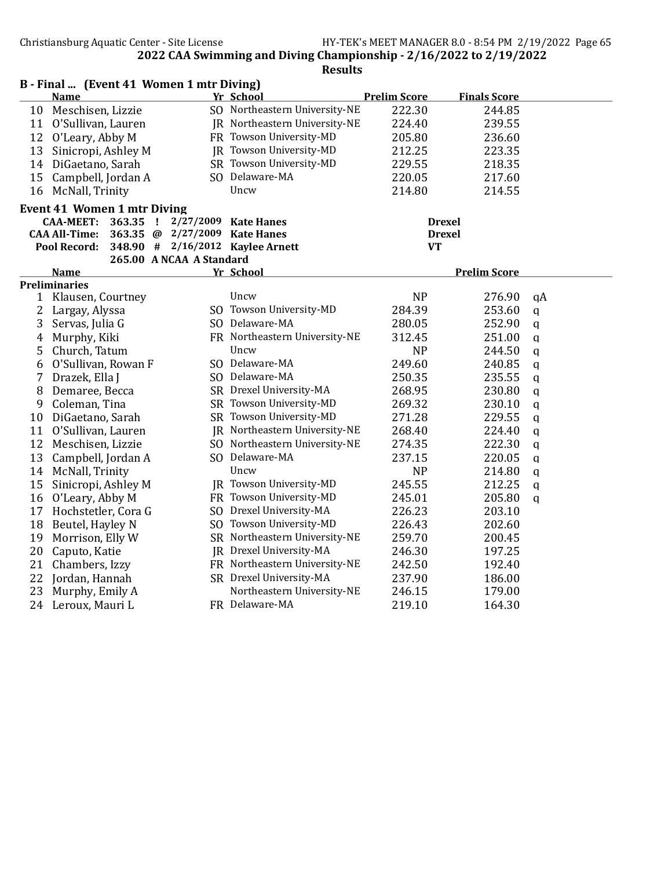|                | B - Final  (Event 41 Women 1 mtr Diving)   |           |                                  |                     |                     |               |
|----------------|--------------------------------------------|-----------|----------------------------------|---------------------|---------------------|---------------|
|                | <b>Name</b>                                |           | Yr School                        | <b>Prelim Score</b> | <b>Finals Score</b> |               |
| 10             | Meschisen, Lizzie                          |           | SO Northeastern University-NE    | 222.30              | 244.85              |               |
|                | 11 O'Sullivan, Lauren                      |           | JR Northeastern University-NE    | 224.40              | 239.55              |               |
| 12             | O'Leary, Abby M                            |           | FR Towson University-MD          | 205.80              | 236.60              |               |
| 13             | Sinicropi, Ashley M                        |           | JR Towson University-MD          | 212.25              | 223.35              |               |
| 14             | DiGaetano, Sarah                           |           | SR Towson University-MD          | 229.55              | 218.35              |               |
| 15             | Campbell, Jordan A                         |           | SO Delaware-MA                   | 220.05              | 217.60              |               |
| 16             | McNall, Trinity                            |           | Uncw                             | 214.80              | 214.55              |               |
|                | <b>Event 41 Women 1 mtr Diving</b>         |           |                                  |                     |                     |               |
|                | <b>CAA-MEET:</b><br>363.35<br>- !          | 2/27/2009 | <b>Kate Hanes</b>                |                     | <b>Drexel</b>       |               |
|                | <b>CAA All-Time:</b><br>363.35 @ 2/27/2009 |           | <b>Kate Hanes</b>                |                     | <b>Drexel</b>       |               |
|                | <b>Pool Record:</b>                        |           | 348.90 # 2/16/2012 Kaylee Arnett | <b>VT</b>           |                     |               |
|                | 265.00 A NCAA A Standard                   |           |                                  |                     |                     |               |
|                | <b>Name</b>                                |           | Yr School                        |                     | <b>Prelim Score</b> |               |
|                | <b>Preliminaries</b>                       |           |                                  |                     |                     |               |
| 1              | Klausen, Courtney                          |           | Uncw                             | <b>NP</b>           | 276.90              | qA            |
| 2              | Largay, Alyssa                             |           | SO Towson University-MD          | 284.39              | 253.60              | q             |
| 3              | Servas, Julia G                            |           | SO Delaware-MA                   | 280.05              | 252.90              | $\mathfrak q$ |
| $\overline{4}$ | Murphy, Kiki                               |           | FR Northeastern University-NE    | 312.45              | 251.00              | $\mathbf q$   |
| 5              | Church, Tatum                              |           | Uncw                             | <b>NP</b>           | 244.50              | q             |
| 6              | O'Sullivan, Rowan F                        |           | SO Delaware-MA                   | 249.60              | 240.85              | q             |
| 7              | Drazek, Ella J                             |           | SO Delaware-MA                   | 250.35              | 235.55              | q             |
| 8              | Demaree, Becca                             |           | SR Drexel University-MA          | 268.95              | 230.80              | q             |
| 9              | Coleman, Tina                              |           | SR Towson University-MD          | 269.32              | 230.10              | q             |
| 10             | DiGaetano, Sarah                           |           | SR Towson University-MD          | 271.28              | 229.55              | q             |
|                | 11 O'Sullivan, Lauren                      |           | JR Northeastern University-NE    | 268.40              | 224.40              | $\mathfrak q$ |
| 12             | Meschisen, Lizzie                          |           | SO Northeastern University-NE    | 274.35              | 222.30              | $\mathsf{q}$  |
| 13             | Campbell, Jordan A                         |           | SO Delaware-MA                   | 237.15              | 220.05              | q             |
| 14             | McNall, Trinity                            |           | Uncw                             | <b>NP</b>           | 214.80              | $\mathbf q$   |
| 15             | Sinicropi, Ashley M                        |           | JR Towson University-MD          | 245.55              | 212.25              | q             |
| 16             | O'Leary, Abby M                            |           | FR Towson University-MD          | 245.01              | 205.80              | $\mathsf{q}$  |
| 17             | Hochstetler, Cora G                        |           | SO Drexel University-MA          | 226.23              | 203.10              |               |
| 18             | Beutel, Hayley N                           |           | SO Towson University-MD          | 226.43              | 202.60              |               |
| 19             | Morrison, Elly W                           |           | SR Northeastern University-NE    | 259.70              | 200.45              |               |
| 20             | Caputo, Katie                              |           | JR Drexel University-MA          | 246.30              | 197.25              |               |
| 21             | Chambers, Izzy                             |           | FR Northeastern University-NE    | 242.50              | 192.40              |               |
| 22             | Jordan, Hannah                             |           | SR Drexel University-MA          | 237.90              | 186.00              |               |
| 23             | Murphy, Emily A                            |           | Northeastern University-NE       | 246.15              | 179.00              |               |
| 24             | Leroux, Mauri L                            |           | FR Delaware-MA                   | 219.10              | 164.30              |               |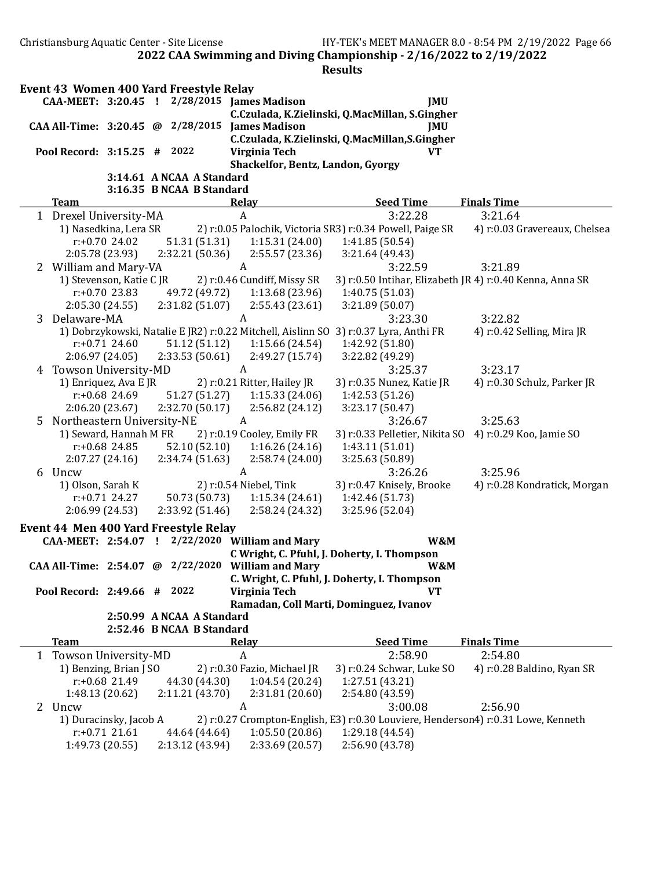2022 CAA Swimming and Diving Championship - 2/16/2022 to 2/19/2022 **Results** Event 43 Women 400 Yard Freestyle Relay CAA-MEET: 3:20.45 ! 2/28/2015 James Madison JMU C.Czulada, K.Zielinski, Q.MacMillan, S.Gingher CAA All-Time: 3:20.45 @ 2/28/2015 James Madison JMU C.Czulada, K.Zielinski, Q.MacMillan,S.Gingher Pool Record: 3:15.25 # 2022 Virginia Tech VT Shackelfor, Bentz, Landon, Gyorgy 3:14.61 A NCAA A Standard 3:16.35 B NCAA B Standard Team **The Relay Seed Time** Finals Time 1 Drexel University-MA A 3:22.28 3:21.64 1) Nasedkina, Lera SR 2) r:0.05 Palochik, Victoria SR3) r:0.34 Powell, Paige SR 4) r:0.03 Gravereaux, Chelsea r:+0.70 24.02 51.31 (51.31) 1:15.31 (24.00) 1:41.85 (50.54) 2:05.78 (23.93) 2:32.21 (50.36) 2:55.57 (23.36) 3:21.64 (49.43) 2 William and Mary-VA  $A$  A 3:22.59 3:21.89 1) Stevenson, Katie C JR 2) r:0.46 Cundiff, Missy SR 3) r:0.50 Intihar, Elizabeth JR 4) r:0.40 Kenna, Anna SR r:+0.70 23.83 49.72 (49.72) 1:13.68 (23.96) 1:40.75 (51.03) 2:05.30 (24.55) 2:31.82 (51.07) 2:55.43 (23.61) 3:21.89 (50.07) 3 Delaware-MA A 3:23.30 3:22.82 1) Dobrzykowski, Natalie E JR2) r:0.22 Mitchell, Aislinn SO 3) r:0.37 Lyra, Anthi FR 4) r:0.42 Selling, Mira JR r:+0.71 24.60 51.12 (51.12) 1:15.66 (24.54) 1:42.92 (51.80) 2:06.97 (24.05) 2:33.53 (50.61) 2:49.27 (15.74) 3:22.82 (49.29) 4 Towson University-MD A 3:25.37 3:23.17 1) Enriquez, Ava E JR 2) r:0.21 Ritter, Hailey JR 3) r:0.35 Nunez, Katie JR 4) r:0.30 Schulz, Parker JR r:+0.68 24.69 51.27 (51.27) 1:15.33 (24.06) 1:42.53 (51.26) 2:06.20 (23.67) 2:32.70 (50.17) 2:56.82 (24.12) 3:23.17 (50.47) 5 Northeastern University-NE A 3:26.67 3:25.63 1) Seward, Hannah M FR 2) r:0.19 Cooley, Emily FR 3) r:0.33 Pelletier, Nikita SO 4) r:0.29 Koo, Jamie SO r:+0.68 24.85 52.10 (52.10) 1:16.26 (24.16) 1:43.11 (51.01) 2:07.27 (24.16) 2:34.74 (51.63) 2:58.74 (24.00) 3:25.63 (50.89) 6 Uncw 6 A 3:26.26 3:25.96 1) Olson, Sarah K 2) r:0.54 Niebel, Tink 3) r:0.47 Knisely, Brooke 4) r:0.28 Kondratick, Morgan r:+0.71 24.27 50.73 (50.73) 1:15.34 (24.61) 1:42.46 (51.73) 2:06.99 (24.53) 2:33.92 (51.46) 2:58.24 (24.32) 3:25.96 (52.04) Event 44 Men 400 Yard Freestyle Relay CAA-MEET: 2:54.07 ! 2/22/2020 William and Mary W&M C Wright, C. Pfuhl, J. Doherty, I. Thompson CAA All-Time: 2:54.07 @ 2/22/2020 William and Mary W&M C. Wright, C. Pfuhl, J. Doherty, I. Thompson Pool Record: 2:49.66 # 2022 Virginia Tech VT Ramadan, Coll Marti, Dominguez, Ivanov 2:50.99 A NCAA A Standard 2:52.46 B NCAA B Standard Team Relay Relay Seed Time Finals Time 1 Towson University-MD A 2:58.90 2:54.80 1) Benzing, Brian J SO 2) r:0.30 Fazio, Michael JR 3) r:0.24 Schwar, Luke SO 4) r:0.28 Baldino, Ryan SR r:+0.68 21.49 44.30 (44.30) 1:04.54 (20.24) 1:27.51 (43.21) 1:48.13 (20.62) 2:11.21 (43.70) 2:31.81 (20.60) 2:54.80 (43.59) 2 Uncw A 3:00.08 2:56.90 1) Duracinsky, Jacob A 2) r:0.27 Crompton-English, E3) r:0.30 Louviere, Henderson4) r:0.31 Lowe, Kenneth r:+0.71 21.61 44.64 (44.64) 1:05.50 (20.86) 1:29.18 (44.54) 1:49.73 (20.55) 2:13.12 (43.94) 2:33.69 (20.57) 2:56.90 (43.78)

Christiansburg Aquatic Center - Site License HY-TEK's MEET MANAGER 8.0 - 8:54 PM 2/19/2022 Page 66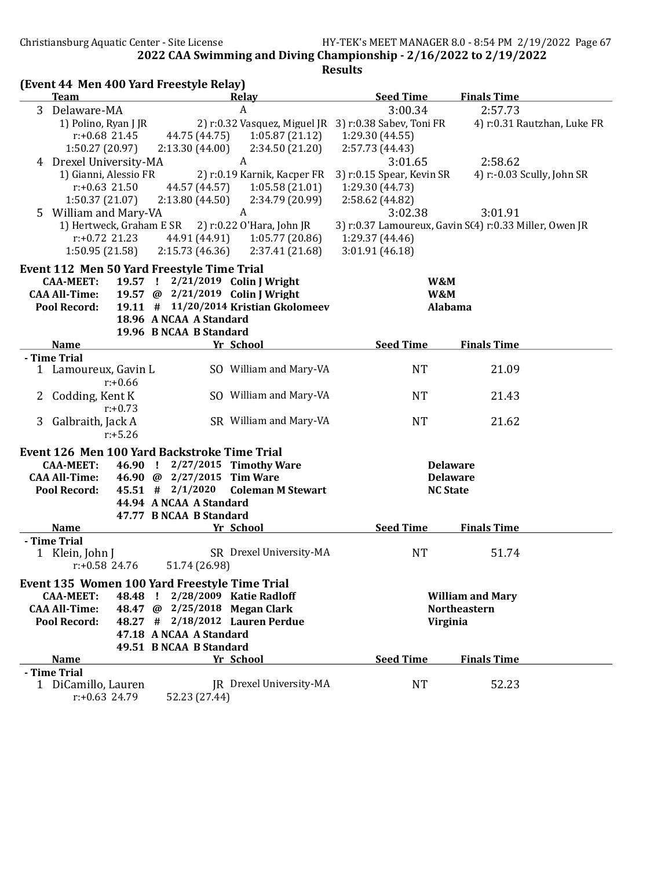| <b>Team</b><br><b>Seed Time</b><br><b>Finals Time</b><br>Relay<br>3 Delaware-MA<br>3:00.34<br>2:57.73<br>A<br>2) r:0.32 Vasquez, Miguel JR 3) r:0.38 Sabev, Toni FR<br>1) Polino, Ryan J JR<br>4) r:0.31 Rautzhan, Luke FR<br>$r: +0.68$ 21.45<br>44.75 (44.75)<br>1:05.87(21.12)<br>1:29.30 (44.55)<br>1:50.27 (20.97)<br>2:13.30(44.00)<br>2:34.50 (21.20)<br>2:57.73 (44.43)<br>4 Drexel University-MA<br>A<br>3:01.65<br>2:58.62<br>1) Gianni, Alessio FR<br>2) r:0.19 Karnik, Kacper FR<br>3) r:0.15 Spear, Kevin SR<br>4) r:-0.03 Scully, John SR<br>$r: +0.63$ 21.50<br>44.57 (44.57)<br>1:05.58(21.01)<br>1:29.30 (44.73)<br>1:50.37(21.07)<br>2:13.80(44.50)<br>2:34.79 (20.99)<br>2:58.62 (44.82)<br>A<br>5 William and Mary-VA<br>3:02.38<br>3:01.91<br>1) Hertweck, Graham E SR<br>2) r:0.22 O'Hara, John JR<br>3) r:0.37 Lamoureux, Gavin S(4) r:0.33 Miller, Owen JR<br>$r: +0.72$ 21.23<br>44.91 (44.91)<br>1:05.77(20.86)<br>1:29.37 (44.46)<br>3:01.91 (46.18)<br>1:50.95 (21.58)<br>2:15.73(46.36)<br>2:37.41 (21.68)<br>Event 112 Men 50 Yard Freestyle Time Trial<br>19.57 ! 2/21/2019 Colin J Wright<br><b>CAA-MEET:</b><br>W&M<br><b>CAA All-Time:</b><br>19.57 @ 2/21/2019 Colin J Wright<br>W&M<br>19.11 # 11/20/2014 Kristian Gkolomeev<br><b>Pool Record:</b><br>Alabama<br>18.96 A NCAA A Standard<br>19.96 B NCAA B Standard<br><b>Name</b><br><b>Seed Time</b><br><b>Finals Time</b><br>Yr School<br>- Time Trial<br>SO William and Mary-VA<br><b>NT</b><br>1 Lamoureux, Gavin L<br>21.09<br>$r: +0.66$<br>SO William and Mary-VA<br>Codding, Kent K<br><b>NT</b><br>21.43<br>2<br>$r: +0.73$<br>SR William and Mary-VA<br>3 Galbraith, Jack A<br><b>NT</b><br>21.62<br>$r: +5.26$<br>Event 126 Men 100 Yard Backstroke Time Trial<br><b>CAA-MEET:</b><br>46.90 ! 2/27/2015 Timothy Ware<br><b>Delaware</b><br><b>CAA All-Time:</b><br>46.90 @ 2/27/2015 Tim Ware<br><b>Delaware</b><br>$45.51$ # $2/1/2020$<br><b>Pool Record:</b><br><b>Coleman M Stewart</b><br><b>NC State</b><br>44.94 A NCAA A Standard<br>47.77 B NCAA B Standard |
|-----------------------------------------------------------------------------------------------------------------------------------------------------------------------------------------------------------------------------------------------------------------------------------------------------------------------------------------------------------------------------------------------------------------------------------------------------------------------------------------------------------------------------------------------------------------------------------------------------------------------------------------------------------------------------------------------------------------------------------------------------------------------------------------------------------------------------------------------------------------------------------------------------------------------------------------------------------------------------------------------------------------------------------------------------------------------------------------------------------------------------------------------------------------------------------------------------------------------------------------------------------------------------------------------------------------------------------------------------------------------------------------------------------------------------------------------------------------------------------------------------------------------------------------------------------------------------------------------------------------------------------------------------------------------------------------------------------------------------------------------------------------------------------------------------------------------------------------------------------------------------------------------------------------------------------------------------------------------------------------------------------------------------------------------------------------------|
|                                                                                                                                                                                                                                                                                                                                                                                                                                                                                                                                                                                                                                                                                                                                                                                                                                                                                                                                                                                                                                                                                                                                                                                                                                                                                                                                                                                                                                                                                                                                                                                                                                                                                                                                                                                                                                                                                                                                                                                                                                                                       |
|                                                                                                                                                                                                                                                                                                                                                                                                                                                                                                                                                                                                                                                                                                                                                                                                                                                                                                                                                                                                                                                                                                                                                                                                                                                                                                                                                                                                                                                                                                                                                                                                                                                                                                                                                                                                                                                                                                                                                                                                                                                                       |
|                                                                                                                                                                                                                                                                                                                                                                                                                                                                                                                                                                                                                                                                                                                                                                                                                                                                                                                                                                                                                                                                                                                                                                                                                                                                                                                                                                                                                                                                                                                                                                                                                                                                                                                                                                                                                                                                                                                                                                                                                                                                       |
|                                                                                                                                                                                                                                                                                                                                                                                                                                                                                                                                                                                                                                                                                                                                                                                                                                                                                                                                                                                                                                                                                                                                                                                                                                                                                                                                                                                                                                                                                                                                                                                                                                                                                                                                                                                                                                                                                                                                                                                                                                                                       |
|                                                                                                                                                                                                                                                                                                                                                                                                                                                                                                                                                                                                                                                                                                                                                                                                                                                                                                                                                                                                                                                                                                                                                                                                                                                                                                                                                                                                                                                                                                                                                                                                                                                                                                                                                                                                                                                                                                                                                                                                                                                                       |
|                                                                                                                                                                                                                                                                                                                                                                                                                                                                                                                                                                                                                                                                                                                                                                                                                                                                                                                                                                                                                                                                                                                                                                                                                                                                                                                                                                                                                                                                                                                                                                                                                                                                                                                                                                                                                                                                                                                                                                                                                                                                       |
|                                                                                                                                                                                                                                                                                                                                                                                                                                                                                                                                                                                                                                                                                                                                                                                                                                                                                                                                                                                                                                                                                                                                                                                                                                                                                                                                                                                                                                                                                                                                                                                                                                                                                                                                                                                                                                                                                                                                                                                                                                                                       |
|                                                                                                                                                                                                                                                                                                                                                                                                                                                                                                                                                                                                                                                                                                                                                                                                                                                                                                                                                                                                                                                                                                                                                                                                                                                                                                                                                                                                                                                                                                                                                                                                                                                                                                                                                                                                                                                                                                                                                                                                                                                                       |
|                                                                                                                                                                                                                                                                                                                                                                                                                                                                                                                                                                                                                                                                                                                                                                                                                                                                                                                                                                                                                                                                                                                                                                                                                                                                                                                                                                                                                                                                                                                                                                                                                                                                                                                                                                                                                                                                                                                                                                                                                                                                       |
|                                                                                                                                                                                                                                                                                                                                                                                                                                                                                                                                                                                                                                                                                                                                                                                                                                                                                                                                                                                                                                                                                                                                                                                                                                                                                                                                                                                                                                                                                                                                                                                                                                                                                                                                                                                                                                                                                                                                                                                                                                                                       |
|                                                                                                                                                                                                                                                                                                                                                                                                                                                                                                                                                                                                                                                                                                                                                                                                                                                                                                                                                                                                                                                                                                                                                                                                                                                                                                                                                                                                                                                                                                                                                                                                                                                                                                                                                                                                                                                                                                                                                                                                                                                                       |
|                                                                                                                                                                                                                                                                                                                                                                                                                                                                                                                                                                                                                                                                                                                                                                                                                                                                                                                                                                                                                                                                                                                                                                                                                                                                                                                                                                                                                                                                                                                                                                                                                                                                                                                                                                                                                                                                                                                                                                                                                                                                       |
|                                                                                                                                                                                                                                                                                                                                                                                                                                                                                                                                                                                                                                                                                                                                                                                                                                                                                                                                                                                                                                                                                                                                                                                                                                                                                                                                                                                                                                                                                                                                                                                                                                                                                                                                                                                                                                                                                                                                                                                                                                                                       |
|                                                                                                                                                                                                                                                                                                                                                                                                                                                                                                                                                                                                                                                                                                                                                                                                                                                                                                                                                                                                                                                                                                                                                                                                                                                                                                                                                                                                                                                                                                                                                                                                                                                                                                                                                                                                                                                                                                                                                                                                                                                                       |
|                                                                                                                                                                                                                                                                                                                                                                                                                                                                                                                                                                                                                                                                                                                                                                                                                                                                                                                                                                                                                                                                                                                                                                                                                                                                                                                                                                                                                                                                                                                                                                                                                                                                                                                                                                                                                                                                                                                                                                                                                                                                       |
|                                                                                                                                                                                                                                                                                                                                                                                                                                                                                                                                                                                                                                                                                                                                                                                                                                                                                                                                                                                                                                                                                                                                                                                                                                                                                                                                                                                                                                                                                                                                                                                                                                                                                                                                                                                                                                                                                                                                                                                                                                                                       |
|                                                                                                                                                                                                                                                                                                                                                                                                                                                                                                                                                                                                                                                                                                                                                                                                                                                                                                                                                                                                                                                                                                                                                                                                                                                                                                                                                                                                                                                                                                                                                                                                                                                                                                                                                                                                                                                                                                                                                                                                                                                                       |
|                                                                                                                                                                                                                                                                                                                                                                                                                                                                                                                                                                                                                                                                                                                                                                                                                                                                                                                                                                                                                                                                                                                                                                                                                                                                                                                                                                                                                                                                                                                                                                                                                                                                                                                                                                                                                                                                                                                                                                                                                                                                       |
|                                                                                                                                                                                                                                                                                                                                                                                                                                                                                                                                                                                                                                                                                                                                                                                                                                                                                                                                                                                                                                                                                                                                                                                                                                                                                                                                                                                                                                                                                                                                                                                                                                                                                                                                                                                                                                                                                                                                                                                                                                                                       |
|                                                                                                                                                                                                                                                                                                                                                                                                                                                                                                                                                                                                                                                                                                                                                                                                                                                                                                                                                                                                                                                                                                                                                                                                                                                                                                                                                                                                                                                                                                                                                                                                                                                                                                                                                                                                                                                                                                                                                                                                                                                                       |
|                                                                                                                                                                                                                                                                                                                                                                                                                                                                                                                                                                                                                                                                                                                                                                                                                                                                                                                                                                                                                                                                                                                                                                                                                                                                                                                                                                                                                                                                                                                                                                                                                                                                                                                                                                                                                                                                                                                                                                                                                                                                       |
|                                                                                                                                                                                                                                                                                                                                                                                                                                                                                                                                                                                                                                                                                                                                                                                                                                                                                                                                                                                                                                                                                                                                                                                                                                                                                                                                                                                                                                                                                                                                                                                                                                                                                                                                                                                                                                                                                                                                                                                                                                                                       |
|                                                                                                                                                                                                                                                                                                                                                                                                                                                                                                                                                                                                                                                                                                                                                                                                                                                                                                                                                                                                                                                                                                                                                                                                                                                                                                                                                                                                                                                                                                                                                                                                                                                                                                                                                                                                                                                                                                                                                                                                                                                                       |
|                                                                                                                                                                                                                                                                                                                                                                                                                                                                                                                                                                                                                                                                                                                                                                                                                                                                                                                                                                                                                                                                                                                                                                                                                                                                                                                                                                                                                                                                                                                                                                                                                                                                                                                                                                                                                                                                                                                                                                                                                                                                       |
|                                                                                                                                                                                                                                                                                                                                                                                                                                                                                                                                                                                                                                                                                                                                                                                                                                                                                                                                                                                                                                                                                                                                                                                                                                                                                                                                                                                                                                                                                                                                                                                                                                                                                                                                                                                                                                                                                                                                                                                                                                                                       |
|                                                                                                                                                                                                                                                                                                                                                                                                                                                                                                                                                                                                                                                                                                                                                                                                                                                                                                                                                                                                                                                                                                                                                                                                                                                                                                                                                                                                                                                                                                                                                                                                                                                                                                                                                                                                                                                                                                                                                                                                                                                                       |
|                                                                                                                                                                                                                                                                                                                                                                                                                                                                                                                                                                                                                                                                                                                                                                                                                                                                                                                                                                                                                                                                                                                                                                                                                                                                                                                                                                                                                                                                                                                                                                                                                                                                                                                                                                                                                                                                                                                                                                                                                                                                       |
|                                                                                                                                                                                                                                                                                                                                                                                                                                                                                                                                                                                                                                                                                                                                                                                                                                                                                                                                                                                                                                                                                                                                                                                                                                                                                                                                                                                                                                                                                                                                                                                                                                                                                                                                                                                                                                                                                                                                                                                                                                                                       |
|                                                                                                                                                                                                                                                                                                                                                                                                                                                                                                                                                                                                                                                                                                                                                                                                                                                                                                                                                                                                                                                                                                                                                                                                                                                                                                                                                                                                                                                                                                                                                                                                                                                                                                                                                                                                                                                                                                                                                                                                                                                                       |
|                                                                                                                                                                                                                                                                                                                                                                                                                                                                                                                                                                                                                                                                                                                                                                                                                                                                                                                                                                                                                                                                                                                                                                                                                                                                                                                                                                                                                                                                                                                                                                                                                                                                                                                                                                                                                                                                                                                                                                                                                                                                       |
|                                                                                                                                                                                                                                                                                                                                                                                                                                                                                                                                                                                                                                                                                                                                                                                                                                                                                                                                                                                                                                                                                                                                                                                                                                                                                                                                                                                                                                                                                                                                                                                                                                                                                                                                                                                                                                                                                                                                                                                                                                                                       |
|                                                                                                                                                                                                                                                                                                                                                                                                                                                                                                                                                                                                                                                                                                                                                                                                                                                                                                                                                                                                                                                                                                                                                                                                                                                                                                                                                                                                                                                                                                                                                                                                                                                                                                                                                                                                                                                                                                                                                                                                                                                                       |
|                                                                                                                                                                                                                                                                                                                                                                                                                                                                                                                                                                                                                                                                                                                                                                                                                                                                                                                                                                                                                                                                                                                                                                                                                                                                                                                                                                                                                                                                                                                                                                                                                                                                                                                                                                                                                                                                                                                                                                                                                                                                       |
|                                                                                                                                                                                                                                                                                                                                                                                                                                                                                                                                                                                                                                                                                                                                                                                                                                                                                                                                                                                                                                                                                                                                                                                                                                                                                                                                                                                                                                                                                                                                                                                                                                                                                                                                                                                                                                                                                                                                                                                                                                                                       |
| Yr School<br><b>Seed Time</b><br><b>Finals Time</b><br><b>Name</b>                                                                                                                                                                                                                                                                                                                                                                                                                                                                                                                                                                                                                                                                                                                                                                                                                                                                                                                                                                                                                                                                                                                                                                                                                                                                                                                                                                                                                                                                                                                                                                                                                                                                                                                                                                                                                                                                                                                                                                                                    |
| - Time Trial                                                                                                                                                                                                                                                                                                                                                                                                                                                                                                                                                                                                                                                                                                                                                                                                                                                                                                                                                                                                                                                                                                                                                                                                                                                                                                                                                                                                                                                                                                                                                                                                                                                                                                                                                                                                                                                                                                                                                                                                                                                          |
| SR Drexel University-MA<br><b>NT</b><br>51.74<br>1 Klein, John J                                                                                                                                                                                                                                                                                                                                                                                                                                                                                                                                                                                                                                                                                                                                                                                                                                                                                                                                                                                                                                                                                                                                                                                                                                                                                                                                                                                                                                                                                                                                                                                                                                                                                                                                                                                                                                                                                                                                                                                                      |
| 51.74 (26.98)<br>$r: +0.58$ 24.76                                                                                                                                                                                                                                                                                                                                                                                                                                                                                                                                                                                                                                                                                                                                                                                                                                                                                                                                                                                                                                                                                                                                                                                                                                                                                                                                                                                                                                                                                                                                                                                                                                                                                                                                                                                                                                                                                                                                                                                                                                     |
| Event 135 Women 100 Yard Freestyle Time Trial                                                                                                                                                                                                                                                                                                                                                                                                                                                                                                                                                                                                                                                                                                                                                                                                                                                                                                                                                                                                                                                                                                                                                                                                                                                                                                                                                                                                                                                                                                                                                                                                                                                                                                                                                                                                                                                                                                                                                                                                                         |
| 48.48 ! 2/28/2009 Katie Radloff<br><b>William and Mary</b><br><b>CAA-MEET:</b>                                                                                                                                                                                                                                                                                                                                                                                                                                                                                                                                                                                                                                                                                                                                                                                                                                                                                                                                                                                                                                                                                                                                                                                                                                                                                                                                                                                                                                                                                                                                                                                                                                                                                                                                                                                                                                                                                                                                                                                        |
| <b>CAA All-Time:</b><br>48.47 @ 2/25/2018 Megan Clark<br><b>Northeastern</b>                                                                                                                                                                                                                                                                                                                                                                                                                                                                                                                                                                                                                                                                                                                                                                                                                                                                                                                                                                                                                                                                                                                                                                                                                                                                                                                                                                                                                                                                                                                                                                                                                                                                                                                                                                                                                                                                                                                                                                                          |
| <b>Pool Record:</b><br>48.27 # 2/18/2012 Lauren Perdue<br>Virginia                                                                                                                                                                                                                                                                                                                                                                                                                                                                                                                                                                                                                                                                                                                                                                                                                                                                                                                                                                                                                                                                                                                                                                                                                                                                                                                                                                                                                                                                                                                                                                                                                                                                                                                                                                                                                                                                                                                                                                                                    |
| 47.18 A NCAA A Standard                                                                                                                                                                                                                                                                                                                                                                                                                                                                                                                                                                                                                                                                                                                                                                                                                                                                                                                                                                                                                                                                                                                                                                                                                                                                                                                                                                                                                                                                                                                                                                                                                                                                                                                                                                                                                                                                                                                                                                                                                                               |
| 49.51 B NCAA B Standard                                                                                                                                                                                                                                                                                                                                                                                                                                                                                                                                                                                                                                                                                                                                                                                                                                                                                                                                                                                                                                                                                                                                                                                                                                                                                                                                                                                                                                                                                                                                                                                                                                                                                                                                                                                                                                                                                                                                                                                                                                               |
| <b>Seed Time</b><br><b>Finals Time</b><br><b>Name</b><br>Yr School                                                                                                                                                                                                                                                                                                                                                                                                                                                                                                                                                                                                                                                                                                                                                                                                                                                                                                                                                                                                                                                                                                                                                                                                                                                                                                                                                                                                                                                                                                                                                                                                                                                                                                                                                                                                                                                                                                                                                                                                    |
| - Time Trial                                                                                                                                                                                                                                                                                                                                                                                                                                                                                                                                                                                                                                                                                                                                                                                                                                                                                                                                                                                                                                                                                                                                                                                                                                                                                                                                                                                                                                                                                                                                                                                                                                                                                                                                                                                                                                                                                                                                                                                                                                                          |
| 1 DiCamillo, Lauren<br>JR Drexel University-MA<br><b>NT</b><br>52.23                                                                                                                                                                                                                                                                                                                                                                                                                                                                                                                                                                                                                                                                                                                                                                                                                                                                                                                                                                                                                                                                                                                                                                                                                                                                                                                                                                                                                                                                                                                                                                                                                                                                                                                                                                                                                                                                                                                                                                                                  |
| $r: +0.63$ 24.79<br>52.23 (27.44)                                                                                                                                                                                                                                                                                                                                                                                                                                                                                                                                                                                                                                                                                                                                                                                                                                                                                                                                                                                                                                                                                                                                                                                                                                                                                                                                                                                                                                                                                                                                                                                                                                                                                                                                                                                                                                                                                                                                                                                                                                     |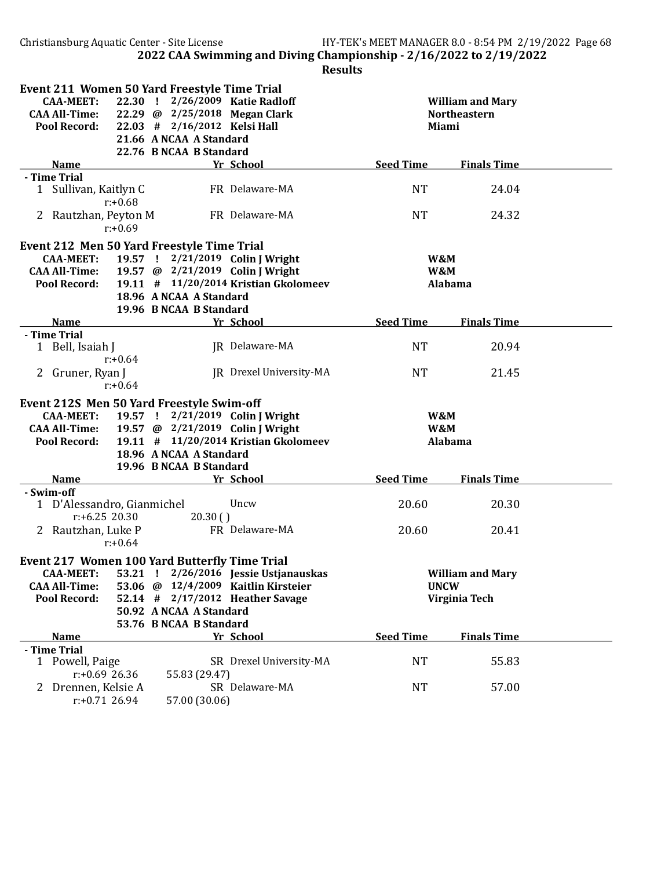| Event 211 Women 50 Yard Freestyle Time Trial         |                                                  |                                                 |                                  |                                       |                         |                         |  |  |
|------------------------------------------------------|--------------------------------------------------|-------------------------------------------------|----------------------------------|---------------------------------------|-------------------------|-------------------------|--|--|
| <b>CAA-MEET:</b>                                     |                                                  |                                                 |                                  | 22.30 ! 2/26/2009 Katie Radloff       |                         | <b>William and Mary</b> |  |  |
| <b>CAA All-Time:</b>                                 |                                                  |                                                 | 22.29 @ 2/25/2018 Megan Clark    |                                       |                         | <b>Northeastern</b>     |  |  |
| <b>Pool Record:</b>                                  |                                                  |                                                 | 22.03 # 2/16/2012 Kelsi Hall     |                                       |                         | Miami                   |  |  |
|                                                      |                                                  |                                                 | 21.66 A NCAA A Standard          |                                       |                         |                         |  |  |
|                                                      |                                                  |                                                 | 22.76 B NCAA B Standard          |                                       |                         |                         |  |  |
| <b>Name</b>                                          |                                                  |                                                 |                                  | Yr School                             | <b>Seed Time</b>        | <b>Finals Time</b>      |  |  |
| - Time Trial                                         |                                                  |                                                 |                                  |                                       |                         |                         |  |  |
| 1 Sullivan, Kaitlyn C                                |                                                  |                                                 |                                  | FR Delaware-MA                        | <b>NT</b>               | 24.04                   |  |  |
|                                                      | $r: +0.68$                                       |                                                 |                                  |                                       |                         |                         |  |  |
| 2 Rautzhan, Peyton M                                 |                                                  |                                                 |                                  | FR Delaware-MA                        | <b>NT</b>               | 24.32                   |  |  |
|                                                      | $r: +0.69$                                       |                                                 |                                  |                                       |                         |                         |  |  |
|                                                      |                                                  |                                                 |                                  |                                       |                         |                         |  |  |
| Event 212 Men 50 Yard Freestyle Time Trial           |                                                  |                                                 |                                  |                                       |                         |                         |  |  |
| <b>CAA-MEET:</b>                                     |                                                  |                                                 | 19.57 ! 2/21/2019 Colin J Wright |                                       |                         | W&M                     |  |  |
| <b>CAA All-Time:</b>                                 |                                                  |                                                 | 19.57 @ 2/21/2019 Colin J Wright |                                       |                         | W&M                     |  |  |
| <b>Pool Record:</b>                                  |                                                  |                                                 |                                  | 19.11 # 11/20/2014 Kristian Gkolomeev |                         | <b>Alabama</b>          |  |  |
|                                                      |                                                  |                                                 | 18.96 A NCAA A Standard          |                                       |                         |                         |  |  |
|                                                      |                                                  |                                                 | 19.96 B NCAA B Standard          |                                       |                         |                         |  |  |
| <b>Name</b>                                          |                                                  |                                                 |                                  | Yr School                             | <b>Seed Time</b>        | <b>Finals Time</b>      |  |  |
| - Time Trial                                         |                                                  |                                                 |                                  |                                       |                         |                         |  |  |
| 1 Bell, Isaiah J                                     |                                                  |                                                 |                                  | IR Delaware-MA                        | <b>NT</b>               | 20.94                   |  |  |
|                                                      | $r: +0.64$                                       |                                                 |                                  |                                       |                         |                         |  |  |
| 2 Gruner, Ryan J                                     |                                                  |                                                 |                                  | JR Drexel University-MA               | <b>NT</b>               | 21.45                   |  |  |
|                                                      | $r: +0.64$                                       |                                                 |                                  |                                       |                         |                         |  |  |
|                                                      |                                                  |                                                 |                                  |                                       |                         |                         |  |  |
| Event 212S Men 50 Yard Freestyle Swim-off            |                                                  |                                                 |                                  |                                       |                         |                         |  |  |
| 19.57 ! 2/21/2019 Colin J Wright<br><b>CAA-MEET:</b> |                                                  |                                                 |                                  |                                       | W&M                     |                         |  |  |
| <b>CAA All-Time:</b>                                 |                                                  |                                                 |                                  | 19.57 @ 2/21/2019 Colin J Wright      | W&M                     |                         |  |  |
| Pool Record:                                         | 19.11 # 11/20/2014 Kristian Gkolomeev<br>Alabama |                                                 |                                  |                                       |                         |                         |  |  |
|                                                      |                                                  |                                                 | 18.96 A NCAA A Standard          |                                       |                         |                         |  |  |
|                                                      |                                                  |                                                 | 19.96 B NCAA B Standard          |                                       |                         |                         |  |  |
| <b>Name</b>                                          |                                                  |                                                 |                                  | Yr School                             | <b>Seed Time</b>        | <b>Finals Time</b>      |  |  |
| - Swim-off                                           |                                                  |                                                 |                                  |                                       |                         |                         |  |  |
| 1 D'Alessandro, Gianmichel                           |                                                  |                                                 |                                  | Uncw                                  | 20.60                   | 20.30                   |  |  |
| $r: +6.25$ 20.30                                     |                                                  |                                                 | 20.30()                          |                                       |                         |                         |  |  |
| 2 Rautzhan, Luke P                                   |                                                  |                                                 |                                  | FR Delaware-MA                        | 20.60                   | 20.41                   |  |  |
|                                                      | $r: +0.64$                                       |                                                 |                                  |                                       |                         |                         |  |  |
|                                                      |                                                  |                                                 |                                  |                                       |                         |                         |  |  |
| Event 217 Women 100 Yard Butterfly Time Trial        |                                                  |                                                 |                                  |                                       |                         |                         |  |  |
|                                                      |                                                  | CAA-MEET: 53.21 ! 2/26/2016 Jessie Ustjanauskas |                                  |                                       | <b>William and Mary</b> |                         |  |  |
| <b>CAA All-Time:</b>                                 |                                                  | 53.06 @ 12/4/2009 Kaitlin Kirsteier             |                                  |                                       | <b>UNCW</b>             |                         |  |  |
| <b>Pool Record:</b>                                  |                                                  |                                                 |                                  | 52.14 # 2/17/2012 Heather Savage      |                         | Virginia Tech           |  |  |
|                                                      |                                                  |                                                 | 50.92 A NCAA A Standard          |                                       |                         |                         |  |  |
|                                                      |                                                  |                                                 | 53.76 B NCAA B Standard          |                                       |                         |                         |  |  |
| <u>Name</u>                                          |                                                  |                                                 |                                  | Yr School                             | <b>Seed Time</b>        | <b>Finals Time</b>      |  |  |
| - Time Trial                                         |                                                  |                                                 |                                  |                                       |                         |                         |  |  |
| 1 Powell, Paige                                      |                                                  |                                                 |                                  | SR Drexel University-MA               | <b>NT</b>               | 55.83                   |  |  |
| $r: +0.69$ 26.36                                     |                                                  |                                                 | 55.83 (29.47)                    |                                       |                         |                         |  |  |
| Drennen, Kelsie A                                    |                                                  |                                                 |                                  | SR Delaware-MA                        | <b>NT</b>               | 57.00                   |  |  |
| $r: +0.7126.94$                                      |                                                  |                                                 | 57.00 (30.06)                    |                                       |                         |                         |  |  |
|                                                      |                                                  |                                                 |                                  |                                       |                         |                         |  |  |